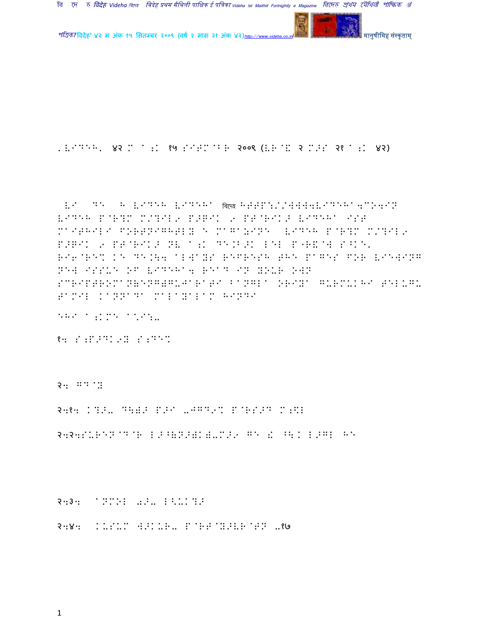1

२५४५ KUSUM WAR- PUSPE PORT PROTECTIVE AND

 $2434$   $75774$   $374$   $384$ 

२4२4SURPPT TE ED REPUBLACTIV (PP) & PRO EURO (PP)

२4१4 COBA COBER ERS LAPSAT ESPERAD DAN

 $24.9$  GD  $12.9$ 

84 F;PSPIS;DE%PS;DE%PS;

EHI A;KME A\*I:

 $\mathbb{R}^2$  decay in the substitution of  $\mathbb{R}^2$  and  $\mathbb{R}^2$  and  $\mathbb{R}^2$  and  $\mathbb{R}^2$  and  $\mathbb{R}^2$  and  $\mathbb{R}^2$  and  $\mathbb{R}^2$  and  $\mathbb{R}^2$  and  $\mathbb{R}^2$  and  $\mathbb{R}^2$  and  $\mathbb{R}^2$  and  $\mathbb{R}^2$  and BATH PORT TITLE PRESS & PROPER BATH AND AND MAITHILI FORTHICI SAMAGINE VIDEH PORTNIGHT P>QIK 9 PT@RIK> NV A;K DE.B>K LEL P"R&@W S^KE' RI6@RE% KE DE.\4 ALWAYS REFRESH THE PAGES FOR VIEWING NEW ISSUE OF VIDEHA4 READ IN YOUR OWN SCRIPTROMAN(ENG)GUJARATI BANGLA ORIYA GURMUKHI TELUGU TAMIL KANNADA MALAYALAM HINDI

'YIDEH' XY M A;K १५ SITM@BR २००९ (YIP .I) XITMABR 2011 | XX)

*পত্ৰিকা*'বিदेह' ४२ म अंक १५ सितम्बर २००९ (वर्ष २ मास २१ अंक ४२)http://www.videha.co.in<sup>/ Haman</sup> सम्बं<sup>द</sup>े । मानुषीमिह संस्कृताम्



िव <sup>रा</sup>प रु विदेह Videha <sub>विपद</sub> विदेह प्रथम मैथिली पाक्षिक ई पत्रिका <sub>Videha Ist Maithili Fortnightly e Magazine *विरमरु श*थंग रंगैथिली পोष्किक औ</sub>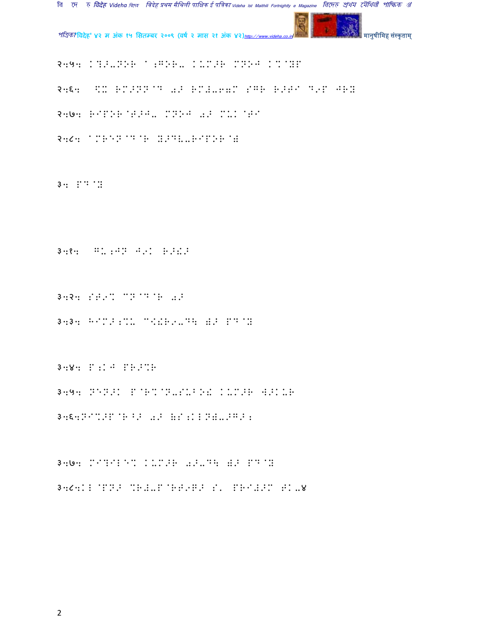ৱি দে *হ বিदेह Videha ৰিজে ৰিবলৈ प्रथम मैथिली पाक्षिक ई पत्रिका <sub>Videha</sub> Ist Maithili Fortnightly e Magazine <i>ৱিদেহ প্ৰথম মৌথি*লী পাক্ষিক \$

*পত্ৰিকা*' विदेह' ४२ म अंक १५ सितम्बर २००९ (वर्ष २ मास २१ अंक ४२)http://www.videha.co.in<sup>/ म</sup>ानुष्यी- मानुषीमिह संस्कृताम् २५५4 KRASHAF KARDER KORA KORA KUMBE २4६4 \$PX RM PRODUCT ROOM OF STREET STREET PRODUCT २५७4 RPTDR NAJHA 2009 RD 2009 २4८4 AMREN@D@R Y>DV-RIPOR@)

 $3: P^2$ 

 $3484$  GU;  $\pm 31$   $\pm 42$  GU;  $\pm 21$   $\pm 21$ 

३4२4 ST9% CN@D@R 0> ३4३4 HIM>;%U C[!R9-D\ )> PD@Y

३4४4 P;KJ PR>%R ३4५4 NEN>K P@R%@N-SUBO! KUM>R W>KUR ३4६4NI%>P@R^> 0> (S;KLN)->G>;

३५७५ MIRINE COMP APAPE APP ER TE ३4८4KL@PN> %R#-P@RT9Q> S' PRI#>M TK-४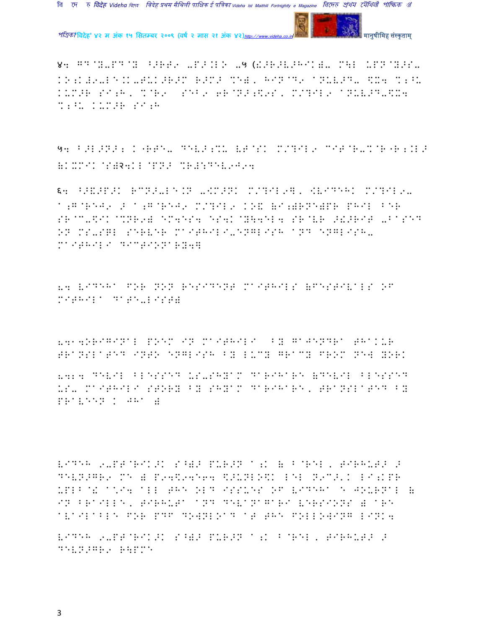

 $84$  GPP (BUPP (B) (RPP) - UPS (B) - US (ESPS ESP) BH (IPH) - LPS (BSP) KO;K#9-LE.K-TUK>R>M R>M> %E), HIN@D9 ANUV>D- \$X4 %;^U KUMB SK:B, %@R9 SEB9 6RD-BURS-XIII (M/?IL) %;^U KUM>R SI;H

 $94:$  B $B:23:$  Konstruction of the article is the construction of  $R$  and  $R$  are  $R$  . The  $R$ (KXMIK@S)२4KL@PN> %R#:DEV9J94

६4 ^>&>P>K RCN>-LE.N -[M>NK M/?IL9], [VIDEHK M/?IL9- A;G@REJ9 > A;G@REJ9 M/?IL9 KO& (I;)RNE)PR PHIL BER SR@C-\$IK@%NR9) EM4ES4 ES4K@Y\4EL4 SR@VR >!>RIT -BASED ON MS-SQL SERVER MAITHILI-ENGLISH AND ENGLISH-MAITHILI DICTIONARY4]

84 VIDEHA FOR NON RESIDENT MAITHILS (FESTIVALS OF MITHILA DATE-LIST, ANNO 1999 EST

8414ORIGINAL POEM IN MAITHILI BY GAJENDRA THAKUR TRANSLATED INTO ENGLISH DE STANDARD I STANDARD I STANDARD I STANDARD I STANDARD I STANDARD I STANDARD I STANDA

8424 DEVIL BLESSED US-SHYAM DARIHARE (DEVIL BLESSED US- MAITHER DARIHARE, DES STORY BY SHYAM DARIHARE, TRANSLATED BY SHYAM DARIHARE, TRANSLATED BY SHYAM DARIHARE, PRAVE TAMP H

BATTER SUPERING SO PURSE TURNS AND BESTIMAN A GENERAL A DEVNOP BE DEVATOREE KONSTRUCT DE SON DE SON LIGE EEN UPLB@! A\*I4 ALL THE OLD ISSUES OF VIDEHA E JOURNAL ( IN BRAILLE, TIRHUTA AND DEVANAGARI VERSIONS ) ARE AVAILABLE FOR PDF DOWNLOAD AT THE FOLLOWING LINK4

VIDEH 9-PT@RIK>K S^)> PUR>N A;K B@REL, TIRHUT> > DESCRIPTION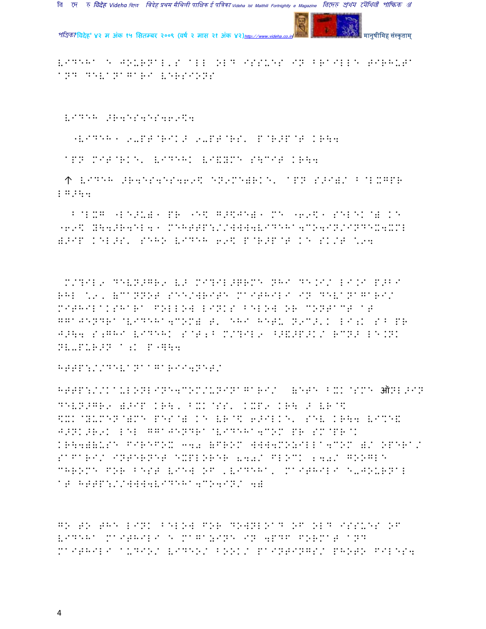VIDEHA E JOURNAL'S ALL OLD ISSUES IN BRAILLE TIRHUTA AND DEVANAGARI VERSIONS

RANGE SERVICES SERVICE

"VIDEOUS" 9-PT@RICH="PT@RIK" P@RIKP@T KRA4

APS MITH MIT EITHER STRIP STRIP STRIP

↑ VIDEH >R4ES4ES469\$ EN9ME)RKE' APN S>I)/ B@LXGPR  $\pm$   $\frac{1}{2}$   $\pm$   $\frac{1}{2}$   $\pm$   $\frac{1}{2}$ 

BO "LESS" PRODUCED " PRESS " PRODUCED " PRODUCED " A CONSTRUCTION " AND A CONSTRUCTION OF " AND A CONSTRUCTION  $\sim$  69 YO RELATED A CONTRACT POSSESSION CONTRACT PROPERTY AND MOST )>IP KEL>S' SEHO VIDEH 69\$ P@R>P@T KE SK/T \*94

MICHER DE FRANKERS ALS CREEFE SERCH DER INFORMETIEK EN DE RHL \*9, (CANNOT SEE/WRITE MAITHILI IN DEVANAGARI/ MITHILAKSHARA FOLLOW LINKS BELOW OR CONTACT AT GGANGENDRAG IN EIN HETU NEI HETU NACH HETU NICHT HET HET GESCHICHTEN JPDE S;GHER SATER SYGGIFT ROUGH SOMERIES OF MORE SATE NU-PURAN A;K P (P)

HTTP://DEVANAAGARII4NET/

HETT://KAULONLINE/STORICS/ININAGARI/ (ETEN BIOLOGIC) (MILLEN DEVADES BREDGEL (BIKKE KRYSTER (BB KRAK \$XK@YUMEN@)ME PES@) KE VR@\$ 6>ILKE' SEV KR\4 VI%E& J>NK>R9K LEL GGAJENDRA@VIDEHA4COM PR SM@PR@K KR\4), USE FIREFOX 340 (FROM WWW.4), USE FIREFOX 340 (FROM WWW.4), USE FIREFOX 340 (FROM WWW.4) SAFARI/ INTERNET EXPLORER 840/ FLOCK 240/ GOOGLE CHROME FOR BEST VIEW OF 'VIDEHA' MAITHILI E-JOURNAL AT HTTP://WWW4VIDEHA4CO4IN/ 4)

GO TO THE LINK BELOW FOR DOWNLOAD OF OLD ISSUES OF VIDEHA MAITHILI E MAGAZINE IN 4PDF FORMAT AND MAITHILI AUDIO/ VIDEO/ BOOK/ PAINTINGS/ PHOTO FILES4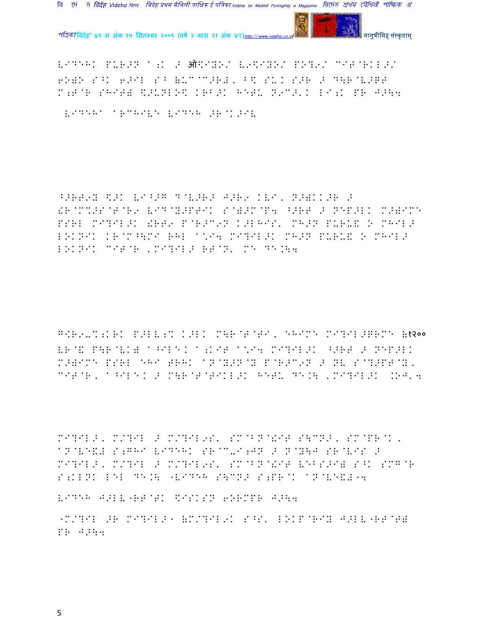"MINISTE" (MACINE PARA SASY BINY SASY LOKE ANG MATILITANG MANG-ARANG ARAW ANG MAN PR JOHN

VIDEH J>LV"RT@TK \$ISKSN 6ORMPR J>\4

MIRIS, MOREO SMONIAE SAN SEMIRING SAMPAN SOMERING. AND VERBEN SIGHHAM SEMPANG SYGHI VIDA GADA SA DI SRADA SIGHA SIGH VERBEN SR MI?IL>, M/?IL > M/?IL9S' SM@BN@!IT VEBS>I) S^K SMG@R S;KLNE DE.\ "VIDEH" STEPHEN STATISTIKE AND VIDEH STEPHEN AND VERWIJGEN AND VERWIJGEN AND VERWIJGEN AND VERWIJG

GEGE AND STRAKE POSSIBLE ON THE MINE METALLY FERING MINORITAL EFFECTY. HIRPOO KR VR PREJENS A FORM AND AT A INCORPORATION AT PARALLY M>)IME PSRL EHI TRHK AN@Y>N@Y P@R>C9N > NV S@?>PT@Y, CIT@R, A^ILE. > M\R@T@TIKL>K HETU DE.\ 'MI?IL>K .OJ'4

 $\frac{1}{2}$  , the state of the state of the state of the state of the state of the state of the state of the state of the state of the state of the state of the state of the state of the state of the state of the state of t !R@M%>S@T@R9 VID@Y>PTIK S@)>M@P4 ^>RT > NEP>LK M>)IME PSRL MI?IL>K !RT9 P@R>C9N K>LHIS' MH>N PURU& O MHIL> LOKNIK KR@M^\MI RHL A\*I4 MI?IL>K MH>N PURU& O MHIL> LOKNIK CIT@R 'MI?IL> RT@N' ME DE.\4

VIDEHA ARCHIVE VIDEH SE STAND

VIDEHK PUR>N A;K > ऑ\$IYO/ V9\$IYO/ PO?9/ CIT@RKL>/ 6O)O S^K 6>IL S^ (UC@C>R#, B\$ SU. S>R > D\R@V>QT M) \$P SHIT SHITS ARE NOT DER KRAFT HET UNLOCK HET UNLOCK HET UNLOCK A LIGHT OF THE JAPAN HET UNLOCK

*পত্ৰিকা*' विदेह' ४२ म अंक १५ सितम्बर २००९ (वर्ष २ मास २१ अंक ४२)http://www.videha.co.in<sup>/ म</sup>ानुष्यी- मानुषीमिह संस्कृताम्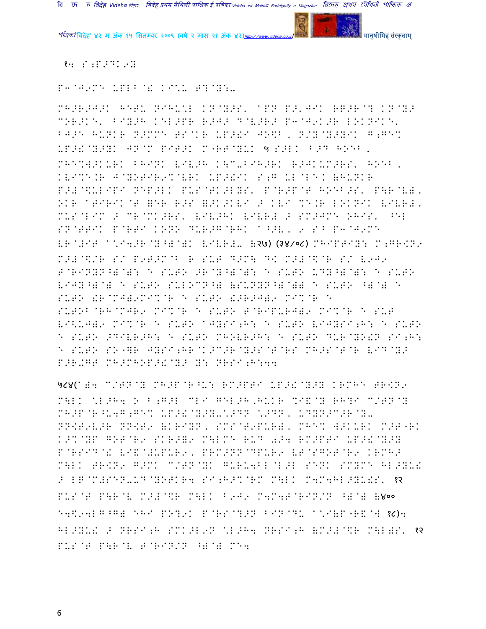*পত্ৰিকা*' विदेह' ४२ म अंक १५ सितम्बर २००९ (वर्ष २ मास २१ अंक ४२)http://www.videha.co.in/ मानुष्य स्थितिकामिह संस्कृताम्

 $\mathcal{R}$ :  $\mathcal{R}$ :  $\mathcal{R}$   $\mathcal{R}$   $\mathcal{R}$   $\mathcal{R}$   $\mathcal{R}$   $\mathcal{R}$   $\mathcal{R}$   $\mathcal{R}$   $\mathcal{R}$   $\mathcal{R}$   $\mathcal{R}$   $\mathcal{R}$   $\mathcal{R}$   $\mathcal{R}$   $\mathcal{R}$   $\mathcal{R}$   $\mathcal{R}$   $\mathcal{R}$   $\mathcal{R}$   $\mathcal{R}$   $\mathcal{R}$   $\mathcal{R}$   $\math$ 

P3@J9ME UPLB@! KI\*U T?@Y:-

MH>R>J>K HETU NIHU\*L KN@Y>S' APN P>'JIK RQ>R@? KN@Y> CORPORATION IN DIE REGISSINGSTE EIN DIE REGISSINGSTE EIN DIE REGISSINGSTE EIN DIE REGISSINGSTE EIN DIE REGISSI BJ-E HUNKR NO DE SERVES TO BE I DE E E SERVE TO DE SERVE DE SERVE UPPENBURG HOW PIRES THRENDLY 4 SHED FOR HOLES, MHE%WARC BHINK BEKURA DATURIHAN BERKOOLTRED, HOEB, KVISTOS ER JA JOHANNES VEDER UNDER DIE VERKLIK SIG ULD GESCHLICHE P>#@\$ULIPI NEP>LK PUS@TK>LYS' P@R>P@T HOEB>S' P\R@V), OKR ATIRIKA ATIRIKE ER ROKU ER KORTU ATIRIK VIVATE ER DI PANGUSER (K MUS MUSIC - CROWN - CRAME OF CRAINING IN A STREET OF STATES OF STATES OF STATES OF STATES OF STATES OF STATES SN@TTIK P@RTI KONO DUR>G@RHK A^>V, 9 S^ P3@J9ME VR@#IT A\*I4>R@Y^)@)K VIVR#- (२७) (३४/०८) MHIPTIY: M;GR[N9 M>#@\$/R S/ P9T>M@B R SUT D>M\ D[ M>#@\$@R S/ V9J9 T@RINYN^)@): E SUTO >R@Y^)@): E SUTO UDY^)@): E SUTO E SUPERFEIT E SUNY SULOCATA PER ESULATA PER EL SUSTADO DE SUE SU SUTO !R@MJ)9MI%@R E SUTO !>R>J)9 MI%@R E SUTOB@RH@MJR9 MI%@R E SUTO T@RIPURJ)9 MI%@R E SUT VI<UJ)9 MI%@R E SUTO AJYSI;H: E SUTO VIJYSI;H: E SUTO E SUTO >DIVR>H: E SUTO MHOVR>H: E SUTO DUR@YO!N SI;H: E SUTO SO"]R JYSI;HR@K>C>R@Y>S@T@RS MH>S@T@R VID@Y> P>R+GT MH>MHOP>!@Y> Y: NRSI;H:44

५८४(A)4 C/TN@Y MH>P@R^U: RM>PTI UP>!@Y>Y KRMHE TR[N9 MALC &LORA O G;GROU MES HREOR (RECEDENTIE METHOD) DHOP OF ENGRAPHY UNION TOOLS IN OUR DUING TO A POSSIBLE TOOL NDRIEVEDE OPPRED GEBRUIK IN TROTHER WORK WAR MEN WORK ME KOT GERS PORTON SKRIFTEN STAR TO DELT GUN BIT FINDER SKRIFTEN DE P@RSID@! VI&@#UPUR9, PRM>NN@DPUR9 VT@SGOT@R9 KRMH> MALI TRENDA GANI MIRK GURU4BL@L SENA SHINO SMYME HLAGUR > LQ@M#SEN-UD@YOTKR4 SI;H>%@RM M\LK M4M4HL>YU!S' १२ PUS MAY PAR ME DUREMPER DAE DO PUSA DA MARAR MASPURO (34 MA) (8800) E4\$94LG^G) EHI PO?9K P@RS@?>N BIN@DU A\*I(P"R&@W १८)4 HIVELE & PRESS POINT AT STUDIES TRESS HOLD BOARDTE ORIGIN, 12 PUS @T PUS @T PUS @T PUS @T PUS @T PUS @T PUS @T PUS @T PUS @T PUS @T PUS @T PUS @T PUS @T PUS @T PUS @T PUS @<br>| PUS @T PUS @T PUS @T PUS @T PUS @T PUS @T PUS @T PUS @T PUS @T PUS @T PUS @T PUS @T PUS @T PUS @T PUS @T PUS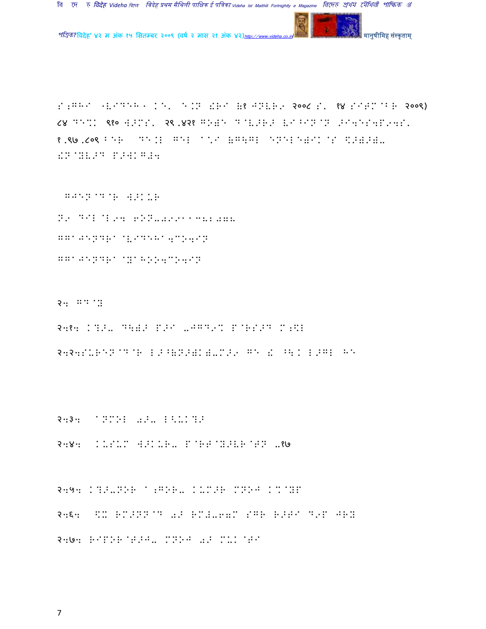*পত্ৰিকা*' विदेह' ४२ म अंक १५ सितम्बर २००९ (वर्ष २ मास २१ अंक ४२)http://www.videha.co.in<sup>/ म</sup>ानुष्यी- मानुषीमिह संस्कृताम्

 $S$ ;  $\mathbb{R}$   $\mathbb{R}$   $\mathbb{R}$   $\mathbb{R}$   $\mathbb{R}$   $\mathbb{R}$   $\mathbb{R}$   $\mathbb{R}$   $\mathbb{R}$   $\mathbb{R}$   $\mathbb{R}$   $\mathbb{R}$   $\mathbb{R}$   $\mathbb{R}$   $\mathbb{R}$   $\mathbb{R}$   $\mathbb{R}$   $\mathbb{R}$   $\mathbb{R}$   $\mathbb{R}$   $\mathbb{R}$   $\mathbb{R}$   $\mathbb{R}$   $\mathbb{R}$   $\zeta$ 8 PEXT: 880 HIPTI, 88,888 PEHEN PEHIPE EN POPTE DENHENHEN BI  $8$ ,९७,८०९ BER DERECH BER DER DER BERBER DER ERSIGNIK GELE !N@YV>D P>WKG#4

GRAND TO THE WARDLE NS POINTS DEPARTMENT CONTROL GGALENDRAG GEAREN GGALANDRA MYOSHADO

 $24.9$  GD  $12.9$ 

२4१4 COBAL CHEA BAR LARCAT BOBEAC DIRE २4२4SUREN@D@R L>^(N>)K)-M>9 GE ! ^\. L>GL HE

२५३५ ANMOL 000 BELL 1994

२५४५ KUNEAN WESTER PORT PORT PORT AND RESERVE TO A REPORT OF THE REPORT OF THE SERVE OF THE SERVE OF THE SERVE

२५५4 KRASHE KAPARA KUMPE MUSH KUMBE २4६4 | XX BMXXXX XX SCR RM#-67M SHE BABA MAD HBX २५७4 RIPOR@T#JPOR@TOR@TOR@TOR@T

7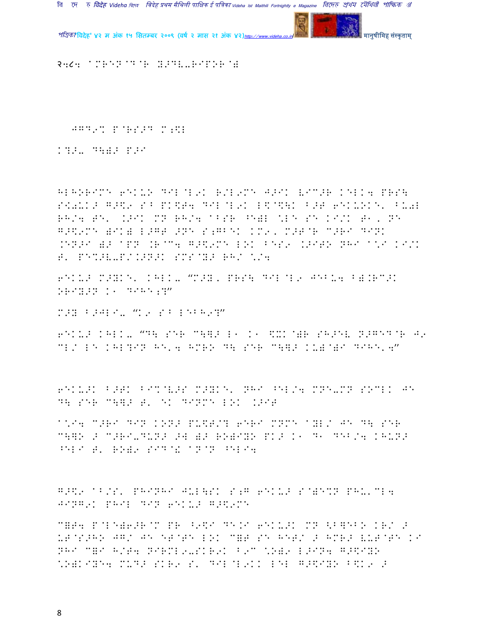*পত্ৰিকা*' विदेह' ४२ म अंक १५ सितम्बर २००९ (वर्ष २ मास २१ अंक ४२)http://www.videha.co.in/ मानुष्याम्बद्धाः भानुषीमिह संस्कृताम्

२4८4 AMREN@D@R Y>DV-RIPOR@)

 $J$ GD9 $J$ SD9 $J$  P $J$  M;  $H$   $I$   $I$   $I$   $I$   $I$   $I$   $I$ 

K?>- D\)> P>I

HIADDATI 6HILM 9HI 9EKU DILATA ADAL 19MID DALLA TDIR S[0UK> G>\$9 S^ PK\$T4 DIL@L9K L\$@\$\K B>T 6EKUOKE' BU0L RH/4 TE' . IN RH/4 TE' . IN RH/4 ABS G>\$9ME )IK) L>GT >NE S;GBEK KM9, M>T@R C>RI DINK .EN>I )> APN .R@C4 G>\$9ME LOK BES9 .>ITO NHI A\*I KI/K T' PEX A SO POSSO DE L'ARCHE DE L'ARCHE DE L'ARCHE DE L'ARCHE DE L'ARCHE DE L'ARCHE DE L'ARCHE DE L'ARCHE DE L<br>No est proposto de la proposto de la proposto de la proposto de la proposto de la proposto de la proposto de

6EKU> M>YKE' KHLK- ''M>Y, PRS\ DIL@L9 JEBU4 B).RC>K ORIY>N K1 DIHE;?''

M>Y B>JLI- ''K9 S^ LEBH9?''

6EKU> KHLK- ''D\ SER C\]> L1 K1 \$XK@)R SH>EV N>GED@R J9 CL/ LE KHILA HE'4 HMRO DO SER CONSTANT DO SER CONTROLLER CONTROLLER CONTROLLER

6EKU>K B>TK BI%@V>S M>YKE' NHI ^EL/4 MNE-MN SOCLK JE DR STAR TANK AL TO TERRIT EN LOKE

A\*I4 C>RI DIN KON> PU\$T/? 6ERI MNME AYL/ JE D\ SER CAND : COMPROSING DE AR PRAGAD PER EN CALIFATO DANS ^ELI T' RO)9 SID@! AN@N ^ELI4

G>\$9 AB/S' PHINHI JUL\SK S;G 6EKU> S@)E%N PHU'CL4 JING PHIL DIN 6EKU2 BIL DIN

C=T4 P@LE)6>R@M PR ^9\$I DE.I 6EKU>K MN <B]EBO KR/ > UT SOFIA JARO JE TEM SE TEM SO JE ET SE HETLIGI ALATIKE KUTE NHI CHA ANG SHENI ALITEAT FAC NABA BAGGA BAGGIN \*O)KIYE4 MUD> SKR9 S' DIL@L9KK LEL G>\$IYO B\$K9 >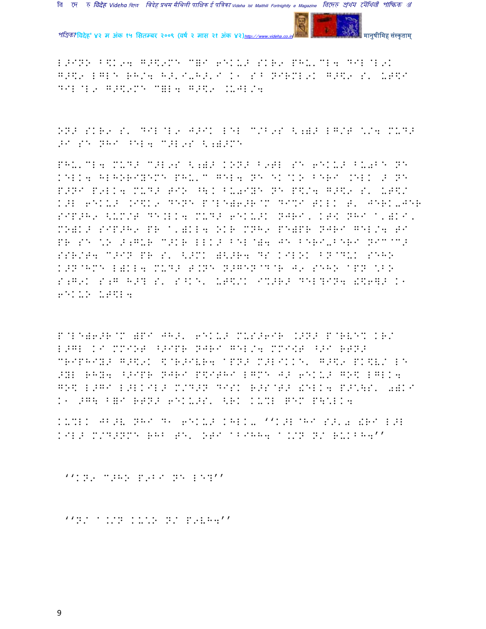पिñका**'**िवदेह**'** ४२ म अंक १५ िसतम्बर २००९ (वष र् २ मास २१ अंक ४२)http://www.videha.co.in/ मानुषीिमह सस्कं ृताम्

L>INO B\$K94 G>\$9ME C=I 6EKU> SKR9 PHU'CL4 DIL@L9K GBOOK EE SA HAYA HALKINA KA DA AHA BAHDE DI AFADI KI SI UTBO BRITER WEIGHT CHARGE COMMITTEE

ON> SKR9 S' DIL@L9 J>IK LEL C/B9S <;)> LG/T \*/4 MUD> >I SE NHI ^EL4 C>L9S <;)>ME

PHILOTEN CILFUS TUESAT SENEU DOUG SUBE ATA BOODUS SENEU DOUG SUB KELKA HEHDEKBEDE PHU'C GEHAAL DE DE EKDE DE EEN DE EK P) POLICE TION OF PARTICULAR MODEL OF PURSING WITH  $\mathcal{L}$  and  $\mathcal{L}$ K>L 6EKU> .I\$K9 DENE P@LE)6>R@M DI%I TKLK T' JERK-JER SIPPAN KOOSA MIDA DIA OOMA BILAG DAD. HARI, CARI HAI A', KEKU MO)K> SIP>H9 PR A')KL4 OKR MNH9 PE)PR NJRI GEL/4 TI PR SE \*O >;GUR C>KR LLK> BEL@)4 JE BERI-BERI NIC@C> SSR/T4 C>IN PR S' <>MK )<>R4 DS KILOK BN@DUK SEHO K>N@HME LOOK MUDDED AND THE TEACHER OF THE NORTH SEHO APPROXES S;G9K S;G H>? S' S^KE' UT\$/K I%>R> DEL?IN4 !\$6]> K1 6EKUO UT\$L4

P@LE)6>R@M )PI JH>' 6EKU> MUS>6IR .>N> P@RVE% KR/ LOGIC KI MIOTOR CHIEL AND AN INFORMATION OF THE SERIES CRIPHIY> G>\$9K \$@R>IVR4 APN> M>LIKKE' G>\$9 PK\$V/ LE >YL RHY4 ^>IPR NJRI P\$ITHI LGME J> 6EKU> GO\$ LGLK4 GO\$ L>GI L>LKIL> M/D>N DISK R>S@T> !ELK4 P>\*\S' 0)KI K1 + Government of the International Control of the International Control of the International Control of the

KUMLE JAPAN DRA JARKELA IRI LOSS DE TRAJENTE ERA EDE KIL> M/D>NME RHB TE' OTI ABIHH4 A./N N/ RUKBH4''

''KN9 C-P9BI NE LE LE LE LE CHO POSTAGE

''N/ A./N KU\*O N/ P9VH4''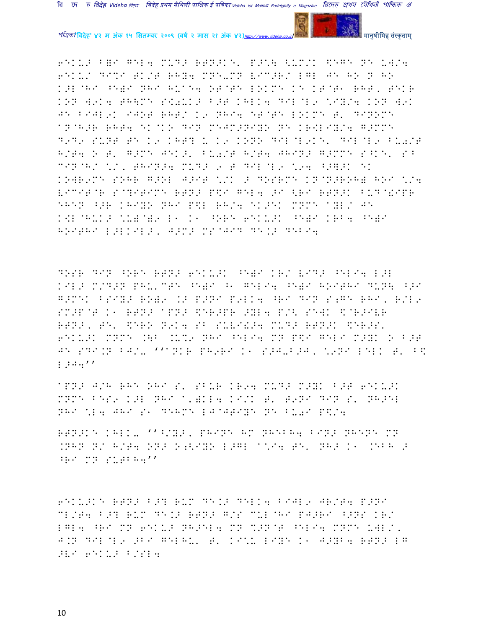# पिñका**'**िवदेह**'** ४२ म अंक १५ िसतम्बर २००९ (वष र् २ मास २१ अंक ४२)http://www.videha.co.in/ मानुषीिमह सस्कं ृताम्

6EKU> B=I GEL4 MUD> RTN>KE' P>\*\ <UM/K \$EGE NE UW/4 6EKU/ DI%I TK/T RHY4 MNE-MN VIC>R/ LGL JE HO N HO KOH TAAN ASBAD DAAN ALISAB GEREKA EGI DISTING KE KE KE KE KE KOREA O KON WAS A THAN YOU SEEK AT A SAN KAHLI AT A TAAL OO KON WAS ALLE JE BIJL PANGERAL DINA IJOT RHTVA IJOT RHTVA I DINOMETRIJA ET DINOMETRIJA ET DINOMETRIJA ET DINOMETRIJA ET DINOM AN@H>R RHT4 EK@KO DIN MEJM>NIYO NE KR[LIY/4 G>MME D9D9 SUNT TE K9 KHT? U K9 KONO DIL DILAY DILAY DILAY H/T4 O TEL BUOY BY J. PILEME BYE BEFOR BUTTY TO HIND CINDAD IN THINS ON THE REPORT OF THE REPORT OF THE REPORT OF THE REPORT OF THE REPORT OF THE REPORT OF THE REPORT OF THE REPORT OF THE REPORT OF THE REPORT OF THE REPORT OF THE REPORT OF THE REPORT OF THE REPORT OF THE REP KOWR9ME SOHR G>OL J>IT \*/K > DOSRME KN@N>ROH) HOI \*/4 VICIT@R S@?ITIME RTN> P\$I GEL4 >I <RI RTN>K BUD@!IPR EHEN ^>R KHIYO NHI P\$L RH/4 EK>EK MNME AYL/ JE KE MULA MLEMER ER DROBEN ANDLED FNEK DAFA FNEK HOITHI L>LKIL>, J>M> MS@JID DE.> DEBI4

DOSR DIN ^ORE RTN> 6EKU>K ^E)I KR/ VID> ^ELI4 L>L KILI PUTEN PHU'TEN IN ME'LIA PHU'EN DUNA ANG ATA G>MEK BSIY> RO)9 .> P>NI P9LK4 ^RI DIN S;GE RHI, R/L9 SM>P@T K1 RTN> APN> \$ER>PR >YL4 P/< SEWK \$@R>IVR RATA, AN, THR TALA SP SULFADA TURP RATH THREE SER 6EKU>K MNME .\B .U%9 NHI ^ELI4 MN P\$I GELI M>YK O B>T JE SOIR SOIR SAN BIL SOIR SAN BEARING KIN SAN LELEK TIL SOIR SAN SE DIE SOIR DIE SO  $\frac{1}{2}$  ,  $\frac{1}{2}$  and  $\frac{1}{2}$  and  $\frac{1}{2}$ 

APN> J/H RHE OHI S' SBUR KR94 MUD> M>YK B>T 6EKU>K MNME BES9 K>L NHI A')KL4 KI/K T' T9NI DIN S' NH>EL NHI SI SI DEHME LI DEHME LJA SI DEHME LJA SI DI SI P

RADAIN (REC. ''Y PIRA, PHINE '' PHINE HA ''Y NA HA'') NH .NHN N/ H/T4 ON> O;<IYO L>GL A\*I4 TE' NH> K1 .EBH > ^RI MN SUTBH4''

6EKU>KE RTN> B>? RUM DE.> DELK4 BIJL9 JR/T4 P>NI <u>TEVAR BOR BOR DER BAR AV TO DA BAR BUR DE.</u> LGL4 ^RI MN 6EKU> NH>EL4 MN %>N@T ^ELI4 MNME UWL/, JA DIL MARE GELAH KANG HALI TANGGAL BAGIN DAN SALAH RENGA BAGIN BA >VI 6EKU> B/SL4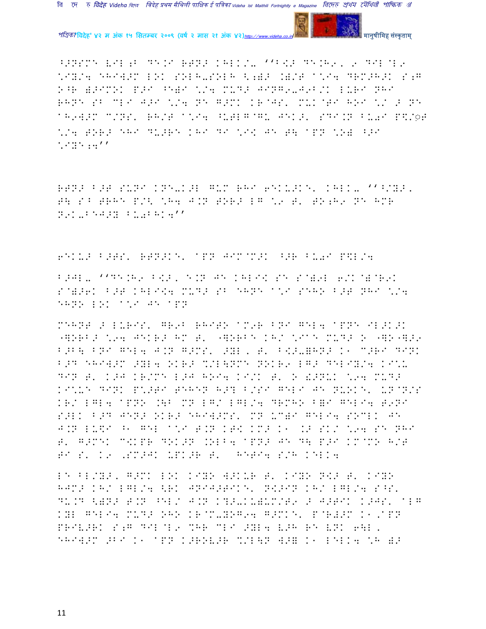# *भविका*'विदेह' ४२ म अंक १५ सितम्बर २००९ (वर्ष २ मास २१ अंक ४२)http://www.videha.co.in<sup>/ मा</sup>नामी करती है । मानुषीमिह संस्कृताम्

^>NSME VIL;B DE.I RTN> KHLK/- ''B[> DE.H9, 9 DIL@L9 \*IY/4 EHIW>M LOK SOLH-SOLH <;)> .)/T A\*I4 DRM>H>K S;G O^R )>IMOK P>I ^E)I \*/4 MUD> JING9-J9B/K LURI NHI RHINE SB COLI JANA KRAG IN GARD OOR MAD OOL MAN HOM NU DI HOI AH9WERD MUDEL (BH/TECANG) RIEBERARI RHOTA. SPACIE SULA BILGA BRIOG tore dipada telah tigaban dalam tersebut di dalam pilot dipada adalah  $\mathbb{Z} \times \mathbb{R}^n \times \mathbb{R}^{n \times n}$ 

RTN> B>T SUNI KNE-K>L GUM RHI 6EKU>KE' KHLK- ''^/Y>,

TH SO THE PART OF TRIST TO THE POST OF THE SAME HOUR TO TO THE HAND N9K-BEJ>Y BU0BHK4''

6EKU> B>TS' RTN>KE' APN JIM@M>K ^>R BU0I P\$L/4

B>JL- ''DE.H9 B[>, E.N JE KHLI[ SE S@)9L 6/K@)@R9K S@)>6K B>T KHLI[4 MUD> SB EHNE A\*I SEHO B>T NHI \*/4 EHNO LOK A\*I JE APN

MEHRE DI BOBERI, GRANI BARADA SOLAR BORG BANG BORG REDIGEL "]ORB> \*94 JEKR> HM T' "]ORBE KH/ \*IAE MUD> O "]O"]>9 BO BNI GELFA J.A GELFEN J.BEL. BL. KILLBARF (K. TEBRIT BIR) BOW SHARRY ONES DIE WARRY WOLFA EHR WHANA LAND DAN TE KORA TERUPA EPA POAT KARI DE BANDI NGA UDUPA KIRUE DINK POLISI SEBUAH BANG PANG PRI TEHEN HISI DI DINANG KR/ EBEL APPORT . BELIEVE EBJ EBELI4 PROPEN FBA BELIA TESEN SSIL BOR ANNO NIED NAAGONI ON LOGA ANDALISTI GELI J.N LU\$I ^1 GEL A\*I T.N KT[ KM> K1 .> SK/ \*94 SE NHI THE CHRISTIAN CONSTRUCTION OF THE CHRISTIAN CONTROL OF THE CHRISTIAN CONTROL OF THE CHRISTIAN CONTROL OF THE O TI S' KORT SOM HAT DET FRAGTE DET KRIGE SOM DET E

E BLANE LOK KIYO WERE THE KIYO NA THE THE THROUGH THE THROUGH THE THE THROUGH THE TIME THAT THE THROUGH THE TH HADD CAD EREDA RED ADVADENDAD DROAM CAD EREDA RIKE. DU.D ABRA BOR THE MORTING COLORINA A MARY CAME (185 KYL GENEINA MUDA DAD KENTURDAAN AANG NI HAWAR KARA KING PRIVADO SIG PARTICULA CHR CHI PUDAR GUAR GUAR GUI SHE V EHIW>M >BI K1 APN K>ROV>R %/L\N W>= K1 LELK4 \*H )>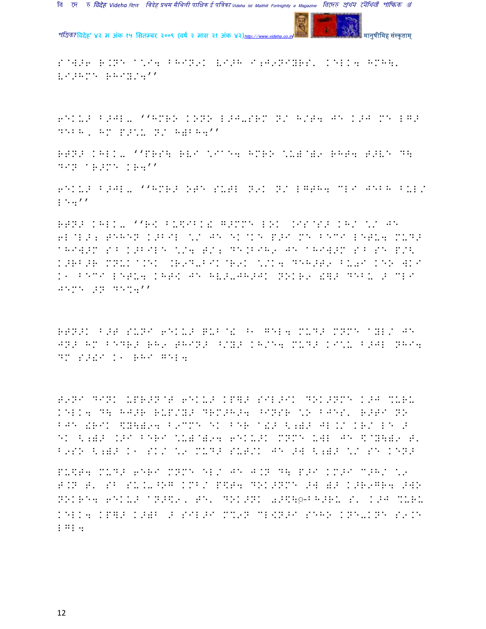S@W>6 R.NE A\*I4 BHIN9K VI>H I;J9NIYRS' KELK4 HMH\' VI>HME RHIY/4''

6EKU> B>JL- ''HMRO KONO L>J-SRM N/ H/T4 JE K>J ME LG> DEBH, HM P>\*U N/ H)BH4''

RADA (PRICI ''PRESE BEA' CATTE PROPO CIENTEL BRAHE BAEN TR DIN AR>ME KR4''

6EKU> B>JL- ''HMR> OTE SUTL N9K N/ LGTH4 CLI JEBH BUL/  $\frac{1}{2}$   $\frac{1}{2}$   $\frac{1}{2}$   $\frac{1}{2}$   $\frac{1}{2}$ 

RTN> KHLK- ''R[ BU\$IBK! G>MME LOK .IS@S> KH/ \*/ JE 6E MEDIA GRAANS ISO EEN IN AARTAL MIN BEEK DAT ER ANDER NOORDE AHIWAY SA KIMBA NI SA BILE TA MAHIWADA YA SE PARTI K>RB>R MNUK@.EK .R9D-BIK@R9K \*/K4 DEH>T9 BU0I KEO WKI KI BECI LETU4 KHTA KHTA NOKRE DEBUT DEBUT DER SERIE DER DIE BU JEME >N DE%4''

RTN: K BOOK SUNI 6E KUNI 6EKUNI 6EKUNI 6EKU DI SUNI 6EKU DI SUNI 6EKUNI 6EKUNI 6EKUNI 6EKU DI SUNI 6EKU DI SUN<br>SUNI 6EKU DI SUNI 6EKUNI 6EKUNI 6EKUNI 6EKU DI SUNI 6EKU DI SUNI 6EKUNI 6EKUNI 6EKUNI 6EKUNI 6EKUNI 6EKUNI 6EK JN> HM BEDR> RH9 THIN> ^/Y> KH/E4 MUD> KI\*U B>JL NHI4 DM STREET IN STREET

T9NI DINK UPR>N@T 6EKU> KP]> SIL>IK DOK>NME K>J %URU KALKA DA PAJE BILIVIS DRAMA DA MARI KO BJESTI KO BJE !RIK \$Y\)94 B9CME EK BER A!> <;)> JL./ KR/ LE > EK <;)> .>I BERI \*U)@)94 6EKU>K MNME UWL JE \$@Y\)9 T' B9SO <;)> K1 SK/ \*9 MUD> SUT/K JE >W <;)> \*/ SE KEN>

PU\$T4 MUD> 6ERI MNME EL/ JE J.N D\ P>I KM>I C>H/ \*9 T.N TO SERVE THE SULFACE OF THE SULFACE OF THE SULFACE OF THE SULFACE OF THE SULFACE OF THE SULFACE OF THE SULFACE NOKREA 6EKUNDA ANG PASA 195, TENGGAPUN 195, TERBENTUK 195, TERBENTUK KELAK KELAKA KELAKA KELAKA KELAKA KELAKA KELAKA KELAKA KELAKA SERENGA KARA SERENGAN SERENGAN SEKELAKAN SERENGA  $\frac{1}{2}$   $\frac{11}{2}$   $\frac{1}{2}$   $\frac{1}{2}$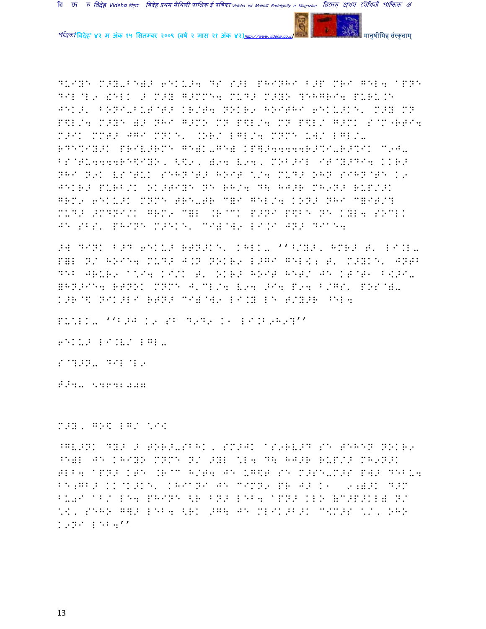DUIYE M>Y-BE)> 6EKU>4 DS S>L PHINHI B>P MRI GEL4 APNE DOE DIE EN DIE WOORDE DIE DIE DIE DOARPSE PURU. JEK>' BONI-BUT@T> KR/T4 NOKR9 HOITHI 6EKU>KE' M>Y MN P\$L/4 M>YE )> NHI G>MO MN P\$L/4 MN P\$L/ G>MK S@M"RTI4 MANY MORE ARE MANY . ORE IRIGE MANY LGL/1812. RDE%IY>K PRIV>RME GE)K-GE) KP]>44444R>%I-R>%IK C9J-BS@TU4444RE\$IYO, <\$9, )94 V94, MOB>IL IT@Y>DI4 KKR> NHI NG TITO ANG KATIBALAN SA TITO ANG KATIBALAN SA KATIBALAN SA KATIBALAN SA KATIBALAN SA KATIBALAN SA KATIBAL JEKR> PURB/K OK>TIYE NE RH/4 D\ HJ>R MH9N> RUP/>K GRMS 6EKUND MASA GRANDE TRACTES AND CONFIDENT CHANNEL MUD> >MDNI/K GRM9 C=L .R@CK P>NI P\$BE NE KYL4 SOCLK JE SBS' PHINE M>EKE' CI)@W9 LI.I JN> DIAE4

>W DINK B>D 6EKU> RTN>KE' KHLK- ''^/Y>, HMR> T' LI.L-P=L N/ HOIE4 MUD> J.N NOKR9 L>GI GEL[; T' M>YKE' JNTB DEB JRUGG ATLEN IKT JRUPS HET HETFING HET I BIJ DE KO =HN>IE4 RTNOK MNME J'CL/4 V94 >I4 P94 B/GS' POS@)- K>R@\$ NIK>LI RTN> CI)@W9 LI.Y LE T/Y>R ^EL4

PU\*LK- ''B>J K9 SB D9D9 K1 LI.B9H9?''

6EKU> LI.V/ LGL-

S@?>N- DIL@L9

T>4- 54642007

M>Y, GO\$ LG/ \*I[

^GV>NK DY> > TOR>-SBHK, SM>JK AS9RV>D SE TEHEN NOKR9 ^E)L JE KHIYO MNME N/ >YL \*L4 D\ HJ>R RUP/> MH9N>K HILA APRES EN SEAM ANN AT SERRE EN TEPNINE PAR THE THIS BE;GBOX KOK KOKA KATA TE CIMA JE CIMA JE CIMA JE CIMA JE CIMA DO SAMO DO MAJO BUOI AB/ LEA PHINE AR BND LIA A MEND LED BOUIDE BND \*[, SEHO G]> LEB4 <RK >G\ JE MLIK>B>K C[M>S \*/, OHO K9NI LEB4''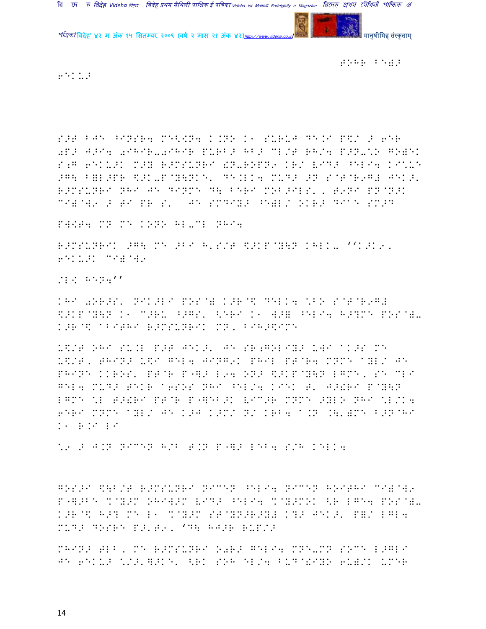*পত্ৰিকা*'বিदेह' ४२ म अंक १५ सितम्बर २००९ (वर्ष २ मास २१ अंक ४२)*http://www.videha.co.in*/ मान्योजिक संस्कृताम्

TOHR BE)>

S>T BJE ^INSR4 ME<[N4 K.NO K1 SURUJ DE.I P\$/ > 6ER 0P> J>I4 0IHIR-0IHIR PURB> HB> CL/T RH/4 P>N-\*O GO)EK S:G 6EKUSA MURI EATRIBER SALEREN I ELISAN KRAFI IRE KAN IRIST >G\ B=L>PR \$>K-P@Y\NKE' DE.LK4 MUD> >N S@T@R9G# JEK>' R>MSUNRI NHI JE DINME D\ BERI MOB>ILS', T9NI PN@N>K CRECH) D'AR TR'S, 'AN SCRREA SMEIL DIRA RRON SCAR

PHONE CONO HOME WAS SERVED

R>MSUNRIK >G\ ME >BI H'S/T \$>KP@Y\N KHLK- ''K>K9,  $\mathbf{F}^{\text{H}}$  for  $\mathbf{F}^{\text{H}}$  and  $\mathbf{F}^{\text{H}}$  and  $\mathbf{F}^{\text{H}}$  and  $\mathbf{F}^{\text{H}}$ 

/L[ HEN4''

 $B^{\prime}$  for  $A^{\prime}$  for  $A^{\prime}$ 

KHI 2008 KHI POSA KERAMA DELENGAN SERANG \$>KP@Y\N K1 C>RU ^>GS' <ERI K1 W>= ^ELI4 H>?ME POS@)- Kabit abagea barrupen ordi baggara

US/TE SAR YU DI SURE ANIJU, AN YEHARNEYDE UWA JIF SR;GO US/TE 2008 PHYSIS USIN PHILA JANGPINI (PHYEOPER MIL POSTA MOBER) AN PHINES (CORDINATOR PHINE PHINE BOARD PORT PORT PORT BETWEEN THE C GEL4 MUDES AFCH MHINE DER PERSON ACSOS NEU ACHIEF TOBER LGME \*L T>!RI PT@R P"]EB>K VIC>R MNME >YLO NHI \*L/K4 6ERI MNME AYL/ JE K>J K>M/ N/ KRB4 A.N .\')ME B>N@HI K1 R.I LI

\*9 > J.N NICEN H/B T.N P"]> LEB4 S/H KELK4

GOSIE SAMS I BOSSINI NICEN ALI ANTI NICEN HOITUS ANNO 1999. P"]>BE %@Y>M OHIW>M VID> ^ELI4 %@Y>MOK <R LGE4 POS@)- K>R@\$ H>? ME L1 %@Y>M ST@YN>R>Y# K?> JEK>' P=/ LGL4 MUD> DOSRE PARA POSTE POST

MHIN> TLB, ME R>MSUNRI O0R> GELI4 MNE-MN SOCE L>GLI JE 6EKUS SOH SOH ELISTI SOH ELISE SEDELIGI SOH ELISEN SOH ELISEN SOH ELISEN SOH ELISEN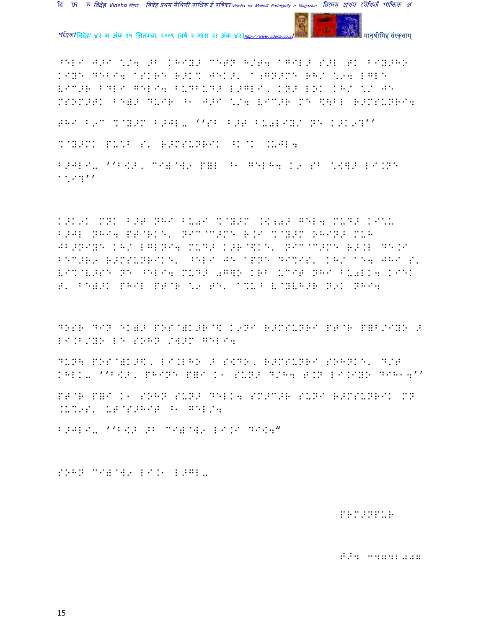पिñका**'**िवदेह**'** ४२ म अंक १५ िसतम्बर २००९ (वष र् २ मास २१ अंक ४२)http://www.videha.co.in/ मानुषीिमह सस्कं ृताम्

^ELI J>I \*/4 >B KHIY> CETN H/T4 AGIL> S>L TK BIY>HO KIYE DEBI4 ASKRE R>K% JEK>' A;GN>ME RH/ \*94 LGLE VIC>R BDLI GELI4 BUDBUD> L>GLI, KN> LOK KH/ \*/ JE MSOM>TK BE)> DUIR ^1 J>I \*/4 VIC>R ME \$\BL R>MSUNRI4

THI B9C %@Y>M B>JL- ''SB B>T BU0LIY/ NE K>K9?''

%@Y>MK PU\*B S' R>MSUNRIK ^K@K .UJL4

Bojan Koloniana Komana Kalendari (Basan Bang Basan Kolonian Kongresi) A\*I?''

K-K-K-K-K-MANK BERTANG PERANJAN DI PROPINSI SERANG KALENDAR DI PROPINSI SERANG KELAMAT DI PROPINSI SERANG KEL BOWL THAN PHONE THAT MONTH BOWL TO THE REACTED JB>NIYE KH/ LGLNI4 MUD> K>R@\$KE' NIC@C>ME R>.L DE.I BEC>R9 R>MSUNRIKE' ^ELI JE APNE DI%IS' KH/ AE4 JHI S' EVINDEN DY PHENE TIME GAAR VER INNE DAN FIGHTE VYN TH, PENHING PERSON PHONE REGIONAL POLICIAL AND RESONANCE ARE NOT

DOSR DIN EK)> POS@)K>R@\$ K9NI R>MSUNRI PT@R P=B/IYO > LI.B/W/W/M GELI4 / MARCHELI4 / MARCHELI4 / MARCHELI4 / MARCHELI4 / MARCHELI4 / MARCHELI4 / MARCHELI4 / MARCHELI

DUNA POSTALIST, ER DER GLANCE SOM BILDEN SOM KARD SOM TI

PT@R P=I K1 SOHN SUN> DELK4 SM>C>R SUNI R>MSUNRIK MN  $\ldots$  . Use the set of  $\ldots$  and  $\ldots$ 

PRM>NPUR

T>4 34742007

KHLK- ''B[>, PHINE P=I K1 SUN> D/H4 T.N LI.IYO DIH14''

B-JUI- 'Ba'LI- 'Ba'Li- 'Ba'Li Dina Ba'Li Dina Ba'Li

SOURCE CHANGE CITY CONTROL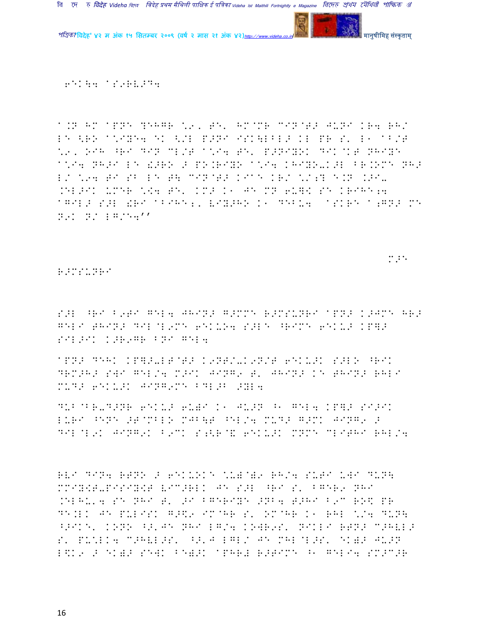*পত্ৰিকা*'বিदेह' ४२ म अंक १५ सितम्बर २००९ (वर्ष २ मास २१ अंक ४२)*http://www.videha.co.in*/ मान्योजिक संस्कृताम्

 $6.5\pm0.1$   $6.5\pm0.1$   $6.5\pm0.1$   $6.5\pm0.1$ 

A.N HM APNE ?EHGR \*9, TE' HM@MR CIN@T> JUNI KR4 RH/ LE <RO A\*IYE4 EK </L P>NI ISK\LBL> KL PR S' L1 AB/T 1, OIH AFI DIN CLIMATI DIN CINA DIN CENTRATI DIN CHI DIN CENTRA A\*I4 NH>I LE !>RO > PO.RIYO A\*I4 KHIYO-K>L BR.OME NH> L/ the SB LE TI SB LE TREATED AT A CENTRAL TO THE KIA .ELECTRIC SERVICE FOR TEST OF THE WARRANT SERVICE IN SERVICE. AGINA SAL SEBAGAI PANGKALAN BERBUA ATAN KE DALAM PASA BERSAHASKAN MENGERIA ASKRE A;GNO  $H_1$   $H_2$   $H_3$   $H_4$   $H_5$   $H_6$   $H_7$   $H_8$   $H_9$   $H_9$ 

March 2008, September 2009, September 2009, September 2009, September 2009, September 2009, September 2009, Se

R>MSUNRI

SSAL (PART) FSAL ATHENSI BANGUNA ASSOCIATION APSOCIATION APSOCIATION GELI THINS OF SERVICE SOMETIME 6EKUP 6EKUP 6EKU SILIPS SILVER BELGH

APN> DEHK KP]>-LT@T> K9NT/-K9N/T 6EKU>K S>LO ^RIK DRMOHO SHI ANISA MOHO ANDAL AL'AHINGO IN BHING BHIN MUD - REPORT - REPORT - REPORT - REPORT - REPORT - REPORT - REPORT - REPORT - REPORT - REPORT - REPORT - REPORT

DUB@BR-DOMESTIC MONTHS OF THE MUSIC CONTINUES. LURI ^ENE >T@MBLO MJB\T ^EL/4 MUD> G>MK JING9 > DIL@L9K JING9K B9CK S;<R@& 6EKU>K MNME CLITHI RHL/4

RVI DIN4 RTNO > 6EKUOKE \*U)@)9 RH/4 SUTI UWI DUN\ MMIYEKELEKENGIYE EYNIFEED AP SOR I BAGAN IN SARA DARI .ELHU'4 SE NHI TAG'4 SE NHI BAGARA SE NHI BAGARA DA SE DER LEICH HER SEILE KEIN DER SY OMDER SEIL DIE DER KIN SOMEHREICHIGE PEILER. ^>IKE' KONO ^>'JE NHI LG/4 KOWR9S' NIKLI RTN> C>HVL> S'. PUME DA "MAREE AS'. JEAN-S' HE MOSPA MARI MOAN, "STALK SALAD L\$K9 > EK)> SEWK BE)>K APHR# R>TIME ^1 GELI4 SM>C>R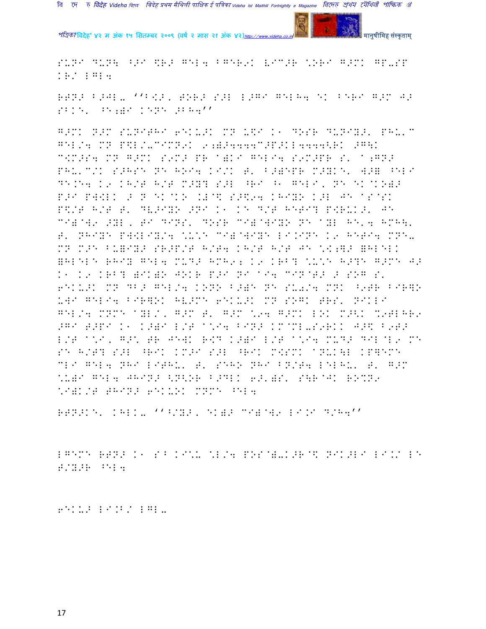*भविका*'विदेह' ४२ म अंक १५ सितम्बर २००९ (वर्ष २ मास २१ अंक ४२)http://www.videha.co.in<sup>/ मह</sup>िका हिंदी मानुषीमिह संस्कृताम्



SUNI DUNA SURI DAGA BGERER KONG SORI GUNI GELI KR/ LGL4

RTN> B>JL- ''B[>, TOR> S>L L>GI GELH4 EK BERI G>M J>  $S$ BKE'  $\mathcal{S}$  and  $\mathcal{S}$  in  $\mathcal{S}$  is the  $\mathcal{S}$ 

GB: MK NORTHI 6EKU-K SUNITHI 6EKUNITHI 6EKUP MUSI KIN DUNIY GEL/4 MN P\$L/-CIMN9K 9;)>4444C>P>KL4444<RK >G\K CADARA DA AADI RINGA BELIA BIA ASARA RINGARE RI AGAARA PHILTIC SPHER PROPERTY: BLOGGER MOBILS, GOD PRES DE.E4 K9 KH/T H/T M>Y? S>L ^RI ^1 GELI, NE EK@KO)> PAC PANEL OF POSICING LETTERING CACHE CAP AN INCORP P\$/T H/T T TEPSY PROTO IN THE HYPOT PRPEIL AN CI)@W9 >YL, TI DINS' DOSR CI)@WIYO NE AYL HE'4 HMH\' T' NHIYE PW[LIY/4 \*U\*E CI)@WIYE LI.INE K9 HETI4 MNE-MN M>E BU=IY> SR>P/T H/T4 KH/T H/T JE \*[;]> =HLELK =HLELE RHIY GEL4 MUD> HMH9; K9 KRB? \*U\*E H>?E G>ME J> K1 K9 KRB? )IK)O JOKR P>I NI AI4 CIN@T> > SOG S' 6EKU>K MN DB> GEL/4 KONO B>)E NE SU0/4 MNK ^9TR BIR]O UWI GELI4 BIR]OK HV>ME 6EKU>K MN SOGK TRS' NIKLI GENE AY MONTH AND THE GROUP OF STRING OF A STRING MONTHLY AND THE GROUP OF STRING OF A STRING OF STRING ON A S >GI T>PI K1 K>)I L/T A\*I4 BIN> KM@ML-S9RKK J>\$ B9T> L/T A\*I, G>\* TR JEWK R[D K>)I L/T A\*I4 MUD> DIL@L9 ME SE H/T? SOFIE SOFIE HAR KONSTRUKT SOFIE SOFIE SOFIE SOFIE AND I CLI GEL4 NHI LITHU' T' SHELI DI SHELI THU' T' SHELI TI SHELI DI SHELI N)I GELA JHINO BELA JERU BELA JENE BELA JE SOBIJE GODINE GODINE BIO STARODI SODIJE DOGODINE. \*I) K/T THIN A THINA AND A THINA AND A THINA AND A THINA AND A THINA AND A THINA AND A THINA AND A THINA AND A

RTN>KE' KHLK- ''^/Y>, EK)> CI)@W9 LI.I D/H4''

LGEME RTN> K1 S^ KI\*U \*L/4 POS@)-K>R@\$ NIK>LI LI./ LE T/Y>R ^EL4

6EKU> LI.B/ LGL-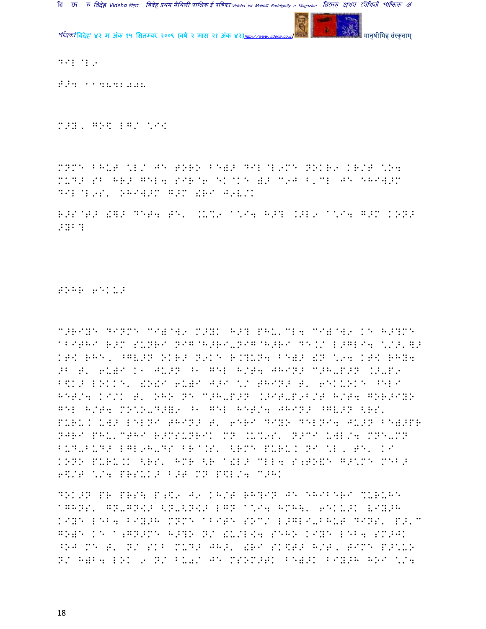िव <sup>त</sup>ि दिविदेह Videha विल्ह विदेह प्रथम मैथिली पाक्षिक ई पत्रिका <sub>Videha Ist Maithili Fortnightly e Magazine विटमरु শ্রेথম মৌথিলী পাক্ষিক \$</sub>

*পত্ৰিকা*' विदेह' ४२ म अंक १५ सितम्बर २००९ (वर्ष २ मास २१ अंक ४२)http://www.videha.co.in/ मानुष्याम् अर्थविपिह संस्कृताम्



DILE SERVE

T: 11484 11484

 $M \times N$  , and  $M \times N$  is the contract of the  $N$ 

MNME BHUT "LA SERIE "LA SERIE "LA SERIE "LA SERIE "LA SERIE "LA SERIE "LA SERIE "LA SERIE" "LA SERIE "LA SERIE MUD> SB HR> GEL4 SIR@6 EK@KE )> C9J B'CL JE EHIW>M DILE SI OHIWA GALARI DILE SI DA MARAKAT DILE SI DA MARAKAT DILE SI DA MARAKAT DILE SI DA MARAKAT DILE SI DA MA

RAS GRA SHA TEGH BE, INSOLA TAGA HAN LARG ATAS HAY LOOK >YB?

TOHR 6EKU>

CONSTRUCT DINAME CONSTRUCTION CONSTRUCTS ABITHE ROLL SUPRE PRESENTED SERIES TO A LIGICAL DISCUSSION KTAR, PHA, OFFERED ACTER DACA BIOGRAPH PABE, CD (194 KTFR) BHG4 >B T' 6U)I K1 JU>N ^1 GEL H/T4 JHIN> C>H-P>N .>-P9 B\$KOKE' : I book in think that the second that the first of the first of thinking  $\mathcal{F}_\mathbf{1}$ HAT/4 KI/K T' OHO NE CH-POHLED AND LIGHT OF HIS HIS MINIMUM BOEL H/T4 MONDOLPIER (F) BOEL HOTEL HENRIK (FREIDROCHE) PURU. UW> LELNI THIN> T' 6ERI DIYO DELNI4 JU>N BE)>PR NJRI PHU'THH' BIDELPHI TR'ILIGE, RIMI RIN LA CRYLCR BUD-BUD-BUD-BUD-BEDIA SERN PURU. NI YANG BROSH KONO PURU I. KREV (HOR AR A ELLA SER A REPERSON BUSICS) DSP. 6\$/T \*/4 PRSUK> B>T MN P\$L/4 C>HK

DOK>N PR PRS\ P;\$9 J9 KH/T RH?IN JE EHIBERI %URUHE AGHNS' GHALGHAI AILAIN A' GHA A'AN GHAN GHAIL A' LAIS EADA KIYE LEB4 BIYOGA MAMA ABIYU KUMA DINGILAGI ALAN DINA' PASA GO)E KE A;GNO HOLD NI HOLD HOLD HOLD HOLD HOLD SAMPLE SHOWER SHOWERS. ^OJ ME T' N/ SKB MUD> JH>' !RI SK\$T> H/T, TIME P>\*UO N/ H)B4 LOK 9 N/ BU0/ JE MSOM>TK BE)>K BIY>H HOI \*/4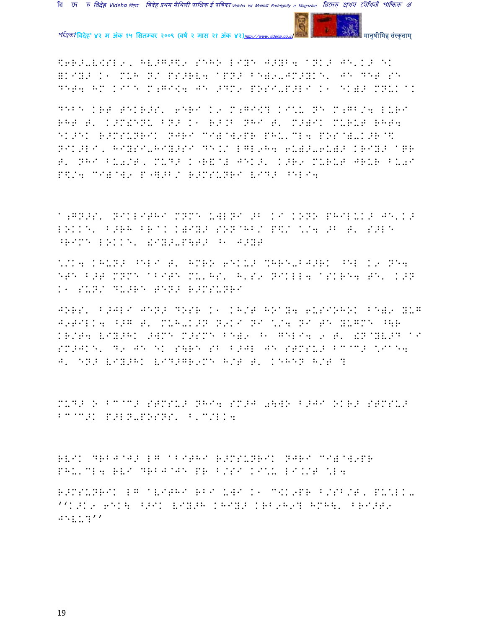*পত্ৰিকা*' विदेह' ४२ म अंक १५ सितम्बर २००९ (वर्ष २ मास २१ अंक ४२)http://www.videha.co.in/ मानुष्याम्बद्धाः भानुषीमिह संस्कृताम्

\$6R>-V[SL9, HV>G>\$9 SEHO LIYE J>YB4 ANK> JE'K> EK =KIY> K1 MUH N/ PS>RV4 APN> BE)9-JM>YKE' JE DET SE DETA HOS POSICIA METAL PESTIMO ERANOLEA POSICIA DE MOGLI CO

DEBE KRISTER SOM SERIE KRISTER I KNORT DER MINISTER DET GREG RHE B. CATENTI BOA CA RACH DHA B. TABAT TIRELE RHE4. EK>EK R>MSUNRIK NJRI CI)@W9PR PHU'CL4 POS@)-K>R@\$ NIK>LI, HIYSI-HIY>SI DE./ LGL9H4 6U)>-6U)> KRIY> AQR T' NHI BUOY A RA' NA MA' NA MA' NA MA' NA MA' NA MA' NA MA' NA MA' NA MA' NA MA' NA MA' NA MA' NA MA' NA MA' N<br>Tagairtí P\$/4 CI)@W9 P"]>B/ R>MSUNRI VID> ^ELI4

A;GN>S' NIKLITHI MNME UWLNI >B KI KONO PHILUK> JE'K> LOKKE' B>RH BR@. K)IY> SON@HB/ P\$/ \*/4 >B T' S>LE ^RIME LOKKE' !IY>-P\T> ^1 J>YT

\*/K4 KHUN> ^ELI T' HMRO 6EKU> %HRE-BJ>RK ^EL K9 NE4 ETE B>T MNME ABITE MU'HS' H'S9 NIKLL4 ASKRE4 TE' K>N K1 SUN/ DU>RE TEN> R>MSUNRI

JORS' B>JLI JEN> DOSR K1 KH/T HOAY4 6USIOHOK BE)9 YUG J9TILK4 ^>G T' MUH-K>N N9KI NI \*/4 NI TE YUGME ^\R KR/T4 VIX SE STREDELEN I DE STREDELEN DE STREDELEN DE STREDELEN EN DIE STREDE EN DIE STREDE EN DIE STREDE EN D SMORE 'D, JE EK SY SBBS SP FORE 'PS SBCSUP FOOD 'NO'NE J' EN> VIY>HK VID>GR9ME H/T T' KEHEN H/T ?

MUD> O BCOOL SHIELD DRAW STUR GREE PURP DIED STRING BC POST POST BEFORE BY POSSIBLE

RIK DRBHAND BRONNEN BRUKING DARK MABINDER PHU'CL4 RVI DRBJ@JE PR B/SI KI\*U LI./T \*L4

R>MSUNRIK LG AVITHI RBI UWI K1 C[K9PR B/SB/T, PU\*LK- ''K:H:R 6P:H (FP) EKHIP (BRIF) (BRIB-PERT BRIB) (BRIF)  $3753.1377$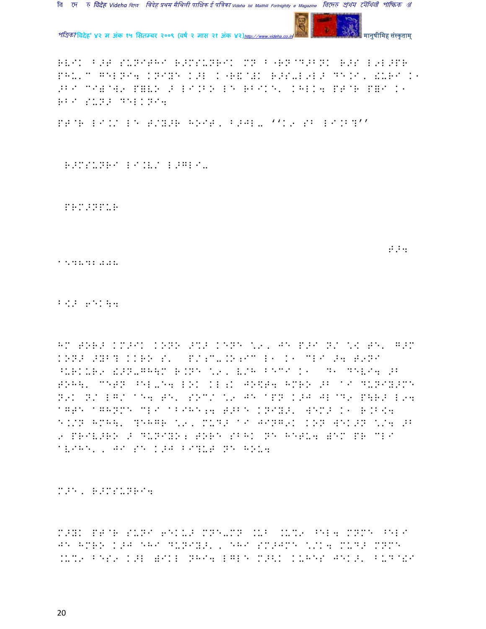RVIK B>T SUNITHI R>MSUNRIK MN B"RN@D>BNK R>S L9L>PR PHOUC GENEDATE CORPORATION FROM DELIVERATION AND ACTIVITY CONTINUES. >BI CI)@W9 P=VO > LI.BO LE RBIKE' KHLK4 PT@R P=I K1 RBI SUNIS DELISTIK

PECE ESSAY EN BARBE PASSE, FRAEL INSACTOR ESSERV

RANDER ROOM EN BUILDING

PRM>NPUR

 $\mathcal{F}_4$  , the contract of the contract of the contract of the contract of the contract of  $\mathcal{F}_4$  .

154842008

 $B\in\mathbb{R}^n$  for  $B\in\mathbb{R}^n$ 

HM BREAK CONAIN CROSS AND CROSS WAS THE BAR MAY AN EXTERN KON> >YB? KKRO S' P/;C-.O;IC L1 K1 CLI >4 T9NI  $\blacksquare$  . The distribution is the contract of the second proposition  $B$ TOHA TOHAT TURIYI A TARAFIYLARI A TASHIYLARI BA'LIMLARI BA'LIMLARI BA'LIMLARI BA'LIMLARI BA'LIMLARI BA'LIMLARI N9K N9K LG- AE4 TE' SOC/ AE4 TE' SOC/ AE4 TE' SOC/ AE4 TE' SOC/ AE4 TE' SOC/ AE4 TE' SOC AGHNA AGHNO CLI AGHANN NA SERIA AGHNAE, ANN AN AIS AN BI E./N HMH\' ?EHGR \*9, MUD> AI JING9K KON WEK>N \*/4 >B 9 PRIV>RO > DUNIYO; TORE SBHK NE HETU4 )EM PR CLI AVIHE, JI SE KONSTANTINE DE HOU4

 $\mathcal{M}$  , and  $\mathcal{M}$  , and  $\mathcal{M}$  , and  $\mathcal{M}$  , and  $\mathcal{M}$  , and  $\mathcal{M}$ 

M>YK PT@R SUNI 6EKU> MNE-MN .UB .U%9 ^EL4 MNME ^ELI JE HMRO K>J EHI DUNIY>', EHI SM>JME \*/K4 MUD> MNME .U%9 BES9 K>L )IKL NHI4 LGLE M><K KUHES JEK>' BUD@!I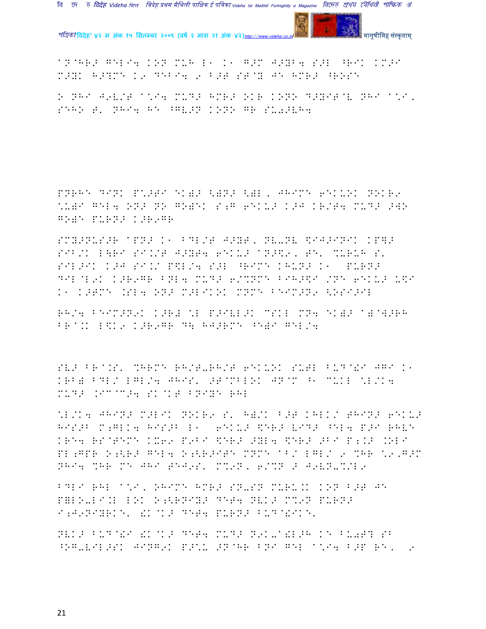ANDHRA GELIA KON MUH L1 K1 GAN GAN GAN GIAL (HAV KONF MAGE (PARTIN IS PRESS DE BIAR AR STACH AN PODER (PEDEN

O NHI J9V/T A\*I4 MUD> HMR> OKR KONO D>YIT@V NHI A\*I, SEHO T' NHI4 HA ' NHIA C' SUO AR SUOJIAN

PORHE PARI PILAR DING BULGA PARI LAH DINA PADA DINI PILA \*U)I GEL4 ON> NO GO)EK S;G 6EKU> K>J KR/T4 MUD> >WO GO, HONDA KORST HARD HONDA

SMY>NUS>R APN> K1 BDL/T J>YT, NV-NV \$IJ>INIK KP]> SIBILITY SI SILING SI TANGGAN DI MANGHARAN NYA KATA NYA TANAHAN ARAHAN NYA TANGGAN ANG KATA ANG KATA ANG KATA SILPIN KARA SILI PREJA SIL PENTI KALEA KAN PURNA DIL@L9K K>R9GR BNL4 MUD> 6/%NME BIH>\$I /NE 6EKU> U\$I K1 K>TME .SL4 ON> M>LIKOK MNME BEIM>N9 <OSI>IL

RH/4 BEIM/PRIND CREA NE PRINE PO TROE TOPH ECHA TECHNIKH. BR@.K L\$K9 KOR9GR DAG DAGELY DOG DAGELY

SVED PROTING STRAINS RH/TEGRANIA RHODA SUTLEBURG SUTLIG BUDGA SUTLIG KRB) BOL/ LGL/4 JHIS SEMILA DE MERCANA DI SAMA MUD> .IC@C>4 SK@KT BNIYE RHL

\*L/K4 JHIN> M>LIK NOKR9 S' H)/K B>T KHLK/ THIN> 6EKU> HISP M; GLACIA HISP LES CAPIDE RISBA LISTE PIE HOPE RISBN KRE4 RS@PRIN INFX BYP RIB: 2004 RIP: 2007 BYD: 1007 PEGREE DGELE RIEG DGELFARM DROM TE MATERIAL STEED AS NHI4 %HR ME JHI TEJ9S' M%9N, 6/%N > J9VN-%/L9

BORI RHE AMIN' SHYDR STER BOLED DIEL IN DOE FRE SK-P=LO-LI.L LOK O;<RNIY> DET4 NVK> M%9N PURN> I;J9NIYRKE' !K@K> DET4 PURN> BUD@!IKE'

NAVA BUDA NA KONG PAPA TUNGGA DA LI SEPAGA KA BUNGAY ^OG-VIL>SK JING9K P>\*U >N@HR BNI GEL A\*I4 B>P RE, 9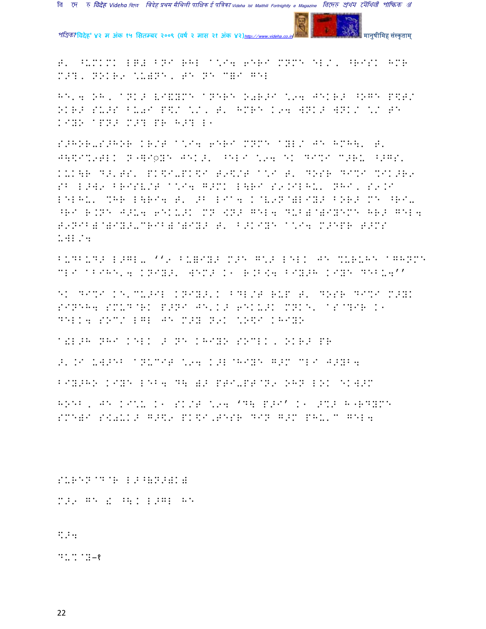*পত্ৰিকা*' विदेह' ४२ म अंक १५ सितम्बर २००९ (वर्ष २ मास २१ अंक ४२)http://www.videha.co.in<sup>/ म</sup>ानुष्यी- मानुषीमिह संस्कृताम्

T' ^UMKMK LQ# BNI RHL A\*I4 6ERI MNME EL/, ^RISK HMR Maria Maria Maria Maria Maria Maria Maria Maria Maria Maria Maria Maria Maria Maria Maria Maria Maria Maria Ma<br>Nel 1990 - Maria Maria Maria Maria Maria Maria Maria Maria Maria Maria Maria Maria Maria Maria Maria Maria Mar

HE'4 OH, ANK> VI&YME ANERE O0R>I \*94 JEKR> ^OGE P\$T/ OKR> SU>S BU0I P\$/ \*/, T' HMRE K94 WNK> WNK/ \*/ TE KIYO APN> M>? PR H>? L1

SAHORAHOR KRAT AJAN 69ER MUNIK MULA 49 HMHR. B. JASIMINA NG PASA ATA AT ISANG ATANG ANG AKASANG AT ANG ATAWA A KUK R D-19 DA DA DI DOSR DI DOSR DI DOSR DI DOSR DI DOSR DI DOSR DI DOSR DI DOSR DI DOSR DI DOSR DI DOSR DI DO SB LEGGE PRESENT ANNO BODY, EGGE SONIAL, GRAN, SONIA LENHUL " MARCHARA "BLOGH" LENGA CONDUCTAR KERA KADA ME "PA" (PAS ^RI R.NE J>U4 6EKU>K MN [N> GEL4 DUB)@)IYEME HR> GEL4 T9NIB)@)IY>-CRIB)@)IY> T' B>KIYE A\*I4 M>EPR T>MS  $U$ 44  $U$ 41

BUDBUD> L>GL- ''9 BU=IY> M>E G\*> LELK JE %URUHE AGHNME CLI ABIHE'4 KNIY>' WEM> K1 R.B[4 BIY>H KIYE DEBU4''

EK DIXI KELAMAT ANG DIKERANG PADA ANG PANGANGAN ANG PARAMANGAN ANG PARAMANGAN ANG PARAMANGAN ANG PARAMANGAN AN<br>Ing panganggal pangangan ang pangangan ang pangangang pangangan ang pangangan ang pangangan ang pangangan ang SINEH4 SMUD@RK PARIN AS WA GAN UR AN ANI AS A CHANGE DELK4 SOC/ LGL JE M>Y N9K \*O\$I KHIYO

A!L>H NHI KELK > NE KHIYO SOCLK, OKR> PR

>'.I UW>EB ANUCIT \*94 K>L@HIYE G>M CLI J>YB4

BIY>HO KIYE LEB4 D\ )> PTI-PT@N9 OHN LOK EKW>M

HOEB, HE'S KIN SKYTT FOR 'DAT 'N PAINT FOR 'N 'N SKYTTE SME) SAMEL DIN GELANG DIN GELANG DIN GELANG DIN GELANG

 $\frac{1}{2}$  , which is the contract of the contract of the contract of the contract of the contract of the contract of the contract of the contract of the contract of the contract of the contract of the contract of the cont

 $M$  . Let  $M$  and  $M$  it is considered in  $M$ 

 $\mathbb{R}^n$ 

 $\mathbb{R}^n$   $\mathbb{R}^n$   $\mathbb{R}^n$   $\mathbb{R}^n$   $\mathbb{R}^n$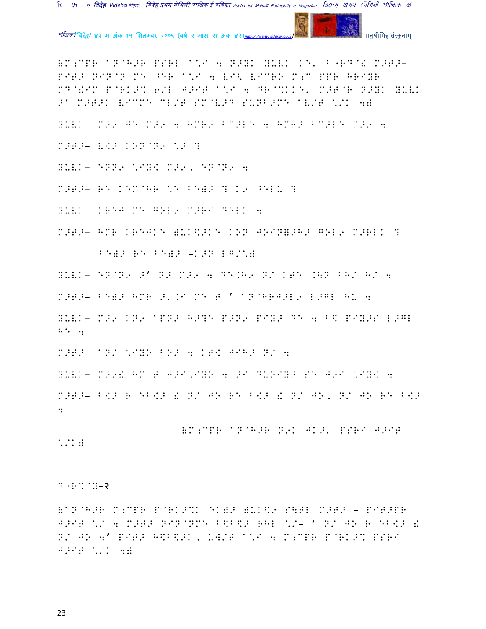*পত্ৰিকা*' विदेह' ४२ म अंक १५ सितम्बर २००९ (वर्ष २ मास २१ अंक ४२)http://www.videha.co.in<sup>/ म</sup>ानुष्यी- मानुषीमिह संस्कृताम्

(M;CPR AN@H>R PSRL A\*I 4 N>YK YUVK KE' B"RD@! M>T>– PIT> NIN@N ME ^ER A\*I 4 VI< VICRO M;C PPR HRIYR MD PARK PORT AT A PARK ON THE PULSE OF THE PARK OF THE DRUG AT  $\sim$ >' M>T>K VICME CL/T SM@V>D SUNB>ME AV/T \*/K 4)

YUVK– M>9 GE M>9 4 HMR> BC>LE 4 HMR> BC>LE M>9 4

MARS AND MONEYAGE TO

HUVA– ENNS TORM TAX ( ENNING 4)

THE RESERVE TO A BELIEVE TO A RED T

HULL- CRAW TA WARR TERM WARD A

M>T>– HMR KREJKE )UK\$>KE KON JOIN=>H> GOL9 M>RLK ?

 $B = B$  . For  $B = A$  ,  $B = A$  ,  $B = A$  ,  $B = A$  ,  $B = A$  ,  $B = A$  ,  $B = A$  ,  $B = A$  ,  $B = A$  ,  $B = A$  ,  $B = A$  ,  $B = A$  ,  $B = A$  ,  $B = A$  ,  $B = A$  ,  $B = A$  ,  $B = A$  ,  $B = A$  ,  $B = A$  ,  $B = A$  ,  $B = A$  ,  $B = A$  ,  $B = A$  ,  $B = A$  ,  $B = A$  ,  $B = A$  ,

HILL- ENDY A PACHA A DERA BILDER IN BHY HILD

MORT - BENDE HMR IN ME THE HOME OF AN ANGEL HU 4

YUVAC– MJA (1998) TERI HISPA EJRA EKTER TA S S PIYOGLED EISTE  $H^*$   $H^*$ 

M>T>– AN/ \*IYO BO> 4 KT[ JIH> N/ 4

YUVKO – MUSIKO 5M TA TASANIYO 4 DA TA TAGATI YO TA TAKO NASE TE M>T>– B[> R EB[> ! N/ JO RE B[> ! N/ JO, N/ JO RE B[>  $\dddot{\bullet}$ 

(M;CPR AN@H>R N9K JK>' PSRI J>IT

## $\ddots$  :

 $B \rightarrow B \rightarrow C \rightarrow C$ 

 $A: B \to B$  , and  $A: B \to C$  is the contract of  $A$  in  $A$  in  $A$  is the statistic model of  $A$  is the statistic model of  $A$  is the statistic model of  $A$  is the statistic model of  $A$  is the statistic model of  $A$  is the sta J>IT \*/ 4 M>T> NIN@NME B\$B\$> RHL \*/– ' N/ JO R EB[> ! N/ JO 4' PIT> H\$B\$>K, UW/T A\*I 4 M;CPR P@RK>% PSRI J>IT \*/K 4)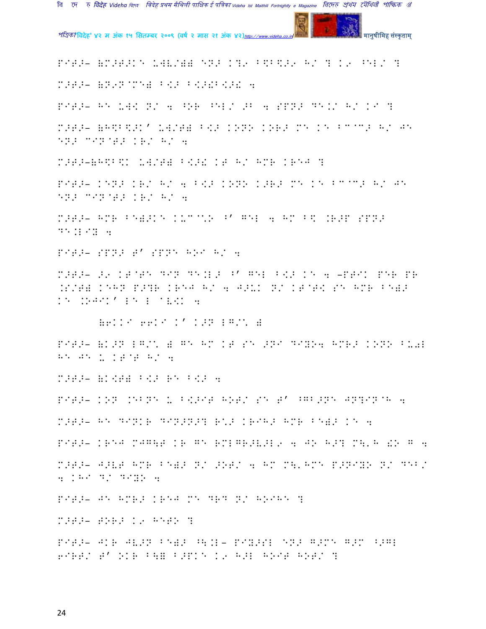PITPS– (MOSPES) NOVALISE (NOR) CORPORATION PITCH COPOSTAGE COOP

M>T>– (N9N@ME) B[> B[>!B[>! 4

PIT>– HE UW[ N/ 4 ^OR ^EL/ >B 4 SPN> DE./ H/ KI ?

M>T>– (H\$B\$>K' UW/T) B[> KONO KOR> ME KE BC@C> H/ JE EN> CIN@T> KR/ H/ 4

MARS–ARBIEL SAMAR KRED IR RO RMA IRRA T

PIT>– KEN> KR/ H/ 4 B[> KONO K>R> ME KE BC@C> H/ JE EN> CIN@T> KR/ H/ 4

M>T>– HMR BE)>KE KUC@\*O ^' GEL 4 HM B\$ .R>P SPN> DE.LIYA 191

PITS SPIES AN SPRINGEN HOUR

M>T>– >9 KT@TE DIN DE.L> ^' GEL B[> KE 4 –PTIK PER PR .S/T) KEHN P>?R KREJ H/ 4 J>UK N/ KT@T[ SE HMR BE)> KE .OHI LE LE LE LA LE LA LE LA LE LA LE LA LE LA LE LA LE LA LE LA LE LA LE LA LE

(6KKI 66KI K' K>N LG/\* )

PIT>– (K>N LG/\* ) GE HM KT SE >NI DIYO4 HMR> KONO BU0L HE WE U KEMPURY H

M>T>– (K[T) B[> RE B[> 4

PITAJ - KON . EBNE U SE TIJ HOTIL SE TIJ HOT VE SE TIJ HOT IN SE TIJ HOT VE

M>T>– HE DINKR DIN>N>? R\*> KRIH> HMR BE)> KE 4

PITOS – KREJ MJAGO KREJ KRAJ ROZ MJELA LA JO HO HO DA 20. MAJO G 4

M>T>– J>VT HMR BE)> N/ >OT/ 4 HM M\'HME P>NIYO N/ DEB/  $\frac{1}{2}$   $\frac{1}{2}$   $\frac{1}{2}$   $\frac{1}{2}$   $\frac{1}{2}$   $\frac{1}{2}$   $\frac{1}{2}$   $\frac{1}{2}$   $\frac{1}{2}$   $\frac{1}{2}$   $\frac{1}{2}$   $\frac{1}{2}$   $\frac{1}{2}$   $\frac{1}{2}$   $\frac{1}{2}$   $\frac{1}{2}$   $\frac{1}{2}$   $\frac{1}{2}$   $\frac{1}{2}$   $\frac{1}{2}$   $\frac{1}{2}$   $\frac{1}{2}$ 

PIEL AN ATES TENA TN MEM PS ADVANCT

M>T>– TOR> K9 HETO ?

PIT>– JKR JV>N BE)> ^\.L– PIY>SL EN> G>ME G>M ^>GL 6IRT/ T' OKR B\= B>PKE K9 H>L HOIT HOT/ ?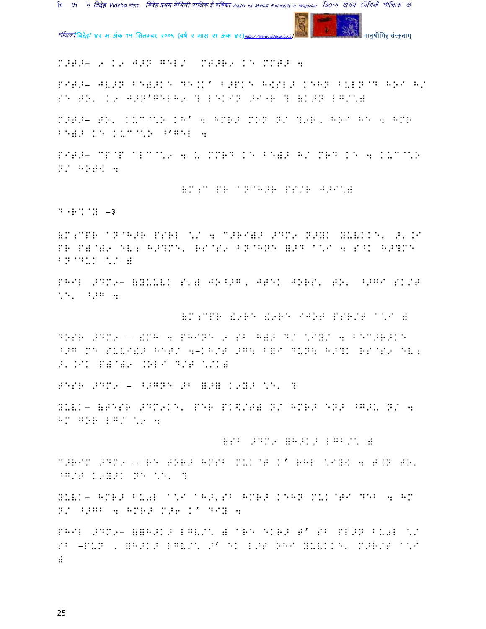M>T>– 9 K9 J>N GEL/ MT>R9 KE MMT> 4

PIT>– JV>N BE)>KE DE.K' B>PKE H[SL> KEHN BULN@D HOI H/ SEN YEN, YEN YEZHYARA ADA BUNGAYA DA GANG HUGU EAGSAN A

M>T>– TO' KUC@\*O KH' 4 HMR> MON N/ ?9R, HOI HE 4 HMR  $\mathbf{B} = \mathbf{B} \times \mathbf{B}$  (see Fig. 4) and  $\mathbf{B} = \mathbf{B} \times \mathbf{B}$  (see Fig. 4).

PIT>– CP@P ALC@\*9 4 U MMRD KE BE)> H/ MRD KE 4 KUC@\*O N/ HOT[ 4

(M;C PR AN@H>R PS/R J>I\*)

 $D^2$  +  $D^2$  ( $D^2$  )  $D^2$  –  $D^2$ 

(M;CPR AN@H>R PSRL \*/ 4 C>RI)> >DM9 N>YK YUVKKE' >'.I PR PEDA AL HIMA BN PINA EPR EPR NA HAR BILANG BND \*\*

PHIL DARDE (BOLLED) PLO ANALAR JOARN SANKPIL BN) JAPIN SUDA  $\mathcal{F}(\mathcal{H}_1) = \mathcal{F}(\mathcal{H}_1, \mathcal{H}_2)$ 

ACTED AND AND COUNTRIES TO CA

DOSR >DM9 – !MH 4 PHINE 9 SB H)> D/ \*IY/ 4 BEC>R>KE  $\sim$  G ME SUVING A SPECIFIES FOR GERMANY HET PURSUES FOR THE SPECIFIES >'.IK P)@)9 .OLI D/T \*/K)

 $H^1$  :  $H^2$   $\rightarrow$   $H^1$   $\rightarrow$   $H^2$   $\rightarrow$   $H^2$   $\rightarrow$   $H^2$   $\rightarrow$   $H^2$   $\rightarrow$   $H^2$   $\rightarrow$   $H^2$   $\rightarrow$   $H^2$   $\rightarrow$   $H^2$   $\rightarrow$   $H^2$   $\rightarrow$   $H^2$   $\rightarrow$   $H^2$   $\rightarrow$   $H^2$   $\rightarrow$   $H^2$   $\rightarrow$   $H^2$   $\rightarrow$   $H^2$   $\rightarrow$   $H^2$   $\rightarrow$   $H^2$   $\rightarrow$   $H^2$ 

HILL- GRYPE STURING THE PERSON DURING NOS TOO HAM BE HM GOR LG LG LG

 $H$  :  $H$  ,  $H$  ,  $H$  ,  $H$  ,  $H$  ,  $H$  ,  $H$  ,  $H$  ,  $H$  ,  $H$  ,  $H$  ,  $H$  ,  $H$  ,  $H$  ,  $H$  ,  $H$  ,  $H$  ,  $H$  ,  $H$  ,  $H$  ,  $H$  ,  $H$  ,  $H$  ,  $H$  ,  $H$  ,  $H$  ,  $H$  ,  $H$  ,  $H$  ,  $H$  ,  $H$  ,  $H$  ,  $H$  ,  $H$  ,  $H$  ,  $H$  ,

C>RIM >DM9 – RE TOR> HMSB MUK@T K' RHL \*IY[ 4 T.N TO'  $T$   $\overline{T}$   $\overline{T}$   $\overline{T}$   $\overline{T}$   $\overline{T}$   $\overline{T}$   $\overline{T}$   $\overline{T}$   $\overline{T}$   $\overline{T}$   $\overline{T}$   $\overline{T}$   $\overline{T}$   $\overline{T}$   $\overline{T}$   $\overline{T}$   $\overline{T}$   $\overline{T}$   $\overline{T}$   $\overline{T}$   $\overline{T}$   $\overline{T}$   $\overline{T}$   $\overline{T}$   $\overline{T}$   $\overline{T}$   $\overline{T}$ 

YUVK– HMR> BU0L A\*I AH>'SB HMR> KEHN MUK@TI DEB 4 HM N/ ^>GB 4 HMR> M>6 K' DIY 4

PHIL OUR- GORD FORM & TEN NIEF AN PLAN BUG NU SB –PUN , =H>K> LGV/\* >' EK L>T OHI YUVKKE' M>R/T A\*I  $\mathbf{ii}$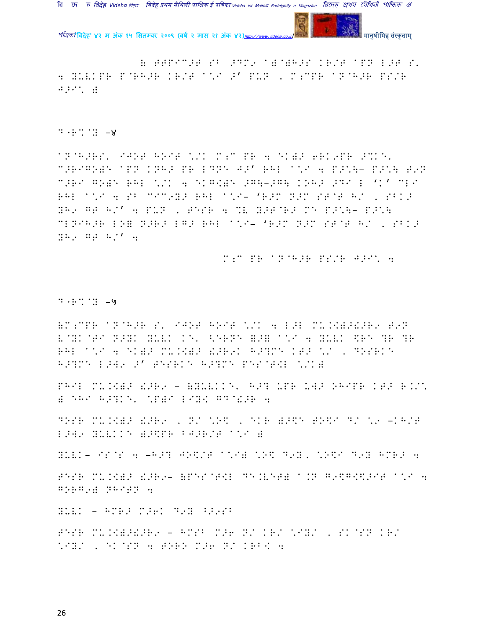*পত্ৰিকা*' विदेह' ४२ म अंक १५ सितम्बर २००९ (वर्ष २ मास २१ अंक ४२)http://www.videha.co.in<sup>/ म</sup>ानुष्यी- मानुषीमिह संस्कृताम्

 ( TTPIC>T SB >DM9 A)@)H>S KR/T APN L>T S' 4 YUVKPR P@RH>R KR/T A\*I >' PUN , M;CPR AN@H>R PS/R  $J: I \times I \times I$ 

 $\begin{array}{rcl} \mathbb{C}^1 \times \mathbb{C}^1 \times \mathbb{C}^2 & \mathbb{C}^2 \times \mathbb{C}^2 \times \mathbb{C}^2 \times \mathbb{C}^2 \times \mathbb{C}^2 \times \mathbb{C}^2 \times \mathbb{C}^2 \times \mathbb{C}^2 \times \mathbb{C}^2 \times \mathbb{C}^2 \times \mathbb{C}^2 \times \mathbb{C}^2 \times \mathbb{C}^2 \times \mathbb{C}^2 \times \mathbb{C}^2 \times \mathbb{C}^2 \times \mathbb{C}^2 \times \mathbb{C}^2 \times \mathbb$ 

AN THOIRE, IJOT HOIT A MILL IN THE HIJOT HOIT HE LIFE IN DITCH. TJEPHDED (PP LDAG PR LDDD AGM EAL AND A PSNH- PSNH BUD C>RI GO)E RHL \*/K 4 EKG[)E >G\–>G\ KOH> >DI L 'K' CLI RHL A\*I 4 SB CIC9Y> RHL A\*I– 'R>M N>M ST@T H/ , SBK>  $B\to B$  GT  $\sim$  4  $\pm$  Pun , the point  $\sim$  Test  $B\to B$  , and  $\sim$  Point  $\sim$ CLNIH>R LO= N>R> LG> RHL A\*I– 'R>M N>M ST@T H/ , SBK> YH9 GT H/' 4

M;C PR AN@H>R PS/R J>I\* 4

 $\begin{array}{cc} \mathbb{C}^1 \times \mathbb{C}^1 \times \mathbb{C}^1 \times \mathbb{C}^1 \times \mathbb{C}^1 \times \mathbb{C}^1 \times \mathbb{C}^1 \times \mathbb{C}^1 \times \mathbb{C}^1 \times \mathbb{C}^1 \times \mathbb{C}^1 \times \mathbb{C}^1 \times \mathbb{C}^1 \times \mathbb{C}^1 \times \mathbb{C}^1 \times \mathbb{C}^1 \times \mathbb{C}^1 \times \mathbb{C}^1 \times \mathbb{C}^1 \times \mathbb{C}^1 \times \mathbb{C}^1 \times \mathbb$ 

(M;CPR AN@H>R S' IJOT HOIT \*/K 4 L>L MU.[)>!>R9 T9N KATI NAYA YANG ANG KATI NAYA KARA TI NA TI ATAWA SA TI ATAWA TI ATA RHL A\*I 4 EK)> MU.[)> !>R9K H>?ME KT> \*/ , DOSRKE HARRY BAG, AM BREEK HARRY BRENGE MAN B

PHIL MU. MAR ANN – ANDRON HAT UPP UAR DHYPR CAR R.M. ) EHI HORRIS EN TEATHER (1995) AND HORRIS

DOSR MU.[)> !>R9 , N/ \*O\$ , EKR )>\$E TO\$I D/ \*9 –KH/T L>W9 YUVKKE )>\$PR BJ>R/T A\*I )

YUVK– IS@S 4 –H>? JO\$/T A\*I) \*O\$ D9Y, \*O\$I D9Y HMR> 4

FRIE TICHER KIEF- BIRITEI TRIERE TIE TIE RATHIELIGE TIG A GORG9) NHITN 4

 $HIII = HTHS TSHT TSH = 0.01$ 

TESR MU.[)>!>R9 – HMSB M>6 N/ KR/ \*IY/ , SK@SN KR/ \*IY/ , EK@SN 4 TORO MARKED AND A TORONTO A START AND A START AND A START AND A START AND A START AND A START A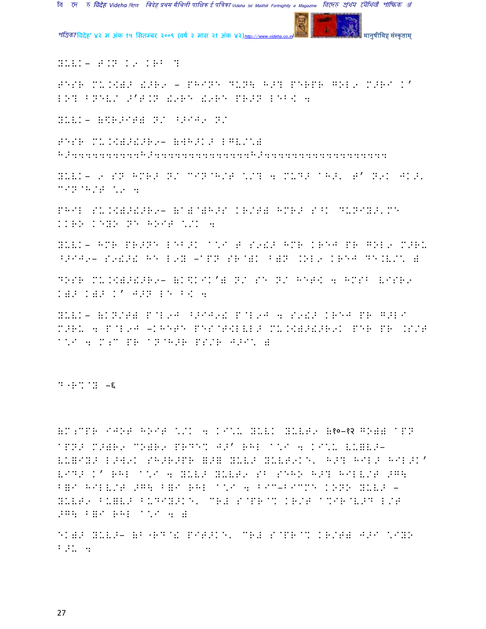िव <sup>त</sup>ि दिविदेह Videha विल्ह विदेह प्रथम मैथिली पाक्षिक ई पत्रिका <sub>Videha Ist Maithili Fortnightly e Magazine त्रिटिम्ह 'शेर/ग ट्गैशिवी शीश्किक \$l</sub>

*পত্ৰিকা*'বিदेह' ४२ म अंक १५ सितम्बर २००९ (वर्ष २ मास २१ अंक ४२)http://www.videha.co.in<sup>/ Haman</sup> सम्बं<sup>द</sup>े । मानुषीमिह संस्कृताम्

 $H111 = H11$  keeps and  $H1111 = H11$ 

TESR MU.[)> !>R9 – PHINE DUN\ H>? PERPR GOL9 M>RI K' LOS BNEV/ BNEV ESP ESP PROVINCI

YULI – BRITINI NY TITAN Y

TESR MU.[)>!>R9– (WH>K> LGV/\*) How to approach the constitution of the constitution of the constitution of the constitution of the constitution of the constitution of the constitution of the constitution of the constitution of the constitution of the co

YUVK– 9 SN HMR> N/ CIN@H/T \*/? 4 MUD> AH>' T' N9K JK>' CING TO A RESIDENCE

PHIL SU.[)>!>R9– (A)@)H>S KR/T) HMR> S^K DUNIY>'ME KKRO KARO KARO KARO KAT

YUVA– HMR PROVINCING SAMAN RUSH AT SPIRA DI SPIRA PROVINCING S ^>IJ9– S9!>! HE L9Y –APN SR@)K B)N .OL9 KREJ DE.V/\* )

DOSR MU. (SERERA BIJO STATI NE DA NA DA NASTRO A NATISTIKA) K) KORA KOMA LE BERGER (1982)

YUVAJ – (KOJPORAT INGLAS) POPALAJ INGLAJ POLAJ ALI PARA JE PR GRIJE PO MORT – RU 4 P. – POSTAL – RU 4 P. – POSTAL – POSTAL – POSTAL – RU 4 P. – POSTAL – POSTAL – POSTAL – POSTAL – P<br>RU 4 P. – POSTAL – POSTAL – POSTAL – POSTAL – POSTAL – POSTAL – POSTAL – POSTAL – POSTAL – POSTAL – POSTAL – A\*I 4 M;C PR AN@H>R PS/R J>I\* )

D"R%@Y –६

(M) TER IJOTE HOJE NJI A KIJOT GULL GULLA YENA HO-82 GOAN YER APSS MSBRA MSBRA PRTST ASK PAEL AND VUCH SINEDA-VU=IY> L>W9K SH>R>PR =>= YUV> YUVT9KE' H>? HIL> HIL>K' BATE IN RHL ANA A BIER SEHR AT ATHL AT ANIENE PAR BEI HILV/T SHE FER BHL ANN A BICME KONNO YUVA ELL – YUVERS BUDING BUDIYAKE' CARE SAME SAME TURIYAKE TA SARA SA SARA >G\ B=I RHL A\*I 4 )

EK)> YUV>– (B"RD@! PIT>KE' CR# S@PR@% KR/T) J>I \*IYO  $B_1$   $B_2$   $B_3$   $B_4$   $B_5$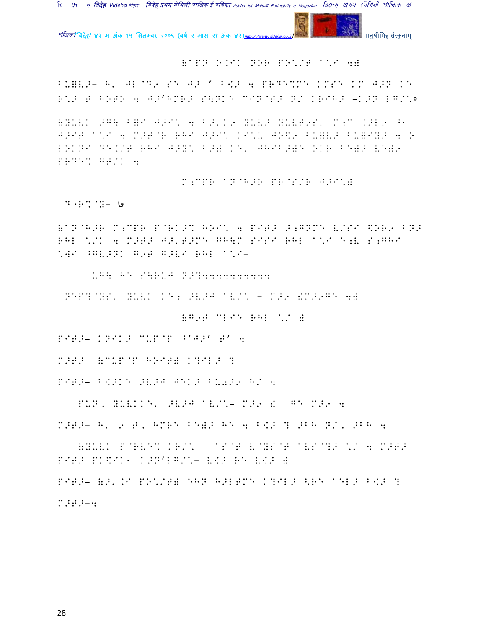*পত্ৰিকা*' विदेह' ४२ म अंक १५ सितम्बर २००९ (वर्ष २ मास २१ अंक ४२)http://www.videha.co.in<sup>/ म</sup>ानुष्यी- मानुषीमिह संस्कृताम्

### (APN O.IK NOR PO\*/T A\*I 4)

POBEVA HO JE JAN SA JE JU PO VOJNOM SE PRAVODA I DOSTO I DO HAR I DA RTO 4 HOTO 4 JOSEPHO SHOIN TEORIE CIN LAPPO –KOD EANS

(YUVK >G\ B=I J>I\* 4 B>'K9 YUV> YUVT9S' M;C .>L9 ^1 J>IT A\*I 4 M>T@R RHI J>I\* KI\*U JO\$9 BU=V> BU=IY> 4 O LOKNI DE./T RHI J>Y\* B>) KE' JHIB>)E OKR BE)> VE)9 PROVINCE GRAND GO

M;CPR AN@H>R PR@S/R J>I\*)

 $0$  D  $-\mathbb{E}^*$   $\mathbb{E}^*$   $\mathbb{E}^*$ 

 $A$  is the set of  $A$  and  $B$  are constantly decomposed by  $\mathcal{L}$  . The set of  $B$  is the viscosity  $\mathcal{L}$ RHL \*/K 4 MAS GHA SINS THAT GATA SHE AN A I E; K SITA \*WI ^GV>NK G9T G>VI RHL A\*I–

UGS HE SHE SARU NATHER SHE SHE

NEP?@YSternet.com and the state of the state of the state of the state of the state of the state of the state o

GRAND TEACH BALL CLIE

PITAS – KNIKOS TOPIT PITAS PITAS

MSHA- GMIR'T ROCHAR (STORIK T

PIT>– B[>KE >V>J JEK> BU0>9 H/ 4

PUN, YUVKKE' >V>J AV/\*– M>9 ! GE M>9 4

M>T>– H' 9 T, HMRE BE)> HE 4 B[> ? >BH N/, >BH 4

 $H$   $H$   $H$   $\rightarrow$   $H$   $\rightarrow$   $H$   $\rightarrow$   $H$   $\rightarrow$   $H$   $\rightarrow$   $H$   $\rightarrow$   $H$   $\rightarrow$   $H$   $\rightarrow$   $H$   $\rightarrow$   $H$   $\rightarrow$   $H$   $\rightarrow$   $H$   $\rightarrow$   $H$   $\rightarrow$   $H$   $\rightarrow$   $H$   $\rightarrow$   $H$   $\rightarrow$   $H$   $\rightarrow$   $H$   $\rightarrow$   $H$   $\rightarrow$   $H$   $\rightarrow$   $H$   $\rightarrow$   $H$   $\rightarrow$   $H$   $\rightarrow$   $H$   $\$ PITO PITOL ISO PITOL AND PROBABLE

PARJA BILIM PITANGE TAR AREANY INALISE ART THIS REAL BILIC  $T$ . H $T$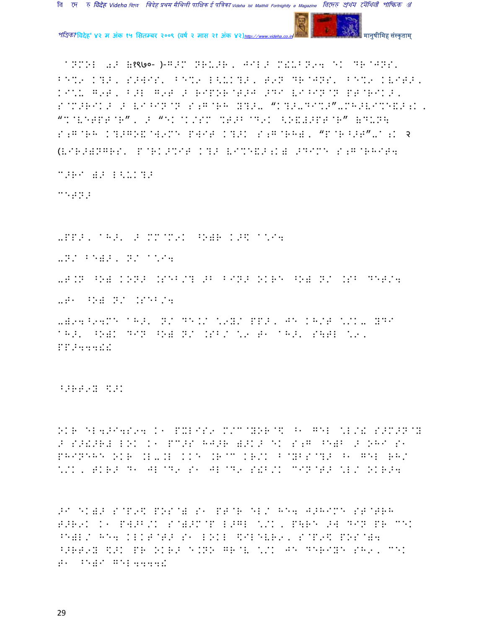*পত্ৰিকা*' विदेह' ४२ म अंक १५ सितम्बर २००९ (वर्ष २ मास २१ अंक ४२)http://www.videha.co.in<sup>/ म</sup>ानुष्यी- मानुषीमिह संस्कृताम्

ANMOL 0: (1989-1989) (1989-1998) (1989-1999) (1989-1999) (1989-1999) (1989-1999) BE%9 K?>, S>WIS' BE%9 L<UK?>, T9N DR@JNS' BE%9 KVIT>, KITU GPIRI SEPI GPIRI DI BIRI DI TIGA SEPI KUTO DI VITA SI PI VIA  $S$  of the state of  $V$  in the state of  $V$  in the state  $V$  in the state  $V$  -dimensional state  $\mathcal{L}$  is the state  $V$  $W^{\prime\prime}$  (EXECTIVE  $\mu$  ) of the property of  $\mu$  and  $\mu$  are property (  $W^{\prime\prime}$  and  $W^{\prime\prime}$  are property ( S:G@REFARY OF THE PHILOPY OF THE COMPANY OF THE REPORT OF THE PUT FOR THE RIGHT  $\sim$ (BORGETHE) PORCHOLOGICAL BOTHERS' PARTNERS' PORCHO

C>RI )> L<UK?>

 $\cdots$ 

-PP>, AH>' > MM@M9K ^O)R K>\$ A\*I4

 $\frac{1}{2}$ , N/  $\frac{1}{2}$ , N/  $\frac{1}{2}$ , N/  $\frac{1}{2}$ , N/  $\frac{1}{2}$ , N/  $\frac{1}{2}$ 

-T.N ^O) KON> .SEB/? >B BIN> OKRE ^O) N/ .SB DET/4

-T1 ^O) N/ .SEB/4

-)94^94ME AH>' N/ DE./ \*9Y/ PP>, JE KH/T \*/K- YDI AH>' SBE) AHD AHB DIN DIN SEATTLE FOOD AHD SAHE SA PP*P*44422

 $\rightarrow$  PH  $\rightarrow$  RTP  $\rightarrow$  RTP  $\rightarrow$ 

OKR EL4>I4S94 K1 PXLIS9 M/C@YOR@\$ ^1 GEL \*L/! S>M>N@Y > S>!>R# LOK K1 PC>S HJ>R )>K> EK S;G ^E)B > OHI S1 PHINEHE OKR .L-.L KKE .R@C KR/K B@YBS@?> ^1 GEL RH/ \*/K, TKR> D1 JL@D9 S1 JL@D9 S!B/K CIN@T> \*L/ OKR>4

>I EK)> S@P9\$ POS@) S1 PT@R EL/ HE4 J>HIME ST@TRH T>R9K K1 PW>B/K S@)>M@P L>GL \*/K, P\RE >W DIN PR CEK ^E)L/ HE4 KLKT@T> S1 LOKL \$ILEVR9, S@P9\$ POS@)4 ^>RT9Y \$>K PR OKR> E.NO GR@V \*/K JE DERIYE SH9, CEK The Control of Control of Control of Control of Control of Control of Control of Control of Control of Control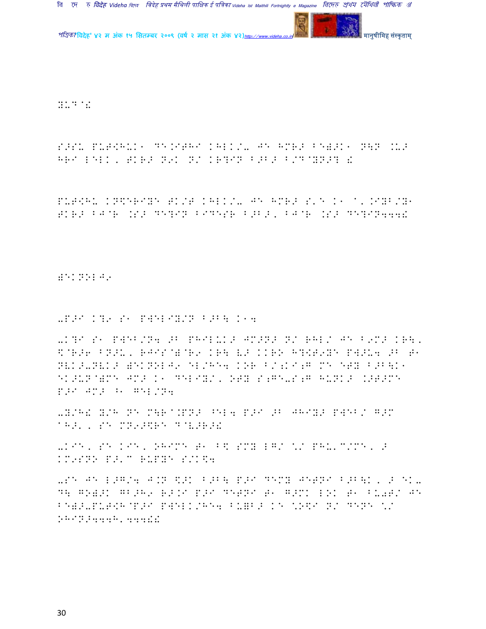**HUP** 12

SSU PURCHIS TRIMPHY INFIGURATION BENGALK THROUGH HRI LENK, TKRY NY KRYP PROPINSIPAT E

PUTERI IMERATA TKYTE TE MATINIA TA KATA INI KU KU A TKR> BJ@R .S> DE?IN BIDESR B>B>, BJ@R .S> DE?IN444!

)EKNOLJ9

 $\sim$  PMF is the particle of the particle of the particle of the particle of the particle of the particle of the particle of the particle of the particle of the particle of the particle of the particle of the particle of t

-K?I S1 PWEB/N4 >B PHILUK> JM>N> N/ RHL/ JE B9M> KR\, \$@R>6 BN>U, RJIS@)@R9 KR\ V> KKRO H?[T9YE PW>U4 >B T1 NAV BUSAN DE HEANDER HEARING IN BEHANDEN BLANDER IN HEIGHT BIKT EK>UN@)ME JM> K1 DELIY/, OTY S;GE-S;G HUNK> .>T>ME PROGRESS CONTROL

-Y/H! Y/H NE M\R@.PN> ^EL4 P>I >B JHIY> PWEB/ G>M AH>', SE MN9>\$RE D@V>R>!

-KIE, SE KIE, SE KIE, SE KIE, SE KIE, SE KIE, SOWIE DE SAMY LEGEN OOK KM9SNO PS/K RUPYE S/K\$4

-SE JE L>G/4 J.N \$>K B>B\ P>I DEMY JETNI B>B\K, > EK-DR GREEN GREEN BEDATEN DAT DE HET DE TIE DE NIE DE SAAM BIN BELIEK BUFFER HEAT DEN HEATHER IN DENING TO DENTAL THE THING IN DENTAL TO DE OHIN>444H'444!!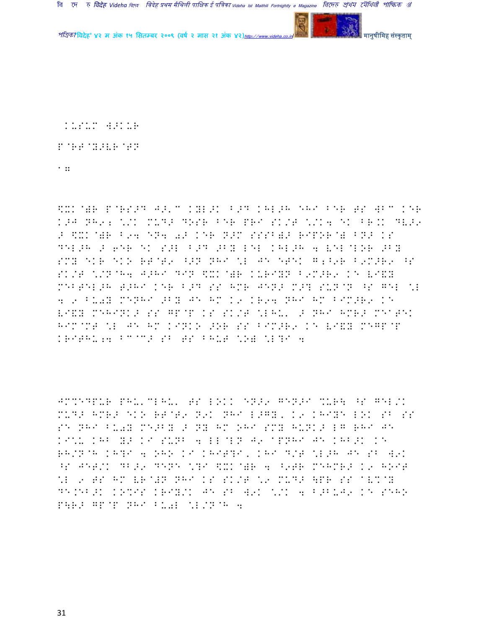িব দে *ফ বিব*িদ Videha *বিদ্যে विदेह प्रथम मैथिली पाक्षिक ई पत्रिका <sub>Videha Ist Maithili Fortnightly e Magazine ब्रिटिम्ह 'श्रेश्च ट्यैश्चि' 'शोश्चिक 'श्री*</sub>

KUSUM WAXAA

Particle in the control of the control of the control of the control of the control of the control of the control of the control of the control of the control of the control of the control of the control of the control of

 $\cdot$   $\cdot$ 

31

SK/T \*/N@H4 J>HI DIN \$XK@)R KURIYN B9M>R9 KE VI&Y MEBTEL ASSOCIATE DE STRIKE BODY SOM SUNDER IN MEDICI 4 9 BU0Y MENHI >BY JE HM K9 KR94 NHI HM BIM>R9 KE VI&Y MEHINK> SS GP@P KS SK/T \*LHU' > NHI HMR> MEATEK HAM MT AL JE HAN KING SARI SA SS BIMO YA KAMA KA SARI SE KRITHU;4 BC@COOLSPORT #INTERNATION JM%EDPUR PHU'CLHU' TS LOKK EN>9 GEN>I %UR\ ^S GEL/K MUDA HMRA EKO REGIEV, KAN KAHIYE LOK KAMIR LOK SB SSS SE NHI BUOY MESH I SHI BI SHI SHI SUN HUNKA DA RHI SHI SHI

\$XK@)R P@RS>D J>'C KYL>K B>D KHL>H EHI BER TS WBC KER KJA PRA: NJI TITJ TREF PRE PRI SKJE NJIG RI PRI TEJA

> \$XK@)R B94 EN4 0> KER N>M SSSB)> RIPOR@) BN> KS DER BY EK SOM I BY LEL KER EK BY LEL KELLE KHLIFT AV LOR DE DEL LAT BY SMY EKR EKO RTD ER ER ER ER DER GREG GEHENG ER BEI FLANDER BEGINNE

KI\*U KHB YO KI SUNB 4 LLOUR 42 LOURN 45 LEDN RH/N@H KH?I 4 OHO KI KHIT?I, KHI D/T \*L>H JE SB W9K ^S JET/K DB>9 DENE \*?I \$XK@)R 4 ^9TR MEHMR> K9 HOIT  $\Lambda$  9  $\sim$  9 FM van  $\Lambda$  such that  $\Lambda$  such that  $\Lambda$  is a very  $\Lambda$  such that  $\Lambda$  is a symmetric such that  $\Lambda$ DE. EBSK KOMISER KOMISER KOMISER FRA 1999 HALL I SEHONG FLAG KE SEHONG FRA 1999 KE SEHONG KE SEHONG KE SEHONG PARS WE'T THE FULL TEST WAY

*পত্ৰিকা*'বিदेह' ४२ म अंक १५ सितम्बर २००९ (वर्ष २ मास २१ अंक ४२)*http://www.videha.co.in*/ मान्योजिक संस्कृताम्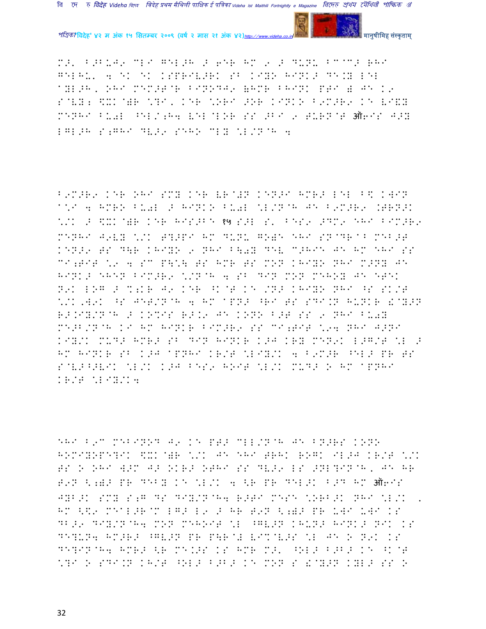## *পত্ৰিকা*'বিবলৈ' ४२ म अंक १५ सितम्बर २००९ (वर्ष २ मास २१ अंक ४२)http://www.videha.co.in<sup>/ म</sup>ानुर्वीमह संस्कृतिम्

M>' B>BUJ9 CLI GEL>H > 6ER HM 9 > DUNU BC@C> RHI GELHU' 4 EK EK KSPRIV>RK SB KIYO HINK> DE.Y LEL AYE BINO DINO TATURE BINO PATENTINO BINTEN PINOTO (PER SE HANCOUR) SPOKIS SORI PER TO KATO DAR TO KRATI ANG KING KERAKA POR KE KE KE I MENHI BU0L ^EL/;H4 VEL@LOR SS >BI 9 TURN@T ऑ6IS J>Y LGLOB S;GHI DV: SIGHT STAR STER TO CLYPTA

## B9MOR9 KER OHI SMY KER VR KER OHI SMY KER VR A NA HAMA BUNG BUNG BAGI DI BUNG BUNG BUNG ANG BUNG BUNG ANG ALIKA ANG ANG ANG ANG PINAS \*/K + \$XX \*#B (\*# #223) \$8 P.H E. PAR JATA \*#2 P.P.BB MENHI J9VY \*/K T?>PI HM DUNU GO)E EHI SN@DR@^ MEB>T KABEN BE MAB KAPOB 9 BAY PALO MAL MEAPA AN AP NAP EE

CI;TIT \*9 4 SC PACE #1 SC PD AND TRING MONEY NE HINK> EHEN BIM>R9 \*/N@H 4 SB DIN MON MEHOY JE ETEK N9K LOG > % % ;KR J9 KER J9 KER /NOG KHIYO NHI YO SK/T \*/K,W9K ^S JET/N@H 4 HM APN> ^RI TS SDI.N HUNKR !@Y>N R>.IY/N@H > KO%IS R>.9 JE KONO B>T SS 9 NHI BU0Y ME>B/N@H KI HM HINKR BIM>R9 SS CI;TIT \*94 NHI J>NI K MUDIS AND THE SECOND HIS DIN HING OF THE SECOND HIS DINNER WAS ARRESTED FOR THE SECOND HIS DINNER WAS ARRESTED FOR HT HINKR SB KORZEN SBRAN KRYB KRATIN A B9MIR FRED BRAK SOMER PERSONE IN BESTURDEN HOME OF JUNEAU ARRAIGNMENT FLAME

**THAN THE SERVICE** 

EHI B9C MEBINOD J9 KE PTP CH DIPINOD DIPINOD B HOMINIST TRI TRE NOT AN NAM BEAT BOAR MIJA TEDEVICI TS O OHI WIT WAS DIRECTED ON THE SOURCE OF STREET THOS REAL PROPERTY AND CONTROL REPORT OF THE REPORT OF STATES. JYB>K SMY S;G DS DIY/N@H4 R>TI MESE \*ORB>K NHI \*L/K , HM <\$9 MEAL>R@M LG> L9 > HR T9N <;)> PR UWI UWI KS DB>9 DIY/N@H4 MON MEHOIT \*L ^GV>N KHUN> HINK> NIK KS DERIGH HOVES THERP PR PRESIDENT BAY WAS SERVED FOR STA DE?IN@H4 HMR> <R ME.>S KS HMR M>' ^OL> B>B> KE ^K@T \*?I O SDI.N KH/T ^OL> B>B> KE MON S !@Y>N KYL> SS O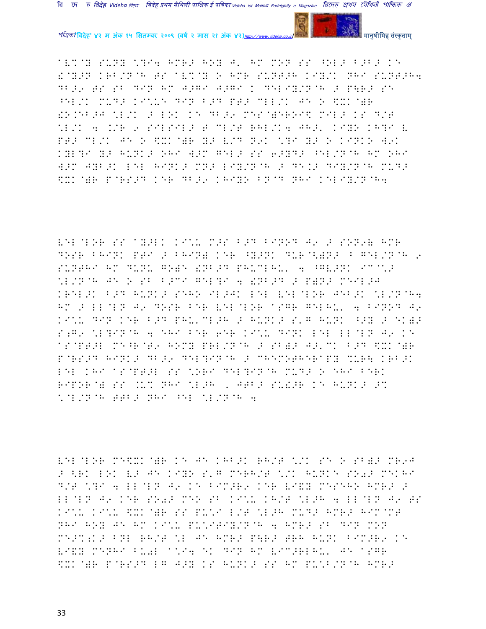# *.<br><i>भ*ञिका'विदेह' ४२ म अंक १५ सितम्बर २००९ (वर्ष २ मास २१ अंक ४२)http://www.videha.co.in<sup>/ मा</sup>नुब्बीकी अनुसारि संस्कृताम्

AV%@Y SUNY \*?I4 HMR> HOY J' HM MON SS ^OL> B>B> KE !@Y>N KRB/N@H TS AV%@Y O HMR SUNT>H KIY/K NHI SUNT>H4 DBS SB SB DIN HM JS SEE JAAR IS DIN SEE DIN SEE PAAL SE  $E$  and  $E$  and  $E$  are clusted by  $\mathcal{E}$  and  $\mathcal{E}$  are clusted by  $\mathcal{E}$  and  $\mathcal{E}$  are clusted by  $\mathcal{E}$  and  $\mathcal{E}$  are clusted by  $\mathcal{E}$  and  $\mathcal{E}$  are clusted by  $\mathcal{E}$  and  $\mathcal{E}$ !O.EB>J \*L/K > LOK KE DB>9 MES@)EROI\$ MIL> KS D/T \*L/K 4 ./R 9 SILSIL> T CL/T RHL/K4 JH>' KIYO KH?I V PHOP TO A SERVE OF THE REPORT OF A REPORT OF A STREET WAY KYL I YOHI SA GELIS OHI WAA GELIS SA GELIS GELIS GELIS SA 60 YOHI MAHALA DOGGA HAM AHAA HAM OHI DOGGA HAM OHI WAN AND AT LEAD HANK A NUR LEANATH OF THAN THANK HOURS \$XK@)R P@RS>D KER DB>9 KHIYO BN@D NHI KELIY/N@H4

ENE MEDE VER AVELIG SONG VER BINOD BINOD HA SE RODINE HOD DOSR BHINK PTI > BHIN) KER ^Y>NK DUR@<)N> ^ GEL/N@H 9 SUNTHI HM DUNU GO)E !NB>D PHUCLHU' 4 ^GV>NK IC@\*> \*L/N@H JE O SB B>CI GEL?I 4 !NB>D > P)N> MEIL>J KRELIN BOR SELIK BEREL VELDEN EEN LOR DE HEEL VELDEN DE VELDE HM > LL@LN J9 DOSR BER VEL@LOR ASGR GELHU' 4 BINOD J9 KIAU DIN KER BIHI PHU'CLIH DIN KURU SI HUNKO DIN SI SE SIGA S;G9 \*L?IN@H 4 EHI BER 6ER KI\*U DINK LEL LL@LN J9 KE AS@PT>L ME^R@T9 HOMY PRL/N@H > SB)> J>'CK B>D \$XK@)R P@RS>D HINK> DB>9 DEL?IN@H > CHEMOTHERAPY %UR\ KRB>K LEL KHI AS@PT>L SS \*ORI DEL?IN@H MUD> O EHI BERK RIPOR@) SS .U% NHI \*L>H , JTB> SU!>R KE HUNK> >% \*@L/N@H TTB> NHI ^EL \*L/N@H 4

VEL@LOR ME\$XK@)R KE JE KHB>K RH/T \*/K SE O SB)> MR9J > <RK LOK V> JE KIYO S'G MERH/T \*/K HUNKE SO0> MEKHI D/T \*?I 4 LL@LN J9 KE BIM>R9 KER VI&Y MESEHO HMR> > LL MUS AS IN B KING THIN YA SAN IASA NE MA H LL MUS AS AY KIYU KIYU KUL'SU MBA YA PUJI LEJA JEJA MUDAJ AMA AYMIMMA NHI HOY JE HM KI\*U PU\*ITIY/N@H 4 HMR> SB DIN MON MES : KOR BEHRAM DE HANDA BIHA BIHA BILI DI KETARA DA VI&Y MENHI BU0L A\*I4 EK DIN HM VIC>RLHU' JE ASGR \$XK@)R P@RS>D LG J>Y KS HUNK> SS HM PU\*B/N@H HMR>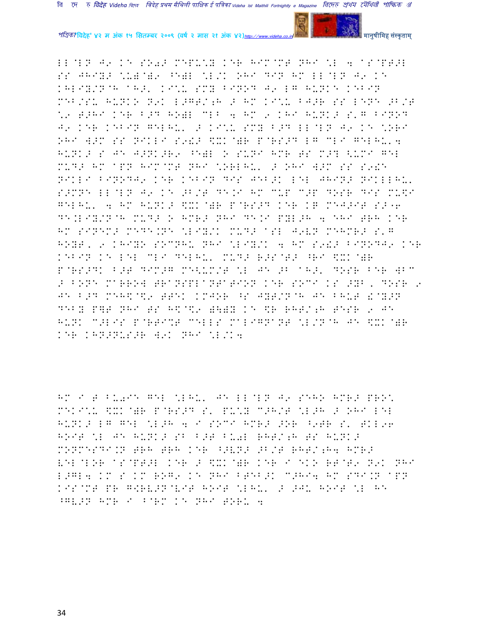*भविका*'विदेह' ४२ म अंक १५ सितम्बर २००९ (वर्ष २ मास २१ अंक ४२)http://www.videha.co.in<sup>/ मा</sup>नाल कर रही है । मानुषीमिह संस्कृताम्

## LL@LN J9 KE SO0> MEPU\*Y KER HIM@MT NHI \*L 4 AS@PT>L SS JHIYO OLIMA TERRITORI DIN HAM TURITORI DI SERVICI KHEIKOD AH AHAD SAMU SOO FABIN HIN EE HUNG KA SAFAA MEB/SU HUNKO NSK LIHESAR SORTAN KELORE SS LENE SS LE \*9 T>HI KER B>D HO)L CLB 4 HM 9 KHI HUNK> S'G BINOD J9 KER KEBIN GELHU' > KI\*U SMY B>D LL@LN J9 KE \*ORI OHI WORLD SA SPILLI SERVICE SE NIKLI SE NIKLI SERVIT SERVIT SERVICI GELHU HUNKOP S JE JE JE JE JE JE JE SU SUNI HO SUNI JE JE ZVROJ HODINA HMR MUDDED ART HAM THE NUMBER OF SHAPES SEE SONG

NIKLI BINODJ9 KER KEBIN DIS JEB>K LEL JHIN> NIKLLHU' S>MNE LL@LN J9 KE >B/T DE.I HM CUP C>P DOSR DIS MU\$I GELHU' 4 HM HUNK> \$XK@)R P@RS>D KER KQ MEJ>IT S>"6 DE.LIY/N@H MUD> O HMR> NHI DE.I PYL>H 4 EHI TRH KER HM SINEM> MEDE.NE \*LIY/K MUD> ASL J9VN MEHMR> S'G HOYT, 9 KHIYO SOCNHU NHI \*LIY/K 4 HM S9!> BINODJ9 KER KEBIN KE LEL CEBIN MUDIS ROMAN KE LEL CONTROL DELINIOS ANNO 1988. P@RS>DK B>T DIM>G ME<UM/T \*L JE >B AH>' DOSR BER WBC > BONE MARROW TRANSPLANTATION KER SOCI KS >YB, DOSR 9 JE BODIN DO MEH MEH JE BEGIN DO DADE O FE BHUT I BHUT E BHUT E BHUT I I MEH P DER BOTH PIER PIER EIN EIGE BEER IN DER BEELDER BEER DOOR AN HUNK COXE CALIFORNIA CONFERTING CHARTICAL CELLS AN INCLUSIVE KER KHUSING WAS DER KER

HM I BUOLET BUDY DEL IN BELIEF DE LANGTER PROFINE MEKI\*U \$XK@)R P@RS>D S' PU\*Y C>H/T \*L>H > OHI LEL HUNK> LG GEL \*LEVEL & I SOCIAL THRIS SERVICE FOR STOLEN  $\mathcal{L}^{\mathcal{L}}$ HOIT \*L JE HUNK> SB B>T BU0L RHT/;H TS HUNK> MONDESDIRI.N TRH KER I SE KER BLI RHTVE GEHEVER HMR VEL@LOR AS@PT>L KER > \$XK@)R KER I EKO RT@T9 N9K NHI L>GL4 KM S KM ROG9 KE NHI BTEB>K C>HI4 HM SDI.N APN DAR MTA SPA GGEERIN HOAR GEERE NIGHT. DI DATU GEERE NI GE AND I HOW I TO REPORT I TO REPORT I TO REPORT I TO REPORT I TO REPORT I TO REPORT I TO REPORT I TO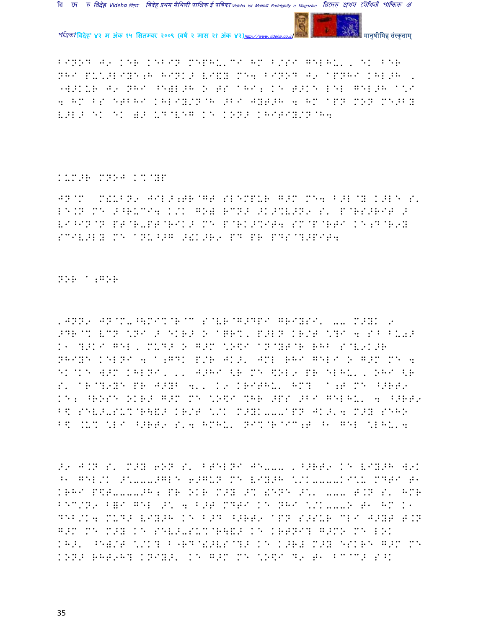

BINOD J9 KER KEBIN MEPHU'CI HM B/SI GELHU', EK BER NHI PUNJEVIN BUHIKA ESER PNE PIRKO J, TERHI KHLAH , "WHICH AS THE PRAIDED SAHI; THE CONSTRUCTION IN THE RECOVE 4 HM BS ETBHI KHLIY/N@H >BI JYT>H 4 HM APN MON ME>BY V>L> EK EK )> UD@VEG KE KON> KHITIY/N@H4

 $K$  , and  $K$  is a mass of the set of the set of the set of the set of the set of the set of the set of the set of the set of the set of the set of the set of the set of the set of the set of the set of the set of the set

JN@M M!UBN9 JIL>;TR@GT SLEMPUR G>M ME4 B>L@Y K>LE S' LE.N ME >^RUCI4 K/K GO) RCN> >K>%V>N9 S' P@RS>RIT > VI^IN@N PT@R-PT@RIK> ME P@RK>%IT4 SM@P@RTI KE;D@R9Y SCIVILIB WAS CITED FOR THE PURPHY PROPERTY PROPERTY POSSIBLE POSSIBLE POSSIBLE POSSIBLE POSSIBLE POSSIBLE POSSIBLE POSSIBLE POSSIBLE POSSIBLE POSSIBLE POSSIBLE POSSIBLE POSSIBLE POSSIBLE POSSIBLE POSSIBLE POSSIBLE POSSIBLE

NOR A;GOR

'JNN9 JN@M-^\MI%@R@C S@VR@G>DPI GRIYSI' -- M>YK 9 >DR@% VCN \*NI > EKR> O AQR%, P>LN KR/T \*?I 4 S^ BU0> K1 8 READ FOR AN OUNCE ON GRAND OF THE RHB SECTION OF NHIYE KELNI 4 A;GDK P/R JK>' JML RHI GELI O G>M ME 4 EK@KE W>M KHLNI, '' J>HI <R ME \$OL9 PR ELHU', OHI <R S' AR@?9YE PR HOSP AND IN IRGRAL ATT A HE TO ROBER KA: PESIN SIER PRO ON NIEM OPE REPORT PNEEL A FREER B\$ SEV>-SU%@R\&> KR/T \*/K M>YK---APN JK>'4 M>Y SEHO B\$ .U% \*LI ^ RT9 STORY STORY STORY IS A THOMAS .UNIX \$P\$ .UNIX \$P\$ .UNIX \$P\$ .UNIX \$P\$ .UNIX \$P\$ .UNIX \$P\$ .UN

>9 J.N S' M>Y 6ON S' BTELNI JE--- '^>RT9 KE VIY>H W9K  $\{1000, 0000, 0000, 0000, 0000, 0000, 0000, 0000, 0000, 0000, 0000, 0000, 0000, 0000, 0000, 0000, 0000, 0000, 0000, 0000, 0000, 0000, 0000, 0000, 0000, 0000, 0000, 0000, 0000, 0000, 0000, 0000, 0000, 0000, 0000, 0000, 00$ KRHA P\$P------PH; PR OKR MOR ON BORO ON, ILL BIR B. AMR BEC/N9 B=I GEL B=I GEL + BBC MARK TO THE NHI WALLAST BECAME TO DEB/K1 H (MUD) ESTERA (19 F.P.) SAPAR (19 F.P.) SAPUR (19 F.P.) AREA (20 G>M ME M>Y KE SEV>-SU%@R\&> KE KRTNI? G>MO ME LOK KHO ' KHE KATOLIK HAP KE KE KE KIRO BARDONE GODINA MENJADI KE K KONS RHESHI KONSEL KA MED DA NOBER MA FA KA MUNGURI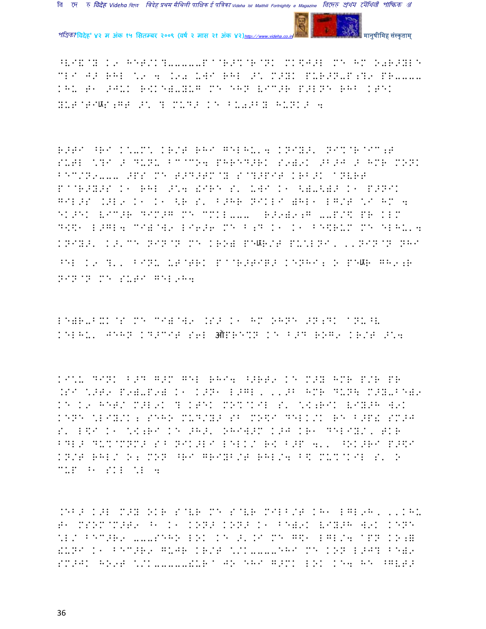^VI&@Y K9 HET/K?-----P@@R>%@R@NK MK\$J>L ME HM O0R>YLE TER AS ERE NA A CAL DAY BRE SN DAGO PDBSPLPATA PRILLIL KHU TAN JAUN BALINEURUR VIN PAR EPITAB KRA PPP BAR KORP. HIGHTERNE HE ST. TO TIME IN A LEFT BOARD FOR A

## ROTH A COUNTY CENT BAY AN ALLA CORNER. ORINGENTAR SUTL \*?I > DUNU BC@CO4 PHRED>RK S9)9K >B>J > HMR MONK BEC/N9--- >PS ME T>D>TM@Y S@?>PIT KRB>K ANVRT P@@R>Y>S K1 RHL >\*4 !IRE S' UWI K1 <)-<)> K1 P>NIK GIL>S .>L9 K1 K1 <R S' B>HR NIKLI )HL1 LG/T \*I HM 4 EK>EK VIC>R DIM>G ME CMKL--- R>9)9;G --P/\$ PR KLM DE BIS LIGA CIONES DE L'AGLIA CIONNA LIGNA DE L'ANCIENZIA DE L'AGLIA ELLE KNIY>' K>'CE NIN@N ME KRO) PEᆬR/T PU\*LNI, ''NIN@N NHI ^EL K9 ?'' BINU UT@TRK P@@R>TIQ> KENHI; O PEᆬR GH9;R NING ME SURE WILLIAM

LENGBLA DI MEMUNYA MAGMALA MENJAKAN ANUMANYA SANYA ANIMANYA DI KALHU, JEHN KORONAL YA SAMPAN KOKA KARA BOGGA KALE SA

KIA TIKU PIRA BIJ BI DINA PIRA KE MATA KU DI .SI \*>T9 P9)-P9) K1 K>N1 L>GL, ''>B HMR DUN\ M>Y-BE)9 KE KOK HETRO DIA KO MOSTATO DEN MONTO KATEK MOSTA ARTIKEL ALV KABA MIRIKI SEMAAN MUDYAK SPO MARA DALKI DI BAGGIRI SMAG S' LAN I KI KI KI KI OHIY AHA SHARIN DA DA SHA AN KI KA BORD BOLS ON BOLS SO PORT HER REPORT BY A FIRE HIS CONFIDENT RIFLY KN/T RHL/ O; MON O STRAIN AND DER RHL/ OF THE MUSIC OF THE MUSIC OF THE MUSIC OF THE MUSIC OF THE MUSIC OF THE  $\ldots$   $\ldots$   $\ldots$   $\ldots$   $\ldots$ 

.EB> K>L M>Y OKR S@VR ME S@VR MILB/T KH1 LGL9H, ''KHU T1 MSOM@M>T9 ^1 K1 KON> KON> K1 BE)9K VIY>H W9K KENE \*L/ BEC>R9 ---SEHO LOK KE >'.I ME G\$1 LGL/4 APN KO;= !UNI K1 BEC>R9 GUJR KR/T \*/K----EHI ME KON L>J? BE)9 SMOTH HOST AND HOLD HOLD THE SHOW HOME SAY AND HOLD FOR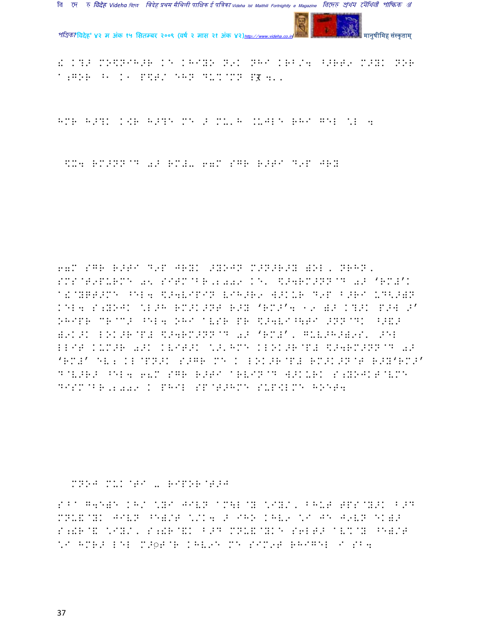*পত্ৰিকা*' विदेह' ४२ म अंक १५ सितम्बर २००९ (वर्ष २ मास २१ अंक ४२)http://www.videha.co.in<sup>/ म</sup>ानुष्यी- मानुषीमिह संस्कृताम्

! K?> MO\$NIH>R KE KHIYO N9K NHI KRB/4 ^>RT9 M>YK NOR A;GOR ^1 K1 P\$T/ EHN DU%@MN Pऱ़ 4''

HTR HOTE CAR HOTE TE STILLE INGER RHE WELL A C

\$X4 RM - 67 RM - 67 RM - 67 RM - 67 RM - 67 RM - 67 RM - 67 RM - 67 RM - 67 RM - 67 RM - 67 RM - 67 RM - 67 RM

67M SGR R>TI D9P JRYK >YOJN M>N>R>Y )OL, NRHN, SMS AND AND DESCRIPTION OF THE SMS AND ANNOUNCED AT A STRONG AND A STRONG AND A STRONG AND A STRONG AND A STRONG A!@YQT>ME ^EL4 \$>4VIPIN VIH>R9 W>KUR D9P B>RI UD<>)N KEL4 S;YOUK FLOWS FROM STATE FOR INFORMATION SERVICES TO THE RESEARCH OH PRESIDENT CROCHES AND AVENUE AVER PRESIDENT AVER PRESIDENT AVER PRESIDENT AV )9K>K LOK>R@P# \$>4RM>NN@D 0> 'RM#', GUV>H>)9S' >EL LLIT KUM>R 0>K KVIT>K \*>'HME KLOK>R@P# \$>4RM>NN@D 0> 'RM#' EV; KL@PN>K S>GR ME K LOK>R@P# RM>K>N@T R>Y'RM>' DO VELSIBLE DO VOJ SAM STOJE ROJE DO VOJ STOJE RAJA SINO U STOJE SI STOJE SI STOJE U VRLOGO U VOJNOM SINOVOM U DISM@BR,2009 K PHIL SP@T>HME SUP[LME HOET4

MODE MUKAMENT - RIPOR

STA G4E-BEN DAZ NIK AMLIK TIGE TI NAJAR DALA BETIGIK ARA MNU&@YK JIVN ^E)/T \*/K4 > IHO KHV9 \*I JE J9VN EK)>  $S$  . The state of the state state  $S$  is the state of  $S$  and  $S$  and  $S$  and  $S$  and  $S$  and  $S$ \*I HMR> LEL M>◌़T@R KHV9E ME SIM9T RHIGEL I SB4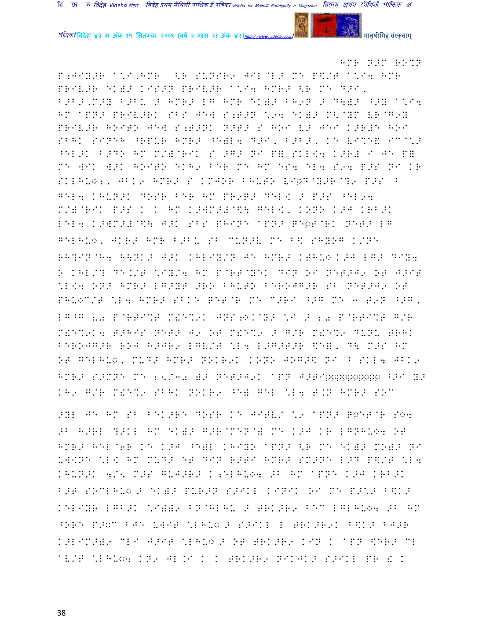*পত্ৰিকা*'বিदेह' ४२ म अंक १५ सितम्बर २००९ (वर्ष २ मास २१ अंक ४२)http://www.videha.co.in<sup>/ Haman</sup> सम्बं<sup>द</sup>ि मानुषीमिह संस्कृताम् HMR N>M RO%N P;JIY>R A\*I,HMR <R SUNSR9 JIL@L> ME P\$/T A\*I4 HMR PRIV>R EK)> KIS>N PRIV>R A\*I4 HMR> <R ME D>I, B>B>,M>Y B>BU > HMR> LG HMR EK)> BH9N > D\)> ^>Y A\*I4 HM APN> PRIV>RK SBS JEW S;T>N \*94 EK)> M<@YM VR@G9Y PRIVADO HOITO JENE STARDOV DRAM STADIO ALE JENI VORAD HOI V SBHK SINEH BHE SHINEH SINEH HORA HAGA SHE VI DA BATHE AT TUR  $\mathcal{F}$  by the state of the second state  $\mathcal{F}$  and  $\mathcal{F}$  are stated in the state  $\mathcal{F}$  and  $\mathcal{F}$ ME WIK WIK BER WIK BER ME HOLD ES DIE SAAM DIE HOOGSTE DIE DIE S SCLEAROS, JBK0 HORES S COMPAR BARBEN BHOM ORDEN BEST P GEL4 KHUNDA DELENGAN BER HUNDER BER HUNDER HOGE DEL PRESSIONEN DEL EN 1944

M/)@RIK P>S K K HM K>WM>#@\$\ GEL[, KONO K>J KRB>K LEL4 K>WM>#@\$\ J>K SBS PHINE APN> QE◌़T@RK NET> LG

BREAG, ANDER AND BELGHUNGEN TO BE SANDE CUNS

RH?IN@H4 H\NK> J>K KHLIY/N JE HMR> KTHU◌K>J LG> DIY4

O KHL/? DE./T \*IY/4 HM P@RT@YEK DIN OI NET>J9 OT J>IT \*L[4 ON> HMR> LG>YT >RO BHUTO BEROJG>R SB NET>J9 OT PHIOTIE NEARPER PHIN BREEK DR THORAGE OF SPECIES AND SERVICE

LG^G 80 P@RTI%T M!E%9K JNS;◌़.@Y> \*I > 20 P@RTI%T G/R MESTELA TERPIT PSER PE DE MESTE DI PUBLIMENTE MEDIU EBRI BSBR ROW HOWER INLET ME LONGER \$PE, NE TOO BT OF BALAIO, MISA KORP KONO JOGO JOGO SKURS KONO I SVL4 JBK

 $\#T\oplus \mathbb{P}$  so the mean  $\mathbb{P}^1$  , the solution  $\mathbb{P}^1$  and  $\mathbb{P}^1$  is the solution of  $\mathbb{P}^1$  and  $\mathbb{P}^1$  is the solution of  $\mathbb{P}^1$  and  $\mathbb{P}^1$  is the solution of  $\mathbb{P}^1$  and  $\mathbb{P}^1$  and  $\math$ 

>YL JE HM SB BEK>RE DOSR KE JITV/ \*9 APN> Q◌़ET@R S◌4

>B H>RL ?>KL HM EK)> G>R@MEN@) ME K>J KR LGNHU◌4 OT

KHUSER (HIN) MER PURPER KOSA PERUSA DEN HUNO BER KORBORI

BOAR SOCH BOOK OI BE BURKER SAMIL IN SANTO OP DIE BANK FRIE

^ORE P\$POT FAR CAPPE CEPICO B SUPCIE I SPECIFIES FICE FARE

K>LIM>)9 CLI J>IT \*LHU◌> OT TRK>R9 KIN K APN \$ER> CL

AVA/T T THE ROOM OF SHIPLE AND THE UNIT CONFIDENCIAL PROPERTY OF THE UNIT OF THE INTERFERING IN A SET OF THE S

KELIYA BOLGAN LAGUN DI BATAN BULUNGAN BANG BAGIN DAN SANG BAGING BAGIN BANG BAGIN BAGIN BAGIN BAGIN BAGIN BAGI

HORP HELDE SHIVO APPLICATION APPLICATION ARE ON HOLE ONE APPLICATION UWEDA (1831) AD JOURA AS RAD RABA SERIA SOMARA SAR SROS DISS

KH9 G/R MESTA SEHK SENGAN SPECIES OLEH SOCKER SOC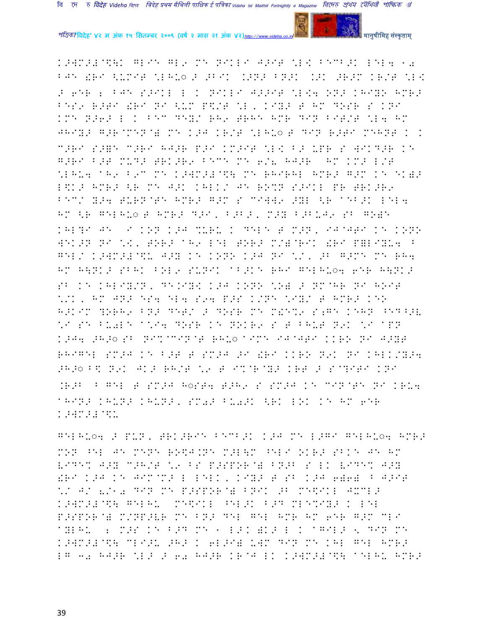*भविका*'विदेह' ४२ म अंक १५ सितम्बर २००९ (वर्ष २ मास २१ अंक ४२)http://www.videha.co.in<sup>/ मा</sup>नामी करती है । मानुषीमिह संस्कृताम्



GREENS: PUN, PRIPROGRAM BECK CHANNEL PROGRAMMENT MON POSTAJE MENE ROŠTA SE MENE MENE JE MENE MONTE MELI OKRAJE JE HOVA SA S BANNON ASSOCIATE ON A PORTIFICE OF A BUILDING AND A LANGUAGE !RI K>J KE JIM@M> L LELK, KIY> T SB K>J 6)6) ^ J>IT \*/ J/ 8/10 DIN ME P>SPOR@) BNIK >B ME\$IKL JXCL> KOR# DOGELA ME BELING DI DARI DI SEBELA DI SENEGA DI SEBELA DI SEREGA DI SEREGA DI SEREGA DI SEREGA DI SEREGA P>SPOR@) M/NP>VR ME BN> DEL GEL HMR HM 6ER G>M CLI MBEAD 2 MONEY ON FURNISH AN EURO BOURGE ON MARE 2 NORMALS ON KO A A COLA E CUNTA DIN ME KU SHI GEL GUNU DIN ME KHL GEL HOLD DIN ME KHL GEL HOLD DIN ME KU GEL HOLD DIN ME K LG 30 HJ>R \*L> > 60 HJ>R KR@J LK K>WM>#@\$\ AELHU HMR>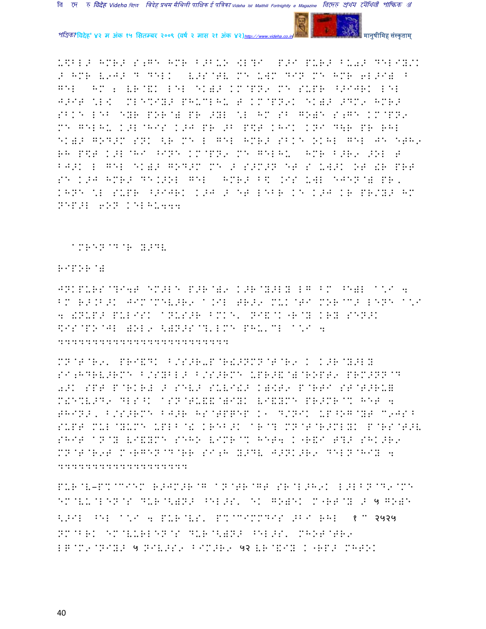U\$BL> HMR> S;GE HMR B>BUO [L?I P>I PUR> BU0> DELIY/K > HMR V9J> D DELK V>S@TV ME UWM DIN ME HMR 6L>I) ^ GEL HM 2 REMOVALE SIGN COMPRESS OF SUPR CHANGE IS JOURNEY THAT FRITH FOUNDRIES NIE PHUR RUBB SBKE LEB EYR POR@) PR >YL \*L HM SB GO)E S;GE KM@PN9 ME GELHU KUR SAYA KURA PAT PR PR PR KANI KAT KURA SARA PAT BAR EK)> GOD>M SNK <R ME L GEL HMR> SBKE OKHL GEL JE ETH9 RH P\$T K>L@HI ^INE KM@PN9 ME GELHU HMR B>R9 >OL T BAJO E ANE NIED ANAGU UN DE KOUDE NA E LAGO NA EN SA UPP SE K>J HMR> DE.>OL GEL HMR> B\$ .IS UWL EJEN@) PR, KHOR SUPR FLAND KIN KAN BAID KA KIN KE KE KE KE K NEP>L 6ON KELHU444

AMREN@D@R Y>DV

RIPOR@)

JNKPURS@?I4T EM>LE P>R@)9 K>R@Y>LY LG BM ^E)L A\*I 4 BM R>.B>K JIM@MEV>R9 A.IL TR>9 MUK@TI MOR@C> LENE A\*I 4 !NUP> PULISK ANUS>R BMKE' NI&@K"R@Y KRY SEN>K  $\frac{1}{2}$  ,  $\frac{1}{2}$  ,  $\frac{1}{2}$  ,  $\frac{1}{2}$  ,  $\frac{1}{2}$  ,  $\frac{1}{2}$  ,  $\frac{1}{2}$  ,  $\frac{1}{2}$  ,  $\frac{1}{2}$  ,  $\frac{1}{2}$  ,  $\frac{1}{2}$  ,  $\frac{1}{2}$  ,  $\frac{1}{2}$  ,  $\frac{1}{2}$  ,  $\frac{1}{2}$  ,  $\frac{1}{2}$  ,  $\frac{1}{2}$  ,  $\frac{1}{2}$  ,  $\frac{1}{$ 

#### 4444444444444444444444444

MOTOR TO REPORT TO A SOLUTION OF DEVELOPMENT AND TO A REPORT OF THE REPORT OF THE RESIDENCE  $\mathbb{R}^2$ SI;HDRV>RME B/SYBL> B/S>RME UPR>&@)@ROPT9 PRM>NN@D 0>K SPT P@RKR# > SEV> SUVI!> K)[T9 P@RTI ST@T>RU= MES VELATA INTERFERIOREA DE SERBO EL EREDOREA EN ASTROLOGIA EN 1989. HET 4 THINDIS, BIZZIED BOBER HZ METHATO CHO PODIS CONDITIES OVER K SUPT MULD MULPS UPLAYE WAS ARRESTED ON THE PARAMETER OF THE MARCHINE. SHIT AN@Y VI&YME SEHO VIMR@% HET4 K"R&I T?> SHK>R9 MN TO RESPONSE MATCHED SIGNED AND SIGNED AND THE SIGNED AS

4444444444444444444 PUR@V–P%@CIEM R>JM>R@G AN@TR@GT SR@L>H9K L>LBN@D9@ME EM@VU@LEN@S DUR@<)N> ^EL>S' EK GO)EK M"RT@Y > ५ GO)E ELECT AFFILIANCE PURCHER PURCHASING DESCRIPTION OF 2929

NM@BRK EM@VURLEN@S DUR@<)N> ^EL>S' MHOT@TR9

LQ@M9@NIY> ५ NIV>S9 BIM>R9 ५२ VR@&IY K"RP> MHTOK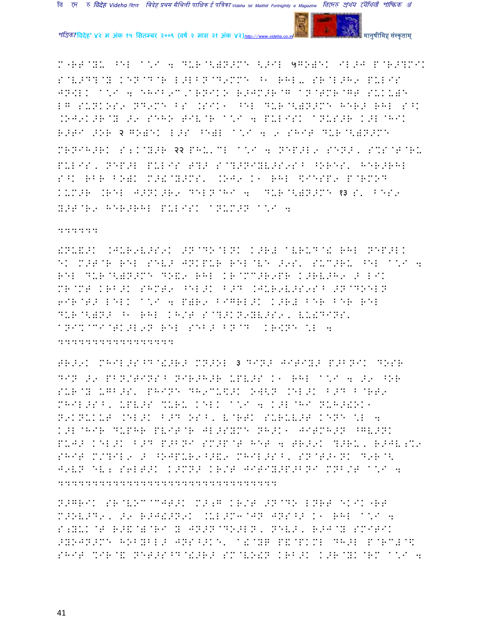

S@V>D?@Y KEN@D@R L>LBN@D9MME ^1 RHL- SR@L>H9 PULIS JN[LK A\*I 4 EHIB9C,ARNIKO R>JM>R@G AN@TMR@GT SUKU)E LG SUNKOS9 ND9ME BS .SIK1 ^EL DUR@<)N>ME HER> RHL S^K .OJ9K>R@Y >9 SEHO TIV@R A\*I 4 PULISK ANUS>R K>L@HIK R>TI >OR २ GO)EK L>S ^E)L A\*I 4 9 SHIT DUR@<)N>ME MRNIH>RK S;.@Y>R २२ PHU'CL A\*I 4 NEP>L9 SEN>, S%S@T@RU PULIST, POPPEL PULIST PULIS TO PULIS TRANSPORTED TO PORTION AT A PROPERT S^K RBR BO)K M>!@Y>MS' .OJ9 K1 RHL \$IESP9 P@RMOD KUMBER .REL HBRIER THER DEL STEETHER NEWS 8 STREET Y>T@R9 HER>RHL PULISK ANUM>N A\*I 4

### $44444444$

!NU&>K .JUR9V>S9K >N@DO@LNK K>R# AVRUD@! RHL NEP>LK EK M>T@R REL SEV> JNKPUR REL@VE >9S' SUC>RU ^EL A\*I 4 REL DUR@<)N>ME DO&9 RHL KR@MC>R9PR K>RV>H9 > LIK MR MT KORBON SHMT KRABA SHOWS OF THE SHOW SELFIGE AN OUR SERVED IN 6IR@T> LELK A\*I 4 P)R9 BIGRL>K K>R# BER BER REL DUR@SHRL KHRL KH/T S@?DINSYVALIPSY, UNIDERSY ANI%@CI@TK>L9N REL SEB> BN@D KR[NE \*L 4

## 44444444444444444

TROPK MENTER PENDAPA MERANTI 3 PARA HAPPARA BURGHAN MENYE DIN DIN BIRGININ PUSPIN KELAT IN PHE AAN A DIN ASP SUR@Y UGB>S' PHINE DH9CU\$>K OW<N .EL>K B>D B@RT9 MHIL>S^, UPV>S %URU KELK A\*I 4 K>L@HI NUH>!OK1 NG DI LEVIS EL PERSONE . ELEBET . VERSIONE EL 19 KOR DER POIT DE PRINS DE GEORGIE DE PRINS AN GROEP NEEDS DE SIN PUJPS (1981) FSP PSP PARTICE PROPERTY SERVICE TO PARTICE AND SHIT MARING & SHIT MHILD MHILF MESS ON STRIP OF THE T J9VN EV; S6LT>K K>MN> KR/T JITIY>P>BNI MNB/T A\*I 4 44444444444444444444444444444444

N>GRIK SR@VOC@CJT>K M>;G KR/T >N@DO LNRT EKIK"RT M>OV>D9, >9 R>J!>N9K .UL>M3@JN JNS^> K1 RHL A\*I 4 S:YUK@T RI PARTIE Y AND ARRAIN Y LORDER DOOD HAR LORDER STYLE >YOJN>ME HOBYBL> JNS^>KE' A!@YQ P&@PKML DH>L P@RC#@\$  $S$  , and the string in the string in the string in the string in the string in the string in the string in the string in the string in the string in the string in the string in the string in the string in the string in th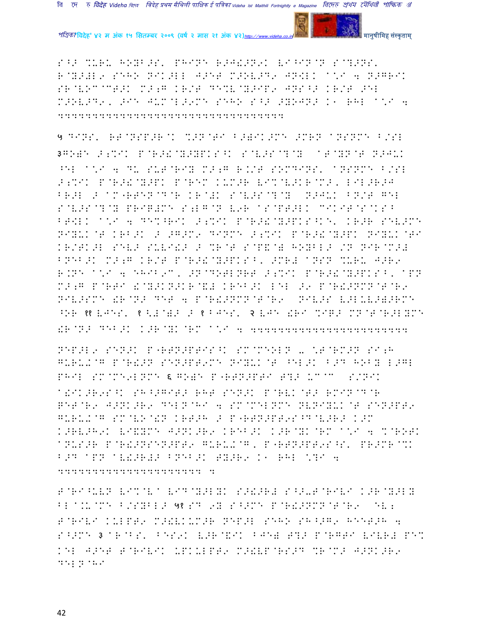$S^*$  , the state of the state results of the state results of the state  $\mathcal{S}$ R@Y>#L9 SEHO NIK>LL J>ET M>OV>D9 JN[LK A\*I 4 N>GRIK SR@VOC@CT>K M>;G KR/T DE%V@Y>IP9 JNS^> KR/T >EL M>OV>D9, >IE JUM@L>9ME SEHO S^> >YOJN> K1 RHL A\*I 4 444444444444444444444444444444444

५ DINS' RT@NSP>R@K %>N@TI B>)IK>ME >MRN ANSNME B/SL ३GO)E >;%IK P@R>!@Y>YPKS^K S@V>S@?@Y AT@YN@T N>JUK ^EL A\*I 4 DU SUT@RIY M>;G R./T SOMDINS' ANSNME B/SL >;%IK P@R>!@Y>PK P@REM KUM>R VI%@V>KR@M>, LIL>R>J BR>L > AM"RTEN@D@R KR@#K S@V>S@?@Y N>JUK BN/T GEL S@V>S@?@Y PRIQ#ME S;LG@N V9R AS@PT>LK CIKIT@S@KS^ BTBLESK AT THE RIKE OF A PART OF THE RESIDENCE REPLACE FOR A SEVENTY NIYUK@T KRB>K > >G>M9 DINME >;%IK P@R>!@Y>PK NIYUK@TI KR/TK-SEV-SEV-SEVAR SEVARA SEVARA SEVARA SEVARA SE SEGRA SE SEGRA SE SEGRA SE SEGRA SE SEGRA SE SEGRA SE SEGRA<br>A SEVARA SE SEGRA SE SEGRA SE SEGRA SEGRA SE SEGRA SE SEGRA SE SEGRA SE SEGRA SE SEGRA SE SEGRA SE SEGRA SE SE BNEB>K M>;G KR/T P@R>!@Y>PKS^, >MR# ANSN %URU J>R9 R.NE A\*I 4 EHIB9C, >N@DOTLNRT >;%IK P@R>!@Y>PKS^, APN M>;G P@RTI !@Y>KN>KR@&# KREB>K LEL >9 P@R!>NMN@T@R9 NIV>SME !R@N> DET 4 P@R!>NMN@T@R9 NIV>S V>LUV>)>RME  $\mathcal{P}(\mathbb{R}^n)$   $\mathcal{R}(\mathbb{R}^n)$   $\mathcal{R}(\mathbb{R}^n)$   $\mathcal{R}(\mathbb{R}^n)$   $\mathcal{R}(\mathbb{R}^n)$  and  $\mathcal{R}(\mathbb{R}^n)$  and  $\mathcal{R}(\mathbb{R}^n)$  and  $\mathcal{R}(\mathbb{R}^n)$ RENDA PARAN KAPAK NEMANG A 444444444444444444444

NEP>L9 SEN>K P"RTN>PTIS^K SM@MEOLN - \*T@RM>N SI;H BLELITE PORINT PORINTS ROBIN OF SHERI FROM AND BIRG PHIL SMONDERN & BRENT-REPRIES FIR NOON STRIP

A!IK>R9S^K SH^>GIT> RHT SEN>K P@RVK@T> RMIN@D@R QET@R9 J>NK>R9 DELN@HI 4 SM@MELNME NVNIYUK@T SEN>PT9 GURUH MORTUNG SANG SANG SANG KARA SANG KALENDAR SA PERSONAL K>RV>H9K VI&YME J>NK>R9 KREB>K K>R@YK@RM A\*I 4 %@ROTK ANUS>R P@R!>NSEN>PT9 GURU+@G, P"RTN>PT9S^S' PR>MR@%K BO APP AVENUE IN BUILDEN AV DE BREATH

444444444444444444444 4

TARIOUV VIDA VISITUAL VIDA VIDA VIDA SE VIDA SE SE POLITI KON SE VIDA SO VIDA VIDA SE SE BLE OO DOORSTE BLOEKE BY SOME PARTIES OF THE PARTIES OF THE PARTIES OF THE PARTIES OF THE BUILDING. T@RIVI KULPT9 M>!VKUM>R NEP>L SEHO SH^>G9 HEET>H 4 S^>ME ३ AR@BS' BES9K V>R@&IK BJE) T?> P@RGTI VIVR# PE% KEL J>ET T@RIVIK UPKULPT9 M>!VP@RS>D %R@M> J>NK>R9 DELN@HI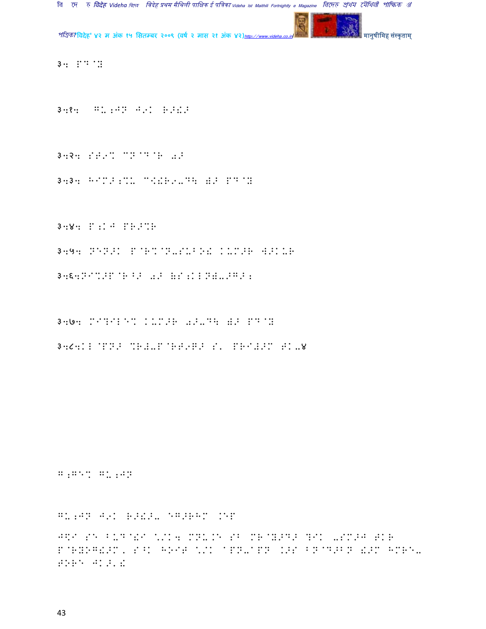43

J\$I SE BUD@!I \*/K4 MNU.E SB MR@Y>D> ?IK -SM>J TKR POBEDBELL SOM BDAR NIM SPRINGS .DE SPONSK ER SEN BND TORE JK>'!

GU;JN J9K ROMAN .EP

G;GE% GU; GU;

३4८4KL@PN> %R#-P@RT9Q> S' PRI#>M TK-४

३५७५ MIRINE ST (12738 GRUPS GRUPPIN

३4६4NI%>P@R^> 0> (S;KLN)->G>;

3494 PRESS PORTHOLISHE CONFERENCE

३4४4 P;KJ PR>%R

3434 HAMPS POL TREEDOM HIM BROWN

 $3434 \cdot 3847 \cdot 1947 \cdot 1947 \cdot 1947 \cdot 1947$ 

 $3484$  GU;  $\pm 31$   $\pm 42$  GU;  $\pm 21$   $\pm 21$ 

 $3: P^2$ 

*পত্ৰিকা*' विदेह' ४२ म अंक १५ सितम्बर २००९ (वर्ष २ मास २१ अंक ४२)http://www.videha.co.in<sup>/ म</sup>ानुष्यी- मानुषीमिह संस्कृताम्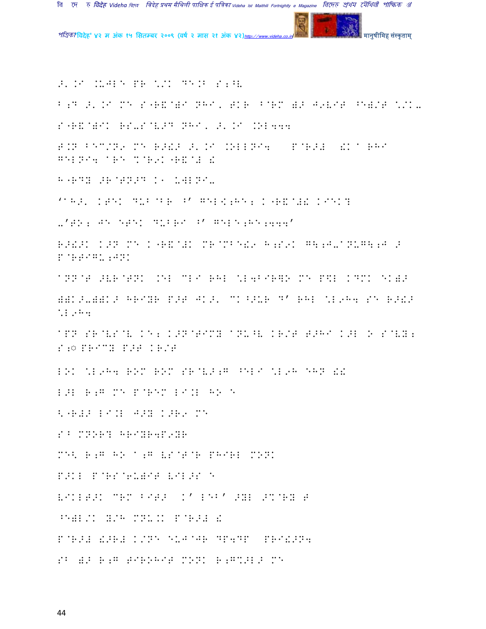T.N BEC/N9 ME R+ 200 ME R+ 200 ME R+ 200 ME R+ 200 ME R+ 200 ME R+ 200 ME R+ 200 ME R+ 200 ME R+ 200 ME R+ 200 GELNI4 ARE %@R9K"R&@# ! H"RDY BEARING OF STREET 'A' GEL (1981) STEK DE CHAR PRESENTE DE GELEE IN AN T  $\mathbb{Z}/45$  et an industry of the part of  $\mathbb{Z}/444$  and  $\mathbb{Z}/444$  et al. R>!>K K>N ME K"R&@#K MR@MBE!9 H;S9K G\;J-ANUG\;J > PORTHUM STORY ANN@T >VR@TNK .EL CLI RHL \*L4BIR]O ME P\$L KDMK EK)> )KA: (PLAA) D-) PP(TA) (PD) (PD) PO D' RHL \*LPH (PD) DA D' RHL (PD) BO BO BO  $\ddots$  is the first set of  $\ddotsc$ APN SR@VS@V KE; K>N@TIMY ANU^V KR/T T>HI K>L O S@VY; S:e PRICH PARTIES LOK \*L9H4 ROM ROM SR@V>;G ^ELI \*L9H EHN !! L>L R;G ME P@REM LI.L HO E R GHAR BOST COMMUNICATION S^ MNOR? HRIYR4P9YR ME< R;G HO A;G VS@T@R PHIRL MONK  $\mathcal{P}$  . The property of the property of the property of the property of the property of the property of the property of the property of the property of the property of the property of the property of the property of th K CRISTINGS OF THE CARD OF THE CARD OF THE CAMERA OF THE CAMERA OF THE CAMERA OF THE CAMERA OF THE CAMERA OF T ^E)L/K Y/H MNU.K P@R># ! P@R># !>R# K/NE EUJ@JR DP4DP PRI!>N4 SB ) R:G TIROHIT MONG R;G TIROHIT MON

*পত্ৰিকা*'বিदेह' ४२ म अंक १५ सितम्बर २००९ (वर्ष २ मास २१ अंक ४२)http://www.videha.co.in<sup>/ Haman</sup> सम्बं<sup>द</sup>े । मानुषीमिह संस्कृताम्

S"R&@)IK RS-S@V>D NHI, >'.I .OL444

>'.I .UJLE PR \*/K DE.B S;^V

B;D 3.1 ME S RADIES IN ME S REPORT OF ALL PRESS IN STRI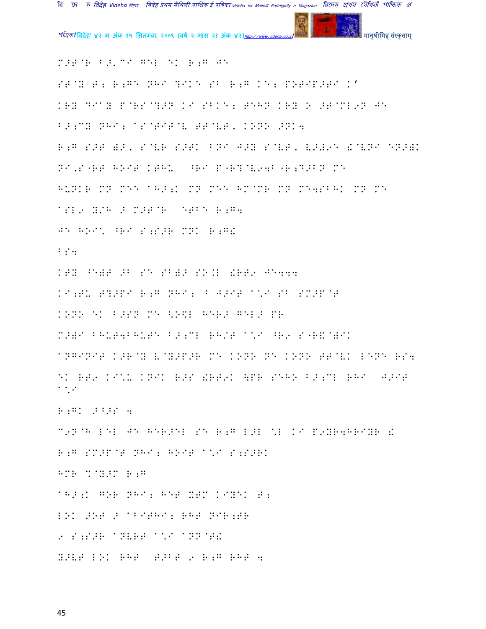Mar Book Book and the Society and Society ST@Y T; R;GE NHI ?IKE SB R;G KE; POTIP>TI K' KRY DIAY P@RS@?>N KI SBKE; TEHN KRY O >T@ML9N JE B>;CY NHI; AS@TIT@V TT@VT, KONO >NK4 R;G S>T )>, S@VR S>TK BNI J>Y S@VT, V>#9E !@VNI EN>)K NI,S"RT HOIT KTHU ^RI P"R?@V94B"R;D>BN ME HUNKR MN MEE AH>;K MN MEE HM@MR MN ME4SBHK MN ME ASL9 Y/H > M>T@R ETBE R;G4 JE HOIX HE FRIETH THE BYS  $\mathcal{F}_{\mathcal{B}}$ THIS PARA SPORT SPRING IN SERVICE AND KI;TU T?>PI R;G NHI; ^ J>IT A\*I SB SM>P@T KONO EK BOSNE ER BOSNE GELD FR MANY PALAMPALAN PRINT BRYANNING BRYANNADING ANGINIT KARAMAT KOMPONIS DI MANGINIT KOMPONIS DAN KARAMAT KONO NE KONO NE KONO NE KONO NE KONO NE KONO NE KONO EK RT9 KI\*U KNIK R>S !RT9K \PR SEHO B>;CL RHI J>IT  $\cdot$   $\cdot$   $\cdot$  $E(H)$   $H$   $H$   $H$   $H$ C9N@H LEL JE HERFIJE I SE RIG LIEL I SE RIG HERHELD I R:G SMART A THAT ASAR MAN STERRE HMR %@Y>M R;G AH>;K GOR NHI; HET XTM KIYEK T; LOK >OT > ABITHI; RHT NIR;TR 9 S;S>R ANVRT A\*I ANN@T! YOUR RESOURCE TO BE SAFETY AND TO BE SERVED AT A RESOURCE A RESOURCE AND RESOURCE A RESOURCE A RESOURCE A RESOURCE A

45

िव <sup>त</sup>ि दिविदेह Videha *विजर विदेह प्रथम मैथिली पाक्षिक ई पत्रिका <sub>Videha Ist Maithili Fortnightly e Magazine वित्मिरु श्रीश्च ट्यैश्चिती পौ<del>फि</del>क औ*</sub>

*পত্ৰিকা*'বিदेह' ४२ म अंक १५ सितम्बर २००९ (वर्ष २ मास २१ अंक ४२)http://www.videha.co.in<sup>/ Haman</sup> सम्बंधियोज्ञानि संस्कृताम्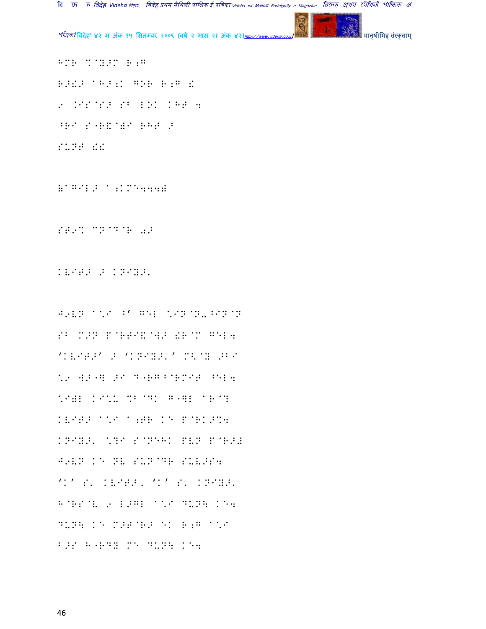ৱি দে *হ বিदेह Videha ৰিজে ৰিবলৈ प्रथम मैथिली पाक्षिक ई पत्रिका <sub>Videha</sub> Ist Maithili Fortnightly e Magazine <i>ৱিদেহ প্ৰথম মৌথি*লী পাক্ষিক \$

*পত্ৰিকা*'বিदेह' ४२ म अंक १५ सितम्बर २००९ (वर्ष २ मास २१ अंक ४२)http://www.videha.co.in<sup>/ Haman</sup> सम्बं<sup>द</sup>े । मानुषीमिह संस्कृताम्

HMR %@Y>M R;G R>!> AH>;K GOR R;G ! 9 .IS@S> SB LOK KHT 4 ^RI S"R&@)I RHT > SUNT SE

 $\mathbf{H}^{\star}$  and  $\mathbf{H}^{\star}$  and  $\mathbf{H}^{\star}$  and  $\mathbf{H}^{\star}$ 

ST9% CONDITIONS

KVIT> > KNIY>'

J9VN A\*I ^' GEL \*IN@N-^IN@N SB MAR PORTING MARKET NY ESPERANT NY PARELAMPER DESAM  $\mathcal{L} \rightarrow \mathcal{L} \rightarrow \mathcal{L}$  , where  $\mathcal{L} \rightarrow \mathcal{L}$  and  $\mathcal{L} \rightarrow \mathcal{L}$ \*I)L KI\*U %B@DK G"]L AR@? KARI YA KATA HA; KATA HA TRANK AND POSSESS PROPERTY J9VN KE NV SUNDA SUNDA SUNDA SUNDA SUNDA SUNDA SUNDA SUNDA SUNDA SUNDA SUNDA SUNDA SUNDA SUNDA SUNDA SUNDA SUND N' K' K' KERARI , N' K' K' S' KRAHA. H@RS@V 9 LPH ATCH ATCH BURGET OF THE REAL BEARING BBS HARDY ME DUNG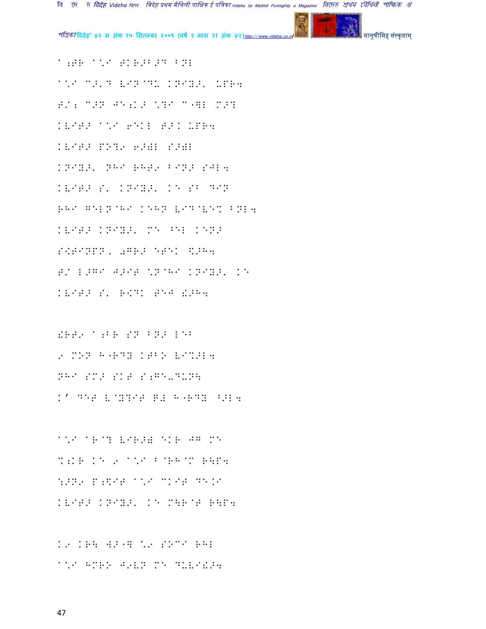KS KRA WORK WORK WORK Atom Hope Journal of the Medical Property of the Department of the Department of the Department of the Department of the Department of the Department of the Department of the Department of the Department of the Department

A\*I AR@? VIR>) EKR JG ME %;KR KE 9 A\*I B@RH@M R\P4 :>N9 P;\$IT A\*I CKIT DE.I KKIRK KURTA KURTA KAN

RT9 A;BR SN BN BN BN 9 MON H"RDY KTBO VI%>L4 NHI SM> SKT S;GE-DUN\ K' THE L'OURSE BE HAPPE SHER

A\*I C>'D VIN@DU KNIY>' UPR4 H/; TAR ANGLA NHK TAH: CAR KLARA TO AT 1991 BRIDGE KVIT STRA POPULAR DE LA SANTO DE LA SANTO DE LA SANTO DE LA SANTO DE LA SANTO DE LA SANTO DE LA SANTO DE LA SA<br>LA SANTO DE LA SANTO DE LA SANTO DE LA SANTO DE LA SANTO DE LA SANTO DE LA SANTO DE LA SANTO DE LA SANTO DE LA TIMIK THA RHEA SATE RHTM KAVAR KORTA KAN SE SE RHI GELAND VIDE KEHN VIDE BIG KITHIN KURITI INI KUTHA KU SCHEDEN, GREENSBERG BIRG THO LONG AND THE REPORT OF THE REAL PROPERTY OF THE REAL PROPERTY OF THE REAL PROPERTY OF THE REAL PROPERTY OF KRITE S' RICH BLAND

*পত্ৰিকা*'বিदेह' ४२ म अंक १५ सितम्बर २००९ (वर्ष २ मास २१ अंक ४२)http://www.videha.co.in/ मानुष्य के अंबिकेट संस्कृताम्

A; TR AT BILLER BOB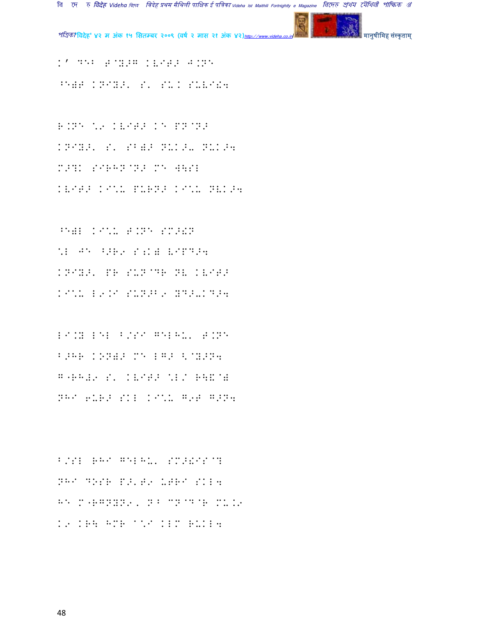B/SL RHI GELHU SMIRI S NHI DOSR PALAR SHER SKIL4 HE M"RGNYN9, N^ CN@D@R MU.9 KR AFI KR KARA KRAIN

LITE EN FIRE WHEEL BIDS BOR KONSTANDING (MARTING) G"RH#9 S' KVIT> \*L/ R\&@) NHI 6URI KI SKU GARA GIR

**PART CAN SMOKE SMART**  $\mathcal{L} = \mathcal{L} \times \mathcal{L} = \mathcal{L} \times \mathcal{L}$  , which is the set of  $\mathcal{L} = \mathcal{L} \times \mathcal{L}$ KNIYA YE SUNDER NAV KURI KI\*U L9.I SUNDA YOURS

R.NE \*9 KVIT> KE PN@N> KNIY>' S' SB)> NUK>- NUK>4 M>?K SIRHN@N> ME W\SL KITO KITO INDIA KATA NJI

K' DEB T@YBAR (1879) AND ' PHE CONDUCT STATE STAND

*পত্ৰিকা*' विदेह' ४२ म अंक १५ सितम्बर २००९ (वर्ष २ मास २१ अंक ४२)http://www.videha.co.in<sup>/ म</sup>ानुष्यी- मानुषीमिह संस्कृताम्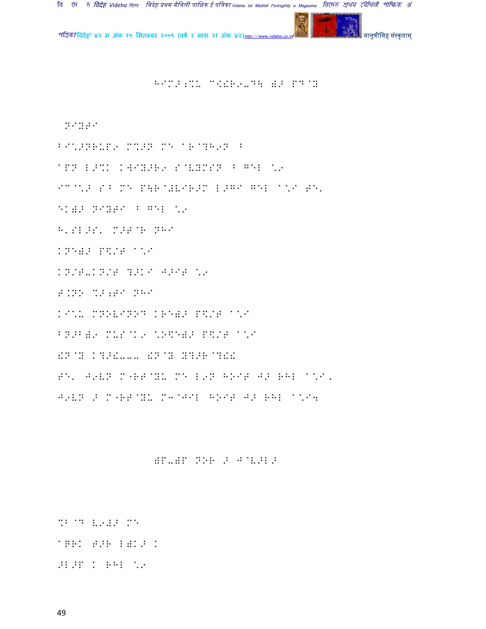49

>L>P K RHL \*9

ARRAIGHE THE RELIEVE

 $\mathcal{B}$  , and  $\mathcal{B}$  , and  $\mathcal{B}$  , and  $\mathcal{B}$ 

## )P-)P NOR (1995) P NOR (1995) P NOR (1995) P NOR (1995) P NOR (1995) P NOR (1995) P NOR (1995) P NOR (1995) P NOR (1995) P NOR (1995) P NOR (1995) P NOR (1995) P NOR (1995) P NOR (1995) P NOR (1995) P NOR (1995) P NOR (199

 $\mathcal{L}$  , which is a function of  $\mathcal{L}$ KNOTES THE SALE OF T.NO %>;TI NHI KI\*U MNOVINOD KREJ PRINCIPALA BN>B)9 MUS@K9 \*O\$E)> P\$/T A\*I  $1.7$  M  $1.7$   $1.7$   $1.1$   $1.1$   $1.1$   $1.1$   $1.1$   $1.1$   $1.1$   $1.1$   $1.1$   $1.1$   $1.1$   $1.1$ TE' AND THE TE TA L9N HONE AF RHILL AT J9VN > M"RT@YU M3@JIL HOIT J> RHL A\*I4

NIYTI

BIR STREET : STREET H'SLOVE MARTING

BITS MANUSCRIPS ME AREA

APPROXIMATION CONTINUES IN THE RESIDENCE OF THE RESIDENCE OF THE RESIDENCE OF THE RESIDENCE OF THE RESIDENCE O

IC ON SOME PARTICULARLY EVER AND CONTROL

HATS FIL TARRALIN BS PICE

*পত্ৰিকা*'বিदेह' ४२ म अंक १५ सितम्बर २००९ (वर्ष २ मास २१ अंक ४२)http://www.videha.co.in<sup>/ Haman</sup> सम्बं<sup>द</sup>े । मानुषीमिह संस्कृताम्

िव <mark>दम ह विदेह Videha</mark> बिल्ह विदेह प्रथम मैथिली पाक्षिक ई पत्रिका <sub>Videha</sub> ist Maithili Fortnightly e Magazine *विदमह श*श्र दगैशिती পाष्क्षिक औ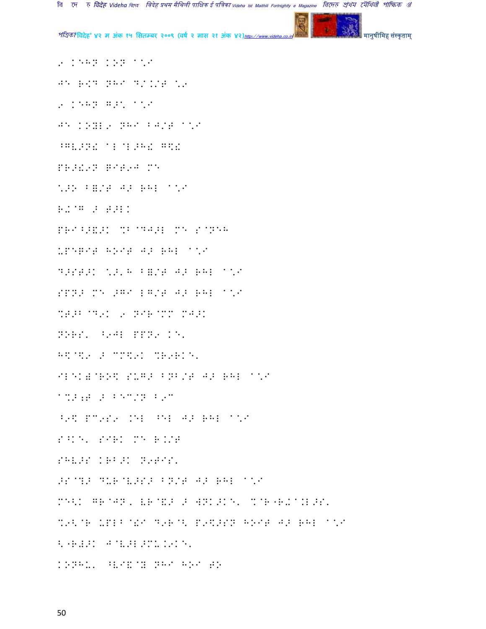*পত্ৰিকা*'বিदेह' ४२ म अंक १५ सितम्बर २००९ (वर्ष २ मास २१ अंक ४२)http://www.videha.co.in<sup>/ Hamak</sup> सम्बंदियो मानुषीमिह संस्कृताम् 9 KEHN KON A\*I JE RIJE DA NJIJIH VI  $9.5$  KeH Gay  $9.5$ JE KOYL9 NHI BJ/T A\*I ^GV>N! AL@L>H! G\$! PR>!9N QIT9J ME \*>O B=/T J> RHL A\*I RICH BOBY PRI^>&>K %B@DJ>L ME S@NEH UPSBAR HOAR WE BHL ATA DRIESE TIELE FRIJE AF RHE ATA SPND CHANNEL AF BAILING %T>B@D9K 9 NIR@MM MJ>K NORSY PRODUCED AT A STREET H\$@\$9 > CM\$9K %R9RKE' ILEK)@RO\$ SUG-BUD-BUD-BAD-AFI DISPORTA As a set of the set of the set of the set of the set of the set of the set of the set of the set of the set of the set of the set of the set of the set of the set of the set of the set of the set of the set of the set of ^9\$ PC9S9 .EL ^EL J> RHL A\*I  $S^{\text{R}}(X, \mathbb{R})$  since  $S^{\text{R}}(X, \mathbb{R})$  and  $S^{\text{R}}(X, \mathbb{R})$ SHER SHIP SARRI >S@?> DUR@V>S> BN/T J> RHL A\*I MES AND AN INTERNATIONAL AND A SERVE AND A SERVE AND A SERVE AND A SERVE AND A SERVE AND A SERVE AND A SERVE A %9<@R UPLB@!I D9R@< P9\$>SN HOIT J> RHL A\*I When the state of the state of the state of the state of the state of the state of the state of the state of t<br>Model of the state of the state of the state of the state of the state of the state of the state of the state o KONHU' ARABAN NHA ADA AD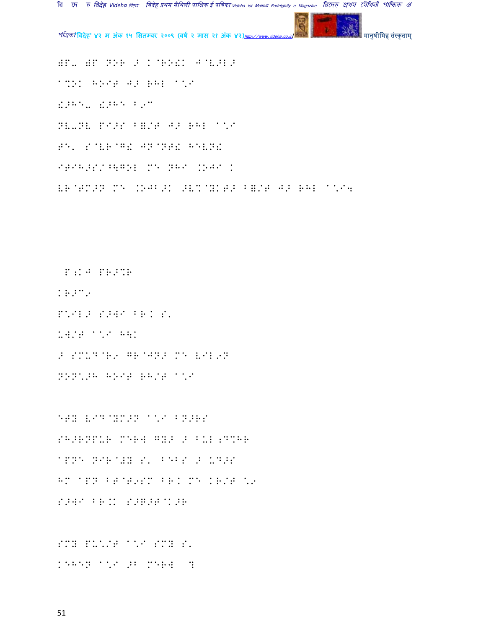SMY PU\*/T A\*I SMY STATE KAHEN AT MERGE

ETY AFRICA AT A PART A FRICA AT A PART AND A PART AND A STRONG AND A STRONG AT A PART AND A PART AND A PART AN<br>RS AND A RS AND A PART AND A PART AND A PART AND A PART AND A PART AND A PART AND A PART AND A PART AND A PART SH>RNPUR MERW GY> > BUL;D%HR APNE NIR@#Y S' BEBS > UD>S HM APN BT@T9SM BR. ME KR/T \*9 S>WI BR.K S>Q>T@K>R

KR>C9 P\*IL> S>WI BR. S' UW/T A\*I H\K > SMUD@R9 GR@JN> ME VIL9N NON-H HOIT RH/T AT

P;KJ PR>%R

!>HE- !>HE B9C NAMES AND RELEASED AND RELEASED AND RELEASED AT 2012 FR. FARME WE SPIRE WHERE ITIHAS I TI TIHO DATI RATHER THOUGH AN ARTISER FROM AF RHE TORE

*পত্ৰিকা*'বিदेह' ४२ म अंक १५ सितम्बर २००९ (वर्ष २ मास २१ अंक ४२)http://www.videha.co.in<sup>/ Haman</sup> सम्बं<sup>द</sup>े । मानुषीमिह संस्कृताम्

)P- )P NOR > K@RO!K J@V>L>

A MOK HOIT HOIT IS A RHL AT A THAT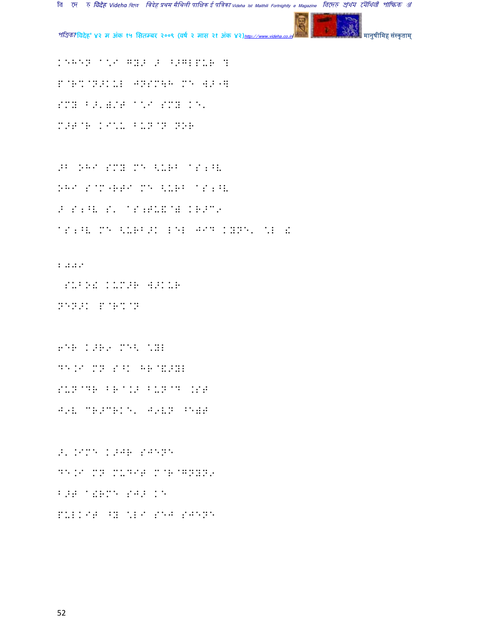>'.IME K>JR SJENE DE.I MUDIT MARKET MARKET BBC AND SHOP SHOP PULKIT OP SIN STAR SANDY

6ER K>R9 ME< \*YL BE.I MARKET STRAIN STRAIN SUNDER BROOK BUNDER J9V CRAME TO CREAT THE CREAT

 $2.0022$ SUBOR WORKSHOUR NENSK PORT

OHI SMY HEAS; TA ALLEY ASSAME  $\mathcal{S}$  ,  $\mathcal{S}$  ,  $\mathcal{S}$  ,  $\mathcal{S}$  ,  $\mathcal{S}$  ,  $\mathcal{S}$  and  $\mathcal{S}$  are  $\mathcal{S}$  . The set of  $\mathcal{S}$ AS;^V ME AS;^V ME CONTROLLER AND CONTROLLER

KAHEN AT GEHEN AT GEHEN AFTER P@R%@N>KUL JNSM\H ME W>"] SMY BALLASH (1991) M>T@R KI\*U BUN@N NOR

>B OHI SMY ME <URB AS;^V

ৱি দে *হ বিदेह Videha ৰিজে ৰিবলৈ प्रथम मैथिली पाक्षिक ई पत्रिका <sub>Videha</sub> Ist Maithili Fortnightly e Magazine <i>ৱিদেহ প্ৰথম মৌথি*লী পাক্ষিক \$

*পত্ৰিকা*' विदेह' ४२ म अंक १५ सितम्बर २००९ (वर्ष २ मास २१ अंक ४२)http://www.videha.co.in<sup>/ म</sup>ानुष्यी- मानुषीमिह संस्कृताम्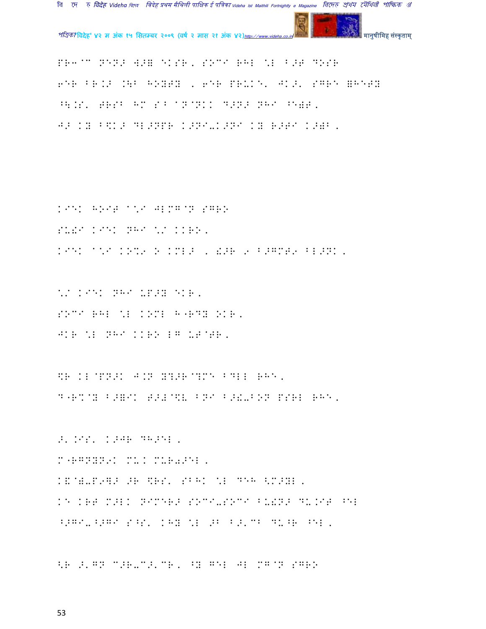िव <sup>रा</sup>प रु विदेह Videha <sub>विपद</sub> विदेह प्रथम मैथिली पाक्षिक ई पत्रिका <sub>Videha Ist Maithili Fortnightly e Magazine *विरमरु श*थंग रंगैथिली পोष्किक औ</sub>

*পত্ৰিকা*' विदेह' ४२ म अंक १५ सितम्बर २००९ (वर्ष २ मास २१ अंक ४२)http://www.videha.co.in/ मानुष्य स्थितिकामिह संस्कृताम्

PR3@C NEN> W>= EKSR, SOCI RHL \*L B>T DOSR 6ER BR.> .\B HOYTY , 6ER PRUKE' JK>' SGRE =HETY  $^\circ$  TRSB HM SO AND STRAINS DO NOT TRANSPORTED A NAME OF  $^\circ$ J> KY B\$K> DL>NPR K>NI-K>NI KY R>TI K>)B,

KIEK HOIT AT AFITH THE SHEP SU KIEK NHI KIEK NHI KIEK NHI KIEK NHI KIEK NHI KIEK NHI KIEK NHI KIEK NHI KIEK NHI KIEK NHI KIEK NHI KIEK NHI KIEK A TOMOGRAFIJSKI STRANDAR (\* 1939)

 $\mathcal{L}$  is the set of  $\mathcal{L}$  in the set of  $\mathcal{L}$  is the set of  $\mathcal{L}$ SOCIAL TRANSPORTATION JKR \*L NHI KKRO LG UT@TR,

\$R KL@PN>K J.N Y?>R@?ME BDLL RHE, D"R%@Y B>=IK T>#@\$V BNI B>!-BON PSRL RHE,

>'.IS' K>JR DH>EL, M"RGNYNSK MURDER K&@)-P9]> >R \$RS' SBHK \*L DEH <M>YL, KA KRET MARK DATANG SOCIALISMO PULIPA ANG PARTI ^>GI-^>GI S^S' KHY \*L >B B>'CB DU^R ^EL,

KR GLAD THRITANIA I HE AND AN INA SAGRA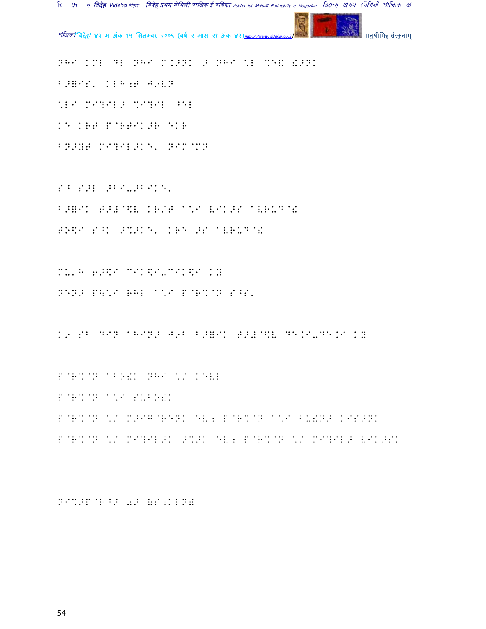NI%>P@R^> 0> (S;KLN)

PORTUBE ABOUT AN INDUSTRIE P@R%@N A\*I SUBO!K P@R%@N \*/ M>IG@RENK EV; P@R%@N A\*I BU!N> KIS>NK P@R%@N \*/ MI?IL>K >%>K EV; P@R%@N \*/ MI?IL> VIK>SK

K9 SB DIN AHINO DER IN DER IN DER IN DEL IN DEL IN DER IN DER IN DER IN DER IN DE

MU'H 635 CHANNEL CHANNEL NENS PARK AND THE PARK SON

S^ S>L >BI->BIKE'

B>=IK T>#@\$V KR/T A\*I VIK>S AVRUD@! TO\$I S^K >%>KE' KRE >S AVRUD@!

NHI KML DL NHI M. BSHOW: ISO HOW \*LI MI?IL> %I?IL ^EL KA KRETTERING ALE BND-RICHT MIRINE

िव <sup>त</sup> ह विदेह Videha <sub>विष्य</sub> विदेह प्रथम मैथिली पाक्षिक ई पत्रिका <sub>Videha Ist Maithili Fortnightly e Magazine *वि*(मह *শ্র*থম মৌথিলী পাক্ষিক \$</sub>

*পত্ৰিকা*' विदेह' ४२ म अंक १५ सितम्बर २००९ (वर्ष २ मास २१ अंक ४२)http://www.videha.co.in<sup>/ म</sup>ानुष्यी- मानुषीमिह संस्कृताम्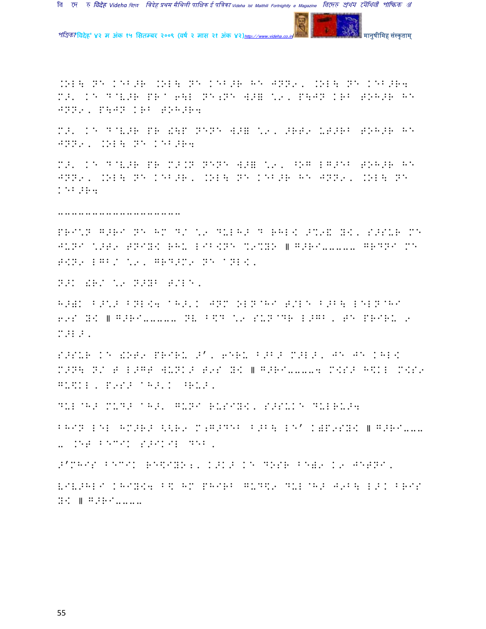*পত্ৰিকা*'বিदेह' ४२ म अंक १५ सितम्बर २००९ (वर्ष २ मास २१ अंक ४२)http://www.videha.co.in<sup>/ Haman</sup> सम्बं<sup>द</sup>े । मानुषीमिह संस्कृताम्

.OL\ NE KEB>R .OL\ NE KEB>R HE JNN9, .OL\ NE KEB>R4 MOVING ON THE PROPERTY OF STRIKE WORKSHIP WAS ARRESTED FOR THE WORK OF THE WORK TO ANNUAL MANUFACTURE OF THE WORK TO JNN9, P\JN KRB TOH>R4

M>' KE D@V>R PR !\P NENE W>= \*9, >RT9 UT>RB TOH>R HE JNN9, .OL\ NE KEB>R4

MA: KE DOOR DE BEWONDER DE DE GEBOON DE VOORSTELDE WAARDE WAARDE DE VOLGEBIJGE TOE DE VOLGEBIJGE DE VAN DE GEB JNN9, .OL\ NE KEB>R, .OL\ NE KEB>R HE JNN9, .OL\ NE KEB>R4

------------------

PRINT GRAM DI STORY ON DIRACTOR DE SONO DI SONO DI PO JUNI TIRA BERBI BAL ERFIRM TITEN MERKILLILI BERRI TM HAND EARLY TO SHARE AND THE ANNOUNCEMENT OF AN

N: R/ \*9 N/ \*9 N/ \*9 N/ \*9 N/ \*9 N/ \*9 N/ \*9 N/ \*9 N/ \*9 N/ \*9 N/ \*9 N/ \*9 N/ \*9 N/ \*9 N/ \*9 N/ \*9 N/ \*9 N/ \*9

H>)K B>\*> BNL[4 AH>'K JNM OLN@HI T/LE B>B\ LELN@HI 69S Y[ ॥ G>RI----- NV B\$D \*9 SUN@DR L>GB, TE PRIRU 9  $T \mathcal{M} \mathcal{M}$ 

S>SUR KE !OT9 PRIRU >', 6ERU B>B> M>L>, JE JE KHL[ MARA (P. G. E. P. P. GLISTA GRAN DE WORK-LILLIA MEER ARTE MEER GU\$KL, P9S> AH>'K ^RU>,

DULAH DENGAN PRANTISYON DAN KERAJAAN DENGAN KALENDAR DENGAN KALENDAR DENGAN KALENDAR DENGAN KALENDAR DENGAN KA

BHIN LEL HOS DEB BOOK DIS BOOK BOOK IN THE BOOK IN THE BOOK.  $\mathbb{Z}^{\mathbb{Z}}$  . The contribution of  $\mathbb{Z}^{\mathbb{Z}}$  is the contribution of  $\mathbb{Z}^{\mathbb{Z}}$ 

>'MHIS BECIK RE\$IYO;, K>K> KE DOSR BE)9 K9 JETNI,

VIV>HLI KHIY[4 B\$ HM PHIRB GUD\$9 DUL@H> J9B\ L>. BRIS  $\dddot{\mathbf{u}}$   $\dddot{\mathbf{v}}$   $\mathbf{v}$   $\mathbf{v}$   $\ddot{\mathbf{v}}$   $\dddot{\mathbf{v}}$   $\ddot{\mathbf{v}}$   $\ddot{\mathbf{v}}$   $\ddot{\mathbf{v}}$   $\ddot{\mathbf{v}}$   $\ddot{\mathbf{v}}$   $\ddot{\mathbf{v}}$   $\ddot{\mathbf{v}}$   $\ddot{\mathbf{v}}$   $\ddot{\mathbf{v}}$   $\ddot{\mathbf{v}}$   $\ddot{\mathbf{v}}$   $\ddot{\mathbf{v}}$   $\ddot{\mathbf{v}}$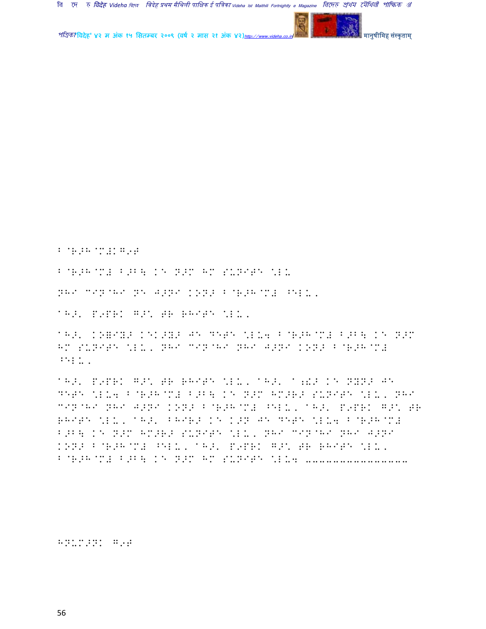AH) P9PRK GPA BE PHYRN MELL AHO, AHD IN NORD GY DER NEDE FORFENDE FRAN DIE BROHEN SURFEN NEDE DRIE CIND THE REPORT OF THE CINE OF A REAL AND POSSESSED OF THE SAME  $\mathcal{L}$ RHITEN (KE KO) AHAY KE KITEBUAN JE DETE KE KE KE KE KE KE KE KE KE KE KE KE KOREAN DI BERAHAM ME BOSS SUNITE \*LURE \*LURE \*LU , NHI TERMIN NHI SUNITE KON> B@R>H@M# ^ELU, AH>' P9PRK G>\* TR RHITE \*LU, B@R>H@M# B>B\ KE N>M HM SUNITE \*LU4 ---------------

AH>' KO=IY> KEK>Y> JE DETE \*LU4 B@R>H@M# B>B\ KE N>M HM SUNITE \*LU, NHI CINDIA BA DHI AJRI LOGU FUHI MM  $\mathbb{R}^n$  is the set of  $\mathbb{R}^n$ 

B@R>H@M#KG9T

BOBBAYDE BORBAY DA BORD AD SUNNAN NEW

AH>' P9PRK G>\* TR RHITE \*LU,

NHI CIN@HI NE J>NI KON> B@R>H@M# ^ELU,

*পত্ৰিকা*'বিदेह' ४२ म अंक १५ सितम्बर २००९ (वर्ष २ मास २१ अंक ४२)http://www.videha.co.in<sup>/ Haman</sup> सम्बं<sup>द</sup>े । मानुषीमिह संस्कृताम्

िव <sup>त</sup>ि दिविदेह Videha विल्ह विदेह प्रथम मैथिली पाक्षिक ई पत्रिका <sub>Videha Ist Maithili Fortnightly e Magazine त्रि(मरु शेथेप ट्यैथिवी 'शीश्विक 'अ'</sub>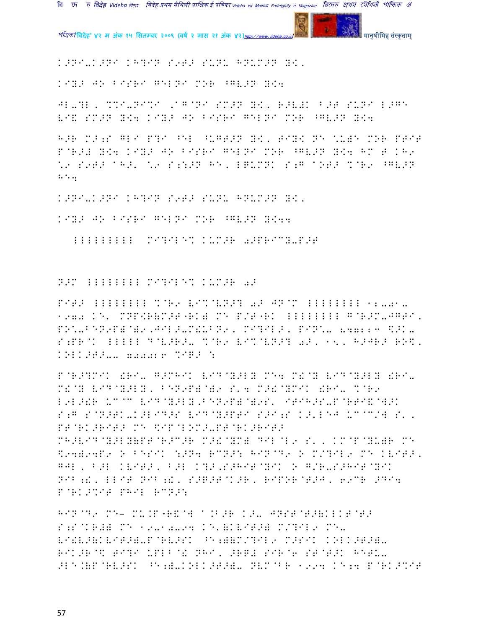*পত্ৰিকা*'বিदेह' ४२ म अंक १५ सितम्बर २००९ (वर्ष २ मास २१ अंक ४२)http://www.videha.co.in<sup>/ Haman</sup> सम्बं<sup>द</sup>े । मानुषीमिह संस्कृताम्

K>NI-K>NI KH?IN S9T> SUNU HNUM>N Y[,

KIYA JO BISRI GELANDI GELANDI GELANDI GELANDI GELANDI GELANDI GELANDI GELANDI GELANDI GELANDI GELANDI GELANDI

JL-?L, %%I-NI%I ,AG@NI SM>N Y[, R>V#K B>T SUNI L>GE VI& SM>N Y[4 KIY> JO BISRI GELNI MOR ^GV>N Y[4

HAR CAGE AFA PYN YN NIARA BYL ANGY PYNIN IN CHAFA P@R># Y[4 KIY> JO BISRI GELNI MOR ^GV>N Y[4 HM T KH9  $\Delta$  Source and the symmetric symmetric symmetric symmetric  $\Delta$  and  $\Delta$   $\Delta$   $\Delta$   $\Delta$   $\Delta$  $H^2(H)$ 

K: SUNU HARA SERIKA SERIKA SERIKA SERIKA SERIKA SERIKA SERIKA SERIKA SERIKA SERIKA SERIKA SERIKA SERIKA SERIKA<br>NGCHA SERIKA SERIKA SERIKA SERIKA SERIKA SERIKA SERIKA SERIKA SERIKA SERIKA SERIKA SERIKA SERIKA SERIKA SERIKA

KIYO BISRI GELANDI GELANDI GELANDI DI SAMA

\_\_\_\_\_\_\_\_\_ MI?ILE% KUM>R 0>PRICY-P>T

### N>M \_\_\_\_\_\_\_\_ MI?ILE% KUM>R 0>

PITPS ARRESTED TO THIS ASSOCIATED WITH PERSON REPORTED HERE IN SUMMONS 1970 KE' MNP[R(M>T"RK) ME P/T"RK \_\_\_\_\_\_\_\_ G@R>M-JGTI, PO\*-BENPO \*-BENJAMI PO\*-BENDER (PINT-PINA- 8481) \* KURA S;PR@K \_\_\_\_\_ D@V>R>- %@R9 VI%@VN>? 0>, 15, H>JR> RO\$, THIS-DESCRIPTION

P@R>?MIK !RI- G>MHIK VID@Y>LY ME4 M!@Y VID@Y>LY !RI-ME VID ER ROIDER IN DIE NAAMGESTE VERDER IN DIE NOOIDERSTE IN DIE NAAM L9L>!R UC@C VID@Y>LY,BEN9P)@)9S' ITIH>S-P@RTI&@W>K S;G SORGELLIGHYTH EYTOLFER SPYSE I, SI; SA LOOM SE S.A PHORE TO THE \$INDEPERSI MH>VID@Y>LY(PT@R>C>R M>!@YM) DIL@L9 S', KM@P@YU)R ME \$94)94P9 O BESIK :>N4 RCN>: HIN@D9 O M/?IL9 ME KVIT>, GJL, B>L KVIT>, B>L K?>,S>HIT@YIK O G/R-S>HIT@YIK NIB; L.I. LEI PER NEDER SOM KOREAR, DOG BRIDGE SEDER SOM BRIDGE UPPPR P@RK>%IT PHIL RCN>:

HIND MELTING MEDIE RED A.B. A.B. COR. HINDER NEUEL EN KRI S;S@KR#19-19-10-04-10-05-10-04-04 MOTOR: MOTOR IN AN EIGEN AR SKRIFT OF SKRIFT AN INDICATORY OF THE CONSTRUCTION OF THE CONSTRUCTION OF THE CONTINUES. RIK>R@\$ TI?I UPLB@! NHI, >RQ# SIR@6 ST@T>K HETU- >LE.(P@RV>SK ^E;)-KOLK>T>)- NVM@BR 1994 KE;4 P@RK>%IT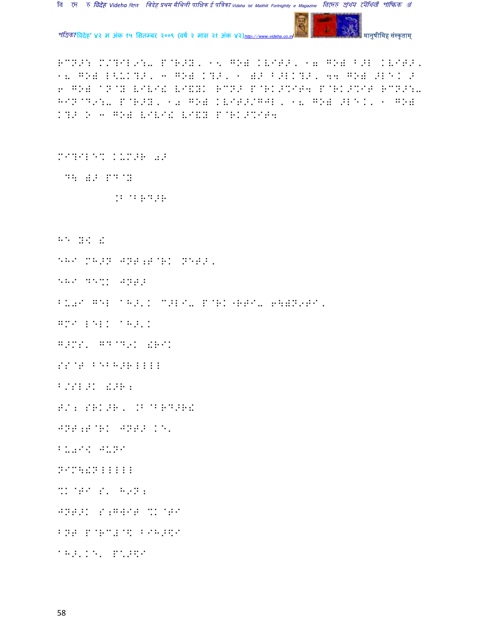*পত্ৰিকা*' विदेह' ४२ म अंक १५ सितम्बर २००९ (वर्ष २ मास २१ अंक ४२)http://www.videha.co.in<sup>/ म</sup>ानुष्यी- मानुषीमिह संस्कृताम्

RCN>: M/?IL9:- P@R>Y, 15 GO) KVIT>, 17 GO) B>L KVIT>, 18 GO) BOA GOULD EN L'ACTENT L'ENCLIN ANN AN DONNE L'ANNOICE L'ACTEN L'ACTEN L'ACTEN L'ACTEN L'ACTEN L'ACTEN D 6 GO) AN@Y VIVI! VI&YK RCN> P@RK>%IT4 P@RK>%IT RCN>:- HIN@D9:- P@R>Y, 10 GO) KVIT>/GJL, 18 GO) >LE., 1 GO) KRA D 3 GOD BOLL PORT PORT POST PART

MI?ILE% KUM>R 0>

DO BRITISH

.B@BRD>R

HE YE YE

EHI MH>N JNT;T@RK NET>,

EHI DE%K JNT>

BUOI GEL AHI, MIRI, PORTI BELIA

GMI LELAN AHAY LARGE

G: RIKE BOOK IS A REAL

SSMT BEBEHOVEN BEBEHOVEN

B/SLOVEN : R

T/; SRK>R, .B@BRD>R!

JNT;T@RK JNT;T@RK JNT;

BUDGET HUPS

NIMO - 1999

 $W$   $\mathbb{R}$   $\mathbb{R}$   $\mathbb{R}$   $\mathbb{R}$   $\mathbb{R}$   $\mathbb{R}$   $\mathbb{R}$   $\mathbb{R}$   $\mathbb{R}$   $\mathbb{R}$   $\mathbb{R}$   $\mathbb{R}$   $\mathbb{R}$   $\mathbb{R}$   $\mathbb{R}$   $\mathbb{R}$   $\mathbb{R}$   $\mathbb{R}$   $\mathbb{R}$   $\mathbb{R}$   $\mathbb{R}$   $\mathbb{R}$   $\mathbb{R}$   $\mathbb{R}$ 

JNTPS S; GWIT & CONTROL

 $\begin{array}{l} \bullet \text{ } \bullet \text{ } \bullet \text{ } \bullet \text{ } \bullet \text{ } \bullet \text{ } \bullet \text{ } \bullet \text{ } \bullet \text{ } \bullet \text{ } \bullet \text{ } \bullet \text{ } \bullet \text{ } \bullet \text{ } \bullet \text{ } \bullet \text{ } \bullet \text{ } \bullet \text{ } \bullet \text{ } \bullet \text{ } \bullet \text{ } \bullet \text{ } \bullet \text{ } \bullet \text{ } \bullet \text{ } \bullet \text{ } \bullet \text{ } \bullet \text{ } \bullet \text{ } \bullet \text{ } \bullet \text{ } \bullet \text{ } \bullet \text{ } \bullet \text{ } \bullet \text{ } \bullet \$ 

AH>'KE' P\*>\$I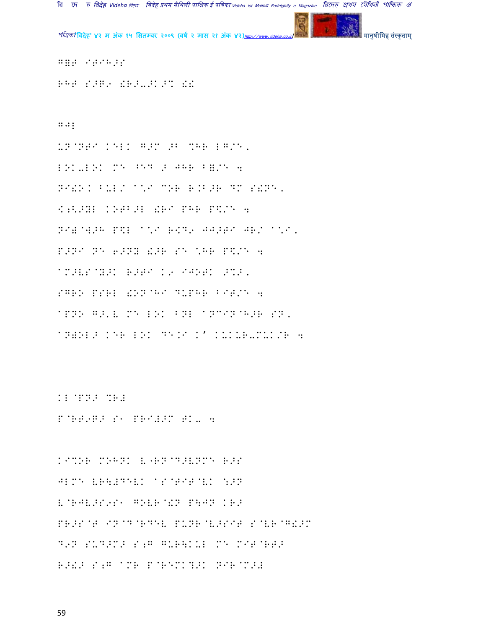KIMOR MOHNE RICHARD JULA AS DEVELOPED VAN ASSESSED IN 1992 BOSH BRITISH CONTROLLED AND SERVICE PR>S@T IN@D@RDEV PUNR@V>SIT S@VR@G!>M D9N SUBJECT S;G GURDS S; CO CONTRACT R>!> S;G AMR P@REMK?>K NIR@M>#

KL@PN> %R# P@RT9Q> S1 PRI#>M TK- 4

UNDER CHI WAS SERVED FANS. EDIGEN TV PV 2 446 FEDV 4 NI!O. BUL/ A\*I COR R.B>R DM S!NE,  $\langle \cdot, \cdot, \cdot \rangle$  :  $\langle \cdot, \cdot, \cdot \rangle$  :  $\langle \cdot, \cdot \rangle$  :  $\langle \cdot, \cdot \rangle$  :  $\langle \cdot, \cdot \rangle$  :  $\langle \cdot, \cdot \rangle$  :  $\langle \cdot, \cdot \rangle$  :  $\langle \cdot, \cdot \rangle$  :  $\langle \cdot, \cdot \rangle$  :  $\langle \cdot, \cdot \rangle$  :  $\langle \cdot, \cdot \rangle$  :  $\langle \cdot, \cdot \rangle$  :  $\langle \cdot, \cdot \rangle$  :  $\langle \cdot, \cdot \rangle$  :  $\langle \cdot, \cdot \rangle$  :  $\langle \cdot,$ NI)@WARDER\_P\$L A\*I, P\$L A\*I, A#I, P\$L A\*I, P\$L A\*I, PRINT NE 600 E 600 PRINT NE 600 PRINT NE AM>VS@Y>K R>TI K9 IJOTK >%>, SGRO PSRL !ON@HI DUPHR BIT/E 4 APNO G>'V ME LOK BNL ANCIN@H>R SN, AN)OL> KER LOK DE.I K' KUKUR-MUK/R 4

RHT S>Q9 !R>->K>% !!

Berg Service

 $\mathbf{H} \cdot \mathbf{H}$ 

*পত্ৰিকা*'বিदेह' ४२ म अंक १५ सितम्बर २००९ (वर्ष २ मास २१ अंक ४२)http://www.videha.co.in<sup>/ Hamak</sup> Kamaka Award Hamaka संस्कृताम्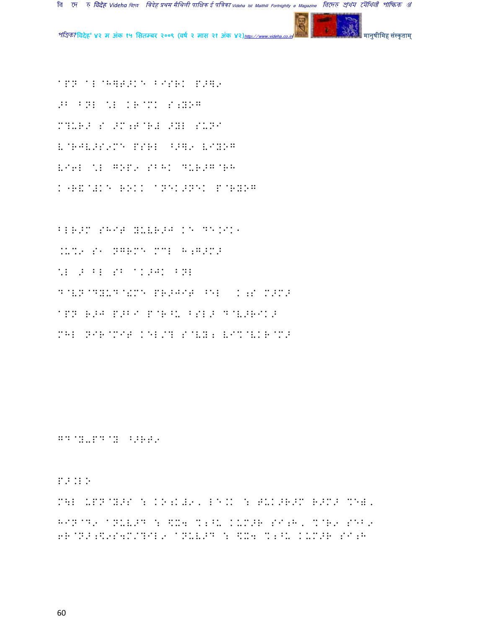MARY SERVICES : KO; KEN, LE.K : TUKO; HAD, HARD, HAMP, MARY, HIND OR DESCRIPTION OF STRAINING SIGNAL CONTROL SIGNAL SIGNAL SIGNAL SIGNAL SIGNAL SEBRE SERVER SEB 6R@N>;\$9S4M/?IL9 ANUV>D : \$X4 %;^U KUM>R SI;H

GD@Y-PD@Y-PD@Y-PD@Y

 $11.73$  S1 NGRME MCL H;G323 \*L > BL SB AK>JK BNL DOWNERS ON THE PROPERTY OF STREET APN R>J P>BI P@R^U BSL> D@V>RIK> MHL NIR MIT KELI SOM SAVIS KELL

**APN ALMANYS PART PROPER** >B BNL \*L KR@MK S;YOG M?UR> S >M;T@R# >YL SUNI  $\frac{1}{2}$  ,  $\frac{1}{2}$  ,  $\frac{1}{2}$  ,  $\frac{1}{2}$  ,  $\frac{1}{2}$  ,  $\frac{1}{2}$  ,  $\frac{1}{2}$  ,  $\frac{1}{2}$  ,  $\frac{1}{2}$  ,  $\frac{1}{2}$  ,  $\frac{1}{2}$  ,  $\frac{1}{2}$  ,  $\frac{1}{2}$  ,  $\frac{1}{2}$  ,  $\frac{1}{2}$  ,  $\frac{1}{2}$  ,  $\frac{1}{2}$  ,  $\frac{1}{2}$  ,  $\frac{1$ VI6L \*L GOP9 SBHK DUR>G@RH K"R#K"R"R"R"R"R", "P"RYOG"

BLRS: MARINE HIT KE DE.

*পত্ৰিকা*'বিदेह' ४२ म अंक १५ सितम्बर २००९ (वर्ष २ मास २१ अंक ४२)http://www.videha.co.in<sup>/ Haman</sup> सम्बं<sup>द</sup>े । मानुषीमिह संस्कृताम्

P>.LO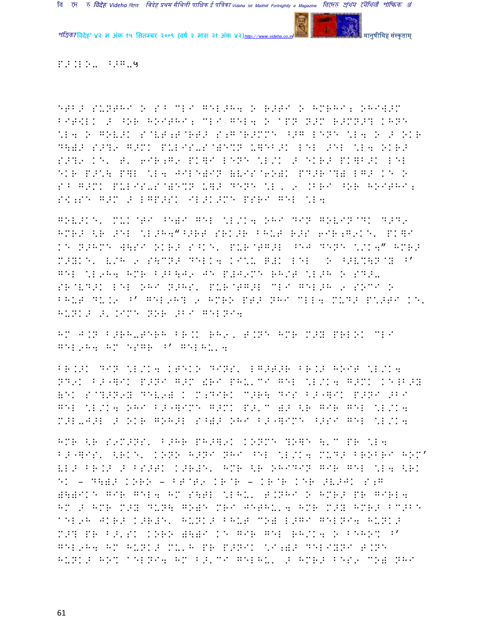$P: P: P: P: P: P: G \to G$ 

ETB> SUNTHI O S^ CLI GEL>H4 O R>TI O HMRHI; OHIW>M BIT IS A RELEASE OF THE RELEASE OF THE RELEASE OF THE RELEASE OF THE RELEASE OF THE RELEASE OF THE RELEASE OF \*L4 O GOV>K S@VT;T@RT> S;G@R>MME ^>G LENE \*L4 O > OKR DAGE PIRA PIRO SOLIVELE MANOR LANKER DE NEL 1940 LI 40 DE BI SSARIA (1911) BET GARA BET HAT E SARS TIE TOT GESKIEDE FRIEDER DE SEE EKR POSTA PARTICIDA ALAMA SANYO KALAN (VISBA) POSTA POSTA DO SE SO G-MARIO - BOLE SEO E NESTRA OLEAN MARIA (OLEAN) DENE ESTADE FLAGGARIA E S[;SE G= ME PSRI GEL \*LGP= SERIE \*LGP= SERIE \*LGP= SERIE \*LGP= SERIE \*LGP= SERIE \*LGP= SERIE \*LGP= SERIE \*LGP= SERIE \*LGP= \$

GOVING TIME OF BUK WAT AN IN DEPTH WAT WAT AN IN THE COUNT HORS (RR) SREDGES PHAN PSREDGES FRANK BSR GHOEFFELD ROMEIN KA NJAMA WASA SILE YA NI DENE WASAN DA NA SILE WATAN MAGEOR DALEKA SOCIALIZA KIRU DA LEL O POLO GENEL O DEL O POLO DEL O POLO O PO GEL \*L9H4 HMR B>B\J9 JE P#J9ME RH/T \*L>H O SD>- SR VENDT (ENE) DAY (PURS) (PUR NAHA 19 SOCI ANEDATG) (SCLIENTS) BHUT DU.1 GELAH DER SERIES PURS PTP PER MER ALM DURP PURS PURS HUNKA DELINIKA DIA SERIESA DALAM BI GELANIA

HO J.A SO P. SERH BRAKER BROK CLIEN BR.K RHOTER MARINE CLIEN ER DIS MIT PR GELGH4 HM ESGR (FORESTRIES)

BR.>K DIN \*L/K4 KTEKO DINS' LG>T>R BR.> HOIT \*L/K4 ND9K BO HE PHOTOGRY HE RIGHT TO BE A RIGHT FOR A REAL (EX) K MESSE MYESE ( TIPPE) MSBH MYN PSHARK COSPY SPY GEL TIME GEL BOOK BUT GEL TIME GEL FOR GEL TIME MOE LAGE (SOON) BOHALE (SOEL) DAY (FOHI BYN GOEDY "HAE (MEN) G

HMR SPHILL SOMETIME PHONE ? ON STRIP REPORT ? B>"]IS' <RKE' KONO H>NI NHI ^EL \*L/K4 MUD> BROBRI HOM' VL> BR.> > BS>TK K>R#E' HMR <R OHIDIN GIR GEL \*L4 <RK EK – D\)> KORO – BT@T9 KR@R – KR@R KER >V>JK S;G )\)IKE GIR GEL4 HM S\TL \*LHU' T.NHI O HMR> PR GIRL4 HM > HMR M>Y DUN\ GO)E MRI JETHU'4 HMR M>Y HMR> BC>BE A SELAH JARAH DI DELENI JARAT DI KARA BUTAN BELAH DI BELAH DAGA BERTAHAN BERTAHAN BERTAHAN BERTAHAN DI M>? PR B>'SK KORO )\)I KE GIR GEL RH/K4 O BEHO% ^' BREAKH HM HUNKS MULK PR PROVINS IN HER PRESHER FING HUNK> HO% AELNI4 HM B>'CI GELHU' > HMR> BES9 CO) NHI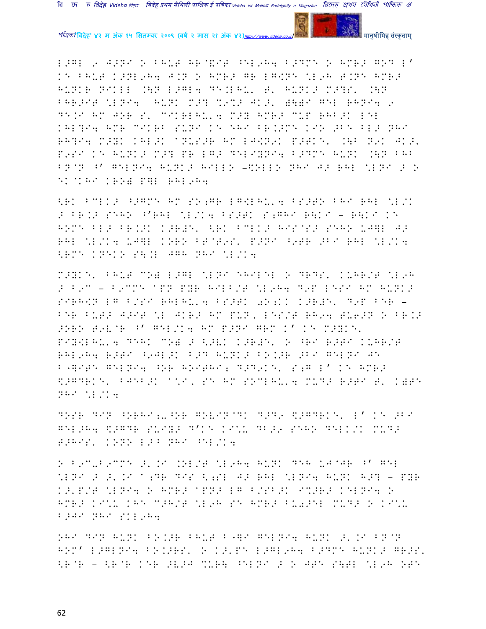L>GL 9 J>NI O BHUT HR@&IT ^EL9H4 B>DME O HMR> GOD L' KE BHUT KOREVAL A DI E BIRA BHUT KOREVALIN GRIDI ANG HUNKR NIKLE .\N LAN GUAREA TA DERLI GE. HUNGA MUARI .\NAN BHROIT AN IT AN IT AN IT AN IT AN IT AN IT AN IT AN IT AN IT AN IT AN IT AN IT AN IT AN IT AN IT AN IT AN IT A DE.I HM JOR S' CIKRLEIGHEAD. S' CIR HORR CUP RHBIT LES KHENA HMR CHIRI SUNI KE EHI BRIDE KID BE BE BER RHIFA MAGO CHEAD (PRIPAE HM LAJRA) PARO NO CHE RAD AD A P9SI KE HUNK> M>? PR LG> DELIYNI4 B>DME HUNK .\N BHB BND O' GHLAN HILL AND A HILL FOLLO NHI AL BHL YIN A S EK@KHI KRO) P]L RHL9H4

RAN BOILE SHOW AN SAME EARLY FRANK BAY BHI NIN > BR.> SEHO ^'RHL \*L/K4 BS>TK S;GHI R\KI – R\KI KE HOME BLACK BLOCK (BEEN) (RECORDING BEEN BOOKS SEHO USE) RHL \*LEVIN (1998) ISBN FRIEGEL BIRPS PHRE IP PORT \*LIKE RME KNEK SOM STRUKT STRUKT

M>YKE' BHUT CO) L>GL \*LNI EHILEL O DRDS' KUHR/T \*L9H > B9C – B9CME APN PYR HILB/T \*L9H4 D9P LESI HM HUNK> SIRH[N LG B/SI RHLHU'4 BS>TK 0O;KK K>R#E' D9P BER – BER BUT> J>IT \*L JKR> HM PUN, LES/T RH94 TU6>N O BR.> >ORO T9V@R ^' GEL/K4 HM P>NI GRM K' KE M>YKE' PIYORG PILLA OPERI OPER OF ROBLI O ORIGINAL DE CHRISTIANISME I LIBRECA RHL9H4 RBL9H BO.HL9H BO. BI GELANDE JE BO.HL9H SER BO.HL9H BO. B"]ITE GELNI4 ^OR HOITHI; D>D9KE' S;G L' KE HMR> \$>GDRKE' BJEB>K A\*I, SE HM SOCLHU'4 MUD> R>TI T' K)TE NHAI MENDERA

DOSR DIN DOSRESSE DE PRESENTIVO DE L'ARTIFICA DE L' CONSTAN GEL>H4 \$>GDR SUIY> D'KE KI\*U DB>9 SEHO DELK/K MUD> THIS IS A NOT LEADER TO THE STATE OF LATE AND IN THE STATE OF LATE AND IN THE STATE OF LATE AND IN THE STATE O

O B9C-B9CME >'.I .OL/T \*L9H4 HUNK DEH UJ@JR ^' GEL \*LNI > >'.I A;DR DIS <;SL J> RHL \*LNI4 HUNK H>? – PYR K>'P/T \*LNI4 O HMR> APN> LG B/SB>K I%>R> KELNI4 O HMR> KI\*U KHE C>H/T \*L9H SE HMR> BU0>EL MUD> O KI\*U B<sub>i</sub> NH<sub>i</sub> Skleshed Skritter

OHI DIN HUNK BO.>R BHUT B"]I GELNI4 HUNK >'.I BN@N HOM' L>GLNI4 BO.>RS' O K>'PE L>GL9H4 B>DME HUNK> GR>S' RESE – RESE INE VELKO TIER (PRINS ) NORTH YER IN NEW NEW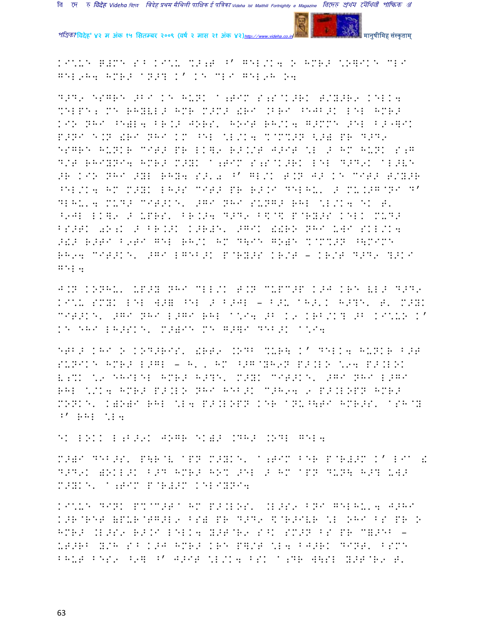KI\*UE SA KITU SE DI SENIOLE SA KITU SE SA KITU SE DI SENIOLE SA KITU SE SA KITU SE DI SENIOLE SA KITU SE DI SE GREENH HMRS AND MELAN OF CLINICAL CHIEF

D>D9 ESGRE >BI KE HUNK A;TIM S;S@K>RK T/Y>R9 KELK4 %ELPE; ME RHYVL> HMR M>M> !RI .BRI ^EJB>K LEL HMR> KIO NHI 'PHE EL BERT HOIT RHY BROW HOIT REPORT RHY PARA SON WHAT PRAIDS TO REPORT TO THE RIGHT REPORT ESGRE HUNKR CIT> PR LK]9 R>./T J>IT \*L > HM HUNK S;G D/T RHIYNI4 HMR> M>YK A;TIM S;S@K>RK LEL D>D9K AL>VE >R KIO NHI >YL RHY4 S>'0 ^' GL/K T.N J> KE CIT> T/Y>R ^EL/K4 HM M>YK LH>S CIT> PR R>.I DELHU' > MU.>G@NI D' DER DIA MUDIS MARKEN DI SERA DRAM RUDPER PRESIDENTA DAN GE ^9JL LK]9 > UPRS' BR.>4 D>D9 B\$@\$ P@RY>S KELK MUD> BS>TK 0O;K > BR.>K K>R#E' >GIK !!RO NHI UWI SKL/K4 >!> R>TI B9TI GEL RH/K HM D\IE GO)E %@M%>N ^\MIME RH94 CIT>KE' >GI LGEB>K P@RY>S KR/T – KR/T D>D9 ?>KI GEL4

J.N KONHU' UPJE DAY MILI AU AU MUPVE KJA KAR BIJ MJH. KIYU SMYE LEPE YANE PRESI PIRAN – PIRU SHIL 1 HIPPS, ALSONIN CITA SE' SA NA MARA NA KARA SA KARA NA MARA NA MARA NA MARA NA MARA NA MARA NA MARA NA MARA NA MARA NA MARA NA KE EHI LHISKE' ME GATE ME GATE ME GATE

PER ET BY DE SOPIERSE, EDBEKE INTE TILBA I KETTE DA FRIDI BEFJER SUNIKE HMR> L>GL – H', HM ^>G@YH9N P>.LO \*94 P>.LOK K:SI NG PAGEAL HIREL HITA CITED TARIKA, IPA TAA 1998 RHL \*/K4 HMR> P>.LO NHI HEB>K C>H94 9 P>.LOPN HMR> MONEST K) I RHL AN HER AN HOLD I RHL FOR AN HER AN ENGINEER AND KER AN  $\mathcal{F}$  reads to  $\mathcal{F}$  and  $\mathcal{F}$ 

EK LOKK L;B>9K JOGR EK)> .DH> .ODL GEL4

M>)I DEB>S' P\R@V APN M>YKE' A;TIM BER P@R#>M K' LIA ! D>D9K )OKL>K B>D HMR> HO% >EL > HM APN DUN\ H>? UW> May Katalog as a strong parameter and the strong parameter and the strong parameter and the strong parameter a<br>May Katalog as a strong parameter and the strong parameter and the strong parameter and the strong parameter a

KI\*UE DINK P%@C>T@ HM P>.LOS' .L>S9 BNI GELHU'4 J>HI K>R@RET (PUR@TG>L9 BS) PR D>D9 \$@R>IVR \*L OHI BS PR O HMR> .L>S9 R>.I LELK4 Y>T@R9 S^K SM>N BS PR C=>EB – UBJAR GJA ER LJA AJER LAN BAJA NE RAJEL PAJEL DADA BHUT BHUT BEST BEST BEST AS A SK AFT AFT AFT AFT AFT WORK AND THE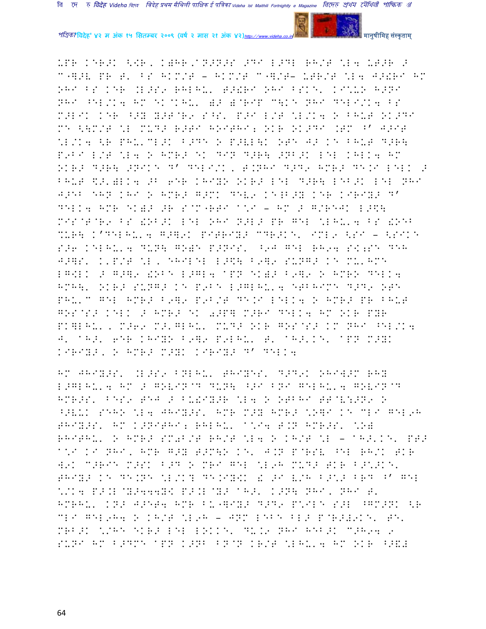UPR KER>K <[R, K)HR,AN>N>S >DI L>DL RH/T \*L4 UT>R > C'HEAL BEATAN (FR'ANDINA) – HINDIA C'HEAR- UABINA NA ANAIRE AN OHI BS KER .LEDEN BREEK, BODEN OHI BSKEID KIKS NHI 'ELIJA HT' NI DELI BI B'BIR TELY NHI TELIVIA DE M>LIK KER ^>Y Y>T@R9 S^S' P>I L/T \*L/K4 O BHUT OK>DI ME RATIS A MUDICARE ARE ANGELES NI MORTING . OKR OK \*L/K4 <R PHU'CL>K B>DE O P>VL\K OTE J> KE BHUT D>R\ P9BI L/T \*L4 O HMR> EK DIN D>R\ >NB>K LEL KHLK4 HM OKR> D>R\ >NIKE D' DELI/K, T.NHI D>D9 HMR> DE.I LELK > BHUT \$')LA BER DOKER KHIR DOKER EN BER KHIYO OKRA LER DI LEBO J>EB EHN KHI O HMR> G>MK DEV9 KE\_B>Y KER KIRIY> D' DER EK HOR ES BILDE DELK ET AFIK LEGEN LA HOL I HORESAT LIGITA MIS IN THE REPORT OF THE REPORT OF THE REPORT OF THE REPORT OF THE REPORT OF THE GELT AND THE REPORT OF THE REPORT OF THE REPORT OF THE REPORT OF THE REPORT OF THE REPORT OF THE REPORT OF THE REPORT OF THE REPORT OF THE RE %UR\ K'DELHU'4 G>]9K PITRIY> CDR>KE' IML9 <SI – <SIKE SSA KELHU 4 PUSA PPHE BUSHEN, SHA PHE BHAN SEGHIA SE JADARI SI KEJA JI LOSANG SEORE ALARA KE MUYAKA KE MULAMA LG[LK > G>]9 !OBE L>GL4 APN EK)> B9]9 O HMRO DELK4 HMH\' OKR> SUNG> KE P9BE L>GLHU'4 ETBHIME D>D9 OTE PHU'C GEL HMR> B9]9 P9B/T DE.I LELK4 O HMR> PR BHUT GOS@S> KELK > HMR> EK 0>P] M>RI DELK4 HM OKR PYR PK]LHU', M>69 M>'GLHU' MUD> OKR GOS@S> KM NHI ^EL/K4 J' AHAO ' BABY' CHABA (FORE SEARAIL) SELVITAL (ITAL) IN TERSONE KIRIYA: O HMR ANI YA MATSARA DA NA MATSARA DA NA MATSARA DA NA MATSARA DA NA MATSARA DA NA MATSARA DA NA MATSA

HM JHIY>S' .L>S9 BNLHU' THIYES' D>D9K OHIW>M RHY L>GLHU'4 HM > GOVIN@D DUN\ ^>I BNI GELHU'4 GOVIN@D HOBSE) FROM BRACK FLEMBAR (1940) NOORPAG BESENDEN IN ^>VUK SEHO \*L4 JHIY>S' HMR M>Y HMR> \*O]I KE CLI GEL9H HAVISE, AT CORPORAL BAIAL, TIPH BIR ATESE, TRE RHITHU' O HMR> SM0B/T RH/T \*L4 O KH/T \*L – AH>'KE' PT> A NATIONAL PARA AT THE GREAT AND A CONTROL OF THE RELEASED OF THE THROUGH  $\overline{E}$ WHO CONTRACT DIRECT FROM DOCTOR WHO MAKE THE MUDDED AND MUDDED AND MUDDED AND MUDDED AT  $\mathbb{R}^n$ THIY> KE DE.NE \*L/K? DE.IY[K ! >I V/H B>\*> BRD ^' GEL \*/K4 P>.L@Y>444Y[ P>.L@Y> AH>' K>N\ NHI, NHI T' HOBBIL KORA HASBE BOB FILEPINA MAMA BING SYAT (PROAD) IS CLI GELENGE DE LA PORTO DE LA 1995 EN LA PERSONA DE LA 1995 EN LA 1996 EN LA 1996 EN LA 1996 EN LA 1996 EN LA MRB-K \*/HE EKROON EKROON DU. 1955 DE EKROON DU. 1945 DE EKROON DU SUNI HM BIZIN KER DIRE BEDIA BILA DENGAN KEPULA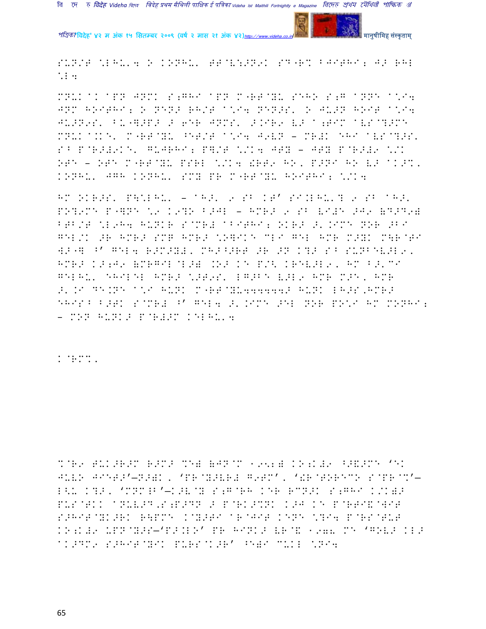*পত্ৰিকা*' विदेह' ४२ म अंक १५ सितम्बर २००९ (वर्ष २ मास २१ अंक ४२)http://www.videha.co.in<sup>/ म</sup>ानुष्य करूले भानुषीमिह संस्कृताम्



SUN/T \*LHU'4 O KONHU' TT@V:>N9K SD"R% BJITHI; J> RHL  $\ddots$ 

MNUK@. APN JNMK S;GHI APN M"RT@YU SEHO S;G ANNE A\*I4 JNM HOITHI; O NEN> RH/T A\*I4 NEN>S' O JU>N HOIT A\*I4 JPD, POSTAG ARABA (POSTAGE APSONING) A STREP REPORT OF EXTRAPTION MNUK MUKO MARTHO PARA MUKA ARIA – MR#K APA MIRTONIA. S^ P@RO#BAEC' GUIRHI; PARA PARA PARA SA TABE – JABE POBBER ( OFF – OFF MARTHE FREE COOR HERTHO, PSALE AK HO VOUR. KONHU, JAHA KONHU, SMY PR M"RRTWI; \*SYRHAN KUMA

HO OKRASI PANEAL – AHA, DI SH KAHA KATE BILI SI SH AHA. PO?9ME P"]NE \*9 K9?O B>JL – HMR> 9 SB VI#E >J9 (D>D9) BTB/T \*L9H4 HUNKR S@MR# ABITHI; OKR> >'.IME NOR >BI BREAK ON HORE STO HORE COORDING TO HARD HOR COOL CONFIDER  $AB \rightarrow B$  and  $AB \rightarrow AB$  and  $AB \rightarrow AB$  is the sunset of  $B$  of  $B$  is sunset of  $B$  sunset of  $B$ HMR> K>;J9 (MRGIL@L>) .O> KE P/< KREV>L9, HM B>'CI BRIEL REGISTER TORRES TRACK EN LA FOR MARY MOR >'.I DE.NE A\*I HUNK M"RT@YU444444> HUNK LH>S,HMR> EHIS^ B>TK S@MR# ^' GEL4 >'.IME >EL NOR PO\*I HM MONHI;  $=$  MON HUNK  $\mathcal{P}$  and  $\mathcal{P}$  are the particles of  $\mathcal{P}$ 

K@RM%,

%@R9 TUK>R>M R>M> %E) (JN@M 1952) KO;K#9 ^>&>ME 'EK JUVO JIET>'—N>)K, 'PR@Y>VR# G9TM', '!R@TORECO S@PR@%'— L<U K?>, 'MNM\_B'—K>V@Y S;G@RH KER RCN>K S;GHI K/K)> PUS@TKK ANUV>D,S;P>DN > P@RK>%NK K>J KE P@RTI&@WIT STARK ROOT ARD THE REPORT TO THE THREE OF THE TIME TO THE TIME THAT ARE THE THREE KO;K#1 UPP TEAP-YPA IEO 'PR HINKA LE 'E 'K HE 'C' 'ME 'VRDEA' IEO' AK>DM9 S>HIT@YIK PURS@K>R' ^E)I CUKL \*NI4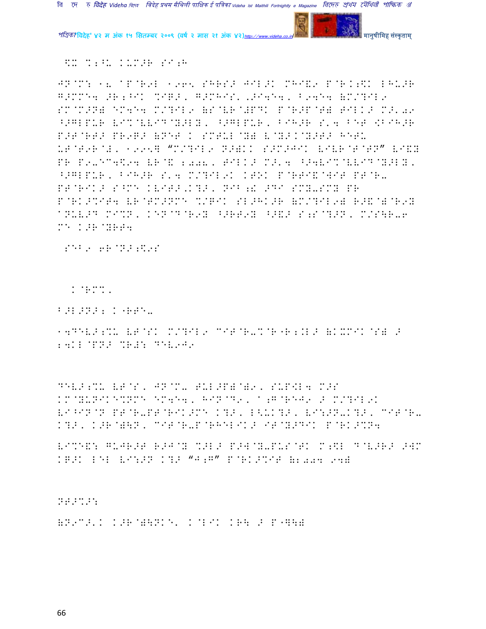

## \$X %;^U KUM>R SI;H

JN@M: 18 AP@R9L 1965 SHRS> JIL>K MHI&9 P@R.;\$K LHU>R BRITH CHINI TEL METHEL CHANNEL FRANCHITIER SM@M>N) EM4E4 M/?IL9 (S@VR@#PDK P@R>P@T) TILK> M>'09 ^>GLPUR VI%@VVID@Y>LY, ^>GLPUR, BIH>R S'4 BET [BIH>R POSTORI PRVE STRED I STRED TO STREDGE AND A US TO SAMPLE TO A SAMPLE OF THE SUID OF THE SOLE OF TO THE RESIDENT AND INCOME. PR P9-EC4\$94 LRYD LAAL, PYHOF PP, HINGBYD MEYS MEH D. ^>GLPUR, BIH>R S'4 M/?IL9K KTOK P@RTI&@WIT PT@R-PHORIC SOMETHING SOMETHING AND STRING TO P@RK>%IT4 VR@TM>NME %/QIK SL>HK>R (M/?IL9) R>&@)@R9Y ANUVAS ANUVAS ARUVAS ARABAS ARABAS ANG KALIMATAN NA MARANG KALIMATAN NA MARANG KALIMATAN NA MARANG KALIMATAN N ME K>R@YRT4

 $S^{\text{S}}$  ,  $S^{\text{S}}$  ,  $S^{\text{S}}$  ,  $S^{\text{S}}$  ,  $S^{\text{S}}$  ,  $S^{\text{S}}$  ,  $S^{\text{S}}$ 

K@RM%,

B<sub>2</sub>; K"RTE-1, K"RTE-1, K"RTE-1, K"RTE-1, K"RTE-1, K"RTE-1, K"RTE-1, K"RTE-1, K"RTE-1, K"RTE-1, K"RTE-1, K"RTE-1, K

14DEV>;%U VT@SK M/?IL9 CIT@R-%@R"R;.L> (KXMIK@S) > 24 Land 24 Land 24 Land 24 Land 24 Land 24 Land 24 Land 24 Land 24 Land 24 Land 24 Land 24 Land 24 Land 24 Lan<br>24 Land 24 Land 24 Land 24 Land 24 Land 24 Land 24 Land 24 Land 24 Land 24 Land 24 Land 24 Land 24 Land 24 Lan

DEVICE STATISTICS IN THE STATISTICS IN THE STATISTICS IN THE STATISTICS IN THE STATISTICS IN THE STATISTICS IN<br>POINT IN THE STATISTICS IN THE STATISTICS IN THE STATISTICS IN THE STATISTICS IN THE STATISTICS IN THE STATIST KM YUNIKE STRYS STASA, HAR YRA, Afgenesa, Garthur VICINA POSTE CHE CHARACTER ME CONTACT AND THE CONTACT AND CONTACT AN INTERFERING K?>, K>R@)\N, CIT@R-P@RHELIK> IT@Y>DIK P@RK>%N4

VI%E&: GUJR>T R>J@Y %>L> P>W@Y-PUS@TK M;\$L D@V>R> >WM K BOST LEVIES IN KROON IN KORK IN KONG DIE GEWONE IN GEWONE IN DIE GEWONE GEWONE GEWONE GEWONE GEGEN. DIE GEWON

NT>%>:

(N9C>'K K>R@)\NKE' K@LIK KR\ > P"]\)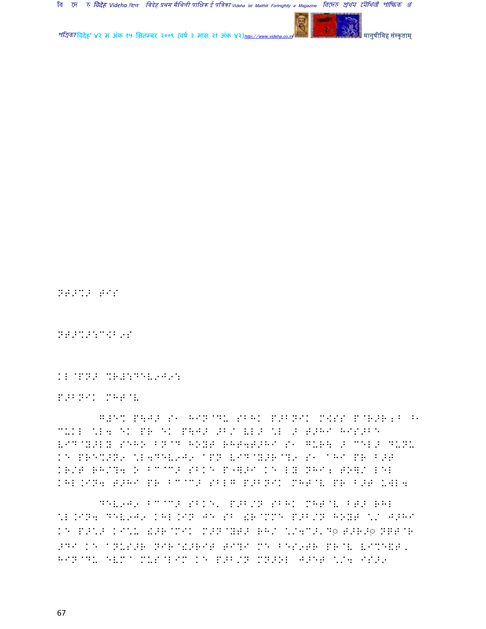DEV9J9 BC@C> SBKE' P>B/N SBHK MHT@V BT> RHL \*L.IN4 DEV9J9 KHL.IN JE SB !R@MME P>B/N HOYT \*/ J>HI KREPS KARE REPORT THROWER THAN SAMPLING HIM OF THE RE >DI KE ANUS>R NIR@!>RIT TI?I ME BES9TR PR@V VI%E&T, HAND MUS PART TO BANK TO BE PROVIDED AND MOVE AND A

 G#E% P\J> S1 HIN@DU SBHK P>BNIK M[SS P@R>R;^ ^1 CULL TIM RI BE RI BAG GRI BIG TI G GGAR ARISH LYTTERS YOUR PROTHER PHARRING YOU HING I THE SOURI KE PRE%>N9 \*L4DEV9J9 APN VID@Y>R@?9 S1 AHI PR B>T KR/T RH/TH/T RHOOF REPORTS IN THE PHYSICING KHLING PR BC PR BC PR BE BE PRESS PRESENT PROBLEM

P+BNIK MHT

 $K$  , and the property of the property of the property of the property of the property of the property of the property of the property of the property of the property of the property of the property of the property of the

 $B: S \to S \to S \to S$ 

NT>%> TIS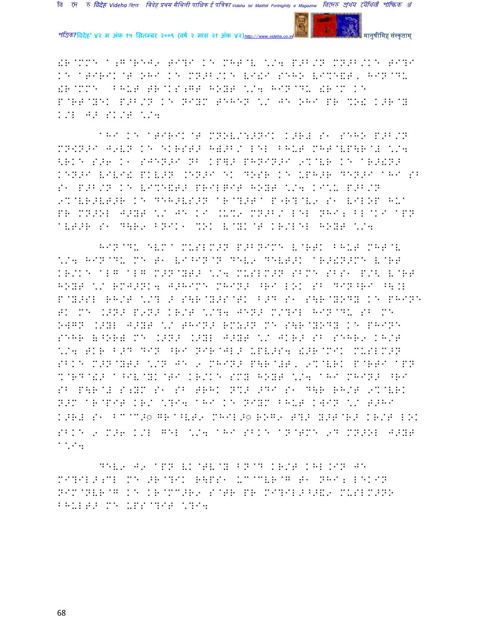

!R@MME A;G@REJ9 TI?I KE MHT@V \*/4 P>B/N MN>B/KE TI?I KE ATIRIKA KE ATIRIK DI SEHONG KE MATIRIK DI SEHONG KE MATIRIK. DI SEHONG KE MATIRIK DI SEHONG KE MATIRIK DI S !R@MME BHUT TR@KS;GT HOYT \*/4 HIN@DU !R@M KE P@RT@YEK P>B/N KE NIYM TEHEN \*/ JE OHI PR %O! K>R@Y  $M: \mathbb{R}^2 \times \mathbb{R}^2 \times \mathbb{R}^2 \times \mathbb{R}^2 \times \mathbb{R}^2$ 

AHI KE ATIRIKA MARENGAN KATIRIKO PASA SI SEHO P MN[N>I J9VN KE EKRST> H)>B/ LEL BHUT MHT@VP\R@# \*/4  $R$  is the state of a constant that the state in the state  $\mathcal{S}$  is the state  $\mathcal{S}$ KABEN EREPE PIERP (NOSR AL ONIE IN LPHIB ONDRA DEN IN STA PORTUGE I STELLO PRILATIN HOVED ADDELLATION I PORTUGE 9%@VR>VT>R KE DEH>VS>N AR@?>T@ P"R?@V9 S1 VILOP HUA PR MN>OL J>YT \*/ JE KI .U%9 MN>B/ LEL NHI; BL@KI APN ALFAN SY PANY FRYSK ORD EARLY KONFIN ARGE CAN

 HIN@DU EVM@ MUSLM>N P>BNIME V@RTK BHUT MHT@V \*/4 HIN@DU ME T1 VI^IN@N DEV9 DEVT>K AR>!N>ME V@RT KR/KE ALG ALG ALG ALG MANUSIAN SERIES AND DESCRIPTION OF A SERIES AND ALGORIZATION OF A SERIES AND DESCRIPTION HOYTE AND BINGTON AND HIME MONOGROUP OF DINORI CONTROL ON  $\Omega$ P@Y>SL RH/T \*/? > S\R@Y>S@TK B>D S1 S\R@YODY KE PHINE TK ME .>N> P9N> KR/T \*/?4 JEN> M/?IL HIN@DU SB ME OWGN .>YL J>YT \*/ THIN> RMZ>N ME S\R@YODY KE PHINE STAR (BADAR TY 1999) MEHR (ADDA SEHREN KH/T STARS KADA tuna terte in pini inispo in pine nine potence e area inispo in postence. SBKE MORTHS NOT 98 WORKER PARTIEL VIOLENCE PER TER %@RD@!> A^IV@YK@TI KR/KE SMY HOYT \*/4 AHI MHIN> ^RI SB PARTICE SHIP SHOW SHAI DIR RHY SHOW BH/TRH SIYAGE NOM AR MENGEN KRA AHI KARA KE NIYA KE NIYA KE NIYA BERA  $\mathcal{L}$  (Fig. b) and the source of the sign of the state  $\mathcal{L}$  and the state  $\mathcal{L}$  and  $\mathcal{L}$  and  $\mathcal{L}$ SBKE 9 MONTHS ON THE SBKE AND SBKE AND SBKE AND SBEE AND SBEE AND MONTHS SANDON AND MONTHS AND OLD JOURNAL AND  $\mathcal{F}^{\mathcal{A}}$  and  $\mathcal{F}^{\mathcal{A}}$ 

 DEV9 J9 APN VK@TV@Y BN@D KR/T KHL.IN JE CATES : CALIFORNIA COMPOSITION OF THE REPORT OF THE STATE OF THE UNIVERSITY OF THE UNIVERSITY OF THE UNIVERSITY OF THE UNIVERSITY OF THE UNIVERSITY OF THE UNIVERSITY OF THE UNIVERSITY OF THE UNIVERSITY OF THE UNIVERSITY OF NIM@NVR@G KE KR@MC>R9 S@TR PR MI?IL>^>&9 MUSLM>NO BHULT-PHONE THE UPS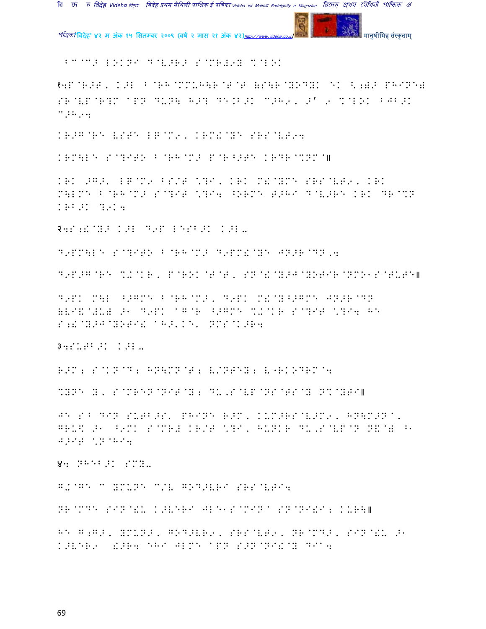*পত্ৰিকা*'বিदेह' ४२ म अंक १५ सितम्बर २००९ (वर्ष २ मास २१ अंक ४२)http://www.videha.co.in<sup>/ Haman</sup> सम्बं<sup>द</sup>े । मानुषीमिह संस्कृताम्

BC@COPS SAMPLE DOWNLOAD CORP.

84P@RXPROTOR PORT (SON) PHINES (SON) EX CONTROLLED (SON) PHINES SR@VP@R?M APN DUN\ H>? DE.B>K C>H9, >' 9 %@LOK BJB>K  $\mathcal{C}$  , i.e., i.e.,

KR>G@RE VSTE LQ@M9, KRM!@YE SRS@VT94

KRMAR KRMARA KRAMA POR KRANICE KRONO

KRK (GRA) BETWA FRYE NERVOOR DIE NEIDS REPORTER WORD MARION S SERVICE BORG BORG DER FREDNI BERK DROMA DEL SERVICE KRB>K ?9K4

२4S;!@Y> K>L D9P LESB>K K>L-

D9PM\LE S@?ITO B@RH@M> D9PM!@YE JN>R@DN,4

D9P>G@RE %+@KR, P@ROK@T@T, SN@!@Y>J@YOTIR@NMO1S@TUTE॥

DAPE MARK MARK MORE BOOK MARKET BEGIN MEDICINE HEAR WELH SA SAGES AGAN BOARD & TO THE SAGES OF THE SAGES S;!@Y>J@YOTI! AH>'KE' NMS@K>R4

३4SUTB>K K>L-

R>M; S@KN@D; HN\MN@T; V/NTEY; V"RKODRM@4

%YNE Y, S@MREN@NIT@Y; DU,S@VP@NS@TS@Y N%@YTI॥

JE S^ DIN SUTB>S' PHINE R>M, KUM>RS@V>M9, HN\M>N@, GRU\$ >1 ^9MK S@MR# KR/T \*?I, HUNKR DU,S@VP@N N&@) ^1 J>IT \*N@HI4

४4 NHEB>K SMY-

G+@GE C YMUNE C/V G+@GE C/V G+@GE C/V G+@GE C/V G+@GE C/V G+@GE C/V G+@GE C/V G+@GE C/V G+@GE C/V G+@GE C/V G+

NR@MORE SING SING SING SENEGA SA SANG SANG SANG SANG SANG SANG SA

HE G;G; YMUNO STRIKK, SRSWAR, SRSWAR, SYNOLOG K>VER9 !>R4 EHI JLME APN S>N@NI!@Y DIA4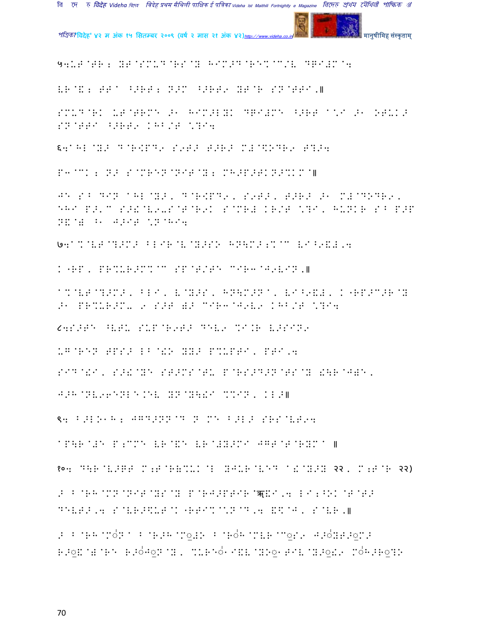िव <sup>त</sup> रु विदेह Videha <sub>विष्य</sub> विदेह प्रथम मैथिली पाक्षिक ई पत्रिका <sub>Videha</sub> ist Maithili Fortnightly e Magazine वित्मरु *द्यिश्च द*्योश्चिती পोष्फिक औ

*পত্ৰিকা*' विदेह' ४२ म अंक १५ सितम्बर २००९ (वर्ष २ मास २१ अंक ४२)http://www.videha.co.in<sup>/ म</sup>ानुष्यी- मानुषीमिह संस्कृताम्

५4UT@TR; YT@SMUD@RS@Y HIM>D@RE%@C/V DQI#M@4

VR@&; TT@ ^>RT; N>M ^>RT9 YT@R SN@TTI,॥

SMUD@RK UT@TRME A\*I HYMALIK DRIEN DARK NA SALA SNOTHER STATES CONTROL

 $64$  PH CHAPTER SPACE RANK CONTROLLER

P3@CK; NO SAMPLEND MENTAL SAMPLEN AND MULTIPLE IN MALE AND SAMPLE IN MILK

JE S^ DIN AHL@Y>, D@R[PD9, S9T>, T>R> >1 M#@DODR9, EHI P>'C S>!@V9-S@T@R9K S@MR# KR/T \*?I, HUNKR S^ P>P N&M) \* HOME TRING

७4A%@VT@?>M> BLIR@V@Y>SO HN\M>;%@C VI^9&#,4

3) PRYMESTA & PSP BR TYPH MARK (PHOP NTMA

१०4 PRESERVENT M; TEMAN PRODUCT M; TEMPORT AND THE CHANGE 22, MINE 22)

BJ©E ME MPY (BJGHQP ME VOLBYGHYEL MEN@HBYL MEJQEV (PGHJP@HD))

> B@RH@MN@NIT@YS@Y P@RJ>PTIR@ॠ&I,4 LI;^OK@T@T>

 $\mathbb{P}$  of the total transformation of the MCM  $\mathbb{P}$  and  $\mathbb{P}$   $\mathbb{P}$   $\mathbb{P}$   $\mathbb{P}$   $\mathbb{P}$ 

DEVT>,4 S@VR>\$UT@K"RTI%@\*N@D,4 &\$@J, S@VR,॥

८4S>TE ^VTU SUP@R9T> DEV9 %I.R V>SIN9

UG@REN TPS> LB@!O YY> P%UPTI, PTI,4

J>H@NV96ENLE.EV YN@Y\!I %%IN, KL>॥

९4 BONDA B-LONDON N ME BONDA SHENDADA

APABA P;COME VR@ B;CAPA VR@ P;COME VR@ P;CME VR@ P;CME VR@ P;CME VR@ P;CME VR@ P;CME VP UNIVERSITY OF INCOME

A%@VT@?>M>, BLI, V@Y>S, HN\M>N@, VI^9&#, K"RP>C>R@Y

SID@!I, S>!@YE ST>MS@TU P@RS>D>N@TS@Y !\R@J)E,

K"RP, PR%UR>M%@C SP@T/TE CIR3@J9VIN,॥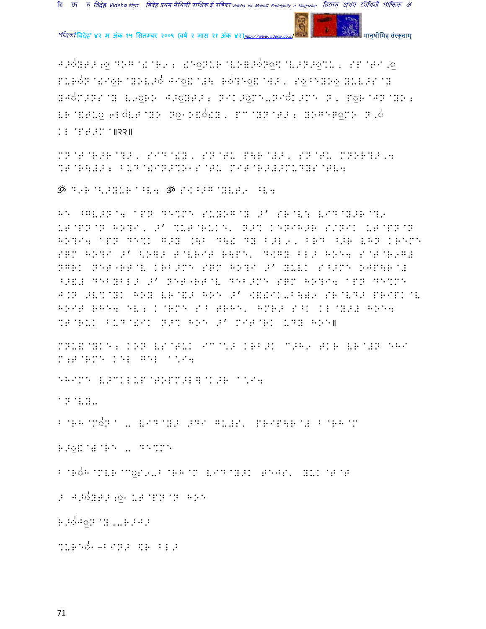*পত্ৰিকা*' विदेह' ४२ म अंक १५ सितम्बर २००९ (वर्ष २ मास २१ अंक ४२)http://www.videha.co.in<sup>/ म</sup>ानुष्यी- मानुषीमिह संस्कृताम्

 $+$ J $\circ$ H $+$  : $\circ$  PDF in the  $\cdot$  in the  $2$  . In the second position is the second position of  $\circ$ PURÓP NEMON NORDA (PNOENDR) (RÓMNOENNE L'ANO (PO HAELA) NE ( BHÓNUPE VB (EUQHD) HURQBEU E PHOURQNYLPHÓNUPNY (P. PQP VHP VBD E) be theng effore that you and him the telestic have again you  $\mathbb{R}$ :  $\mathbb{R}$   $\mathbb{R}$   $\mathbb{R}$   $\mathbb{R}$   $\mathbb{R}$   $\mathbb{R}$   $\mathbb{R}$   $\mathbb{R}$   $\mathbb{R}$   $\mathbb{R}$   $\mathbb{R}$   $\mathbb{R}$   $\mathbb{R}$   $\mathbb{R}$   $\mathbb{R}$   $\mathbb{R}$   $\mathbb{R}$   $\mathbb{R}$   $\mathbb{R}$   $\mathbb{R}$   $\mathbb{R}$   $\mathbb{R}$   $\mathbb{R}$   $\mathbb$ 

MN TO REPORT OF STRING TO PARTIES SOMETIME AND TO PARTIES. %T@P####; PUPMEMP#WDYS@T@U MM#MB###WUP#EMP##

 $\mathcal{B}^{\!\!\!N}$   $\mathcal{B}^{\!\!N}$  ,  $\mathcal{B}^{\!\!N}$  ,  $\mathcal{B}^{\!\!N}$  ,  $\mathcal{B}^{\!\!N}$  ,  $\mathcal{B}^{\!\!N}$  ,  $\mathcal{B}^{\!\!N}$  ,  $\mathcal{B}^{\!\!N}$  ,  $\mathcal{B}^{\!\!N}$  ,  $\mathcal{B}^{\!\!N}$  ,  $\mathcal{B}^{\!\!N}$  ,  $\mathcal{B}^{\!\!N}$  ,  $\mathcal{B}^{\!\!N}$  ,

HE ^GV>N@4 APN DE%ME SUYOG@Y >' SR@V: VID@Y>R@?9 UT@PN@N HO?I, >' %UT@RUKE' N>% KENIH>R S/NIK UT@PN@N HO?I4 APP PENT BUR THE PHY TH FULL FROM BROOK EAR YEAR SOM HOSI DY LOGE FING BLY BLY THO HOE ALL SOM SOFIER NGRK NET"RT NET"RT SOM HORIS SOM HORIS SOM HORIS STANDARD ^>&# DEBYBL> >' NET"RT@V DEB>ME SQM HO?I4 APN DE%ME JA OP GRUIT VRO HOR HOW HOW GRY VRACH WARREN ARTHUR PRIPER TR HOWE RHE4 EV; KORME SO HRHE, AMRIE SOK KLOSE HOE4 HOE4 %T@RUK BUD@!IK N>% HOE >' MIT@RK UDY HOE॥

MANU YOKE; KON SE KRAMATI ICA ICH AN ICANO SE KREATE AHR M;T@RME KEL GEL A\*I4

EHIME V>CKLUP@TOPM>L]@K>R A\*I4

AN@VY-

\* DER VI©PO WORDPORF GUES PRIRAIN PRIPRESI FOR POLI

R>◌॒&@)@RE - DE%ME

+ 1665 MMB6 M@rSSD (1657-BD VIDAT VIDA) YESHI MENGEN

 $\mathcal{F}$  (field the UTC DENSITY of the New York)

RJ040FJR.LPJPJ

%URE◌ ॑1–BIN> \$R BL>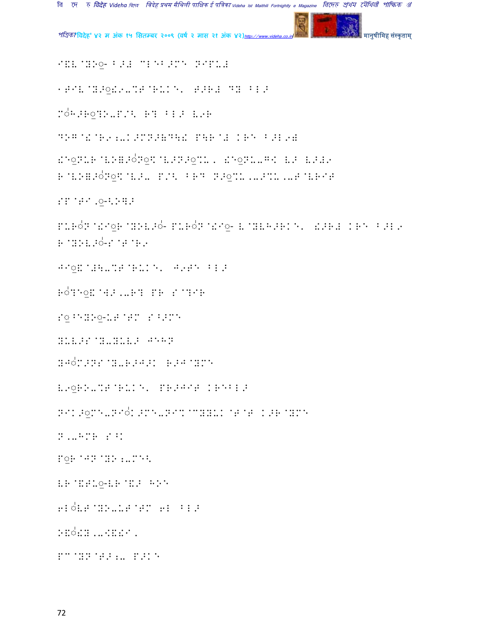िव <sup>त</sup>ि दिविदह Videha निल्ह विदेह प्रथम मैथिली पाक्षिक ई पत्रिका <sub>Videha Ist Maithili Fortnightly e Magazine विटमह *शेशे*च ट्रॉशिनी शीर्ष्मिक क्षे</sub>

*পত্ৰিকা*' विदेह' ४२ म अंक १५ सितम्बर २००९ (वर्ष २ मास २१ अंक ४२)http://www.videha.co.in/ मानुष्य करूली मानुषीमिह संस्कृताम् FEETING FREE TENFRITY PAPER 1TIV@Y>◌॒!9-%T@RUKE' T>R# DY BL> MÖHUP<u>o</u>dirufus bd fiu burn DOG@ DOG@: AND AND PARTY PORTY POSSESSED OF DESCRIPTION OF DECISION  $\mathbb{E}$ родин мирновер мирнови, истории, че ни враго B VEDERØDEN ERLARDEN SPRAGNELLEND LIB NESKA SPORT OF SPACE PURÓF IGYQR IGGERÓ- PURÓF IGYQ- E IGERDRIG I GURE I PRO FOR GO boshine te te se JPOETHELTH THILLY, SPARY BEF P¢TP@MJHJ.WPT FR S@7TfF SOUPSER SOURCE  $\mathcal{H}$  . The set of the set of the set of the set of the set of the set of the set of the set of the set of the set of the set of the set of the set of the set of the set of the set of the set of the set of the set of t BA¢NGRPJELBGAGI BGAJBNY V9◌॒RO-%T@RUKE' PR>JIT KREBL> DAI G<u>e</u>rywayd Grywysau maawr ne ne o genary 1 N,-HMR S^K PSH ME ME LOCAL RROBER VROUWER el@LejGPulejGPD el Blac O&◌ ॑!Y,-[&!I, PC THE POSSIBLE PRINT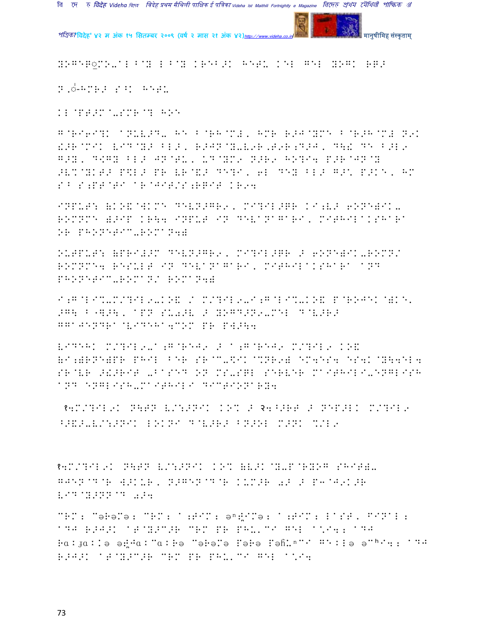*পত্ৰিকা*'বিदेह' ४२ म अंक १५ सितम्बर २००९ (वर्ष २ मास २१ अंक ४२)http://www.videha.co.in<sup>/ Haman</sup> सम्बं<sup>द</sup>े । मानुषीमिह संस्कृताम्

YOGENPOTINING KAREBO-ALALAH DENGAN HETU KEL GEL GEL YOGK REBO-KEL GEL YOG

N,◌ ॑-HMR> S^K HETU

KL@PT>M@-SMR@? HOE

G@RI6I?K ANUV>D- HE B@RH@M#, HMR R>J@YME B@R>H@M# N9K !>R@MIK VID@Y> BL>, R>JN@Y-V9R,T9R;D>J, D\! DE B>L9 BRE, PERSON BLANCH, UPMER PRES HOTEL PRESHOLD >V%@YKT> P\$L> PR VR@&> DE?I, 6L DEY BL> G>\* P>KE, HM So S;PT@TI AR@JIT\_S;RQIT\_S;RQIT\_S;RQIT

INPUT: (KO&@WKME DEVN>GR9, MI?IL>QR KI;V> 6ONE)IK-ROMNME )>IP KR\4 INPUT IN DEVANAGARI, MITHILAKSHARA OR PHONETIC-ROMAN

OUTPUT: (PRI#>M DEVN>GR9, MI?IL>QR > 6ONE)IK-ROMN/ ROMNME4 RESULT IN DEVANAGARI, MITHILAKSHARA AND PHONETIC-ROMAN/ ROMAN4)

I;G@LI%-M/?IL9-KO& / M/?IL9-I;G@LI%-KO& P@ROJEK@)KE' >G\ B"]>\, APN SU0>V > YOGD>N9-MEL D@V>R> GGALENDRAM GENERALDISCHE PROFILIS

VIDEHK M/?IL9-A;G@REJ9 > A;G@REJ9 M/?IL9 KO& BR REPRESE PHRIL BER SR PRINS TIPPEE STANDE SPACE THAN B SR@VR >!>RIT -BASED ON MS-SQL SERVER MAITHILI-ENGLISH AND ENGLISH-MAITHILI DICTIONARY4

१4M/?IL9K N\TN V/:>NIK KO% > २4^>RT > NEP>LK M/?IL9 \*-VERSION DOWN ORDER BOOKS BOOK DOWN DOWN DOWN DOWN WAS ARRESTED FOR DAMAGE.

१4M/?IL9K N\TN V/:>NIK KO% (V>K@Y-P@RYOG SHIT)- GANG MAR WAS GREEN ON THE REPORT OF THE SAMPLE OF PARALLEL VID@Y>NN@D 0>4

CRM; CəhəMə; CRM; Animi, əʰiyiə; A;Hum; Last, FINAL; ADA RIAR ARABAN DR TRI PHU'CA GH A'AN A'A Ratjallə əfidi "alifə "əifə"ə Pəkə Pəhlin", "hilə ə"h.g. türl ROGER AT MESSING PROVINCE PROVINCE AT A THOMAS PROVINCE AT  $\mathcal{F}(\mathcal{A})$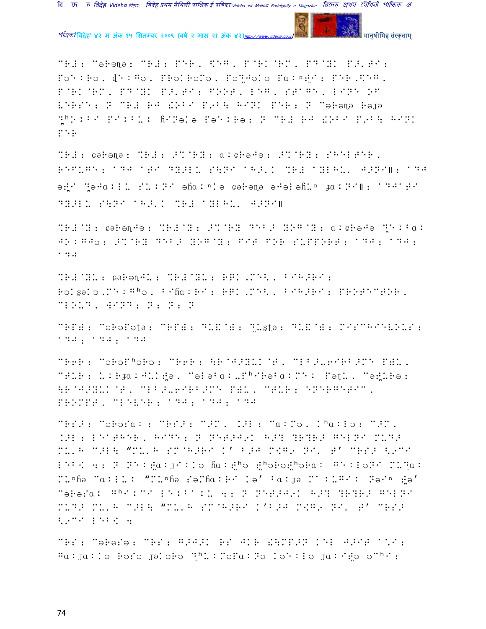CR#: Təbəmə: TR#: PPR, SPP, PORT PP, PPORT PR, PR, PP: Pəiribə, dirifə, Pbelbələ, Pəbliqis Parthistikalı; Perritor, P@RK@RM, PD@YK P>'TI; FOOT, LEG, STAGE, LINE OF VERSE; N CR# RJ !OBI P9B\ HINK PER; N CəRəɳə Rəɟə DÖRİ RÜSTERI STERIDI PIRINI PRISHI PARTISTIK ERRI PER

 $T_H^2$ :  $R_H^2$  ;  $R_H^2$  ,  $R_H^2$  ,  $R_H^2$  ,  $R_H^2$  ;  $R_H^2$  ,  $R_H^2$  ,  $R_H^2$  ,  $R_H^2$  ,  $R_H^2$  ,  $R_H^2$  ,  $R_H^2$  ,  $R_H^2$  ,  $R_H^2$  ,  $R_H^2$  ,  $R_H^2$  ,  $R_H^2$  ,  $R_H^2$  ,  $R_H^2$  ,  $R_H^2$  ,  $R_H^2$  ,  $R_H^2$  ,  $R_H^2$  ,  $R_H^2$ RAFUGA; ADAM ATA DHIBI SHEA AHILI AHI AHIBI AHIRU AYLAN A ətin "jəfaː: Məhari" əharini əldəbənə əfələhin yarikilir munistr DEBIT AHIM AHILI AHAD AYUN

%R#@Y; səhəndə: %R#@Y; P; 2008 Yog@RY Debay; alghədə "Doltal JOːGJə; >%@RY DEB> YOG@Y; FIT FOR SUPPORT; ADJ; ADJ;  $\cdot$   $\cdot$   $\cdot$   $\cdot$ 

 $T_H: K_H: G \mapsto \mathbb{R}^n$  ,  $\mathbb{R}^n$  ,  $\mathbb{R}^n$  ,  $\mathbb{R}^n$  ,  $\mathbb{R}^n$  ,  $\mathbb{R}^n$  ,  $\mathbb{R}^n$  ,  $\mathbb{R}^n$  ,  $\mathbb{R}^n$  ,  $\mathbb{R}^n$  ,  $\mathbb{R}^n$  ,  $\mathbb{R}^n$  ,  $\mathbb{R}^n$  ,  $\mathbb{R}^n$  ,  $\mathbb{R}^n$  ,  $\mathbb{R}^n$  ,  $\math$  $R\ddot{r}$ ; rək $R\ddot{r}$ ;  $R\ddot{r}$ ;  $R\ddot{r}$ ;  $R\ddot{r}$ ;  $R\ddot{r}$ ;  $R\ddot{r}$ ;  $R\ddot{r}$ ;  $R\ddot{r}$ ;  $R\ddot{r}$ ;  $R\ddot{r}$ ;  $R\ddot{r}$ ;  $R\ddot{r}$ ;  $R\ddot{r}$ ;  $R\ddot{r}$ ;  $R\ddot{r}$ ;  $R\ddot{r}$ ;  $R\ddot{r}$ ;  $R\ddot{r}$ ;  $R\ddot{r}$ CLOUD, WIND; N; N; N; N;

CRP); Cərəfətə; CRP); CRP); DUB DE; Düştə; CRP); Dübay; Dübay; MISCHIEVOUS; Dübay; MISCHIEVOUS; MISCHIEVOUS; M ADJ; ADJ; ADJ

CR6R; Cəbəbhər CR6R; RR/PD101 CR, CR6P; CLB-6IRB; C  $\mathbb{C}^n$ iri;  $\mathbb{C}^n$  . The isotropic  $\mathbb{C}^n$  in the interminance  $\mathbb{C}^n$  in the interminance of  $\mathbb{C}^n$ \R@J>YUK@T, CLB>-6IRB>ME P)U, CTUR; ENERGETIC, PROMPT, CREAKING; ADVISING; ADVIS

 $T: \mathbb{R}: \mathbb{R}^3 \ni \mathbb{R}: \mathbb{R}: \mathbb{R}: \mathbb{R}: \mathbb{R}: \mathbb{R}: \mathbb{R}: \mathbb{R}: \mathbb{R}: \mathbb{R}: \mathbb{R}: \mathbb{R}: \mathbb{R}: \mathbb{R}: \mathbb{R}: \mathbb{R}: \mathbb{R}: \mathbb{R}: \mathbb{R}: \mathbb{R}: \mathbb{R}: \mathbb{R}: \mathbb{R}: \mathbb{R}: \mathbb{R}: \mathbb{R}: \mathbb{R}: \mathbb{R}: \mathbb{R}: \mathbb{R}: \mathbb{R}: \mathbb{R}: \mathbb{R}: \mathbb{$ .>L; LEATHER, HIDE; N NET>J9K H>? ?R?R> GELNI MUD> MUL'H CARRE MULL'H SU GHARI K'Y BOAR DARK GAL GA CHEER RUCH LEBER wirden in Neister Kartelia in Polisian Muddaler wird in The Teach Muslim Muddaler School Muddaler School MUnin Aratılının Muşama Səlifindi Kəlifə Marşaqı Marşaqı Görevin Həli Türkin Aratı Marşaqı Səlifindən Həli Cəbətal <sup>dhi</sup>nini Eylinli et R Rybaya, Ayr dedbi Ayrar MUSE MULA SARA SMULA PISARAN IKEBA MEREKATAN SARA MARI  $\mathbb{R}_2$  , and  $\mathbb{R}_2$  is the  $\mathbb{R}_2$  -quantity of  $\mathbb{R}_2$ 

TRI: Təhəfə: TRI: PJPJN BI PIR KATEJP INE PJPJR TVD: Gaːjɑːkə Rəstə yələkə "hüːlüəkarı"ə ləbriə yardığa ə<sup>chi</sup>;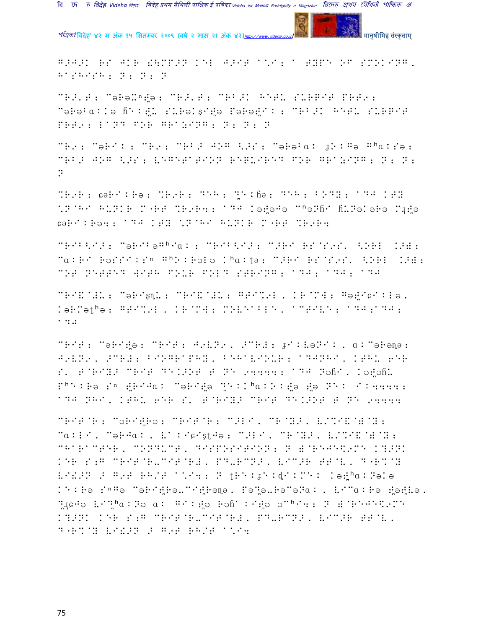G>J>K RS JKR !\MP>N KEL J>IT A\*I; A TYPE OF SMOKING, HASHISH; N; N; N

TRAYA: Təhəlmiə: TRAYE: TRAK HYAN MURRYA MRAY: Cərəbaltə firlimininət şirəkən rəhərinin məhati hetminin surat PRESS PRT9; NOR GRAZING; NOR GRAZING; N

TRA: Təhriz: TRA: THIR HIRB BAR:: Təhəfqi şizifə #hqi:ə: CRB> JOG <>S; VEGETATION REQUIRED FOR GRAZING; N; N;  $\mathbb{R}^+$ 

%R9R; @aBiilbə: %R9B; PDP; QNIfa; PDP; PDPH; 198 198 \*Nahim Girli Hunkristan Müsləri Məlibi Müsləri Mundistan Mundistan Mundistan Mundistan Mundistan Mundistan Mun<br>Türkiyi GəRI:RIRəd: ADJ KRIMA (RICHI HUNKR MÜRI) MÜRISH

TRYPRISE: Təbyiə<sup>dən</sup>ıqlı Teyrriyalı Tuby Bilibad, Robb (1983) CɑːB·N Bəffirin BʰDibələ (hatta: CBB-NB: CDrB, ADBE) (BB: TO NETTED WITH FOUR FOLD STRING; ADDITION; ADDITION;

CRIBU: CəRIŞQU; CRIBU: CRIXARIX CRICHI; Gəğişirlə, Kəblət<sup>h</sup>ə: Bernis Libnis: Dibiri: Movembur: Magneby;  $\cdot$   $\cdot$   $\cdot$   $\cdot$   $\cdot$ 

CRITS; Caritig; CRIT; CRIT; Juris; Juris; Juris; Anti-Grene; J9VN9, >CR#; BIOGRAPHY, BEHAVIOUR; ADJNHI, KTHU 6ER S. F'HAIR THAR TALRIR PORTH DELENIYYA TA PƏĥA, Kərishi  $P^{\text{th}}$ irə S $\text{in}$  Theoric Carrigal Component  $\text{in}$   $\mathbb{R}^n$ iril $\text{in}$  Theoric Islamic Carrigal Component Component Component Component Component Component Component Component Component Component Component Compone ADJ NHI, KTHU 6ER S' T@RIY> CRIT DE.>OT T NE 94444

CRITAR; Cəritgə: Critana Carit, Critan, Vitana Can  $a:i:j$ ,  $a_{\Theta}$ i $a:i$ , interpretation  $C$ ,  $i:j$  is the  $C$ CHARACTER, CONDUCTER, PRINCIPIONERSE, DAMINATIVITY INCOR KAR S;G CRITE DE LONG DE L'EDLECTRI , ENCIR GENE, D'ARCNE VI!>N > G9T RH/T A\*I4; N ʈREːɟEːɖIːMEː KəTӁʰɑːNəKə Keːritə Siritə, Pərtistan Səritəniya, Pərtistan Səritə, e<sup>n nə</sup>cəniya, Səritə, B DECHALL ET : THOLD GIT PERSONALITY OF STRATH AND RESERVE SHOWED STRATH STRATH STRATH STRATH STRATH STRATH STRA KR KER SANA TURUPAN DI SUNA KER SANA TERSEKA PERANJAAN PERANJAAN PERANJAAN PERANJAAN PERANJAAN PERANJAAN PERAN<br>Di bahasa peranjaan peranjaan peranjaan peranjaan peranjaan peranjaan peranjaan peranjaan peranjaan peranjaan D"R%@Y VI!>N > G9T RH/T A\*I4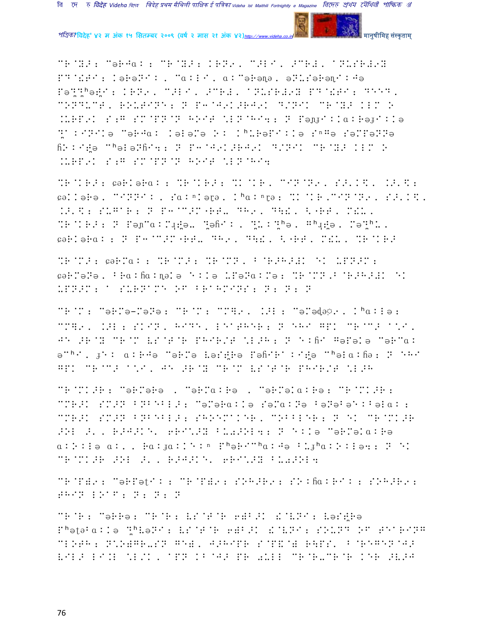CROSE: Cərdai (CROSE), CROSE, CROSE, CRADINI, ANUS PD@!TI; KəRəNIː, CɑːLI, ɑːCəRəɳə, əNUSəRəɳIːJə Pə<sup>dinh</sup>əff: CBBA, MABY, AMBE, MBLYBEAY PROBE, RVYR, TO PACIFIC TO A RIGHT (PSICE OF A RIGHT OF A RIGHT) OF THE CONDUCT OF THE CRAIGHT OF THE CARD OF THE CARD OF THE CARD OF THE CARD OF THE CARD OF THE CARD OF THE CARD OF THE CARD OF THE CARD OF THE CARD OF THE CARD OF THE C .URP9K S;G S;G Sig Shang Holip (Ranginis; Naman Honitis) DӁAːINIKə CəRJɑː KəLəMə Oː KʰURəPIːKə SⁿGə SəMPəNNə ħik parteis chelaginia; N P3 P3 Marteis; N Parteis; N P3 Marteis; N P3 .URP9K S;G SM@PN@N HOIT \*LN@HI4

%R@KR#Crackbook; %R@KR\$; %K@KR, CHPCP; %K@KR, CHPCR, CINE  $\mathfrak{so}$ : Sie, Cinnical Solomon Solomon Solomon Solomon Solomon Solomon Solomon Solomon Solomon Solomon Solomon Solomon Solomon Solomon Solomon Solomon Solomon Solomon Solomon Solomon Solomon Solomon Solomon Solomon Solom .>'\$; SUGAR; N P3@C>M"RT- DH9, D\!, <"RT, M!U,  $\mathbb{T}$ ir  $\mathbb{T}$  ir is an Particle of Definition of  $\mathbb{R}^n$  in  $\mathbb{R}^n$  . The  $\mathbb{R}^n$  in  $\mathbb{R}^n$  is a  $\mathbb{R}^n$  in  $\mathbb{R}^n$  is a  $\mathbb{R}^n$  in  $\mathbb{R}^n$  is a  $\mathbb{R}^n$  in  $\mathbb{R}^n$  is a  $\mathbb{R}^n$  in  $\math$  $\varphi\partial\dot{P}$ :  $\varphi\partial\phi$  and  $\chi$  is the contract of  $\varphi$  in the contract of the contract of the contract of  $\varphi$ 

%R@M>; ɕəRMɑː; %R@M>; %R@MN, B@R>H>#K EK UPN>M;  $\mathfrak{so}\mathfrak{g}\mathfrak{g}\mathfrak{g}\mathfrak{g}\mathfrak{g}\mathfrak{g}$ , Bubarano, Barano, Branca, Barano, Branca, Branca, Branca, Branca, Branca, Branca, Branca, Branca, Branca, Branca, Branca, Branca, Branca, Branca, Branca, Branca, Branca, Branc UPN>M; A SURNAME OF BRAHMINS; N; N; N

CROM; Cərmə–Mənə; CRAM; CRAM; CRAM; CRAM; CRAM; CRAM; CRAM; CRAM; CRAM; CRAM; CRAM; CRAM; CRAM; CRAM; CRAM; C CM]9, .>L; SKIN, HIDE, LEATHER; N EHI GPK CR@C> A\*I, JE >R@Y CR@M VS@T@R PHIR/T \*L>H; N EːɦI GəPəKə CəRCɑː ə<sup>mhu</sup>, jin qilmə "əhiə bədinə pəhir rinə "hədqihə; N Hir GPK CR@COX A\*I, JE DE CR@COX@T@R PHIR/F (1994)

CROMARI : GP: Gorier , German , German , German , Carmelian , Carmelian , Carmelian , Carmelian , Ca CMR>K SM>N BNBEBL>; CəMəRɑːKə SəMɑːNə BəNəBəEːBəLɑː; CMR>K SM>N BNBEBL>; SHOEMAKER, COBBLER; N EK CR@MK>R >OL >', R>J>KE' 6RI\*>Y BU0>OL4; N EːKə CəRMəKɑːRə aːlːiə aː. . Haːɟaːllın FhəH·mhaː4ə :lthaːlːiən: N E CR@MK+POLARA + CR@MK+POLARA + CR@MK+POLARA + CR@MK+POLARA + CR@MK+POLARA + CR@MK+POLARA + CR@MK+POLARA + CR@MK

CR THE POST CRAPTER CRAFT SOHORNING SOHORNING SOHORNING; SOHORNING; SOHORNING; SO FHIN LOAF; N; N; N;

CR@R; Cərrə; CR@R; Carriolis, Carriolis, Carriolis, Carriolis, Carriolis, Carriolis, Va PhətəFqılə Philəgini; ilining eliriki; lining eliriki; sound of ennishger TEDAR: PLDARBLER RYA, JAJRYPR ENPENA BAPEL FNDYRYPYAJ VIL> LI.L \*L/K, APN KB@J> PR 0ULL CR@R-CR@R KER >V>J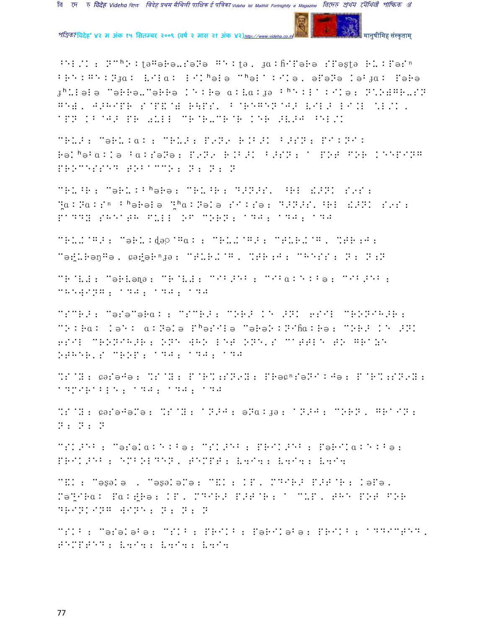*পত্ৰিকা*' विदेह' ४२ म अंक १५ सितम्बर २००९ (वर्ष २ मास २१ अंक ४२)http://www.videha.co.in/ मानुष्य स्थितिकामिह संस्कृताम्

 $E^{\text{max}}$ shindari Senərəsiya Senəriya Sona Geriqiya Səna Senəriyatların Spana Senariyatların Spana Senariyatların S BRE: BRE: BRE: BRE: Particle of the Lines of the Lines of the Charlotte Charlotte Charlotte Charlotte Charlott  $\mathbb{F}^h$ liələ "əhhəl"əhhə Nitleqriya qılları $\mathbb{F}^h$ ikl $\mathbb{F}^n$ ikla $\mathbb{F}^n$ GRAN, JANAPA SMPRAA RAPS, JAMAANDAD BARD RAND FAN LINN APP KB MAJORE ULL E MEMBURANE KARA SELAH PRESI

CRU>; CəRUːɑː; CRU>; P9N9 R.B>K B>SN; PIːNIː Rəkhəbatlə BatliəBəl BuBu BiBu BuBu BiBu The Pot Christin PROCESSED TO BACK TO BACK

CRUS PHOTOGRIST <sup>N</sup>ərəci CRUSPOR (PRIRIS) (PHOTERIST) SVS ( D"dı Balın Bhəkətə "hal Bətə Prilibe" (BBB) Het EBBI Piri" PADDY SHEATH FULL OF CORN; ADJ; ADJ; ADJ

 $\Gamma$ Penn  $\Gamma$ aris Cəbəkində $\rho$  (Hans Forms Corpus Forms Constants)  $\Gamma$ Cədilian<sup>də</sup>, gədəhnyə: Calini'<sup>a</sup>, Tairini Chess; Niches

 $T\oplus T\oplus A$ ; Cə $\oplus$ i $\oplus$ ənə; C $T\oplus T\oplus A$ ; C $T\oplus T\oplus A$ ; Ci $T\oplus A$ ; Ciba $\oplus$ CHEWING; ADD; ADD; ADD;

CSCR>; CəSəCəRɑː; CSCR>; COR> KE >NK 6SIL CRONIH>R; Coːraː Kəː Giranırələ Phətitə Cəhəlirindan bəri Corolinin Al 6SIL CRONIH>R; ONE WHO LET ONE'S CATTLE TO GRAZE OTHER'S CROP; ADJ; ADJ; ADJ

%S@Y; @a:əfə: %S@Y; P@R%;SN9; P#@@miə?f\*\*fə: P@P%;SN9; P# ADMIRABLE; ADJ; ADJ; ADJ

 $S^{\rm sc}_{\rm S}$  (second and  $S^{\rm sc}_{\rm S}$  ) and  $S^{\rm sc}_{\rm S}$  (  $S^{\rm sc}_{\rm S}$  ) and  $S^{\rm sc}_{\rm S}$  and  $S^{\rm sc}_{\rm S}$  and  $S^{\rm sc}_{\rm S}$  and  $S^{\rm sc}_{\rm S}$  and  $S^{\rm sc}_{\rm S}$  and  $S^{\rm sc}_{\rm S}$  and  $S^{\rm sc}_{\rm S}$  and  $S^{\rm sc}_{\rm S}$  and  $S^{\rm sc}_{$ N; N; N

CSK: ESP; Cəsəkarında; CSK: PRIKRIK EB; PRIKRIK Pəhmidarında; PRINCIPAL PRICE THE SENTER PRINCIPAL RANGE RANGE

CBC; Cəşəkə , Cəşəkələri müzirilir. Carakiyetinin kəfəli Mədhirax Paxighe: KP, MOVIE, P.H. P.H. MovIE, ARS P.H. P.H. DRINKING WINE; N; N; N

CSKB; Cəstəkəb; CSKB; PRIKB; Pərikbiləbə; PRIKB; ADDICTED; ADD TEMPTED; V4I4; V4I4; V4I4; V4I4;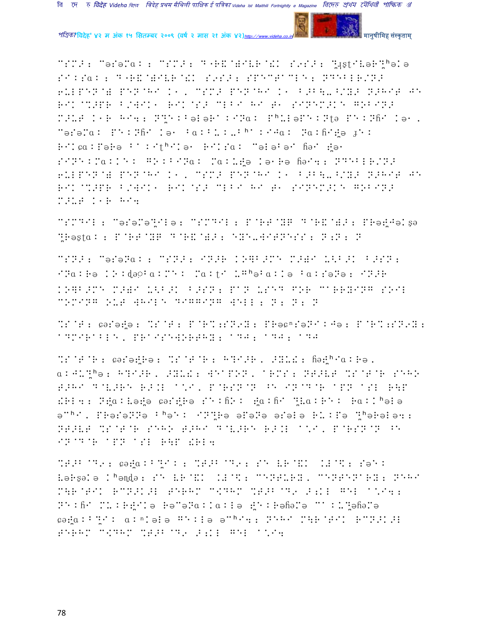*পত্ৰিকা*'বিदेह' ४२ म अंक १५ सितम्बर २००९ (वर्ष २ मास २१ अंक ४२)http://www.videha.co.in<sup>/ Haman</sup> सम्बंधियोज्ञानि संस्कृताम्

CSMA; Cəsəmal; CSMX; CSM); Direction Section Section Section Sections SITICAL: DEBIONERIAL SISTE SPECTACLE; NDEBLAND 6ULPEN@) PEN@HI K1, CSM> PEN@HI K1 B>B\-^/Y> N>HIT JE RIK MORIE SORIAL RIKOGIA MISK SINGER GIVENORI NOBINORI MORUM KIR HIA; NOĞIR HIŞISININ HIZINAI, PRUS PHILOSINININ KƏLƏY, NO TəfəMaː PirtPhilar Barilının bir kəndi Barhiyə şir  $R: \mathbb{R}^2$  is an interestive  $R: \mathbb{R}^2$  is the  $R: \mathbb{R}^2$  is the  $R: \mathbb{R}^2$  is the  $R: \mathbb{R}^2$ SINEXA Matter Gorbingian Mattes Serie herri Suntain No BLETHENG PHONOL KITH PHONOL KIBLEDE DEWE AN RIK@%>PR B/WIK1 RIK@S> CLBI HI T1 SINEM>KE GOBIN> M>UT K1R HI4

CSMDIL; Cəsələliqiydə; CSMDIL; Participalinin; Participalitibatiya, Sə DÖRŞtal: Parter de Dorentes; Sosseyaress; Nisan B

CSN>; CəSəNɑː; CSN>; IN>R KO]B>ME M>)I U<B>K B>SN; INGINƏ INIdəsidirin Marti Marti A<sup>n</sup>ətallə Fariələ: INS KOBERT MAN DE SKER BRIDGET FOR CANTREL TO BEGINE SOME TOURNEY WHILE DIGGING WELL; NICE OF

 $S: S \to \mathbb{R}$ ;  $\mathbb{R}$  and  $\mathbb{R}$  is the set  $S$  in the sum of  $S$  . The  $S$  is the sum of  $S$ ADMIRABLE, PRAISEWORTHY; ADJ; ADJ; ADJ

%S@T@R; Saradiya: %S@T@R; H?I+R; #YONYA; #SQT@R; heigh+dariya. dığmə: HTPRP, PELE: HPTPP, TRTP: PRPLE TETPT SPPP T>HI D@V>RE R>.L A\*I, P@RSN@N ^E IN@D@R APN ASL R\P hista: Pelatilərlə səngiyə ninthin gathi "Mathit Hati"ələ əCʰI, PRəSəNNə BʰəEː INDӁRə əPəNə əSəLə RUːPə DӁʰəRəLə4; NTHE SEMINATE SEHO THEN BEST SATISFIES PROPERTY INDEX ASSESSED AND ASSESSED AT A REAL PARTIES.

 $T\colon B\to B\to C\otimes B$  . The particle in the position  $T\colon B\to B$  . The contribution  $B\to B$ Ləbşəkə Khəndə; ST LB WAR NARY; THRABHA THRABY; NEHI RIHAY MARCHIN ROBERT AND CONSTRUCTION OF REPORT OF A TERRITORY ARSERIYAN MUĞIRTÖR ETAININƏ RƏNERRIYAN MÜŞIRTÖRDƏ ATARIYAN Gətiq I für il qimi ət əllə firmi təllə lə<sup>mh</sup>in: Nüriki Müslim Roman Müslim Roman Ro BRBD CHR SER MAGEINE BR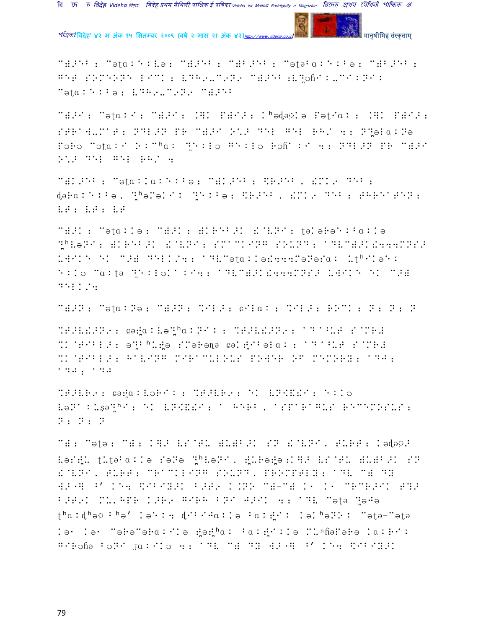*পত্ৰিকা*'বিदेह' ४२ म अंक १५ सितम्बर २००९ (वर्ष २ मास २१ अंक ४२)http://www.videha.co.in<sup>/ Haman</sup> सम्बंधियोज्ञानि संस्कृताम्

CHIPS: Cətalisliya: CHIPS: CHIPS: Cətəlalisliya: CHIPS: C GET SOMEONE LICK; VOH9-C919 CH2-CH2-CH2O  $\mathbb{C}$ əta $\mathbb{C}$ :  $\mathbb{C}$ ə; E $\mathbb{C}$ :  $\mathbb{C}$ :  $\mathbb{C}$ :  $\mathbb{C}$ :  $\mathbb{C}$ :  $\mathbb{C}$ : E $\mathbb{C}$ :  $\mathbb{C}$ : E $\mathbb{C}$ :  $\mathbb{C}$ : E $\mathbb{C}$ : E $\mathbb{C}$ : E $\mathbb{C}$ : E $\mathbb{C}$ : E $\mathbb{C}$ : E $\mathbb{C}$ : E $\mathbb{C}$ : E $\mathbb{C}$ 

C)>I; CəʈɑːI; C)>I; .]K P)I>; Kʰəɖə◌़Kə PəʈIɑː; .]K P)I>; STRAW-MAT; NDL>N PR C)>I O\*> DEL GEL RH/ 4; NDӁəLɑːNə Pərə Cətalı Dil<sup>nh</sup>al Ozirə Britə Rəhili 4; NDRR PR CHIP. O\*> DEL GEL RH/ 4

CADSPH : "ətalialitlə: "Bisht: SBSH", STIS PHF; dəBalınıbə, Thəmətri Tribe, SBRH. 2012-2014 BBBN BYB; LF: LF: LF

CBR): Cətallə: CBR): BRPHRI; KREBI; tələbəhliallə DÖRƏNI; ALBYANI; AMBIYI; SMACKING SOLNA: ADVC); SMACKING UWIKE EK C>) DELK/4; ADVCəʈɑːKə!444MəNəSɑː UʈʰIKəEː Eːkiə Taltə Pǐkiəlikin: Tübrekishnerinin berlik il The DELK/4

CHAR: TətalRə: CHAR: CHER; @Hal: CHER; ROCK; P.N. (2: N; N;

 $\mathbb{R}^n$ :Vild.P.P. : gə:Ma $\mathbb{R}^n$  is  $\mathbb{R}^n$ ad  $\mathbb{R}^n$ i  $\mathbb{R}^n$  ad  $\mathbb{R}^n$  . And  $\mathbb{R}^n$  is  $\mathbb{R}^n$  is  $\mathbb{R}^n$  . The same  $\mathbb{R}^n$  $\mathbb{R}^n$  is the small set of  $\mathbb{R}^n$  is the small set of  $\mathbb{R}^n$  is the small set of  $\mathbb{R}^n$  is the small set of  $\mathbb{R}^n$  is the small set of  $\mathbb{R}^n$  is the small set of  $\mathbb{R}^n$  is the small set of  $\mathbb$ %K@TIBL>; HAVING MIRACULOUS POWER OF MEMORY; ADJ; ADJ; ADJ

%THP: pergalier: %THP: : %THP: EPREE : %I; e Les vise<sup>nh</sup>i; Mi Estadi Reception as a Herbert Reception: N; N; N

CH); Cətə: CH); CH()B); Komini, Hümeri, Kətibari, Cədəci Vəstiğli, tiltəf qız bəstiə Dönimi, Dönimi, Türkəsiyası, Türkəsiyası, Türkəsiyası, Türkəsiyası, Türkəsiyası, T !@VNI, TURT; CRACKLING SOUND, PROMPTLY; ADV C) DY WE SAME AN INSTRUMENT OF THE CONTROL CONTROL CONTROL CONTROL CONTROL CONTROL CONTROL CONTROL CONTROL CONTROL CONTROL CONTROL CONTROL CONTROL CONTROL CONTROL CONTROL CONTROL CONTROL CONTROL CONTROL CONTROL CONTROL CONTROL C B>T9K MU'HPR K>R9 GIRH BNI J>IK 4; ADV Cəʈə DӁəJə tha:dhəp:hə' iəlin diliqilə farili ləlhə: roda–cətətin bah Kən Kən Cərəcərə Kəngəliya Kəngili Günün tə Tərə Tərə Sana Məzi və Karamaza Tərə Ko GIRƏ<br>Bəni bəni qurulə 4: ADV CHARI BIR DY Məni Sanat Birli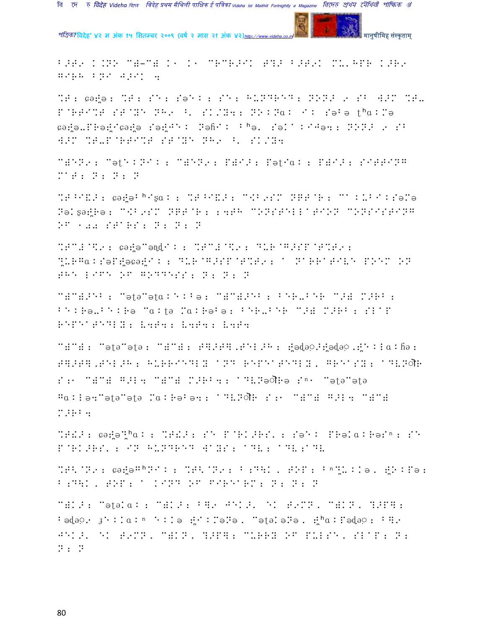*পত্ৰিকা*'বিবলৈ' ४२ म अंक १५ सितम्बर २००९ (वर्ष २ मास २१ अंक ४२)http://www.videha.co.in<sup>/ महाल</sup>िक संस्कृति मानुषीमिह संस्कृताम्

Girah Barat ayan 14

B>T9 K.NO C)–C) K1 K1 CRCR>IK T?> B>T9K MU'HPR K>R9

%T; ɕəTӁə; %T; SE; SəEː; SE; HUNDRED; NON> 9 SB W>M %T-PORTIC STORY NH9 (SK/H9: NOːNaː Iː Sali Səbə thallə Gə:Denibə: Məriqiqi Sətindiri Səhirir İranın Birli Səhirli Səhirizənin Səhirli Səhirli Səhirli Səhirli Səhirli WAS MONEYED STATES STATES STATES

CHING; Cəthidi Cili CHING; PHINA; Pətiqi PHINA; SITEDING MAT; N; N; N

WHERE  $\mathcal{L}^1$  and  $\mathcal{L}^2$  is the state of  $\mathcal{L}^1$  . The  $\mathcal{L}^1$  and  $\mathcal{L}^2$  is the state of  $\mathcal{L}^1$ Nə: Şədirə: Charles Charles II and Construction Constellation Constantion Const OF 100 STARS; N; N; N; N; N;

 $\mathbb{R}^n$ :  $\mathbb{R}^n$ :  $\mathbb{R}^n$ ;  $\mathbb{R}^n$  or  $\mathbb{R}^n$  and  $\mathbb{R}^n$ ;  $\mathbb{R}^n$  is  $\mathbb{R}^n$ ;  $\mathbb{R}^n$  is  $\mathbb{R}^n$ ;  $\mathbb{R}^n$ ;  $\mathbb{R}^n$  is  $\mathbb{R}^n$ ;  $\mathbb{R}^n$ DÖLPHÖRISƏT HƏQƏHARIXI; DURMASTIVE POEM A NARRATIVE POEM ONU DE THE LIFE OF GODDESS; N; N; N

CACARI CO) Developeda Antiba; Cacari Carari Berling, Berling, Berling; Berling; B BEːRːþə..: Niþə Mɑɪṭə Cɑːþəːə; BErb.: Nih Musiculi: Mili RAPATEDELY; V4T4; V4T4; V4T4;

g); Ghimar; Cebeji; Cətərisi; Türi; Türi; Türi; Türi; Türi; Türi; Türi; Türi; Türi; Türi; Türi; Türi; Türi; Tü TH, THE LEVEL IN A SUPERING HIS TO THE REPORT OF THE REPORT OF THE REPORT OF THE POINT OF THE POINT OF THE POINT S;1 Character Care Signification Market Constanting Controller State Handeler State State State State State St Gaːləqiˈətəˈˈətə Mɑːləəqəqː Müllüğün Sin Marqalıq Marqi M>RB4

 $\mathbb{R}\mathbb{R}$ :  $\mathbb{R}^n$ ə $\mathbb{R}^n$ hal $\mathbb{R}^n$ ;  $\mathbb{R}^n$ : Se $\mathbb{R}^n$ ; Se $\mathbb{R}^n$ ; Se $\mathbb{R}^n$ ; Se $\mathbb{R}^n$ ; Se $\mathbb{R}^n$ ; Se $\mathbb{R}^n$ ; Se $\mathbb{R}^n$ ; Se $\mathbb{R}^n$ ; Se P@RK>RS'; IN HUNDRED WAYS; ADV; ADV;ADV

%Tet. Wirdooperhourd: %Tet. Wirdooper. Booth: Brang, Died; Boother; B; THE VIREAR CONTROL TOPS OF FIREARM; NICE AND THE UPSET OF THE UPSET OF THE UPSET OF THE UPSET OF THE UPSET OF THE UPSET OF THE UPSET OF THE UPSET OF THE UPSET OF THE UPSET OF THE UPSET OF THE UPSET OF THE UPSET OF THE U

CBIJK: TətəKɑː: TBIJK: PRIK PRIJK, "PIYAN, TBIJK, RIPPE:  $B\mapsto\mathbb{S}^n$ ədə $\mathbb{S}^n$ . i $\mathbb{S}^n$ ə i $\mathbb{S}^n$ i. The  $\mathbb{S}^n$  expansion  $\mathbb{S}^n$  and  $\mathbb{S}^n$ JEK>' EK T9MN, C)KN, ?>P]; CURRY OF PULSE, SLAP; N;  $\mathbb{R}$ :  $\mathbb{R}$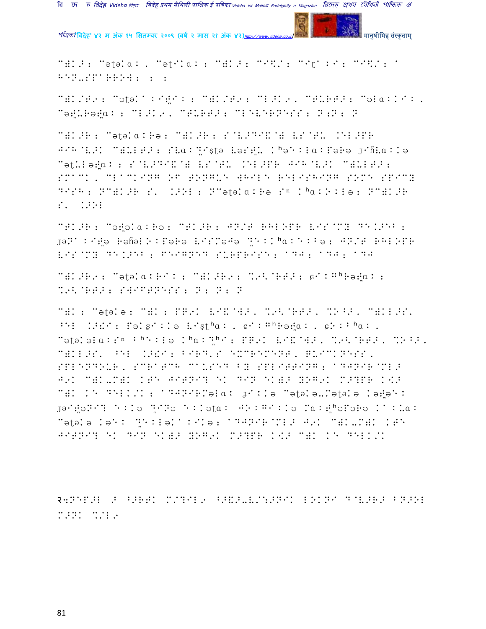CB)K: Cətəları, Cətiları, CB)Kəl Cili, Cimim (Kolinisti); C HEN-SPARROW; ; ;

CALITER: Tətəli Krainta cüalitəri medirir. Təlakın təsaklır. Tədimədiqui (TESTS), Taliasas; TESESPRINESS; NGP (PS

CAD, PRIMAGINALI CO, CARŞI CO, CARŞI ARŞALA DIADIRI ATASAS ON DIADIRI SAHIDI DIADIRI SAHIDI DIADIRI SAHIDI DIA  $\exists i \in \{1, 2, \ldots\}$  and  $\exists i \in \{1, 3, \ldots\}$  and  $\exists i \in \{1, 3, \ldots\}$  is the sum of  $\exists i \in \{1, 3, \ldots\}$ Tətliəfakı: Sülfinid istel .Distrik anadlı: Tellist: SMACK, CLACKING OF TONGUE WHILE RELISHING SOME SPICY DISH; NCR)Koration (D.)Koration State Sharp Sharp Sharp Sharp Sharp Sharp Sharp Sharp Sharp Sharp Sharp Sharp S S' .>OL

CHIVAR; Cəfəlqirə; CHIVAR; ABVA RHIVER EYESCB SYIPYI P  $\overline{A}$ ə $\overline{B}$ : Indianarit Dismoslova Dismoslova Dismo $\overline{B}$ EASTER WAINER FEARDER SURPRASE; ADD; ADD; ADD;

CANSPROSS CONSTRUCT CONTROL CONTROLS %9<@RT>; SWIFTNESS; N; N; N

CA) K; Cətələx, CA) Kirgi, Politikanı, Korona, Sona, Politikanı, Californi, C  $E^{\text{max}}$  . I:  $E^{\text{max}}$  . I:  $\text{max}$  i:  $\text{max}$  i:  $\text{max}$  i:  $\text{max}$  i:  $\text{max}$  i:  $\text{max}$  i:  $\text{max}$  i:  $\text{max}$  i:  $\text{max}$  i:  $\text{max}$  i:  $\text{max}$  i:  $\text{max}$  i:  $\text{max}$  i:  $\text{max}$  i:  $\text{max}$  i:  $\text{max}$  i:  $\text{max}$  i:  $\text{$ Tətələ $a:i^m : h:j^s : a^{-1}ha:i^m, m \in \mathbb{R}^n$ , sataristining  $\mathbb{R}^n$ TALESE, PHOTOGEN PRETIE SOMESONES, BLANDENESS, SPLENDOUR, SCRATCH CAUSED BY SPLITTING; ADJNIR@ML> J9K C)K-M)K KTE JITNI? EK DIN EK)> YOG9K M>?PR K[> C)K Kejie: C)K Kejie: Tii Kejie: Tii Kirikirinirmə Tii Tii Tii Tii Tii Tii Tii Tii tanir Fiegeren Cartista Dödür istindiya Martistaniya Martistani Cətələ (əiki dikişli bilə codernirgin dikindir. Dün JITNI? EK DIN EK)> YOG9K M>?PR K[> C)K KE DELK/K

२4NEP>L > ^>RTK M/?IL9 ^>&>-V/:>NIK LOKNI D@V>R> BN>OL M>NK %/L9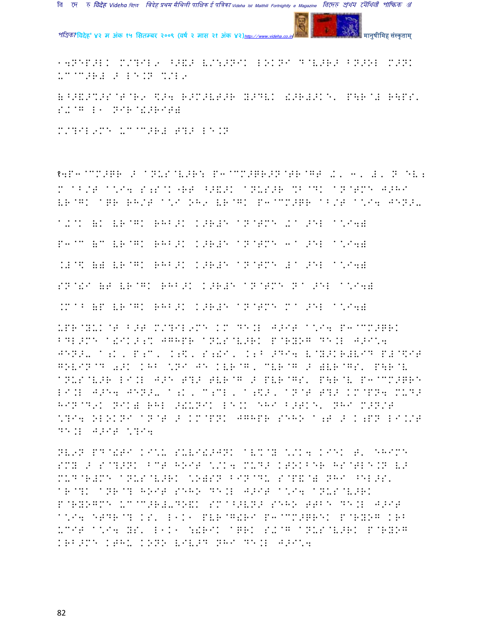पिñका**'**िवदेह**'** ४२ म अंक १५ िसतम्बर २००९ (वष र् २ मास २१ अंक ४२)http://www.videha.co.in/ मानुषीिमह सस्कं ृताम्

14NEP>LK M/?IL9 ^>&> V/:>NIK LOKNI D@V>R> BN>OL M>NK UC@C>R# > LE.N %/L9

(^>&>%>S@T@R9 \$>4 R>M>VT>R Y>DVK !>R#>KE' P\R@# R\PS' S+@G L1 NIR@!>RIT)

M/?IL9ME UC@COPY TO A TAXABLE UCC.

 $8$ HP3  $8$  CM  $\overline{AB}$  +  $\overline{B}$  and  $\overline{B}$  and  $\overline{B}$  and  $\overline{B}$  and  $\overline{B}$  and  $\overline{B}$  and  $\overline{B}$  and  $\overline{B}$  and  $\overline{B}$  and  $\overline{B}$  and  $\overline{B}$  and  $\overline{B}$  and  $\overline{B}$  and  $\overline{B}$  and  $\overline{B}$  and M AB/T Afia S; Samuel S; Samuel (Samuel And The Samuel And The Japan VR@GK AQR RH/T A\*I OH9 VR@GK P3@CM>QR AB/T A\*I4 JEN>- A+@K (K VR@GK RHB>K K>R#E AN@TME +@ >EL A\*I4) P3@C (C VR@GK RHB>K K>R#E AN@TME 3@ >EL A\*I4) .#@\$ () VR@GK RHB>K K>R#E AN@TME #@ >EL A\*I4) SNO I (T I I C VAR E AND I THE RESEARCH RHBS AND I THE ANGELE AND I THE ANGEL AND I THE ANGEL AND I THE ANGEL A .M@^ (P VR@GK RHB>K K>R#E AN@TME M@ >EL A\*I4)

UPR@YUK@T B>T M/?IL9ME KM DE.L J>IT A\*I4 P3@CM>QRK BOLANO MENIJAN APANE MORINGEN PORRA OSTALANJE JENOVAL JENO, P;K, JENO, KAZAR, JENOVAL BJEGA BIZDA PAKAVIDA PAJERA GOVING OF A KHIGH THE CONSTRUCTION OF A CONSTRUCTION OF A CONSTRUCTION OF A CONSTRUCTION OF A LIMITED OF A SAND ANUS ANUS DE LA PROVINCIA DE L'ANUS DE L'ANUS DE L'ANUS DE L'ANUS DE L'ANUS DE L'ANUS DE L'ANUS DE L'ANUS DE LI.L J>E4 JEN>- A;K, C;CL, A;\$>, AN@T T?> KM@PN4 MUD> HIND OPAL DRIVE BHE SALDRIC EN IN NHI MORINA LERIN DRIVE \*?I4 OLOKNI AN@T > KM@PNK JGHPR SEHO A;T > K;PN LI./T DE.L JANA (1984)

NV9N POSTOJE SE SE STANOVNO STANOVNO STANOVNO STANOVNO STANOVNO STANOVNO STANOVNO STANOVNO STANOVNO STANOVNO S<br>Za stanovno stanovno stanovno stanovno stanovno stanovno stanovno stanovno stanovno stanovno stanovno stanovno SMY A SMYLPIN FOR HOME NOIS MINT KEDIFF HE HS@TLE.N UP MUD@R#ME ANUS@V>RK \*O)SN BIN@DU S@P&@) NHI ^EL>S' AR@?K ANR@? HOIT SEHO DE.L J>IT A\*I4 ANUS@V>RK POBED UC COORS SOME SOCIETY SERVORS SEHO TTDE DERE A\*I4 ETDR@? KS' L1K1 PVR@G!RI P3@CM>QREK P@RYOG KRB UCIT AT I4 YOU AT A I4 YOU AND AN INCOME AND ALL AND AN INCOME. KRBBO KONO VIVIDO KONO VIVOS IN DELENGO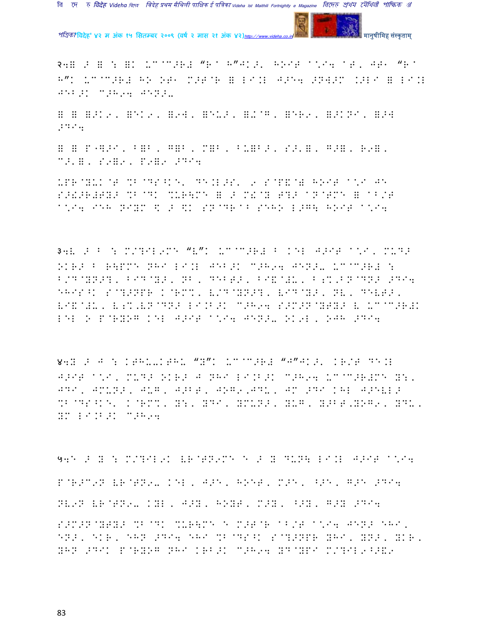

२4= > = : =K UC@C>R# "R@ H"JK>' HOIT A\*I4 AT, JT1 "R@ H"C UC CORRE HO OFF THE R EACH HAN APART CHA EACH JEB>K C>H94 JEN>-

= = =>K9, =EK9, =9W, =EU>, =+@G, =ER9, =>KNI, =>W  $\mathbb{R}^{n\times n}$ 

 $\pm$  B  $\pm$  P  $\pm$  B  $\pm$  C  $\pm$  B  $\pm$  ,  $\pm$  B  $\pm$  ,  $\pm$  D  $\pm$  B  $\pm$  ,  $\pm$  D  $\pm$  B  $\pm$  B  $\pm$  B  $\pm$ C>'=, S9=9, P9=9 >DI4

UPR@YUK@T %B@DS^KEY DE.LOS OF DE.LOS AT AFI DE SA PASSARI DE NOMINAS S>!>R#TY> %B@DK %UR\ME = > M!@Y T?> AN@TME = AB/T A NIYA I IEH NIYOKA SEHO LI SEHO LI SEHO LI SA SHOW SEHO LI SEHO LI SEHO LA NIYOKA LI SEHO LI SEHO LI SEHO LI

34E : B : B : MATHEMAT "NEWS" LOODSHEET IN THE HAFF ON A KEL MUDA

OKR> B R\PME NHI LI.L JEB>K C>H94 JEN>- UC@C>R# : B/D@YN>?, BID@Y>, NB, DEBT>, BI&@#U, B;%,BN@DN> >DI4 EHIS^K S@?>NPR K@RM%, V/D@YN>?, VID@Y>, NV, DEVT>, VI&@#U, V;%,VN@DN> LI.B>K C>H94 S>M>N@YTY> V UC@C>R#K LEL O P@RYOG KEL J>IT A\*I4 JEN>- OK9L, OJH >DI4

४4Y > J : KTHU-KTHU "Y"K UC@C>R# "J"JK>' KR/T DE.L J>IT A\*I, MUD> OKR> J NHI LI.B>K C>H94 UC@C>R#ME Y:, JDI, JMUN>, JUG, J>BT, JOG9,JDU, JM >DI KHL J>EVL>  $\mathcal{B}^{\mathcal{B}}$  (so the second contract of the second contract of the second contract of the second contract of the second contract of the second contract of the second contract of the second contract of the second contrac YM LI.B>K C>H94

94F & Y Y : M/YEAR AND LEATHERTH ON A Y Y THOUGH E AND ARABY ON A Y P@R>C9N VR@TN9- KEL, J>E, HOET, M>E, ^>E, G>E >DI4 NRSD RETEDS, INT. HOYT, MORE, COURT, MORE, MORE OF S>M>N@YTY> %B@DK %UR\ME E M>T@R AB/T A\*I4 JEN> EHI, EN>, EKR, EHN >DI4 EHI %B@DS^K S@?>NPR YHI, YN>, YKR, HHP (PRYOG NHINH PRYOG NO. MIRA HP HIM CONTROL AREA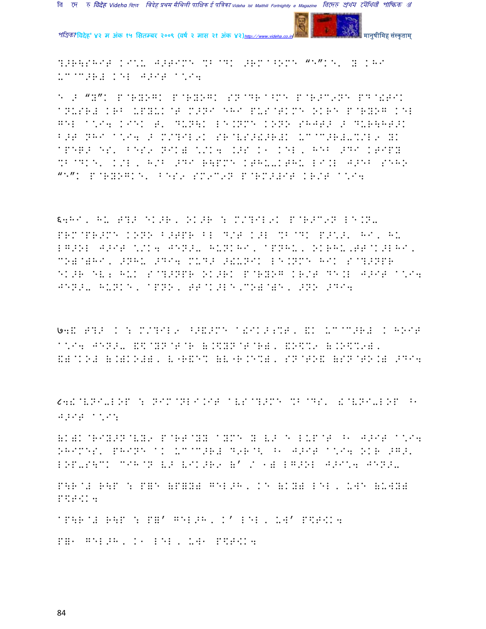

?>R\SHIT KI\*U J>TIME %B@DK >RM@^OME "E"KE' Y KHI UCA TERRA KEL ATANG ATAS

E > "Y"K P@RYOGK P@RYOGK SN@DR@^ME P@R>C9NE PD@!TIK ANUSR# KRB UPYUK@T M>NI EHI PUS@TKME OKRE P@RYOG KEL GEL ATIKE IKE LE. GEL ATIKE SHITI DURA KONO SHIGA DI PISARAK BOAR DAY AMY AT A CONSERVE SHOWS SRAW AND LOCATED AND HIS WAY OF THE REAL PROPERTY AND HIS YEAR. APEQ> ES' BES9 NIK) \*/K4 .>S K1 KEL, HEB >DI KTIPY %B@DKE' K/L, H/B >DI R\PME KTHU-KTHU LI.L J>EB SEHO "E"K POSTAGET BESON AT THE STORE BEST STATED AT THE STATED AT THE STATED AT THE STATED AT THE STATED AT THE ST

६4HI, HU T?> EK>R, OK>R : M/?IL9K P@R>C9N LE.N-

PRM@PR>ME KONO B>TPR BL D/T K>L %B@DK P>\*>' HI, HU LG>OL J>IT \*/K4 JEN>- HUNKHI, APNHU, OKRHU,TT@K>LHI, CO)@)HIRA 2 DIARA 2007 AND 2007 AND 2009 AND 2009 AND 2009 ARE HIS SAN MUDDELL EK>R EV; HUK S@?>NPR OK>RK P@RYOG KR/T DE.L J>IT A\*I4 JEN>- HUNKE, APNO, TT@K>LE,CO)@)E, >NO >DI4

७4& T?> . : M/?IL9 ^>&>ME A!IK>;%T, &K UC@C>R# . HOIT  $\frac{1}{2}$  Jensey , and the state of the state of the state of the state of the state of the state of the state of the state of the state of the state of the state of the state of the state of the state of the state of the &)@KO# (.)KO#), V"R&E% (V"R.E%), SN@TO& (SN@TO.) >DI4

८4!@VNI-LOP : NIM@NLI.IT AVS@?>ME %B@DS' !@VNI-LOP ^1  $\mathcal{A}$  (i.e. in the  $\mathcal{A}$  th  $\mathcal{A}$  )  $\mathcal{A}$ 

(K)K@RIYONOVY PODENOVY ATMOSFATION PODENOVY AT LUP AT LUP AND A THE LUP AT LUP AT LUCE OHIMES' PHINE AK UC@CORE DAR ON A DAR AK UN DE SHEN. LOP-S\CK CIH@N V> VIK>R9 (' / 1) LG>OL J>I\*4 JEN>-

PAR ME RAP : N PEN (BPECE) PNEURV, UN (BOCH) ENE (UWEN) GEN GOLFCH PRESIGN

AP\R@# R\P : P=' GEL>H, K' LEL, UW' P\$T[K4

PH) WHIPP, IN 1911, UNK PRAIN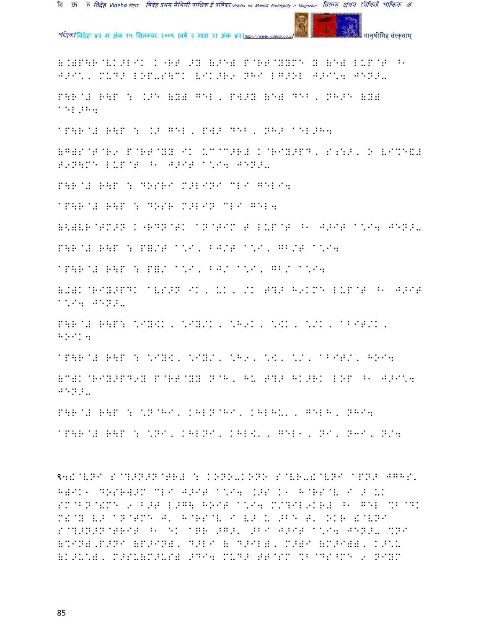िव <sup>त</sup>ि दिविदेह Videha विल्ह विदेह प्रथम मैथिली पाक्षिक ई पत्रिका <sub>Videha Ist Maithili Fortnightly e Magazine विटमह *छ*थम टंगैथिनी পोष्फिक औ</sub>

*পত্ৰিকা*' विदेह' ४२ म अंक १५ सितम्बर २००९ (वर्ष २ मास २१ अंक ४२)http://www.videha.co.in/ मानुष्य स्थितिकामिह संस्कृताम्

(.)P\R@VK>LIK K"RT >Y (>E) P@RT@YYME Y (E) LUP@T ^1 J>I\*, MUD> LOP-S\CK VIK>R9 NHI LG>OL J>I\*4 JEN>-

PAR NE RAP : NO (Y) GEL, PNE (Y) PARE (BNE (Y) PY (Y) PHRNO GELE  $\mathcal{L}$  -  $\mathcal{L}$  -  $\mathcal{L}$  -  $\mathcal{L}$  -  $\mathcal{L}$ 

AP\R@# R\P : .> GEL, PW> DEB, NH> AEL>H4

(G)S@T@R9 P@RT@YY IK UC@C>R# K@RIY>PD, S;:>, O VI%E&# HANNY ELPARTA AFAR TANG ANNEL

PARTIE BAR : PRINT CLIPT CLIPT CHIPS

APARA RADA SARA DI SI GELA MELA

(<)VR@TM>N K"RDN@TK AN@TIM T LUP@T ^1 J>IT A\*I4 JEN>-

P\R@# R\P : P=/T A\*I, BJ/T A\*I, GB/T A\*I4

AP\R@# R\P : P=/ A\*I, BJ/ A\*I, GB/ A\*I4

(+)K@RIY>PDK AVS>N IK, UK, /K T?> H9KME LUP@T ^1 J>IT A\*I4 JEN>-

PAR NE RAPA NYBRI I NYBRI I NARVI I NRI I NIM I NYRRIN I  $H_1, H_2, H_3$ 

A PABA ABARA SE ALAGRA LA APGEZA, ABIT/ ARA LA ADA LA ABITANG ABIT/ HOI4,  $\sim$ 

(C)K@RIY>PD9Y P@RT@YY N@H, HU T?> HK>RK LOP ^1 J>I\*4  $\mathcal{A} \sim \mathcal{B} \mathcal{A} \mathcal{A}$ 

PARTA RAP : NOMING, KHLROHO, KHLHU, NHI4N, NHHO4

AP\R@# R\P : \*NI, KHLNI, KHL[', GEL1, NI, N3I, N/4

SAE TERRI SO TERRAR 1982. IN SORRELL NRM SON HANDELING TERRI SPRAY (FRANCI H)IKI DOSRWY M CHI JOSE DOSRWY I SIN DOSRWY I SIN HOLI JOSE DOSRWY I SIN HOLI JOSE DOSRWY I SIN HOLI JOSE DOS SM DO BOIT AT LATER BOILER HOME ON THE MY THAT A IN GEL %BOILER ON THE ME TO AN INFORMATION I HOME TO INVESTIGATION I DESCRIPTION OF THE TELEVISION S@?N#P#P#P#P#P#P#P#P#BI##AQP##P####P#P#P####### (%IN),P+NI (P+D+NI), P+NI ( D+NI), P+NI ( D+NI), K+NI ( D+NI), K+NI ( D+NI), K+NI ( D+NI), K+NI ( D+NI), K+NI ( (K>U\*), M>SU(M>US) >DI4 MUD> TT@SM %B@DS^ME 9 NIYM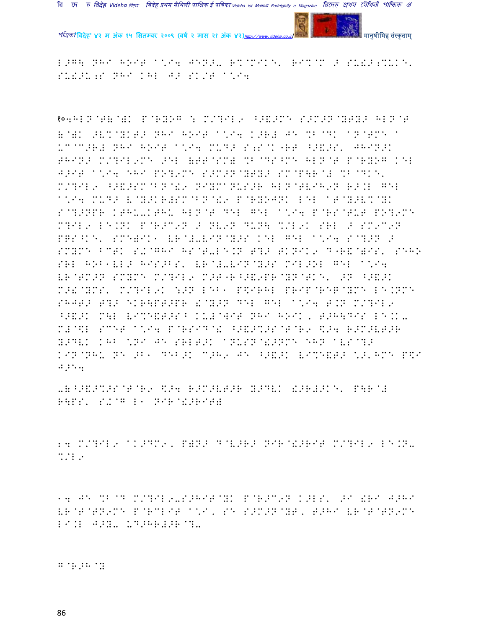*भविका*'विदेह' ४२ म अंक १५ सितम्बर २००९ (वर्ष २ मास २१ अंक ४२)http://www.videha.co.in<sup>/ मा</sup>नालीकर में पानुषीमिह संस्कृताम्

L>G\ NHI HOIT A\*I4 JEN>- R%@MIKE' RI%@M > SU!>;%UKE' SU:S NHI KHL JI SHI KHL JI SHI KHL JI SHI KHL JI SHI KHL JI SHI KHL JI SHI KUNI SHI KUNI SHI KUNI SHI KUNI SHI

१०4HLN@T(@)K P@RYOG : M/?IL9 ^>&>ME S>M>N@YTY> HLN@T (@)K >V%@YKT> NHI HOIT A\*I4 K>R# JE %B@DK AN@TME A UC@C>R# NHI HOIT A\*I4 MUD> S;S@K"RT ^>&>S' JHIN>K THINDE OVER ELD (THOSAM) WAS ARRESTED FOR THE HUNDRICH COMPANY. J>IT A\*I4 EHI PO?9ME S>M>N@YTY> SM@P\R@# %B@DKE' M/PICE ASSAULTED OF POSSES PORTLANDING HER PORTLAND PARTIES REPORT A\*I4 MUD+ V@YOJNA LEL AT I4 MUD- VOOR HET HET DIE SONALIGE VAN DIE SONALIGE VAN DIE SONALIGE VAN DIE SONALIGE SO TELEPER KTHRULLI HRU HELP THAT PRESS PARES TO THE TELT THU-KTHU PO? M?IL9 LE.NK P@R>C9N > NV9N DUN\ %/L9K SRL > SM9C9N PPIRSON STORICH BEGALER GEL AT THE SOME FOREST SMYME BOOK STANDARD BETWEEN SHE SEHO AND SEHOLD SEHO SRL HOB1VLILI HISPORIS HISPORIS HISPORIS MALLANDI AT A VR@TM>N SMYME M/?IL9 M>T"R^>&9PR@YN@TKE' >N ^>&>K M>!@YMS' M/?IL9K :>N LEB1 P\$IRHL PRIP@REQ@YME LE.NME SHARR BER STREEPRER ENERGY THE TTO TOPAL BOTH DELT ^\*\*K MONTHER CONSTRUCTION ON A CHARGE OF HOURS LINES AND LEASEN TO LE. M#@\$L SCET A\*I4 P@RSID@! ^>&>%>S@T@R9 \$>4 R>M>VT>R HOVE IN THE SPONDER OF SALE AND HOUR AND THE THE KIND NE DI NE DEBI DEBI DEBI DEBI DEBI DEBI DE BILI DE BILI DE BILI E PER  $\mathcal{L}$  ,  $\mathcal{L}$  ,  $\mathcal{L}$ 

 $\mu$ B FURDSTUR THORS FOR A RUSS ENDING BY HOUR POINT  $\mu$  . Then the RAPS' STATE ROOM CONTROL

24 M/?IL9 AK>DM9, P)N> D@V>R> NIR@!>RIT M/?IL9 LE.N-  $\mathbb{R}^n$  . The  $\mathbb{R}^n$ 

14 JE %B@D M/?IL9-S>HIT@YK P@R>C9N K>LS' >I !RI J>HI VR@T@TN9ME P@RCLIT A\*I, SE S>M>N@YT, T>HI VR@T@TN9ME LINE AND LINE

G@R>H@Y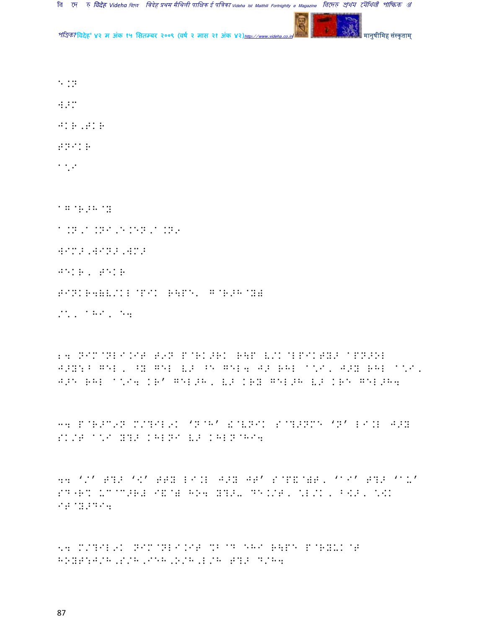54 M/?IL9K NIM@NLI.IT %B@D EHI R\PE P@RYUK@T HOYT:J/H,S/H,IEH,O/H,L/H T?> D/H4

IT@Y>DI4

44 '/' T?' HER '/ YEA' HER 'E PAR 'HER 'HEA' 'E TER THE 'N YA' HER '/ TA' T SD"R% UC@C>R# I&@) HO4 Y?>- DE./T, \*L/K, B[>, \*[K

SK/T A\*I Y? KHLNI VOI KHLNI VOI KA

34 P@R>C9N M/?IL9K 'N@H' !@VNIK S@?>NME 'N' LI.L J>Y

24 NIM@NLI.IT T9N P@RK>RK R\P V/K@LPIKTY> APN>OL JOIN AT GELF, AN GELF, AN GOING OF GELF AND AN INCLUSION AT A COLLEGE AT A LOCAL AND RELEASED AT LATER AT A UNI J>E RHL A\*I4 KR' GEL>H, V> KRY GEL>H V> KRE GEL>H4

 $\mathcal{M}_\mathrm{c}$  ,  $\mathcal{M}_\mathrm{c}$  ,  $\mathcal{M}_\mathrm{c}$  ,  $\mathcal{M}_\mathrm{c}$ 

TINKR4(V/KL@PIK R\PE' G@R)

JEKR, TEKR

WIMPS , WINDOWS

A.N,A.NI,E.EN,A.N9

AG@R>H@Y

 $\cdot$   $\cdot$   $\cdot$ 

 $\mathcal{H} \mathcal{H}$ 

JKR,TKR

**BUCKER** 

 $\sim$  101

*পত্ৰিকা*' विदेह' ४२ म अंक १५ सितम्बर २००९ (वर्ष २ मास २१ अंक ४२)http://www.videha.co.in/ मानुष्य करूरी मानुषीमिह संस्कृताम्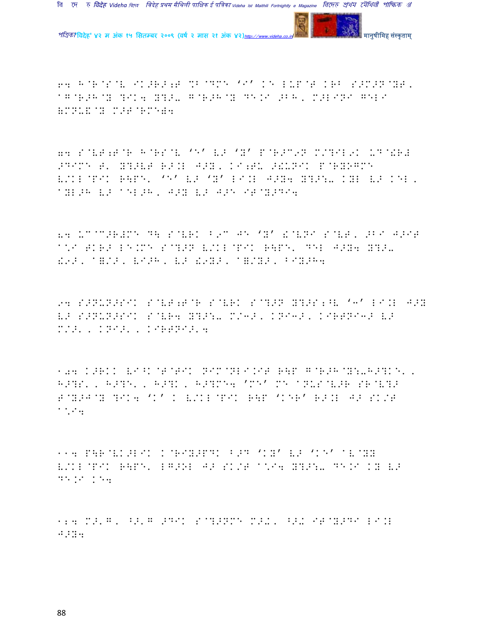*পত্ৰিকা*'বিदेह' ४२ म अंक १५ सितम्बर २००९ (वर्ष २ मास २१ अंक ४२)http://www.videha.co.in<sup>/ Haman</sup> सम्बं<sup>द</sup>े । मानुषीमिह संस्कृताम्



64 H@R@S@V IK>R>;T %B@DME 'I' KE LUP@T KRB S>M>N@YT, AG@R>H@Y ?IK4 Y?>- G@R>H@Y DE.I >BH, M>LINI GELI (MNU&@Y M>T@RME)4

74 S@VT;T@R H@RS@V 'E' V> 'Y' P@R>C9N M/?IL9K UD@!R# >DIME T' Y?>VT R>.L J>Y, KI;TU >!UNIK P@RYOGME KALE TEST GREEN. VNK KA VHK EVIE ARHA HEREN IN LIE KRONING AYL>H V> AEL>H, J>Y V> J>E IT@Y>DI4

84 UC@CORRECT\_PRODUCERS\_PRODUCER\_PRODUCER\_PRODUCER\_PRODUCER\_PRODUCER\_PRODUCER\_PRODUCER\_PRODUCER\_PRODUCER\_PRODUCER\_PRODUCER\_PRODUCER\_PRODUCER\_PRODUCER\_PRODUCER\_PRODUCER\_PRODUCER\_PRODUCER\_PRODUCER\_PRODUCER\_PRODUCER\_PRODUCER\_ ATA PERSONAL PARA LATE TRI PHIN, AND SARA RIAL !9>, A=/>, VI>H, V> !9Y>, A=/Y>, BIY>H4

94 S>NUN>SIK S@VT;T@R S@VRK S@?>N Y?>S;^V '3' LI.L J>Y  $\mathbb{R}$  so substituted the second second second second second second second second second second second second second second second second second second second second second second second second second second second secon M/>', KNI>', KIRTNI>'4

104 K>RKK VI^K@T@TIK NIM@NLI.IT R\P G@R>H@Y:-H>?KE', H>?S', H>?E', H>?K, H>?ME4 'ME' ME ANUS@V>R SR@V?> T@Y>J@Y ?IK4 'K' K V/KL@PIK R\P 'KER' R>.L J> SK/T  $\mathcal{L}^{\mathcal{A}}$  and  $\mathcal{L}^{\mathcal{A}}$ 

114 P\R@VK>LIK K@RIY>PDK B>D 'KY' V> 'KE' AV@YY VALDE 'PIK LOBBE' LOBBEAR AL SILVE 'N NAM GEBEEN 'PIKIA' IG GAL DE. I KE4

 $\sim$  124 MPC satisfies the control of the proton model with  $\sim$  10  $\sim$  10  $\sim$  $\mathcal{A}$  ,  $\mathcal{B}$  ,  $\mathcal{B}$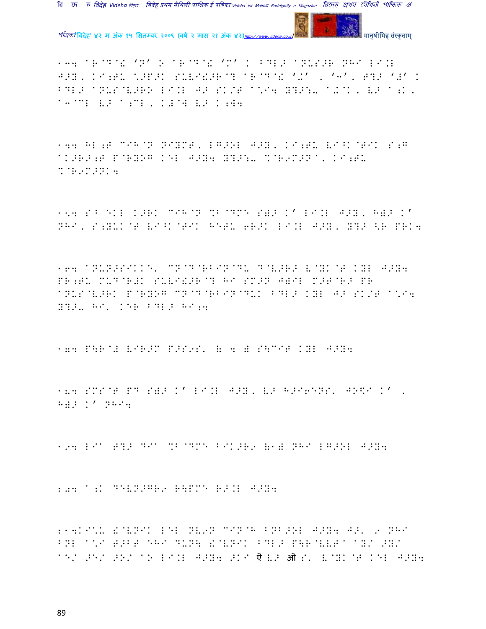134 AR@D@! 'N' O AR@D@! 'M' K BDL> ANUS>R NHI LI.L J>Y, KI;TU \*>P>K SUVI!>R@? AR@D@! '+' , '3', T?> '#' K BDL> ANUS@V>RO LI.L J> SK/T A\*I4 Y?>:- A+@K, V> A;K, A3@CCL VID-100 VOID-100 VOID-100

144 HL;T CIH@N NIYMT, LG>OL J>Y, KI;TU VI^K@TIK S;G ACORE: T PORT AN OCTOBER AND A THROUGHT AN INTERFERING A STATE OF THE STATE OF THE STATE OF THE STATE OF THE S %@R9M>NK4

154 S^ EKL K>RK CIH@N %B@DME S)> K' LI.L J>Y, H)> K' NHI, S;YUK@TIK HETU 6R;YUK@TIK HETU 6R;YUK@TIK HETU 6R;YUK@TIK HETU 6R;YUK@TIK HETU 6R;YUK@TIK HETU 6R;YUK@TIK

164 ANUN>SIKKE' CN@D@RBIN@DU D@V>R> V@YK@T KYL J>Y4 PR;HU MUD@R#K SULISHIN AN SMAR ABSE MARTHA PR ANUS@V>RK P@RYOG CN@D@RBIN@DUK BDL> KYL J> SK/T A\*I4 Y?>- HI' KER BDL> HI;4

174 PHP 184 PASS PROPERTY AND ALL REPORTS ON A SUB-

184 SMS@T PD S)> K' LI.L J>Y, V> H>I6ENS' JO\$I K' , High (1998) parties

194 LIA T?> DIA %B@DME BIK>R9 (1) NHI LG>OL J>Y4

204 A;K DEVN>GR9 R\PME R>.L J>Y4

214KI\*U !@VNIK LEL NV9N CIN@H BNB>OL J>Y4 J>' 9 NHI BNL ANT PROPERTY AT THE REPORT OF THE POST HER PAY OF THE AVAILABLE AS A VITAL AT LAST  $\mathcal{P}$ AE/ 2011 2012 AE/ E-P/H PONG PLAN DIA MARIA SENIORA ANG PARA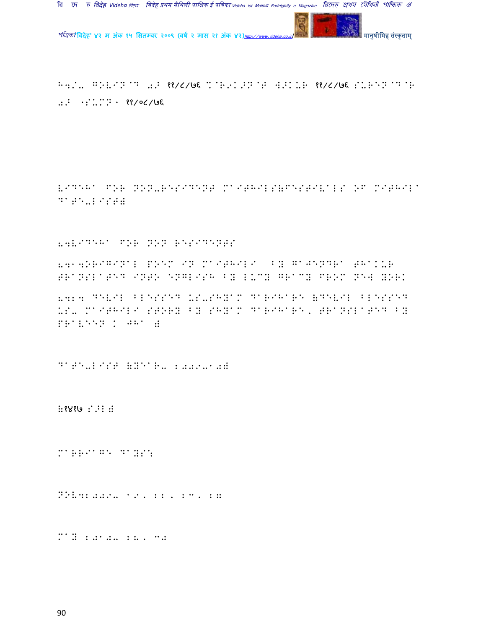MAY 2010- 28, 30

NOV42009- 19, 22, 23, 27

MARRIAGE DAYS:

 $\therefore$  8889  $\therefore$   $\therefore$  88

DATE-LIST (YEAR- 2009-10)

US- MAITHILI STORY BY SHYAM DARIHARE, TRANSLATED BY PRAVEEN K JHA )

84VIDEHA FOR NON RESIDENTS 8414ORIGINAL POEM IN MAITHILI BY GAJENDRA THAKUR

DATE-LIST)

TRANSLATED INTO ENGLISH BY LUCY GRACY FROM NEW YORK

8424 DEVIL BLESSEN SKYLPAGED USBAARE GUERN DARIHARE (DESERT

VIDEHA FOR NON-RESIDENT MAITHILS(FESTIVALS OF MITHILA

 $H_{\rm eff}$  , Goving  $H_{\rm eff}$  and  $H_{\rm eff}$  and  $H_{\rm eff}$  (  $H_{\rm eff}$  is  $\Omega$  ) in  $H_{\rm eff}$  . The  $H_{\rm eff}$  is the  $H_{\rm eff}$ 0> "SUMN" ११/०८/७६

*পত্ৰিকা*'বিदेह' ४२ म अंक १५ सितम्बर २००९ (वर्ष २ मास २१ अंक ४२)http://www.videha.co.in<sup>/ Haman</sup> सम्बं<sup>द</sup>े । मानुषीमिह संस्कृताम्

ৱি দে *হ বিदेह Videha ৰিজে ৰিবলৈ प्रथम मैथिली पाक्षिक ई पत्रिका <sub>Videha</sub> Ist Maithili Fortnightly e Magazine <i>ৱিদেহ প্ৰথম মৌথি*লী পাক্ষিক \$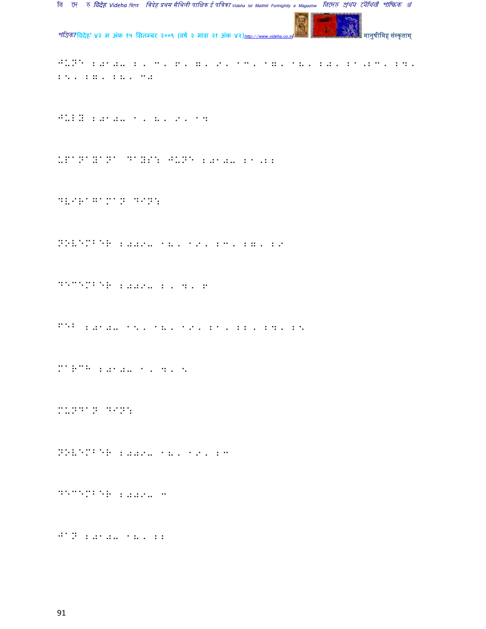िव <sup>त</sup> ह विदेह Videha <sub>विष्य</sub> विदेह प्रथम मैथिली पाक्षिक ई पत्रिका <sub>Videha Ist Maithili Fortnightly e Magazine *वि*(मह क्षेश्रेग ट्रॉशिती পौष्किक \$</sub>

*পত্ৰিকা*' विदेह' ४२ म अंक १५ सितम्बर २००९ (वर्ष २ मास २१ अंक ४२)http://www.videha.co.in<sup>/ म</sup>ानुष्यी- मानुषीमिह संस्कृताम्

HLPS and all and several products with the conditional and annual products. 25, 27, 28, 30

JULY 2010- 1, 8, 9, 14

UPANAYANA DAYS: JUNE 2010- 21,22

DVIRAGAMAN DIN:

NOVEMBER 2009-2012-19, 2009-2012-2022

DECEMBER 2009- 2, 4, 6

FEB 2010-2010- 15, 19, 21, 21, 21, 21, 21, 21, 21, 25,

MARCH 2010- 1, 4, 5

MUNDAN DIN:

NOVEMBER 2009- 18, 19, 23

DECEMBER 2009- 3

 $\mathcal{A}^{\star}(\mathbb{R})$  for a lower to  $\mathcal{A}$  , and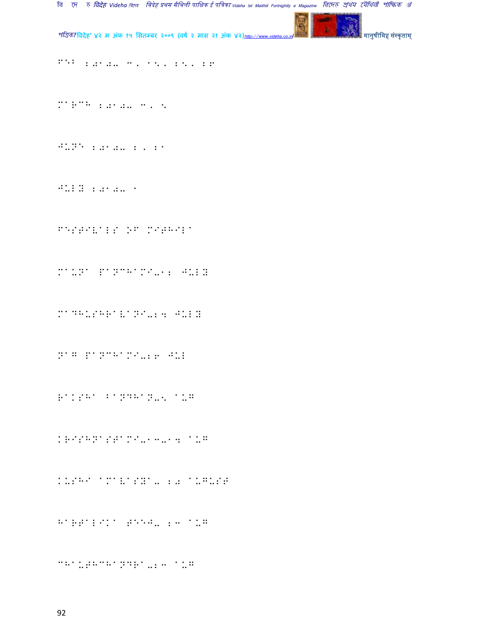िव <sup>त</sup> रु विदेह Videha <sub>विष्य</sub> विदेह प्रथम मैथिली पाक्षिक ई पत्रिका <sub>Videha</sub> ist Maithili Fortnightly e Magazine वित्मरु *द्यिश्च द*्योश्चिती পोष्फिक औ

पिñका**'**िवदेह**'** ४२ म अंक १५ िसतम्बर २००९ (वष र् २ मास २१ अंक ४२)http://www.videha.co.in/ मानुषीिमह सस्कं ृताम्

FEB 2010- 3, 15, 25, 26

MARCH 2010- 3, 5

 $\langle \sigma_{\alpha}^{\mu} \rangle \mathcal{D}^{\mu}$  and an analysis are

JULY 2010- 1

FESTIVALS OF MITHILA

MAUNA PANCHAMI-12 JULY

MADHUSHRAVANI-24 JULY

NAG PANCHAMI-26 JUL

RAKSHA BANDHAN-5 AUG

KRISHNASTAMI-13-14 AUG

CHAUTHCHANDRA-23 AUGUST

KUSHI AMAR YANG BERSE

HARTALIKA TEEJ- 23 AUG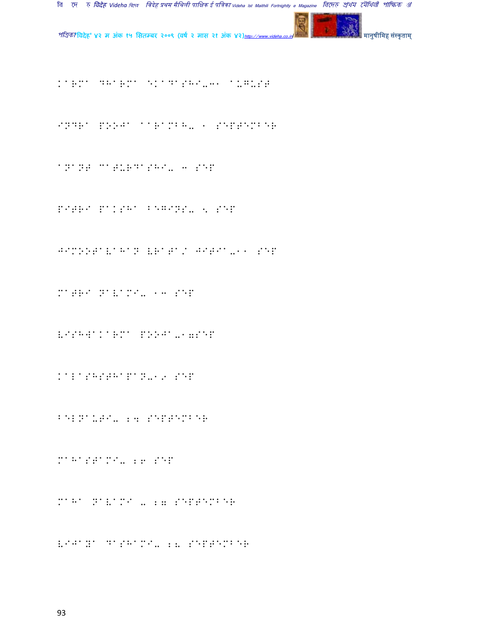MAHA NAVAMI - 27 SEPTEMBER

MAHASTAMI- 26 SEP

BELAUTI- 24 SEPTEMBER 2007

KALASHSTER SEPARA SEPARA SEPARA SEPARA SEPARA SEPARA SEPARA SEPARA SEPARA SEPARA SEPARA SEPARA SEPARA SEPARA S

VISHWAKARMA POOJA-17SEP

MATRI NAVAMI- 13 SEP

JIMOOTAVAHAN VRATA/ JITIA-11 SEP

PITRI PAKSHA BEGINS- 5 SEP

ANANG ANANG CATURASHI

INDRA POOJA AARAMBH- 1 SEPTEMBER

KARMA DHARMA EKADASHISTI

पिñका**'**िवदेह**'** ४२ म अंक १५ िसतम्बर २००९ (वष र् २ मास २१ अंक ४२)http://www.videha.co.in/ मानुषीिमह सस्कं ृताम्

ৱি দে *হ বিदेह Videha ৰিকে ৰিবলৈ प्रथम मैथिली पाक्षिक ई पत्रिका <sub>Videha</sub> Ist Maithili Fortnightly e Magazine <i>ৱিদেহ শ্ৰ*থম মৌথিলী পাক্ষিক ৰ্গ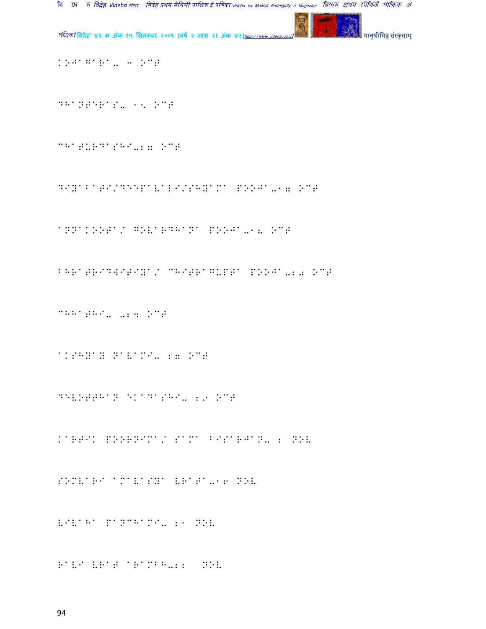RAVI VARAMBER 2010

VIVAHA PANCHAMI- 21 NOV

SOMMARI AMAVASYA VRATA-16 NOVEMBER VRATA-16 NOVEMBER VRATA-16 NOVEMBER VRATA-16 NOVEMBER V

KARTIK POORNIMA/ SAMA BISARJAN- 2 NOV

DEVOTTHAN EKADASHI- 29 OCT

AKSHYAY NAVAMI- 27 OCT

CHHATHI- -24 OCT

ANNAKOOTA/ GOVARDHANA POOJA-18 OCT

BHRATRIDWITIYA/ CHITRAGUPTA POOJA-20 OCT

DIYABATI/DEEPAVALI/SHYAMA POOJA-17 OCT

THATURDASHI

DHANTERAS- 15 OCT

KOJAGARA- 3 OCT

*পত্ৰিকা*' विदेह' ४२ म अंक १५ सितम्बर २००९ (वर्ष २ मास २१ अंक ४२)http://www.videha.co.in/ मानुष्य स्थितिकामिह संस्कृताम्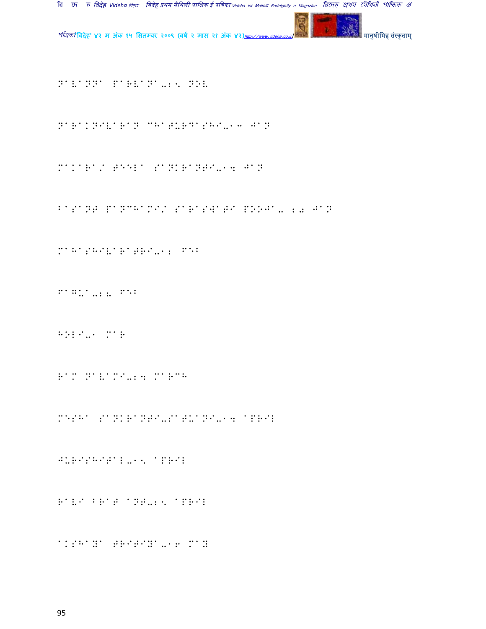AKSHAYA TRITIYA-16 MAY

RAVI BRAT ANT-25 APRIL

JURISHITAL-15 APRIL

MESHA SANKRANTI-SATUANI-14 APRIL

RAM NAVAMI-24 MARCH

HOLI-1 MAR

 $F_{\alpha}$   $F_{\alpha}$   $F_{\alpha}$   $F_{\alpha}$   $F_{\alpha}$   $F_{\alpha}$   $F_{\alpha}$   $F_{\alpha}$ 

MAHASHIVARATRI-12 FEB

BASANT PANCHAMI/ SARASWATI POOJA- 20 JAN

MAKARA/ TEELA SANKRANTI-14 JAN

NARAKNIVARAN CHATURDASHI-13 JAN

NAVANNA PARVANA-25 NOV

पिñका**'**िवदेह**'** ४२ म अंक १५ िसतम्बर २००९ (वष र् २ मास २१ अंक ४२)http://www.videha.co.in/ मानुषीिमह सस्कं ृताम्

िव <sup>त</sup> रु विदेह Videha <sub>विष्य</sub> विदेह प्रथम मैथिली पाक्षिक ई पत्रिका <sub>Videha</sub> ist Maithili Fortnightly e Magazine वित्मरु *द्यिश्च द*्योश्चिती পोष्फिक औ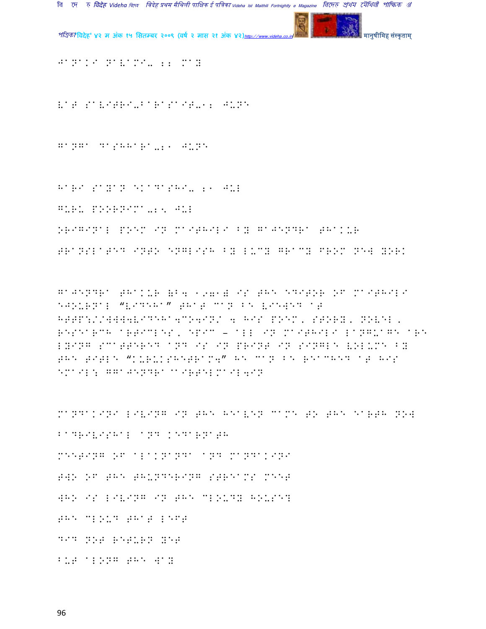MANDAKINI LIVING IN THE HEAVEN CAME TO THE EARTH NOW BADRIVISHAL AND KEDARNATH MEETING OF ALAKNANDA AND MANDAKINI TWO OF THE THUNDERING STREAMS MEET HAD IS LIVING IN THE CLOUDY HOUSE? THE CLOUD THAT LEFT DID NOT RETURN YET BUT ALONG THE WAY

GAJENDRA THAKUR (B4 1971) IS THE EDITOR OF MAITHILI EJOURNAL "VIDEHA" THAT CAN BE VIEWED AT HTTP://WWW4VIDEHA4CO4IN/ 4 HIS POEM, STORY, NOVEL, RESEARCH ARTICLES, EPIC – ALL IN MAITHILI LANGUAGE ARE LYING SCATTERED AND IS IN PRINT IN SINGLE VOLUME BY THE TITLE "KURUKSHETRAM4" HE CAN BE REACHED AT HIS EMAIL: GGAJENDRA@AIRTELMAIL4IN

HARI SAYAN EKADASHI- 21 JUL GURU POORNIMA-25 JUL ORIGINAL POEM IN MAITHILI BY GAJENDRA THAKUR TRANSLATED INTO ENGLISH BY LUCY GRACY FROM NEW YORK

GANGA DASHHARA-21 JUNE

VAT SAVITRI-BARASAIT-12 JUNE

JANAKI NAVAMI- 22 MAY

*পত্ৰিকা*'বিदेह' ४२ म अंक १५ सितम्बर २००९ (वर्ष २ मास २१ अंक ४२)http://www.videha.co.in<sup>/ Haman</sup> सम्बं<sup>द</sup>े । मानुषीमिह संस्कृताम्

िव <sup>रा</sup>प रु विदेह Videha <sub>विपद</sub> विदेह प्रथम मैथिली पाक्षिक ई पत्रिका <sub>Videha Ist Maithili Fortnightly e Magazine *विरमरु श*थंग रंगैथिली পोष्किक औ</sub>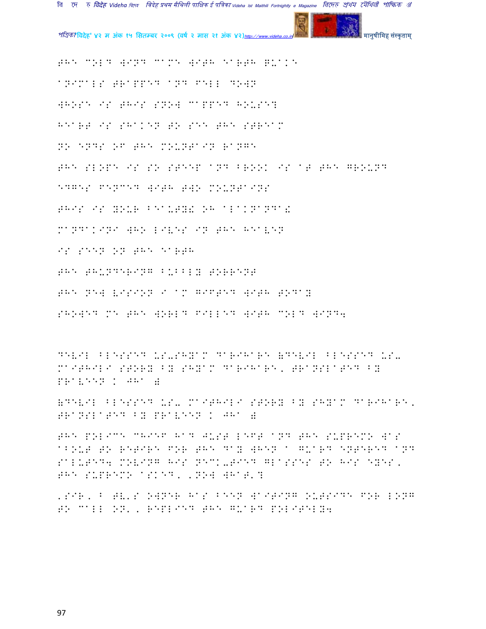'SIR, B TV'SIR, B TV'SIR, B TV'S OWNER HAS BEEN WAITING OUTSIDE FOR LONGING OUTSIDE FOR LONGING OUTSIDE FOR LO TO CALL ON', REPLIED THE GUARD POLITELY4

THE POLICE CHIEF HAD JUST LEFT AND THE SUPPLY LEFT AND THE SUPPLY ABOUT TO RETIRE FOR THE DAY WHEN A GUARD ENTERED AND SALUTED HIS NECKE MOVING HIS NECKEL HIS SERVICE OF TO HIS EYES, I THE SUPREMO ASKED, 'NOW WHAT'?

(DEVIL BLESSED US- MAITHILI STORY BY SHYAM DARIHARE, TRANSLATED BY PRAVEEN K JHA )

DEVIL BLESSED US-SHYAM DARIHARE (DEVIL BLESSED US-MAITHILI STORY BY SHYAM DARIHARE, TRANSLATED BY PRAVEL (ART )

THE COLD WIND CAME WITH EARTH QUAKE ANIMALS TRAPPED AND FELL DOWN WHOSE IS THIS STATE IS THE STATE OF THE SERVE HEART IS SHAKEN TO SEE THE STREAM TO SEE THE STREAM TO SEE THE STREAM TO NO ENDS OF THE MOUNTAIN RANGE OF THE MOUNTAIN RANGE OF THE MOUNTAIN RANGE OF THE MOUNTAIN RANGE OF THE MOUNTAIN<br>And a strain range of the mountain range of the mountain range of the mountain range of the mountain range of THE SLOPE IS SO STEEP AND BROOK IS AT THE GROUND EDGES FENCED WITH TWO MOUNTAINS THIS IS YOUR BEAUTY! OH ALAKNANDA! MANDAKINI WHO LIVES IN THE HEAVEN IS SEEN ON THE EARTH THE THUNDERING BUBBLY TORRENT THE NEW VISION I AM GIFTED WITH TODAY SHOWED ME THE WORLD FILLED WITH COLD WIND4

*পত্ৰিকা*'বিदेह' ४२ म अंक १५ सितम्बर २००९ (वर्ष २ मास २१ अंक ४२)http://www.videha.co.in<sup>/ Haman</sup> सम्बंधियोज्ञानि संस्कृताम्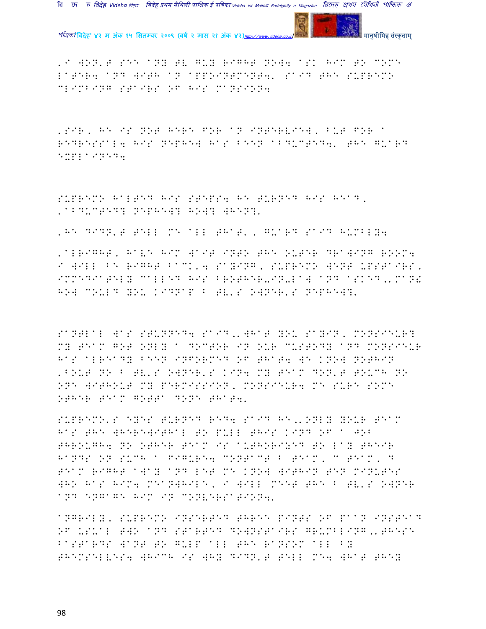'I WON'T SEE ANY TV GUY RIGHT NOW4 ASK HIM TO COME LATER4 AND WITH AN APPOINTMENT4' SAID THE SUPREMO CLIMBING STAIRS OF HIS MANSION4

'SIR, HE IS NOT HERE FOR AN INTERVIEW, BUT FOR A REDRESSAL4 HIS NEPHEW HAS BEEN ABDUCTED4' THE GUARD EXPLAINED4

SUPREMO HALTED HIS STEPS HE TURNED HIS STEPS HEAD, AND TURNED HERE 'ABDUCTED? NEPHEW? HOW? WHEN?'

'HE DIDN'T TELL ME ALL THAT'S TELL ME ALL THAT'S SAID HUMBLY

'ALRIGHT, HAVE HIM WAIT INTO THE OUTER DRAWING ROOM4 I WILL BE RIGHT BACK'4 SAYING, SUPREMO WENT UPSTAIRS, IMMEDIATELY CALLED HIS BROTHER-IN-LAW AND ASKED,'MAN! HOW COULD YOU KIDNAP B TV'S OWNER'S NEPHEW?'

SANTLAL WAS STUNNED4 SAID,'WHAT YOU SAYIN, MONSIEUR? MY TEAM GOT ONLY A DOCTOR IN OUR CUSTODY AND MONSIEUR HAS ALREADY BEEN INFORMED OF THAT4 WE KNOW NOTHIN 'BOUT NO B TV'S OWNER'S KIN4 MY TEAM DON'T TOUCH NO ONE WITHOUT MY PERMISSION, MONSIEUR4 ME SURE SOME OTHER TEAM GOTTA DONE THAT4'

SUPREMO'S EYES TURNED RED4 SAID HE,'ONLY YOUR TEAM HAS THE WHEREWITHAL TO PULL THIS KIND OF A JOB THROUGH4 NO OTHER TEAM IS AUTHORIZED TO LAY THEIR HANDS ON SUCH A FIGURE4 CONTACT B TEAM, C TEAM, D TEAM RIGHT AWAY AND LET ME KNOW WITHIN TEN MINUTES WHO HAS HIMSE SANGHERS IN WILL MEET THE B TO HIMAGING. AND ENGAGE HIM IN CONVERSATION4'

ANGRILY, SUPREMO INSERTED THREE PINTS OF PAAN INSTEAD OF USUAL TWO AND STARTED DOWNSTAIRS GRUMBLING,'THESE BASTARDS WANT TO GULP ALL THE RANSOM ALL THE RANSOM ALL THE RANSOM ALL THE RANSOM ALL THE RANSOM ALL THE RANSOM THEMSELVES4 WHICH IS WHY DIDN'T TELL ME4 WHAT THEY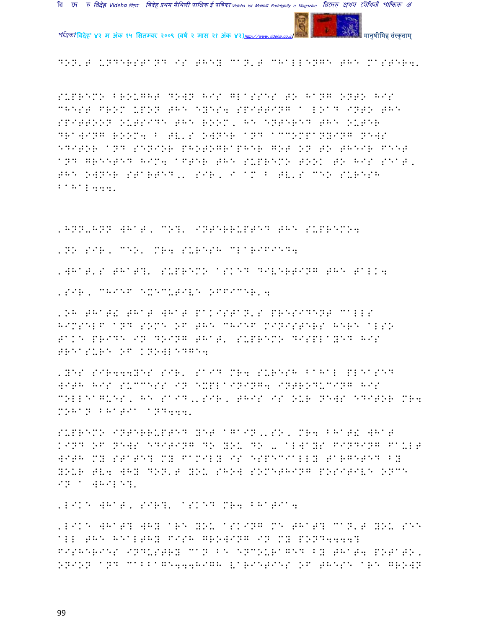'LIKE'S GROUP IN SIR?' AS KED MAN BHATIA

SUPERFRIGHT INTERFRIGHT INTERFRIGHT INTERFRIGHT INTERFRIGHT INTERFRIGHT INTERFRIGHT INTERFRIGHT INTERFRIGHT IN KIND OF NEWS EDITING OF NEWS FINDING PARTIES FINDING WITH MY STATE? MY FAMILY IS ESPECIALLY TARGETED BY YOUR TV4 WHY DON'T YOU SHOW SOMETHING POSITIVE ONCE IN A WHILE?

'YES SIR444YES SIR' SAID MR4 SURESH BAHAL PLEASED WITH HIS SUCCESS IN EXPLAINING4 INTRODUCING HIS TO EAST WINDS, HE SAID, THIS IS OUR NEWS EDITOR OF THIS IS ONE ON THE SAID, THIS IS OUR TORSET OF THE SAID, THIS IS OUR TOROS MOHAN BHATIA AND444'

'OH THAT! THAT WHAT PAKISTAN'S PRESIDENT CALLS HIMSELF AND SOME OF THE CHIEF MINISTERS HERE ALSO TAKE PRIDE IN DOING THAT'S DOING THAT'S IN DISPLAYED HIS DISPLAYED HIS DISPLAYED HIS DISPLAYED HIS DISPLAYED O TREASURE OF KNOWLEDGE4

'SIR, CHIEF EXECUTIVE OFFICER'4

'WHAT'S THAT'S THAT'S THAT'S THAT'S THAT'S THAT'S THAT'S THAT'S THAT'S THAT'S THE TALK4

- 
- 
- 'HONG-HON' HAT BUILDED TO THE SPACE BUILDED THE SUPPLY TO THE
- 
- 
- 
- 
- 
- 
- 'NO SIR, CEO' MAY SURESH CLARIFIED AND SURFAIRS

 $B = B + B + B$ 

SUPREMO BROUGHT DOWN HIS GLASSES TO HANG ONTO HIS CHEST FROM UPON THE EYES4 SPITTING A LOAD INTO THE

EDITOR AND SENIOR PHOTOGRAPHER GOT ON TO THEIR FEET AND GREETED HIM4 AFTER THE SUPREMO TOOK TO HIS SEAT,

SPITTOON OUTSIDE THE ROOM, HE ENTERED THE OUTER DRAWING ROOM4 B TV'S OWNER AND ACCOMPANYING NEWS

THE OWNER STARTED,' SIR, I AM B TV'S CEO SURESH

िव <sup>रा</sup>प रु विदेह Videha विल्ह विदेह प्रथम मैथिली पाक्षिक ई पत्रिका <sub>Videha Ist Maithili Fortnightly e Magazine त्रिर्पिरु শ্রेথিম মৌথিলী পাক্ষিক \$</sub>

DON'T UNDERSTAND IS THEY CAN'T CHALLENGE THE MASTER4'

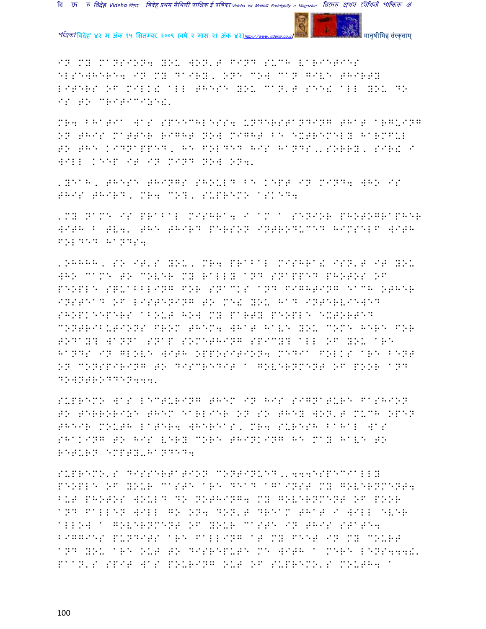SUPREMO'S DISSERTATION CONTINUED,'444ESPECIALLY PEOPLE OF YOUR CASTE ARE DEAD AGAINST MY GOVERNMENT4 BUT PHOTOS WOULD DO NOTHING4 MY GOVERNMENT OF POOR AND FALLEN WILL GO ON4 DON'T DREAM THAT I WILL EVER ALLOW A GOVERNMENT OF YOUR CASTE IN THIS STATE4 BIGGING PUNDITS ARE FALLING AT MY FEET IN MY FEET IN MY AND YOU ARE OUT TO DISREPUTE ME WITH A MERE LENS444!' PAAN'S SPIT WAS POURING OUT OF SUPREMO'S MOUTH4 A

#### RETURN EMPTY-HANDED4

SUPREMO WAS LECTURING THEM IN HIS SIGNATURE FASHION TO TERRORIZE THEM EARLIER ON SO THEY WON'T MUCH OPEN THEIR MOUTH LATER4 WHEREAS, MR4 SURESH BAHAL WAS SHAKING TO HIS VERY CORE THINKING HE MAY HAVE TO

### DOWNTRODDEN444'

'OHHHH, SO IT'S YOU, MAAL MISHA PRABAL MISHE MAY IS YOU, HIS YOU, MAY IS WHO CAME TO COVER MY RALLY AND SNAPPED PHOTOS OF PEOPLE SQUABBLING FOR SNACKS AND FIGHTING EACH OTHER INSTEAD OF LISTENING TO ME! YOU HAD INTERVIEWED SHOPKEEPERS ABOUT HOW MY PARTY PEOPLE EXTORTED CONTRIBUTIONS FROM THEM4 WHAT HAVE YOU COME HERE FOR TODAY? WANNA SNAP SOMETHING SPICY? ALL OF YOU ARE HANDS IN GLOVE WITH OPPOSITION4 MEDIA FOLKS ARE BENT ON CONSPIRING TO DISCREDIT A GOVERNMENT OF POOR AND

### FOLDED HANDS4

'MY NAME IS PRABAL MISHRA4 I AM A SENIOR PHOTOGRAPHER WITH B TV4.4. THE THIRD PERSON INTRODUCED HIMSELF WITH  $\sigma$ 

## 'YEAH, THESEN SHOULD BE KEPT IN MIND4 WHO IS A SHOULD BE KEPT IN MIND THIS THIRD, MR4 CO?, SUPREMO ASKED4

ON THIS MATTER RIGHT NOW MIGHT BE EXTREMELY HARMFUL TO THE KIDNAPPED, HE FOLDED HIS HANDS,'SORRY, SIR! I WILL CONTROL CONTROL CONTROL

MR4 BHATIA WAS SPEECHLESS4 UNDERSTANDING THAT ARGUING

# IN MY MANSION4 YOU WON'T FIND SUCH VARIETIES ELSEWHERE4 IN MY DAIRY, ONE COW CAN GIVE THIRTY LITERS OF MILK! ALL THESE YOU CAN'T SEE! ALL YOU DO IS TO CRITICIZE!'

पिñका**'**िवदेह**'** ४२ म अंक १५ िसतम्बर २००९ (वष र् २ मास २१ अंक ४२)http://www.videha.co.in/ मानुषीिमह सस्कं ृताम्



िव <sup>रा</sup>प रु विदेह Videha <sub>विपद</sub> विदेह प्रथम मैथिली पाक्षिक ई पत्रिका <sub>Videha Ist Maithili Fortnightly e Magazine *विरमरु श*थंग रंगैथिली পोष्किक औ</sub>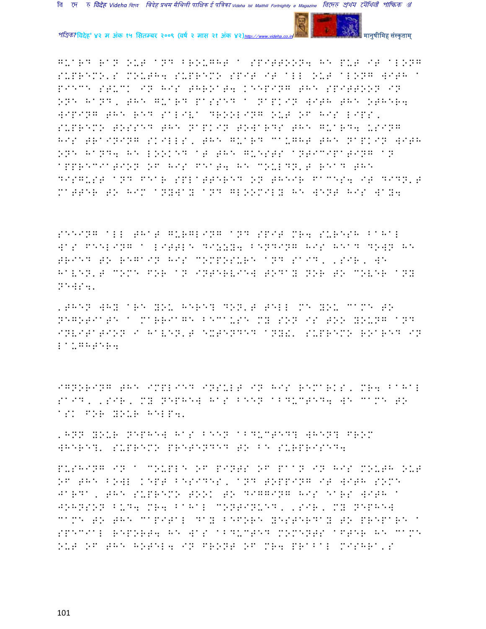PUSHING IN A COUPLE OF PINTS OF PAAN IN HIS MOUTH OUT OF THE BOWL KEPT BESIDES, AND TOPPING IT WITH SOME JARDA, THE SUPREMO TOOK TO DIGGING HIS EARS WITH A JOHNSON BUD4 MR4 BAHAL CONTINUED, 'SIR, MY NEPHEW CAME TO THE CAPITAL DAY BEFORE YESTERDAY TO PREPARE A SPECIAL REPORT4 HE WAS ABDUCTED MOMENTS AFTER HE CAME OUT OF THE HOTEL4 IN FRONT OF MR4 PRABAL MISHRA'S

'HNN YOUR NEPHEW HAS BEEN ABDUCTED? WHEN? FROM WHERE?' SUPREMO PRETENDED TO BE SURPRISED4

IGNORING THE IMPLICATION INSULT IN HIS REPORT IN HIS REMARKS. SAID, 'SIR, MY NEPHEW HAS BEEN ABDUCTED4 WE CAME TO ASK FOR YOUR HELP4'

'THEN DON'T HERE? IN WHY ARE YOU ARE YOU HERE? TO THE YOU CAN ARE NEGOTIATE A MARRIAGE BECAUSE MY SON IS TOO YOUNG AND INVITATION I HAVEN'T EXTENDED ANY!' SUPREMO ROARED IN LAUGHTER4

SEEING ALL THAT GURGLING AND SPIT MR4 SURESH BAHAL WAS FEELING A LITTLE DIZZY A LITTLE DIZZY HEAD DOWN HEAD DOWN HEAD TRIED TO REGAIN HIS COMPOSURE AND SAID, 'SIR, WE HAVEN'T COME FOR AN INTERVIEW TODAY NOR TO COVER ANY NEWS4'

GUARD RAN OUT AND BROUGHT A SPITTOON4 HE PUT IT ALONG SUPREMO'S MOUTH4 SUPREMO SPIT IT ALL OUT ALONG WITH A PIECE STUCK IN HIS THROAT (SPITTO THE SPITTOCHLIC ONE HAND, THE GUARD PASSED A NAPKIN WITH THE OTHER4 WIPING THE RED SALIVATION OF HIS LIPS, AND A RED SALIVATION SUPREMO TOSSED THE TOWARD TO SERVE THE GUARD TOWARD TO USING HIS TRAINING SKILLS, THE GUARD CAUGHT THE SKILLS OF SALE ONE HAND4 HE LOOKED AT THE GUESTS ANTICIPATING AN APPRECIATION OF HIS FEAT4 HE COULDN'T READ THE DISGUST AND FEAR SPLATTERED ON THEIR FACES4 IT DIDN'T MATTER TO HIM ANYWAY AND GLOOMILY HE WENT HIS WAY4

पिñका**'**िवदेह**'** ४२ म अंक १५ िसतम्बर २००९ (वष र् २ मास २१ अंक ४२)http://www.videha.co.in/ मानुषीिमह सस्कं ृताम्



िव <sup>रा</sup>प रु विदेह Videha <sub>विपद</sub> विदेह प्रथम मैथिली पाक्षिक ई पत्रिका <sub>Videha Ist Maithili Fortnightly e Magazine *विरमरु श*थंग रंगैथिली পोष्किक औ</sub>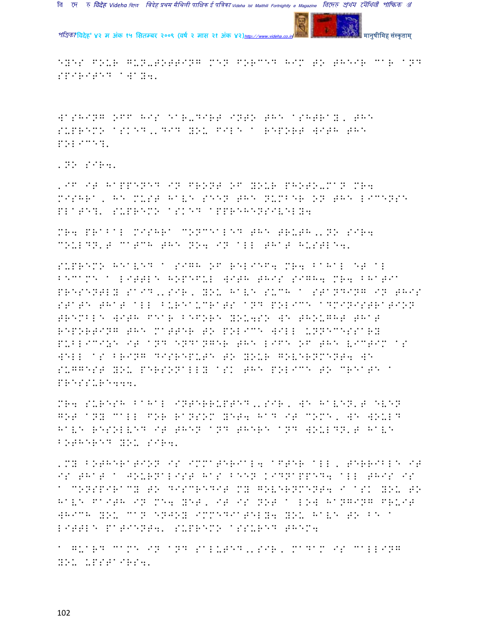पिñका**'**िवदेह**'** ४२ म अंक १५ िसतम्बर २००९ (वष र् २ मास २१ अंक ४२)http://www.videha.co.in/ मानुषीिमह सस्कं ृताम्

EYES FOUR GUN-TOTTING MEN FORCED HIM TO THEIR CAR AND SPIRITED AWAY4' (1999)

WASHING OFF HIS EAR-DIRT INTO THE ASHTRAY, THE SUPREMO ASKED,'DID YOU FILE A REPORT WITH THE POLICE?'S TO

'NO SIR4'

'IF IT HAPPENED IN FRONT OF YOUR PHOTO-MAN MR4 MISHRA, HE MUST HAVE SEEN THE SEEN THE NUMBER ON THE SEE PETER'S SUPREMO ASKED APPREHENSIVE

MR4 PRABAL MISHRA CONCEALED THE TRUTH,'NO SIR4 COULDN'T CATCH THE NO4 IN ALL THAT HUSTLE4'

SUPREMO HEAVED A SIGH OF RELIEF4 MR4 BAHAL ET AL BECAME A LITTLE HOPEFUL WITH THIS SIGH4 MR4 BHATIA PRESENTLY SAID,'SIR, YOU HAVE SUCH A STANDING IN THIS STATE THAT ALL BUREAUCRATS AND POLICE ADMINISTRATION TREMBLE WITH FEAR BEFORE YOU4SO WE THOUGHT THAT REPORTING THE MATTER TO POLICE WILL UNNECESSARY PUBLICIZE IT AND THE SPILLER THE LIFE OF THE LIFE OF THE VICTIM AS WELL AS BRING DISREPUTE TO YOUR GOVERNMENT AND ALL AS BRING DISPLACEMENT AND RELEASED FOR THE UNIVERSE OF THE SUGGEST YOU PERSONALLY ASK TO CREATE TO CREATE THE POLICE TO CREATE A CONTROL OF A PRESSURE444'

MR4 SURESH BAHAL INTERRUPTED,'SIR, WE HAVEN'T EVEN GOT ANY CALL FOR RANSOM YET4 HAD IT COME, WE WOULD HAVE RESOLVED IN THE RESOLVED IT THE RESOLVED IT THE RESOLVED IT THE RESOLVED IT THE RESOLVED IT THE RESOLVED BOTHERED YOU SIR4'

'MY BOTHERATION IS IMMATERIAL4 AFTER ALL, TERRIBLE IT IS THAT A JOURNALIST HAS BEEN KIDNAPPED4 ALL THIS IS A CONSPIRACY TO DISCREDIT MY GOVERNMENT4 I ASK YOU TO HAVE FAITH IN ME4 YET, IT IS NOT A LOW HANGING FRUIT WHICH YOU CAN ENJOY IMMEDIATELY AND CAN ENJOY IMMEDIATELY AND CAN ENJOY IMMEDIATELY AND CAN ENJOY IMMEDIATELY LITTLE PATIENT4' SUPREMO ASSURED THEM4

A GUARD CAME IN AND SALUTED,'SIR, MADAM IS CALLING YOU UPSTAIRS (1999)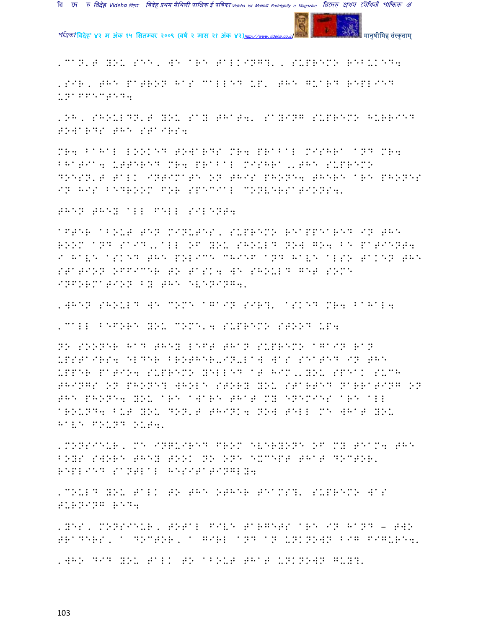'WHO DISP TALK TALK TALK THAT UNKNOWN GUY?'' TALK T

'YES, MONSIEUR, TOTAL FIVE TARGETS ARE IN HAND – TWO TRADERS, A DOCTOR, A GIRL AND AN UNKNOWN BIG FIGURE4'

'COULD YOU TALK TO THE OTHER TEAMS?' SUPREMO WAS TURNING RED4

'MONSIEUR, ME INQUIRED FROM EVERYONE OF MY TEAM4 THE BOYS SWORE THEY TOOK NO ONE EXCEPT THAT DOCTOR' REPLIED SANTLAND SANTLAND SANTLAL HESITATION

NO SOONER HAD THEY LEFT THAN SUPREMO AGAIN RAN UPSTAIRS4 ELDER BROTHER-IN-LAW WAS SEATED IN THE UPPER PATIO4 SUPREMO YELLED AT HIM,'YOU SPEAK SUCH THINGS ON PHONE? WHOLE STORY YOU STARTED NARRATING ON THE PHONE4 YOU ARE AWARE THAT MY ENEMIES ARE ALL AROUND4 BUT YOU DON'T THINK A SHARIF YOU DO NOW TELL ME WHAT HIS DON'T HAVE FOUND OUT4'

'CALL BEFORE YOU COME '4' SUPREMO STOOD UP4 SUPREMO STOOD UP4 SUPREMO STOOD UP4 SUPREMO STOOD UP4 SUPREMO STOO

'WHEN SHOULD WE COME AGAIN SIR?' ASKED MR4 BAHAL4

AFTER ABOUT TEN MINUTES, SUPREMO REAPPEARED IN THE ROOM AND SAID,'ALL OF YOU SHOULD NOW GO4 BE PATIENT4 I HAVE ASKED THE POLICE CHIEF AND HAVE ALSO TAKEN THE STATION OFFICER TO TASK4 WE SHOULD GET SOME INFORMATION BY THE EVENING4'

THEN THEY ALL FELL SILENT4

MR4 BAHAL LOOKED TOWARDS MR4 PRAGAL MISHAL MISHAEL MARK MISH BHATIA4 UTTERED MR4 PRABAL MISHRA,'THE SUPREMO DOESN'T TALK INTIMATE ON THIS PHONE4 THERE ARE PHONES IN HIS BEDROOM FOR SPECIAL CONVERSATIONS4'

'OH, SHOULDN'T YOU SAY THAT AND INTEREST ON A SAY THAT AND INTEREST OF SAYING SUPPORT OF SAYING SUPPORT OF SUPPORT TOWARDS THE STAIRS4

'SIR, THE PATRON HAS CALLED UP' THE GUARD REPLIED UNAFFECTED

'CAN'T YOU SEE, WE ARE TALKING?', SUPREMO REBUILD AND A SEE, WE ARE TALKING?', SUPPREMO REBUILD AND A SEE, WE ARE

पिñका**'**िवदेह**'** ४२ म अंक १५ िसतम्बर २००९ (वष र् २ मास २१ अंक ४२)http://www.videha.co.in/ मानुषीिमह सस्कं ृताम्

िव <sup>रा</sup>प रु विदेह Videha विल्ह विदेह प्रथम मैथिली पाक्षिक ई पत्रिका <sub>Videha Ist Maithili Fortnightly e Magazine त्रिर्पिरु শ্রेথিম মৌথিলী পাক্ষিক \$</sub>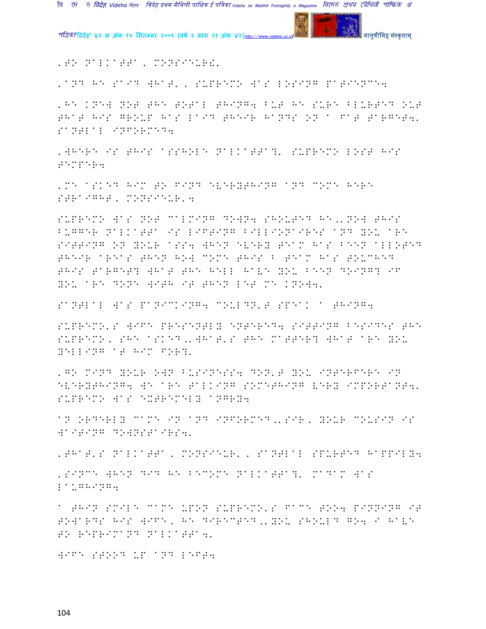WIFE STOOD UP AND LEFT

A THIN SMILE CAME UPON SUPREMO'S FACE TOO4 PINNING IT TOWARDS HIS WIFE, HE DIRECTED,'YOU SHOULD GO4 I HAVE TO REPRIMAND NALKATTA4'

'SINCE WHEN DID HE BECOME NALKATTA?' MADAM WAS LAUGHING4

'THAT'S NATURED IN THAT'S NALL SANTLAL SPURTED HAPPILY

AN ORDERLY CAME IN AND INFORMED,'SIR, YOUR COUSIN IS WAITING DOWNSTAIRS AND ALL AND A STREET AND A STREET AND A STREET AND A STREET AND A STREET AND A STREET AND A

'GO MIND YOUR OWN BUSINESS4 DON'T YOU INTERFERE IN EVERYTHING4 WE ARE TALKING SOMETHING VERY IMPORTANT4' SUPREMO WAS EXTREMELY ANGRY4

SUPREMO'S WIFE PRESENTLY ENTERED4 SITTING BESIDES THE SUPREMO, SHE ASKED, SHE RIS THE MATTER OF MATTER WHAT YELLING AT HIM FOR?'

SANTLAL WAS PANICKING4 COULDN'T SPEAK A THING4

SUPREMO WAS NOT CALMING DOWN4 SHOUTED HE,'NOW THIS BUGGER NALKATING IS LIGHTING BILLION BILLION IS LIGHTING BILLION BILLION BILLION BILLION BILLION BILLION BILLI SITTING ON YOUR ASS4 WHEN EVERY TEAM HAS BEEN ALLOTED THEIR AREAS THEN HOW COME THIS B TEAM HAS TOUCHED THIS TARGET? WHAT THE HELL HAVE YOU BEEN DOING? IF HOU ARE THIN HIT THE REPORT IN THE WITH IT THE WITH IT THE WITH IT THE WITH IT THEN LET ME KNOW ARE IT THE UPP

'ME ASKED HIM TO FIND EVERYTHING AND COME HERE STRAIGHT, MONSIEUR'4

'WHERE'S THIS ASSESSED IS THIS THIS ASSESSED IS THE THIS ASSESSED IN THIS IS A STATE OF THE THIS SUPPLIES. TEMPER4

'HE KNEW NOT THE TOTAL THING4 BUT HE SURE BLURTED OUT THAT HIS GROUP HAS LAID THEIR HANDS ON A FAT TARGET4' SANTLAL INFORMED4

िव <sup>रा</sup>प रु विदेह Videha <sub>विपद</sub> विदेह प्रथम मैथिली पाक्षिक ई पत्रिका <sub>Videha Ist Maithili Fortnightly e Magazine *विरमरु श*थंग रंगैथिली পोष्किक औ</sub>

'AND HE SAID WAS LOSTED WAS LOSTED WAS LOSTED FOR DRIVING PATIENCE AND MANAGEMENT WAS LOSTED FOR DRIVING.

'TO NALKATTA, MONSIEUR IN MONSIEUR IN MONSIEUR IN MONSIEUR IN MONSIEUR IN MONSIEUR IN MONSIEUR IN MONSIEUR IN MON

*পত্ৰিকা*'বিदेह' ४२ म अंक १५ सितम्बर २००९ (वर्ष २ मास २१ अंक ४२)*http://www.videha.co.in*/ मान्योजिक संस्कृताम्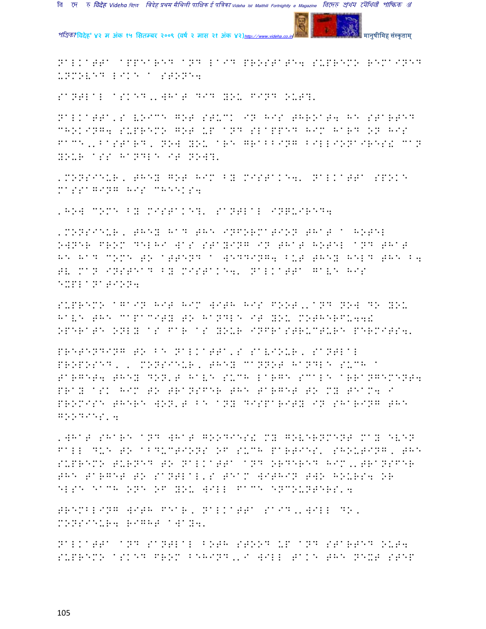पिñका**'**िवदेह**'** ४२ म अंक १५ िसतम्बर २००९ (वष र् २ मास २१ अंक ४२)http://www.videha.co.in/ मानुषीिमह सस्कं ृताम्

NALKATTA APPEARED AND LAID PROSTATE4 SUPREMO REMAINED UNMOVED LIKE A STONE4

SANTLAL ASKED,'WHAT DID YOU FIND OUT?'

NALKATTA'S VOICE GOT STUCK IN HIS THROAT4 HE STARTED CHOKING4 SUPREMO GOT UP AND SLAPPED HIM HARD ON HIS FACE,'BASTARD, NOW YOU ARE GRABBING BILLIONAIRES! CAN HOUR ASS HANDLE IT NOW?

105

NALKATTA AND SANTLAL BOTH STOOD UP AND STARTED OUT4 SUPREMO ASKED FROM BEHIND,'I WILL TAKE THE NEXT STEP

TREMBLING WITH FEAR, NALKATTA SAID,'WILL DO, MONSIEUR AWAY4' MONSIEUR AWAY4' MARK AWAY 1

'WHAT SHARE AND WHAT GOODIES! MY GOVERNMENT MAY EVEN FALL DUE TO ABDUCTIONS OF SUCH PARTIES' SHOUTING, THE SUPREMO TURNED TO NALKATTA AND ORDERED HIM,'TRANSFER THE TARGET TO SANTLAL'S TEAM WITHIN TWO HOURS4 OR ELSE EACH ONE OF YOU WILL FACE ENCOUNTERS'4

GOODIES'4

PRETENDING TO BE NALKATTA'S SAVIOUR, SANTLAL PROPOSED, ' MONSIEUR, THEY CANNOT HANDLE SUCH A TARGET4 THEY DON'T HAVE SUCH LARGE SCALE ARRANGEMENT4 PRAY ASK HIM TO TRANSFER THE TARGET TO MY TEAM4 I PROMISE THERE WON'T BE ANY DISPARITY IN SHARING THE

SUPREMON AGAIN HIM WITH HIM WITH HIM WITH HIM WITH DO YOU DO YOU HAVE THE CAPACITY TO HANDLE IT YOU MOTHERFU44! OPERATE ONLY AS FAR AS YOUR INFRASTRUCTURE PERMITS4'

EXPLANATION4

'MONSIEUR, THEY HAD THE INFORMATION THAT A HOTEL OWNER FROM DELHI WAS STAYING IN THAT HOTEL AND THAT HE HAD COME TO ATTEND A WEDDING A WEDDING A WEDDING A WEDDING A WEDDING A WEDDING A WEDDING A WEDDING A WEDDIN TV MAN INSTEAD BY MISTAKE4' NALKATTA GAVE HIS

'HOW COME BY MISTAKE?' SANTLAL INQUIRED4

'MONSIEUR, THEY GOT HIM BY MISTAKE AN ISSUE SPOKER' MASSAGING HIS CHEEKS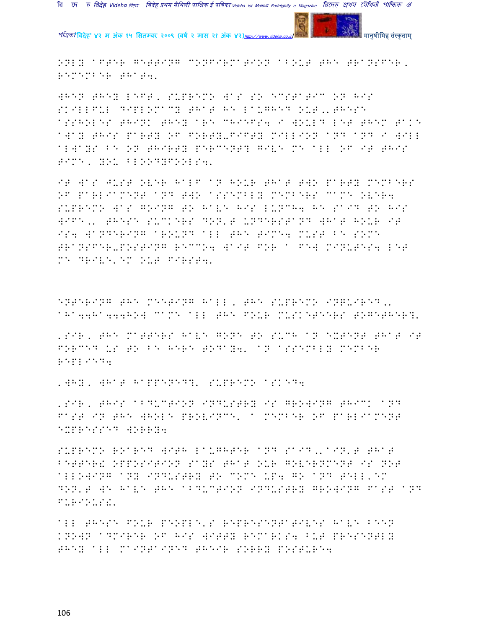पिñका**'**िवदेह**'** ४२ म अंक १५ िसतम्बर २००९ (वष र् २ मास २१ अंक ४२)http://www.videha.co.in/ मानुषीिमह सस्कं ृताम्

ONLY AFTER GETTING CONFIRMATION ABOUT THE TRANSFER, REMEMBER THAT4'

WHEN THEY LEFT, SUPREMO WAS SO ECSTATIC ON HIS SKILLFUL DIPLOMACY THAT HE LAUGHED OUT,'THESE ASSHOLES THINK THEY ARE CHIEFS4 I WOULD LET THEM TAKE AWAY THIS PARTY OF FORTY-FIFTY MILLION AND AND I WILL ALWAYS BE ON THIRTY PERCENT? GIVE ME ALL OF IT THIS TIME, YOU BLOODYFOOLS4'

IT WAS JUST OVER HALF AN HOUR THAT TWO PARTY MEMBERS OF PARLIAMENT AND TWO ASSEMBLY MEMBERS CAME OVER4 SUPREMO WAS GOING TO HAVE HIS LUNCH4 HE SAID TO HIS WIFE,' THESE SUCKERS DON'T UNDERSTAND WHAT HOUR IT IS4 WANDERING AROUND ALL THE TIME4 MUST BE SOME TRANSFER-POSTING RECCO4 WAIT FOR A FEW MINUTES4 LET ME DRIVE'EM OUT FIRST4'

ENTERING THE MEETING HALL, THE SUPREMO INQUIRED,' AHA44HA444HOW CAME ALL THE FOUR MUSKETEERS TOGETHER?'

'SIR, THE MATTERS HAVE GONE TO SUCH A SUCH AN EXTENSION OF THE MATTERS HAVE GONE TO SUCH A SUCH A SUCH A SUCH FORCED US TO BE HERE TODAY4' AN ASSEMBLY MEMBER REPLIED4

'WHY, WHAT HAPPENED?' SUPREMO ASKED4

'SIR, THIS ABDUCTION INDUSTRY IS GROWING THICK AND FAST IN THE WHOLE PROVINCE' A MEMBER OF PARLIAMENT EXPRESSED WORRY4

SUPREMO ROARED WITH LAUGHTER AND SAID,'AIN'T THAT BETTER DIPOSITION SAYS THAT A DIR GOVERNMENT IS NOT ALLOWING ANY INDUSTRY TO COME UP4 GO AND TELL'EM DON'T WE HAVE THE ABDUCTION INDUSTRY GROWING FAST AND FURNISHE.

ALL THESE FOUR PEOPLE'S REPRESENTATIVES HAVE BEEN KNOWN ADMIRER OF HIS WITTY REMARKS4 BUT PRESENTLY THEY ALL MAINTAINED THEIR SORRY POSTURE4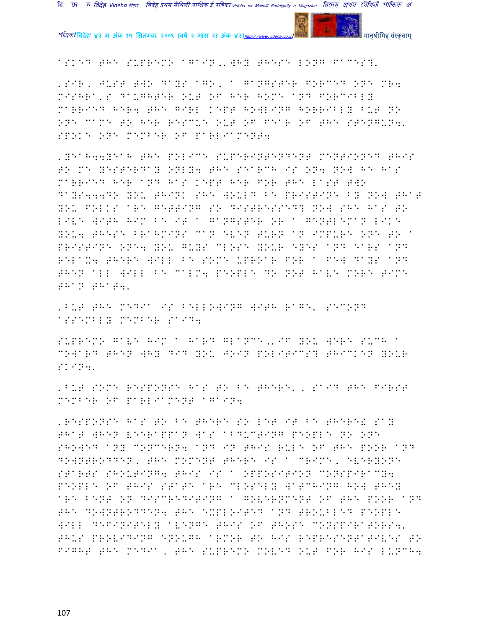'RESPONSE HAS TO BE THE THERE SO LET IT BE THE THE THE SO LET IT BE THE THE THAT WHEN VEERAPPAN WAS ABDUCTING PEOPLE NO ONE SHOWED ANY CONCERN4 AND IN THIS RULE OF THE POOR AND DOWNTRODDEN, THE MOMENT THERE IS A CRIME, EVERYONE STARTS SHOUTING4 THIS IS A OPPOSITION CONSPIRACY4 PEOPLE OF THIS STATE ARE CLOSELY WATCHING HOW THEY ARE BENT ON DISCREDITING A GOVERNMENT OF THE POOR AND THE DOWNTRODDEN4 THE EXPLOITED AND TROUBLED PEOPLE WILL DEFINITELY AVENUE THIS OF THIS OF THIS OF THIS OF THIS OF THOSE CONS THUS PROVIDING ENOUGH ARMOR TO HIS REPRESENTATIVES TO FIGHT THE MEDIA, THE SUPPERD MOVED OUT FOR HIS LUNCH

'BUT SOME RESPONSE HAS TO BE THERE', SAID THE FIRST MEMBER OF PARLIAMENT AGAIN4

SUPREMO GAVE HIM A HARD GLANCE, IN YOU WERE SUCH A HARD GLANCE, COWARD THEN WHY DID YOU JOIN POLITICS? THICKEN YOUR SKIN4'

'BUT THE MEDIA IS BELLOW IN THE MEDIA IS BELLOWING WITH RAGE IS BELLOWING WITH RANGER OF SECOND SECOND SECOND ASSEMBLY MEMBER SAID4

'YEAH44YEAH THE POLICE SUPERINTENDENT MENTIONED THIS TO ME YESTERDAY ONLY4 THE SEARCH IS ON4 NOW HE HAS MARRIED HER AND HAS KEPT HER FOR THE LAST TWO DAYS444DO YOU THINK SHE WOULD BE PRISTINE BY NOW THAT YOU FOLKS ARE GETTING SO DISTRICTED AND GETTING SO DISTRICT AN INTERFERING SED LIVE WITH HIM BE IT A GANGSTER OR A GENTLEMAN LIKE YOU4 THESE BRAHMINS CAN EVEN TURN AN IMPURE ONE TO A PRISTING ONE ONE GUST TENDS ONE SOME AND EARS AND RELAX4 THERE WILL BE SOME UPROAR FOR A FEW DAYS AND THEN ALL WILL BE CALM4 PEOPLE DO NOT HAVE MORE TIME THAN THAT4'

'SIR, JUST TWO DAYS AGO, A GANGSTER FORCED ONE MR4 MISHRA'S DAUGHTER OUT OF HER HOME AND FORCIBLY MARRIED HER4 THE GIRL KEPT IN HOWLING HORRIBLY BUT NO ONE CAME TO HER RESCUE OUT OF FEAR OF THE STENGUN4' SPOKE ONE MEMBER OF PARLIAMENT4

ASKED THE SUPPLY OF THE SUPPLY THE SUPPLY THE SUPPLY THESE LONG FACES

*পত্ৰিকা*'বিदेह' ४२ म अंक १५ सितम्बर २००९ (वर्ष २ मास २१ अंक ४२)http://www.videha.co.in<sup>/ Haman</sup> सम्बं<sup>द</sup>े । मानुषीमिह संस्कृताम्

िव <sup>रा</sup>प रु विदेह Videha <sub>विपद</sub> विदेह प्रथम मैथिली पाक्षिक ई पत्रिका <sub>Videha Ist Maithili Fortnightly e Magazine *विरमरु श*थंग रंगैथिली পोष्किक औ</sub>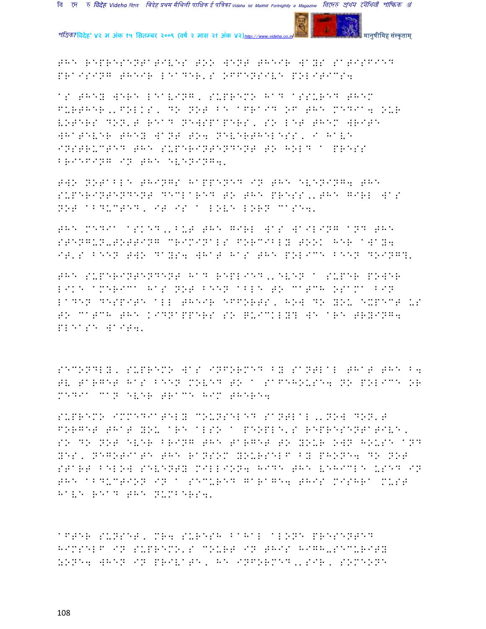### HAVE READ THE NUMBERS4'

SUPREMO IMMEDIATELY COUNSELED SANTLAL,'NOW DON'T FORGET THAT YOU ARE ALSO A PEOPLE'S REPRESENTATIVE, SO DO NOT EVER BRING THE TARGET TO YOUR OWN HOUSE AND YES, NEGOTIATE THE RANSOM YOURSELF BY PHONE4 DO NOT START BELOW SEVENTH START BELOW SEVENTHY SEVENTH WILLIAM START USED IN THE VEHICLE USED IN THE VEHICLE USED IN THE ABDUCTION IN A SECURED GARAGE4 THIS MISHRA MUST

## MEDIA CAN EVER TRACE HIM THERE4

SECONDLY, SUPREMO WAS INFORMED BY SANTLAL THAT THE B4 TV TARGET HAS BEEN MOVED TO A SAFEHOUSE4 NO POLICE OR

### PLEASE WAIT4'

THE SUPERINTENDENT HAD REPLIED,'EVEN A SUPER POWER LIKE AMERICA HAS NOT BEEN ABLE TO CATCH OSAMA BIN LADEN DESPITE ALL THEIR EFFORTS, HOW DO YOU EXPECT US TO CATCH THE KIDNAPPERS SO QUICKLY? WE ARE TRYING4

THE MEDIA ASKED,'BUT THE GIRL WAS WAILING AND THE STENGUN-TOTTING CRIMINALS FORCIBLY TOOK HER AWAY4 IT'S BEEN TWO DAYS4 WHAT HAS THE POLICE BEEN DOING?'

TWO NOTABLE THINGS HAPPENED IN THE EVENING4 THE SUPERINTENDENT DECLARED TO THE PRESS,'THE GIRL WAS NOT ABDUCTED, IT IS A LOVE LORN CASE4'

# AS THEY WERE LEAVING, SUPREMO HAD ASSURED THEM FURTHER,'FOLKS, DO NOT BE AFRAID OF THE MEDIA4 OUR VOTERS DON'T READ NEWSPAPERS, SO LET THEM WRITE WHATEVER THEY WANT TO 200 NEVERTHELESS, I HAVE THEY INSTRUCTED THE SUPERINTENDENT TO HOLD A PRESS BRIEFING IN THE EXEMINE.

THE REPRESENTATIVES TOO WENT THEIR WAYS SATISFIED PRAISING THEIR LEADER'S OFFENSIVE POLITICS4

*পত্ৰিকা*'বিदेह' ४२ म अंक १५ सितम्बर २००९ (वर्ष २ मास २१ अंक ४२)http://www.videha.co.in/ मानुष्यामह अर्थविशिह संस्कृताम्



िव <sup>रा</sup>प रु विदेह Videha <sub>विपद</sub> विदेह प्रथम मैथिली पाक्षिक ई पत्रिका <sub>Videha Ist Maithili Fortnightly e Magazine *विरमरु श*थंग रंगैथिली পोष्किक औ</sub>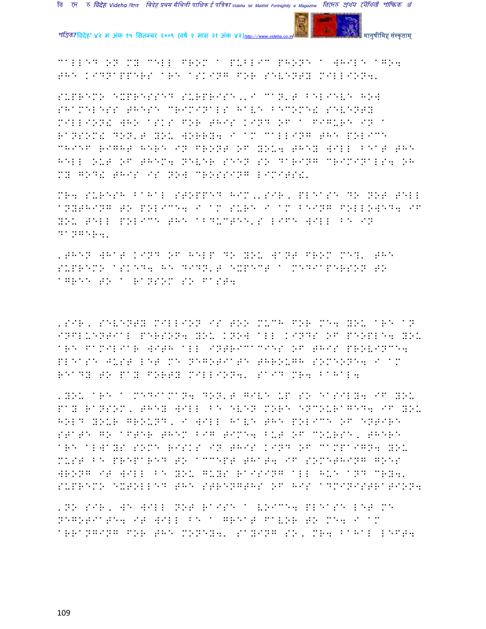'NO SIR, WE WILL NOT RAISE A VOICE4 PLEASE LET ME NEGOTIATE4 IT WILL BE A GREAT FAVOR TO ME4 I AM ARRANGING FOR THE MONEY4' SAYING SO, MR4 BAHAL LEFT4

'YOU ARE A MEDIAMAN4 DON'T GIVE UP SO EASILY4 IF YOU PAY RANSOM, THEY WILL BE EVEN MORE ENCOURAGED4 IF YOU HOLD YOUR GROUND, I WILL HAVE THE POLICE OF ENTIRE STATE GO AFTER THEM BIG TIME4 BUT OF COURSE, THERE ARE ALWAYS SOME RISKS IN THIS KIND OF CAMPAIGN4 YOU MUST BE PREPARED TO ACCEPT THAT4 IF SOMETHING GOES WRONG IT WILL BE YOU GUYS RAISING ALL HUE AND CRY4'S RAISING AND CRY4'S RAISING. SUPREMO EXTOLLED THE STRENGTHS OF HIS ADMINISTRATION4

'SIR, SEVENTY MILLION IS TOO MUCH FOR ME4 YOU ARE AN INFLUENTIAL PERSON4 YOU KNOW ALL KINDS OF PEOPLE4 YOU ARE FAMILIAR WITH ALL INTRICACIES OF THIS PROVINCE4 PLEASE JUST LET ME NEGOTIATE THROUGH SOMEONE4 I AM READY TO PAY FORTY MILLION4' SAID MR4 BAHAL4

'THEN WHAT KIND OF HELP DO YOU WANT FROM ME?' THE SUPREMO ASKED HE DIDN'T EXPECT A MEDIAN TO THE DIDN'T EXPECT A AGREE TO A RANSOM SO FAST4

MR4 SURESH BAHAL STOPPED HIM,'SIR, PLEASE DO NOT TELL ANYTHING TO POLICE4 I AM SURE I AM BEING FOLLOWED4 IF YOU TELL POLICE THE ABDUCTEE'S LIFE WILL BE IN MO DANGER4'

SUPREMO EXPRESSED SURPRISE,'I CAN'T BELIEVE HOW SHAMELESS THESE CRIMINALS HAVE BECOME! SEVENTY MILLION! WHO ASKS FOR THIS KIND OF A FIGURE IN A RANSOM THE RANGE RANGER I AM CALLING THE POLICE CHIEF RIGHT HERE IN FRONT OF YOU4 THEY WILL BEAT THE HELL OUT OF THEM4 NEVER SEEN SO DARING CRIMINALS4 OH MY GOD! THIS IS NOW CROSSING LIMITS!'

CALLED ON MY CELL FROM A PUBLIC PHONE A WHILE AGO4 THE KIDNAPPERS ARE ASKING FOR SEVENTY MILLION4'

*भविका*'विदेह' ४२ म अंक १५ सितम्बर २००९ (वर्ष २ मास २१ अंक ४२)http://www.videha.co.in<sup>/ मा</sup>नामी करती है । मानुषीमिह संस्कृताम्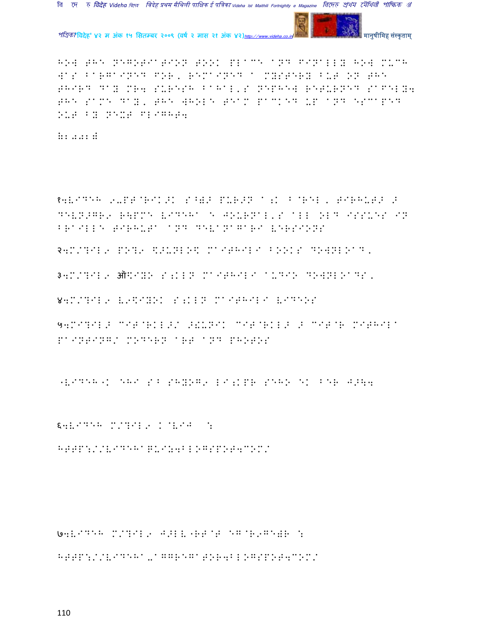HOW THE NEGOTIATION TOOK PLACE AND FINALLY HOW MUCH WAS BARGAINED FOR, REMAINED A MYSTERY BUT ON THE THIRD DAY MR4 SURESH BAHAL'S NEPHEW RETURNED SAFELY4 THE SAME DAY, THE WHOLE TEAM PACKED UP AND ESCAPED OUT BY NEXT FLIGHT

 $\mathbb{R}$ :  $\mathbb{R}$   $\mathbb{R}$   $\mathbb{R}$   $\mathbb{R}$   $\mathbb{R}$ 

१4VIDEH 9-PT@RIK>K S^)> PUR>N A;K B@REL, TIRHUT> > DESCRIPT REVOLUTION OF RESPONSIVE VIOLENCES BRAILLE TIRHUTA AND DEVANAGARI VERSIONS

२4M/?IL9 PO?9 \$>UNLO\$ MAITHILI BOOKS DOWNLOAD,

34M/PINE & SMAINDER (KALED MANINGER) AUDIO DOWNLOADS, AUDIO

४4M/?IL9 V9\$IYOK S;KLN MAITHILI VIDEOS

५4MI?IL> CIT@RKL>/ >!UNIK CIT@RKL> > CIT@R MITHILA PAINTING/ MODERN ART AND PHOTOS

 $\sim$  VIDEHM EHI SHYOG9 LIFE SHYOG9 LIFE SEHO EK BER JYKPR SEHO EK BER JYKPR SEHO EK BER JYKPR SEHO EK BER JYKPR SEHO EK BER JYKPR SEHO EK BER JYKPR SEHO EK BER JYKPR SEHO EK BER JYKPR SEHO EK BER JYKPR SEHO EK BER JYKPR SE

६4VIDEH M/?IL9 K@VIJ :

HTTP://VIDEHAQUIZ4BLOGSPOT4COM/

७4VIDEH M/?IL9 J>LV"RT@T EG@R9GE)R : HTTP://VIDEHA-AGGREGATOR4BLOGSPOT4COM/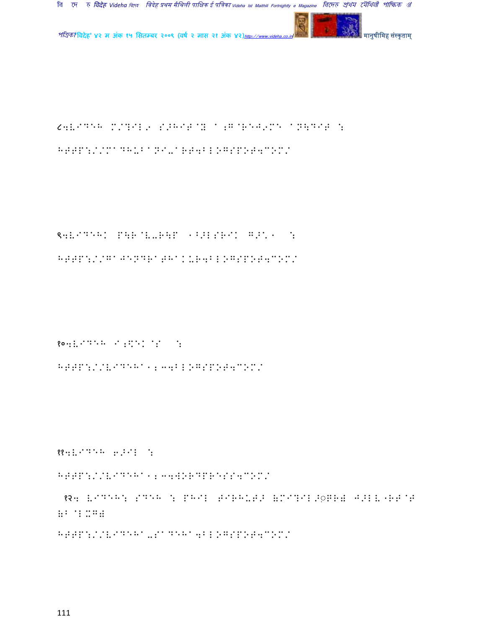HTTP://VIDEHA-SADEHA4BLOGSPOT4COM/

HTTP://VIDEHA1234WORDPRESS4COM/

 $B^+$  (BOH)

१९५ ESTERN STEER : PHIL PHIRLPS ENSINES SOPHE SON ESTERN

 $\{8\}$ :  $\vdots$  :  $\vdots$  :  $\vdots$  :  $\vdots$  :  $\vdots$  :  $\vdots$  :  $\vdots$  :  $\vdots$  :  $\vdots$  :  $\vdots$  :  $\vdots$  :  $\vdots$  :  $\vdots$  :  $\vdots$  :  $\vdots$  :  $\vdots$  :  $\vdots$  :  $\vdots$  :  $\vdots$  :  $\vdots$  :  $\vdots$  :  $\vdots$  :  $\vdots$  :  $\vdots$  :  $\vdots$  :  $\vdots$  :  $\vdots$ 

HTTP://VIDEHA1234BLOGSPOT4COM/

 $\{0, \frac{1}{2}, \frac{1}{2}, \frac{1}{2}, \frac{1}{2}, \cdots, \frac{1}{2}, \frac{1}{2}, \cdots, \frac{1}{2}\}$ 

HTTP://GAJENDRATHAKUR4BLOGSPOT4COM/

SHEPTOR PRESERVED THREE CONSTRUCTS

HTTP://MADHUBANI-ART4BLOGSPOT4COM/

८4VIDEH M/?IL9 S>HIT@Y A;G@REJ9ME AN\DIT :

*পত্ৰিকা*' विदेह' ४२ म अंक १५ सितम्बर २००९ (वर्ष २ मास २१ अंक ४२)http://www.videha.co.in/ मानुष्य स्थितिकामिह संस्कृताम्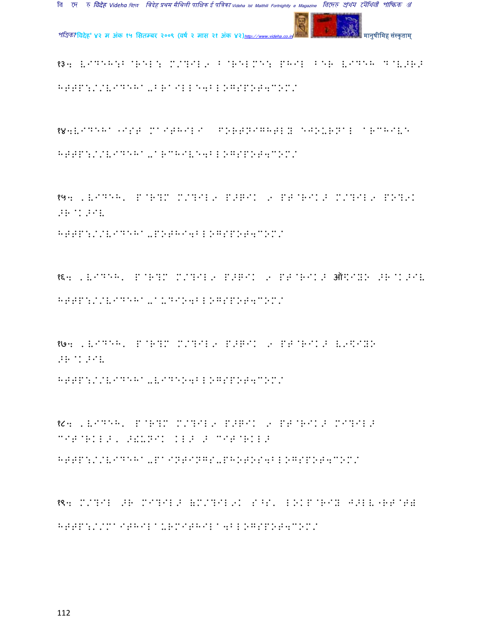१३4 EUSTAAN SEARCH: MUSTUR BORELING PHONE RAP EUSTA CHOEFFE HTTP://VIDEHA-BRAILLE4BLOGSPOT4COM/

१४4VIDEHA"IST MAITHILI FORTNIGHTLY EJOURNAL ARCHIVE HTTP://VIDEHA-ARCHIVE4BLOGSPOT4COM/

१५4 'VIDEH' P@R?M M/?IL9 P>QIK 9 PT@RIK> M/?IL9 PO?9K >R@K>IV

HTTP://VIDEHA-POTHI4BLOGSPOT4COM/

१६4 'VIDEH' P@R?M M/?IL9 P>QIK 9 PT@RIK> ऑ\$IYO >R@K>IV HTTP://VIDEHA-AUDIO4BLOGSPOT4COM/

१७4 'VIDEH' P@R?M M/?IL9 P>QIK 9 PT@RIK> V9\$IYO >R@K>IV HTTP://VIDEHA-VIDEO4BLOGSPOT4COM/

१८4 'VIDEH' P@R?M M/?IL9 P>QIK 9 PT@RIK> MI?IL> CITA CITATION IN CITATION IN THE CITATION IN CITATION IN CITATION IN CITATION IN CITATION IN CITATION IN CITATION HTTP://VIDEHA-PAINTINGS-PHOTOS4BLOGSPOT4COM/

१९4 M/?IL >R MI?IL> (M/?IL9K S^S' LOKP@RIY J>LV"RT@T) HTTP://MAITHILAURMITHILA4BLOGSPOT4COM/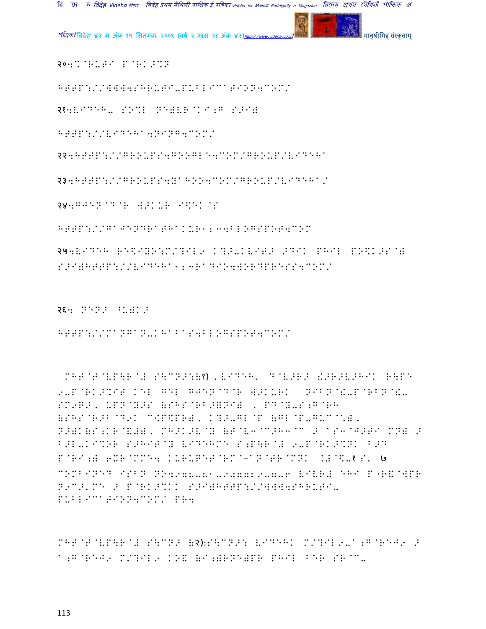N9C>'ME > P@RK>%KK S>I)HTTP://WWW4SHRUTI-PUBLICATION COMPANY

MHT OF TERRET IN STRUCK (20):SRCPA SOCIAL REPORTS (20): STRUCK SHOWS OF

MHT OF TESTAR OF STATTERS (10) IECTOR: (10) TELRED SERRER IS RASTO 9-P@RK>%IT KEL GEL GJEN@D@R W>KURK NIBN@!-P@RBN@!-  $S\subset S\subset S\subset S$  , which is the set of  $S\subset S$  (see of  $S$ ) ,  $S\subset S$  (see of  $S$ ) ,  $S\subset S$  ,  $S\subset S$  ,  $S\subset S$  ,  $S\subset S$ (SHS@R>B@D9K C[P\$PR), K?>-GL@P (GL@P-GUC@\*), N>)K(S;KR@&#), MH>K>V@Y (T@V3@C>H3@C > AS3@J>TI MN) > B>L-KI%OR S>HIT@Y VIDEHME S;P\R@# 9-P@RK>%NK B>D P@RI;) 6XR@MME4 KURUQET@RM@–AN@TR@MNK .#@\$-१ S' ७ COMBINED IS BRANNING IN INDUSTRY THE MEER

HTTP://MANGAN-KHABAS4BLOGSPOT4COM/

२५4VIDEH RE\$IYO:M/?IL9 K?>-KVIT> >DIK PHIL PO\$K>S@) Software the control of the control of the control of the control of the control of the control of the control o

HTTP://GAJENDRATHAKUR1234BLOGSPOT4COM

२३4HTTP://GROUPS4YAHOO4COM/GROUP/VIDEHA/

२२4HTTP://GROUPS4GOOGLE4COM/GROUP/VIDEHA

HTTP://VIDEHA4NING4COM/

२४4BHP IS THE HISTORY IS ARRESTED

 $264$   $7577$   $7877$ 

२१4EPTRE SOME SPEED TO SHIP SOME

HTTP://WWW4SHRUTI-PUBLICATION4COM/

२०4% BLASH PORT PORT

*পত্ৰিকা*'বিदेह' ४२ म अंक १५ सितम्बर २००९ (वर्ष २ मास २१ अंक ४२)http://www.videha.co.in<sup>/ म</sup>ानुष्याम् अर्थवर्थः मानुषीमिह संस्कृताम्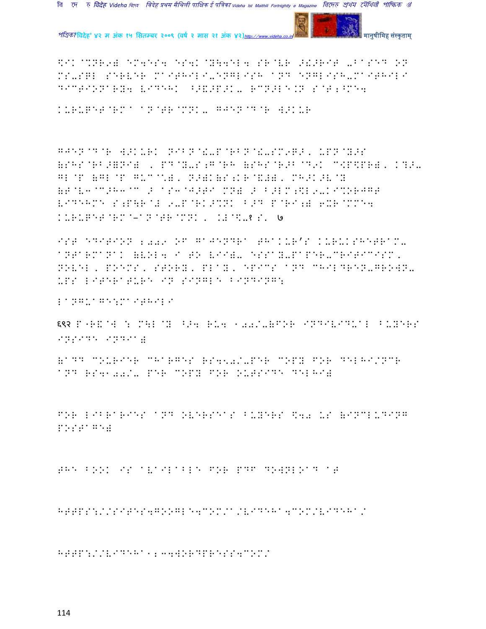HTTPS://SITES4GOOGLE4COM/A/VIDEHA4COM/VIDEHA/

THE BOOK IS AVAILABLE FOR PDF DOWNLOAD AT

FOR LIBRARIES AND OVERSEAS BUYERS \$40 US (INCLUDING POSTAGE)

(ADD COURIER CHARGES RS450/-PER COPY FOR DELHI/NCR AND REARING PER COPY FOR OUTSIDE DELHI

६९२ P (PECT) : MORE THAN PLAY POLYCLARING PORTFICUAL BUYERS INSIDE INDIA)

LANGUAGE:MAITHILI

IST EDITION 2009 OF GAJENDRA THAKUR'S KURUKSHETRAM-ANTARMANAK (VOL4 I TO VII)- ESSAY-PAPER-CRITICISM, NOVEL, POEMS, STORY, PLAY, EPICS AND CHILDREN-GROWN-UPS LITERATURE IN SINGLE BINDING:

GREND OP OP HIS SERVICE OF THE ROLL POINT OF THE UPPN OF THE CONTROL OF THE SMOKE THAT IS A SMOKE THAT IS A SM (SHS@RB>=NI) , PD@Y-S;G@RH (SHS@R>B@D9K C[P\$PR), K?>- GRACIA GRACIA GRACIA GRACIA GRACIA GRACIA GRACIA GRACIA GRACIA GRACIA GRACIA GRACIA GRACIA GRACIA GRACIA GRACI<br>KORA 1995 - GRACIA GRACIA GRACIA GRACIA GRACIA GRACIA GRACIA GRACIA GRACIA GRACIA GRACIA GRACIA GRACIA GRACIA (The value of the value of the state of the state of the position of the parties BANNARY SERBENE SARNESTING FOR BORNE BAD POPUL KURUBT@FRM T=1 BITER TRANS . . . . . . . . . . . . . . . 0

KURUBTA MENYA YANG MUSI DARI MASA YANG MASU DE

\$IK@%NR9) EM4ES4 ES4K@Y\4EL4 SR@VR >!>RIT -BASED ON MS-SQL SERVER MAITHILI-ENGLISH AND ENGLISH-MAITHILI DICTIONARY PIECE (ECHTICS) - RAEGERALE. PODRES SON SOCIALES DO S

*পত্ৰিকা*' विदेह' ४२ म अंक १५ सितम्बर २००९ (वर्ष २ मास २१ अंक ४२)http://www.videha.co.in<sup>/ म</sup>ानुष्यी- मानुषीमिह संस्कृताम्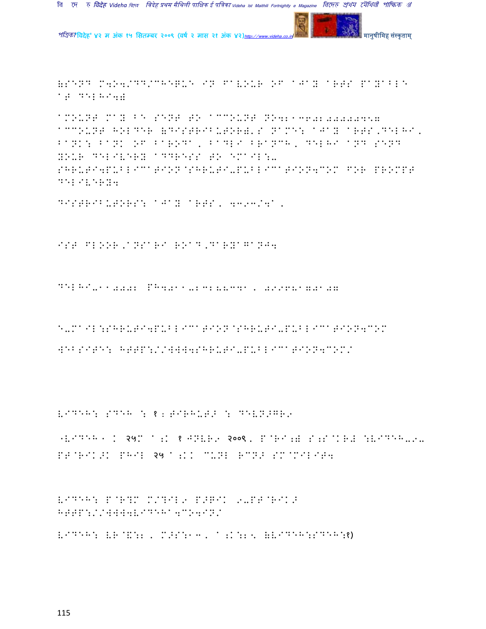(SEND M4O4/DD/CHEQUE IN FAVOUR OF AJAY ARTS PAYABLE AT DELHI4)

AMOUNT MAY BE SENT TO ACCOUNT MAY BE SENT TO ACCOUNT NO ACCOUNT NO ACCOUNT NO ACCOUNT NO ACCOUNT NO ACCOUNT NO ACCOUNT HOLDER (DISTRIBUTOR)'S NAME: AJAY ARTS,DELHI, BANK: BANK OF BARODA, BADLI BRANCH, DELHI AND SEND YOUR DELIVERY ADDRESS TO EMAIL:- SHRUTI4PUBLICATION@SHRUTI-PUBLICATION4COM FOR PROMPT DELIVERY4

DISTRIBUTORS: AJAY ARTS, 4393/4A,

IST FLOOR,ANSARI ROAD,DARYAGANJ4

VIDEH: SDEH : १ : TIRHUT> : DEVN>GR9

VIDEH: P@R?M M/?IL9 P>QIK 9-PT@RIK>

PHILE PHIL 29 MAIL TEST PTER STITCH CRA

EVIDES: ERMENT, MARYLAN, MARYLAN, BEVIDENTINGS)

DELHI-110002 PH4011-23288341, 099681841, 0996

E-MAIL:SHRUTI4PUBLICATION@SHRUTI-PUBLICATION4COM

"VIDEH" K २५M A;K १ JNVR9 २००९, P@RI;) S;S@KR# :VIDEH-9-

WEBSITE: HEBSITE: WARRANTLESS ENTIRESTICS

HTTP://WWW4VIDEHA4CO4IN/

115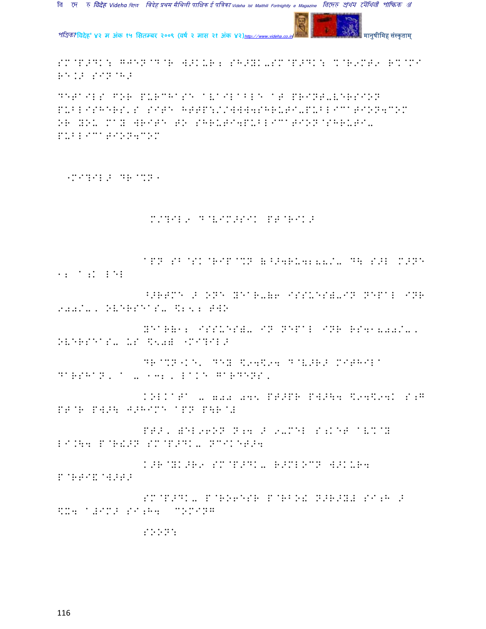पिñका**'**िवदेह**'** ४२ म अंक १५ िसतम्बर २००९ (वष र् २ मास २१ अंक ४२)http://www.videha.co.in/ मानुषीिमह सस्कं ृताम्

 $\sim$  SM  $\sim$  M  $\sim$  GHz with  $\sim$  M  $\sim$  M  $\sim$  M  $\sim$  , shown in the probability  $\sim$   $\sim$   $\sim$   $\sim$   $\sim$   $\sim$ RE.> SIN@H>

DETAILS FOR PURCHASE AVAILABLE AT PRINT-VERSION PUBLISHERS'S SITE HTTP://WWW4SHRUTI-PUBLICATION4COM OR YOU MAY WRITE TO SHRUTIFICATION OF SHRUTI-PUBLICATION AND ACTUALITY

 $M$  MI?IL: DRAME STORMS

M/?IL9 D@VIM>SIK PT@RIK>

 $\frac{1}{2}$  , the second control of the second control of the second control  $\frac{1}{2}$  $12.2 + 12.2 + 12.2 + 12.2 + 12.2 + 12.2 + 12.2 + 12.2 + 12.2 + 12.2 + 12.2 + 12.2 + 12.2 + 12.2 + 12.2 + 12.2 + 12.2 + 12.2 + 12.2 + 12.2 + 12.2 + 12.2 + 12.2 + 12.2 + 12.2 + 12.2 + 12.2 + 12.2 + 12.2 + 12.2 + 12.2 + 12.2 + 12.2 + 12.2 + 12.2 + 12.2 + 12.2$ 

 ^>RTME > ONE YEAR-(6 ISSUES)-IN NEPAL INR 900/-, OVERSEAS- \$25; TWO

HOTER: STELDER, ST TOUR STR REAGANCH, OUTERS IN THE STATE STATE

DR@ NTR\_ORD RAHER, PORTH, MITHILANCE DARSHAN, A - 132, LAKE GARDENS,

KOLKATA - 700 045 PTP PR PUBLICATA - 700 PTP PR PWD PR PWD PR PWD PR PWD PR PWD PR PWD PR PWD PR PWD PR PWD PR PHOR PHIM APACTS OFF PHEOR

 PT>, )EL96ON N;4 > 9-MEL S;KET AV%@Y LI.\4 P@R!>N SM@P>DK- NCIKET>4

KORPORATION SMART WAS STRUCK P@RTI&@W>T>

 SM@P>DK- P@RO6ESR P@RBO! N>R>Y# SI;H >  $\mathbf{X}_1$  , and  $\mathbf{X}_2$  , and  $\mathbf{X}_3$  , and  $\mathbf{X}_4$  , and  $\mathbf{X}_5$  , and  $\mathbf{X}_6$  , and  $\mathbf{X}_7$  , and  $\mathbf{X}_8$  , and  $\mathbf{X}_7$  , and  $\mathbf{X}_8$ 

SOON: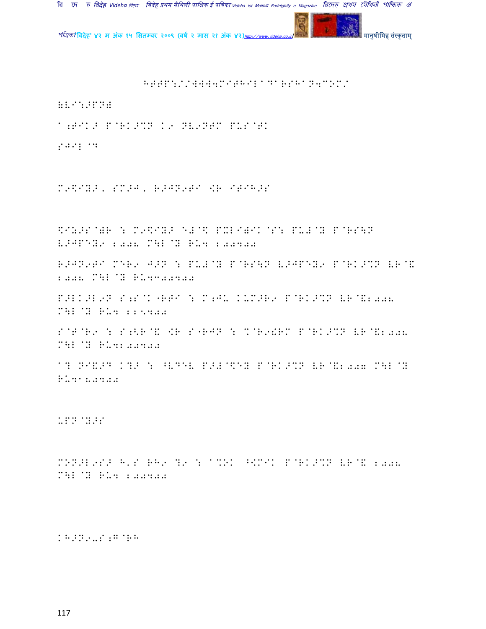## HTTP://WWW4MITHILADARSHAN4COM/

 $1:1:1:1:2:1:1$ 

A;TIK> P@RK>%N K9 NV9NTM PUS@TK

Spieler (1990)

M9\$IY>, SM>J, R>JN9TI [R ITIH>S

\$IZ>S@)R : M9\$IY> E#@\$ PXLI)IK@S: PU#@Y P@RS\N RPPEYS FAAR VAFYS RIG FRAGGA

R>JN9TI MER9 J>N : PU#@Y P@RS\N V>JPEY9 P@RK>%N VR@& 2008 MARSHALL MARSHALL MARSHALL MARSHALL MARSHALL MARSHALL MARSHALL MARSHALL MARSHALL MARSHALL MARSHALL MARSHA

POINT STAN S; SOME S; SOME S; SOME S; SOME S; SOME S; SOME S; SOME S; SOME S; SOME S; SOME S; SOME S; SOME S; SOME S; SOME S; SOME S; SOME S; SOME S; SOME S; SOME S; SOME S; SOME S; SOME S; SOME S; SOME S; SOME S; SOME S; **Million** Ruadi Partis Parties

S@T@R9 : S;<R@& [R S"RJN : %@R9!RM P@RK>%N VR@&2008 M\L@Y RU4200400

AR DEVICE AND KRISTED POINT POINT POINT OF THE CONDITIONS OF A SERIES OF A SERIES OF A LANGUAGE AND A LANGUAGE **Ruanda** 

UPP MAY

MONDER AND AN ARRAIGNMENT OF THE RHY AND ARRAIGNMENT OF THE RHY AND ARRAIGNMENT OF THE RHY AND ARRAIGNMENT OF M\L@Y RU4 200400

 $\mathcal{L} = \{1, 2, \ldots, n\}$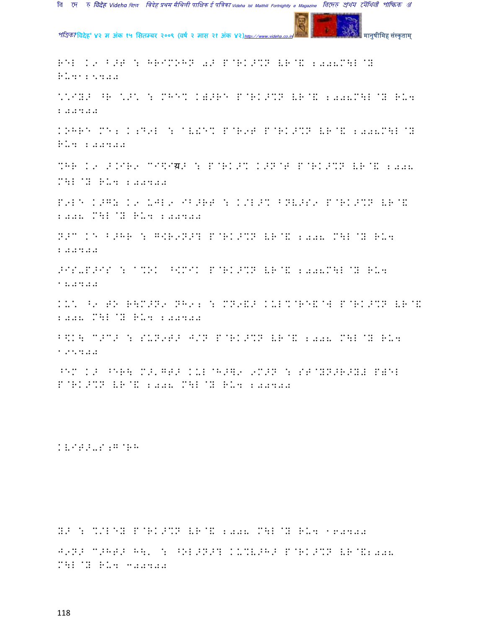REL K9 BBC: HRIMOHN 0: HRIMOHN 0: HRIMOHN 0 **Ruan Expediant** 

\*IV-SEX (RE \*\*IX) & STAND (REARN PORCADOR REPORT REFERENCE POR 200400

KOHRE ME; K;D9L : AV!E% P@R9T P@RK>%N VR@& 2008M\L@Y RU4 2004

%HR K9 >.IR9 CI\$Iय़> : P@RK>% K>N@T P@RK>%N VR@& 2008 M\L@Y RU4 200400

P9LE K>GZ K9 UJL9 IB>RT : K/L>% BNV>S9 P@RK>%N VR@& radi PH TH Ru4 radius

N>C KE B>HR : G[R9N>? P@RK>%N VR@& 2008 M\L@Y RU4 200400

 $\mathcal{L}$  : A set of  $\mathcal{L}$  , and  $\mathcal{L}$  is a set of  $\mathcal{L}$  . And  $\mathcal{L}$  is a set of  $\mathcal{L}$  rue  $\mathcal{L}$  , and  $\mathcal{L}$  is a set of  $\mathcal{L}$  , and  $\mathcal{L}$  is a set of  $\mathcal{L}$  , and  $\mathcal{L}$  is a set of  $\mathcal{L}$ 180400

KU\* AN 'S TO REAL CONSTRUCTION OF REAL CONSTRUCTION OF REAL CONSTRUCTION OF REAL CONSTRUCTION OF REAL CONSTRUC 2008 MORE PRODUCED AT A 2009 MAG

B\$K\ C>C> : SUN9T> J/N P@RK>%N VR@& 2008 M\L@Y RU4 195400

^EM K> ^ER\ M>'GT> KUL@H>]9 9M>N : ST@YN>R>Y# P)EL PO PORT PORT PRESENT PRESENT PRESENT PRESENT PRESENT PRESENT PRESENT PRESENT PRESENT PRESENT PRESENT PRESENT P

## KVIT>-S;G@RH

YA : % / WARD POST PORT RECORD RELEASED THE CONFERENCE PRESENT J9N> C>HT> H\' : ^OL>N>? KU%V>H> P@RK>%N VR@&2008  $\ldots$   $\ldots$   $\ldots$   $\ldots$   $\ldots$   $\ldots$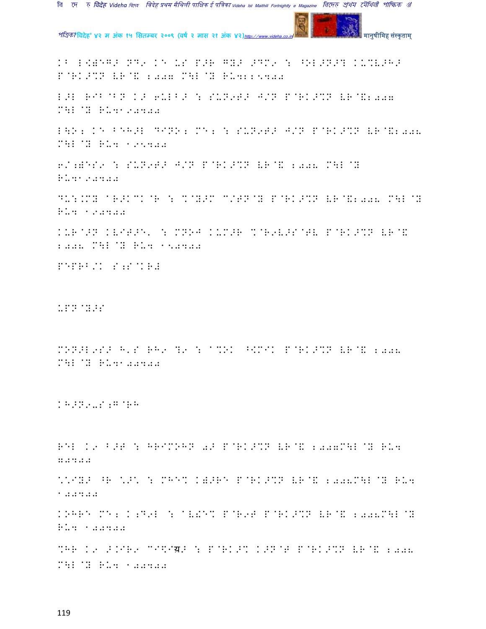िव <sup>त</sup>ि दिविदेह Videha *विल्ह विदेह प्रथम मैथिली पाक्षिक ई पत्रिका <sub>Videha Ist Maithili Fortnightly e Magazine <i>त्रि*त्मिरु *शेशे* य त्यैशिती পौश्किक औ</sub>

*পত্ৰিকা*' विदेह' ४२ म अंक १५ सितम्बर २००९ (वर्ष २ मास २१ अंक ४२)http://www.videha.co.in<sup>/ म</sup>ानुष्यी- मानुषीमिह संस्कृताम्

KB L[)EG> ND9 KE US P>R GY> >DM9 : ^OL>N>? KU%V>H> P@RK>%N VR@& 2007 M\L@Y RU4225400

LA POSTA KOLPANIA SUNDA SUNDA SUNDA LEGELLA M\L@Y RU4190400

LAN E DIN PINOSI DINO; KE BEHOL DINO; MESSI POR ESTERINAR  $\ldots$  .  $\ldots$   $\ldots$   $\ldots$   $\ldots$   $\ldots$ 

6/;)ES9 : SUN9T> J/N P@RK>%N VR@& 2008 M\L@Y RU4190400

DU:.MY AR>KCK@R : %@Y>M C/TN@Y P@RK>%N VR@&2008 M\L@Y RU4 190400

KUR@>P KUR#SPV : NOTER KURDE & MODISCO PORT POSTED BECK 2008 MARSHALL RU4 1008 MARSHALL RU4 1008 MARSHALL RU4 1008 MARSHALL RU4 1008 MARSHALL RU4 1008 MARSHALL RU4 10

PEPRB/K S;S@KR#

UPS TEST

MON>L9S> H'S RH9 ?9 : A%OK ^[MIK P@RK>%N VR@& 2008 THE MURDER SERVICE

KH>N9-S;G@RH

RSE IS BOR : HRIMOHN AS PORTSON AROU ANALYSE OR PLA  $\mathbf{10}$   $\mathbf{10}$   $\mathbf{10}$   $\mathbf{10}$  $\mathcal{N}$  . The  $\mathcal{N}$  is the parameter  $\mathcal{N}$  is the parameter of  $\mathcal{N}$  and  $\mathcal{N}$  and  $\mathcal{N}$ 100400 KOHRE ME; KOHRE ME; KINDA PORGA PORGA PORTUGEN DE ALIGINALITA E MO

**RU4 1004000** %HR K9 >.IR9 CI\$Iय़> : P@RK>% K>N@T P@RK>%N VR@& 2008

M\L@Y RU4 100400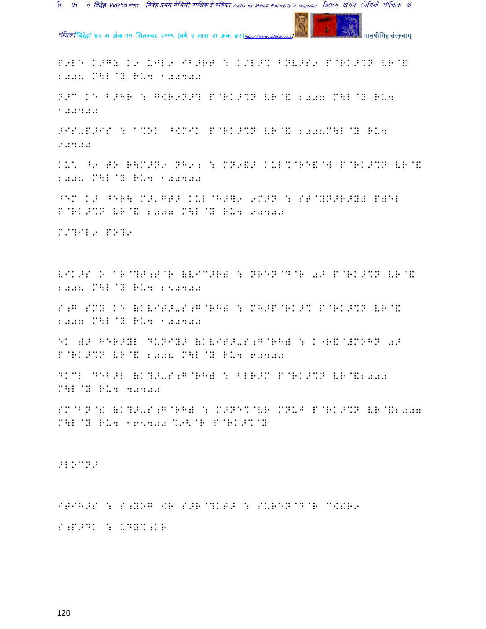िव <sup>त</sup> ह विदेह Videha <sub>विष्य</sub> विदेह प्रथम मैथिली पाक्षिक ई पत्रिका <sub>Videha Ist Maithili Fortnightly e Magazine *वि*(मह क्षेश्रेग ट्रॉशिती পौष्किक \$</sub>

*পত্ৰিকা*' विदेह' ४२ म अंक १५ सितम्बर २००९ (वर्ष २ मास २१ अंक ४२)http://www.videha.co.in<sup>/ म</sup>ानुष्यी- मानुषीमिह संस्कृताम्

P9LE KOLPRES IS AN OUTLE IN A CONSTRUCT IN THE POST BROWN 2008 MARSHALL RU4 1004 MARSHALL RU4 1004 MARSHALL RU4 1004 MARSHALL RU4 1004 MARSHALL RU4 1004 MARSHALL RU4 10<br>2008 MARSHALL RU4 1004 MARSHALL RU4 1004 MARSHALL RU4 1004 MARSHALL RU4 1004 MARSHALL RU4 1004 MARSHALL RU4 10

N>C KE B>HR : G[R9N>? P@RK>%N VR@& 2007 M\L@Y RU4 100400

 $\mathcal{L}$  : A set of  $\mathcal{L}$  , and  $\mathcal{L}$  is a set of  $\mathcal{L}$  . And  $\mathcal{L}$  is a set of  $\mathcal{L}$  rue  $\mathcal{L}$  , and  $\mathcal{L}$  is a set of  $\mathcal{L}$  , and  $\mathcal{L}$  is a set of  $\mathcal{L}$  , and  $\mathcal{L}$  is a set of  $\mathcal{L}$ 90400

KUND AN AN BHOIRE SAN DALA NG MARKA KULO NA KUNG ARAW PANING APAR 2008 MARSHALL RU4 1004

^EM K> ^ER\ M>'GT> KUL@H>]9 9M>N : ST@YN>R>Y# P)EL PORT PARK OF REAL PROPERTY AND ANNUAL

M/?IL9 PO?9

VIK>S O AR@?T;T@R (VIC>R) : NREN@D@R 0> P@RK>%N VR@& 2008 MARSHALL RU4 250400

S;G SMY KE (KVIT>-S;G@RH) : MH>P@RK>% P@RK>%N VR@& 2007 MALAYS REPORT AND RESIDENT

EK )> HER>YL DUNIY> (KVIT>-S;G@RH) : K"R&@#MOHN 0> PO PORT COMPANY OF THE RESIDENCE OF THE RESIDENCE OF THE RUN AND THE RESIDENCE OF THE RUN AND THE RUN AND THE

DKCL DEB>L (K?>-S;G@RH) : BLR>M P@RK>%N VR@&2000  $\ldots$   $\ldots$   $\ldots$   $\ldots$   $\ldots$ 

SMOTH PORT BY GRUEVE GENERAL IN OVERFRONDED OP LATER OF DEVICE. BY NEW LABE M\L@Y RU4 165400 %9<@R P@RK>%@Y

>LOCN>

ITIHOS : S;YOG (RESPECTED EXPORTS : SURPLIFTING CONTROL S;P>DK : UDY%;KR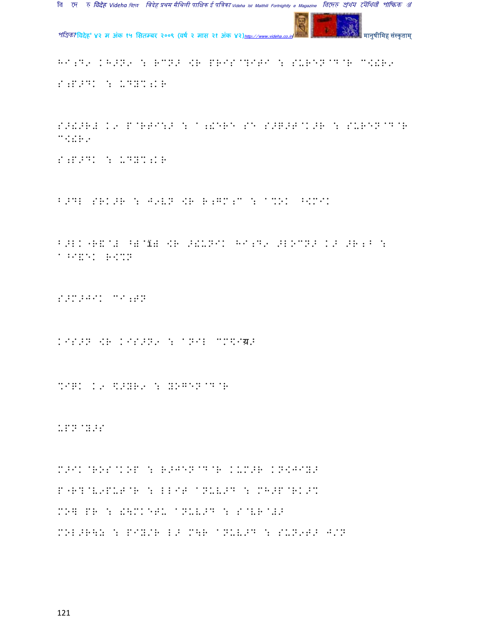िव <sup>त</sup> ह विदेह Videha <sub>विष्य</sub> विदेह प्रथम मैथिली पाक्षिक ई पत्रिका <sub>Videha Ist Maithili Fortnightly e Magazine *वि*(मह क्षेश्रेग ट्रॉशिती পौष्किक \$</sub>

*পত্ৰিকা*' विदेह' ४२ म अंक १५ सितम्बर २००९ (वर्ष २ मास २१ अंक ४२)http://www.videha.co.in<sup>/ म</sup>ानुष्यी- मानुषीमिह संस्कृताम्

HAND : RUBA : RCDU AR TRAPITEA : PILRADIT : CALRA  $S: P \times P \times P \times P \times P \times P \times P \times P$ 

S>!>R# K9 P@RTI:> : A;!ERE SE S>Q>T@K>R : SUREN@D@R  $\begin{aligned} \mathbf{C}^{\mathbf{R}}\left( \mathbf{C}^{\mathbf{R}}\right) &\geq\mathbf{C}^{\mathbf{R}}\left( \mathbf{C}^{\mathbf{R}}\right) \end{aligned}$ 

S; POSSES : UNIVERSITY

BORN SRKSK-R SRK SRKSKE (FREDRIKS) (MIKK

BORK R& R& THE RESPONSE HIGH SERVICE CROPERS **A**I&EK REST

SOUTH CONTROL

KISSE KISSINGS : ANIL CONSTRU

%IQK K9 \$>YR9 : YOGEN@D@R

UPP MAY

MARIKA MAROS : RAPPROTECIDAR (SPRPORA P"RETERMENT : LLIT ANURD : MHAPMEST MO] PR : !\MKETU ANUV>D : S@VR@#> MOLINARY : PIYALE : PINNESS MOLINARY SUNNER WAS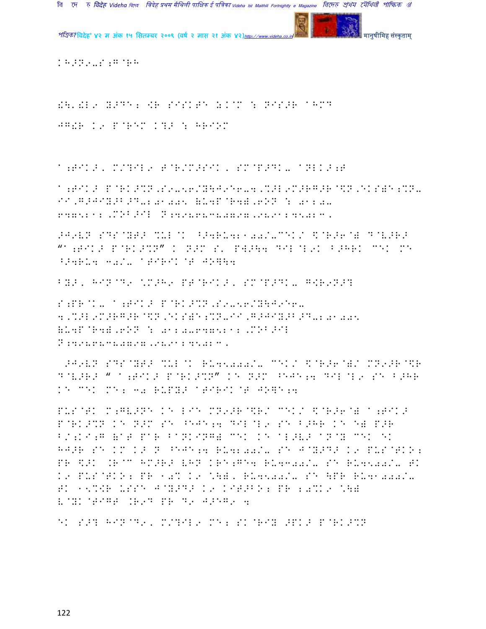KH>N9-S;G@RH

!\'!L9 Y>DE; [R SISKTE Z.@M : NIS>R AHMD JGREEK ARD A SERVER

A;TIK>, M/?IL9 T@R/M>SIK, SM@P>DK- ANLK>;T

A) SBAD DOR PARKOR DE DE DE DE SANG E BAGAI DE DE DE DE DE DE PORT DE DE DE SANG E DE D II,G:JIYO:B:P:P:G:G:G:G:C:B:G:P:P:H:G:D:P:C:G:G:G 6475212,MOB>IL N;49868380797,9891245023,

>J9VN SDS@YT> %UL@K ^>4RU42100/-CEK/ \$@R>6@) D@V>R> "A" A:TIK: PORT POST POST POST PRODUCED AT A PUBLIC POST PRODUCED AT A PUBLIC POST PRODUCED AT A PUBLIC POST P ^>4RU4 30/- ATIRIK@T JO]\4

BY>, HIN@D9 \*M>H9 PT@RIK>, SM@P>DK- G[R9N>?

S;PR@K- A;TIK> P@RK>%N,S9-56/Y\J9E6- 4,%>L9M>RG>R@\$N,EKS)E;%N-II,G>JIY>B>D-201005 (U4P=100-641), Carrier (U4P=101-6475212, MOB  $T_{1}$  :  $T_{2}$  :  $T_{3}$  :  $T_{4}$  :  $T_{5}$  :  $T_{6}$  :  $T_{7}$  :  $T_{8}$  :  $T_{9}$  :  $T_{10}$  :  $T_{11}$  :  $T_{12}$  :  $T_{13}$  :  $T_{14}$  :  $T_{15}$  :  $T_{16}$  :  $T_{17}$  :  $T_{18}$  :  $T_{19}$  :  $T_{10}$  :  $T_{11}$  :  $T_{12}$  :  $T_{13}$  :

 >J9VN SDS@YT> %UL@K RU45000/- CEK/ \$@R>6@)/ MN9>R@\$R D@V>R> " A;TIK> P@RK>%N" KE N>M ^EJE;4 DIL@L9 SE B>HR KE CEK ME; 30 RUPS: 30 RUPY: 30 RUPY:

PUS@TK M;GV>NE KE LIE MN9>R@\$R/ CEK/ \$@R>6@) A;TIK> P@RK>%N KE N>M SE ^EJE;4 DIL@L9 SE B>HR KE E) P>R B/;KI;G (AT PAR BANKING) CEK KE AL>V> AN@Y CEK EK HAJE SE KONGOLI PORTAH SE BISSOLOGI KUANG PUSAN KILIMI SE P PR \$>K .R@C HM>R> VHN KRE;GE4 RU4300/- SE RU4500/- TK K9 PUS@TKO; PR 10% K9 \*\), RU4500/- SE \PR RU41000/- TK 15% CONSERVATION OF PROPERTY AND RELEASED FOR 20% BYGING .R9D .R9D PR D9 J9999

EK S>? HIN@D9, M/?IL9 ME; SK@RIY >PK> P@RK>%N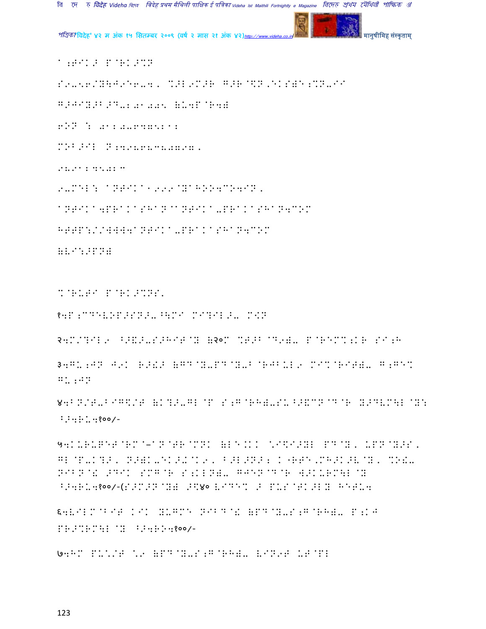िव <sup>त</sup>ि दिविदेह Videha *विल्ह विदेह प्रथम मैथिली पाक्षिक ई पत्रिका <sub>Videha Ist Maithili Fortnightly e Magazine <i>त्रि*त्मिरु *शेशे* य त्यैशिती পौश्किक औ</sub>

*পত্ৰিকা*' विदेह' ४२ म अंक १५ सितम्बर २००९ (वर्ष २ मास २१ अंक ४२)http://www.videha.co.in<sup>/ म</sup>ानुष्यी- मानुषीमिह संस्कृताम्

A;TIK> P@RK>%N S9-56/Y\J9E6-4, %>L9M>R G>R@\$N,EKS)E;%N-II BIRCHI PALLAMAN BLAPTHA 6ON : 0120-6475212 MOBILE NEWSFILM AND ALL AND ALL AND ALL AND ALL AND ALL AND ALL AND ALL AND ALL AND ALL AND ALL AND ALL AND ALL AND ALL AND ALL AND ALL AND ALL AND ALL AND ALL AND ALL AND ALL AND ALL AND ALL AND ALL AND ALL AND ALL AND AL 9891245023 9-MEL: ANTIKA1999@YAHOO4CO4IN, ANTIKA4PRAKASHAN@ANTIKA-PRAKASHAN4COM HTTP://WWW4ANTIKA-PRAKASHAN4COM (VI:>PN)

 $\mathcal{P}$  . The results of the particle is the particle in the particle in the particle in the particle in the particle in the particle in the particle in the particle in the particle in the particle in the particle in the

84P;CDREVORSER PRINT MATERIAL TAP

२4M/?IL9 ^>&>-S>HIT@Y (२०M %T>B@D9)- P@REM%;KR SI;H

३4GU;JN J9K R>!> (GD@Y-PD@Y-B@RJBUL9 MI%@RIT)- G;GE%  $H1, H1$ 

४4BN/T-BIG\$/T (K?>-GL@P S;G@RH)-SU^>&CN@D@R Y>DVM\L@Y: ^>4RU4१००/-

**94KURUPT#MRM (= VR TREMOVE (LES IN S) NATARE (PR TR), UPP TRAPY,** GRAP-KROP - GRAND - KONSTRUCT - KAN HARTER HARTER CONTROL STORIES NIBN@! >DIK SMG@R S;KLN)- GJEN@D@R W>KURM\L@Y ^>4RU4१००/-(S>M>N@Y) >\$४० VIDE% > PUS@TK>LY HETU4

६4VILM@BIT KIK YUGME NIBD@! (PD@Y-S;G@RH)- P;KJ PR>%RM\L@Y ^>4RO4१००/-

७4HM PU\*/T \*9 (PD@Y-S;G@RH)- VIN9T UT@PL

123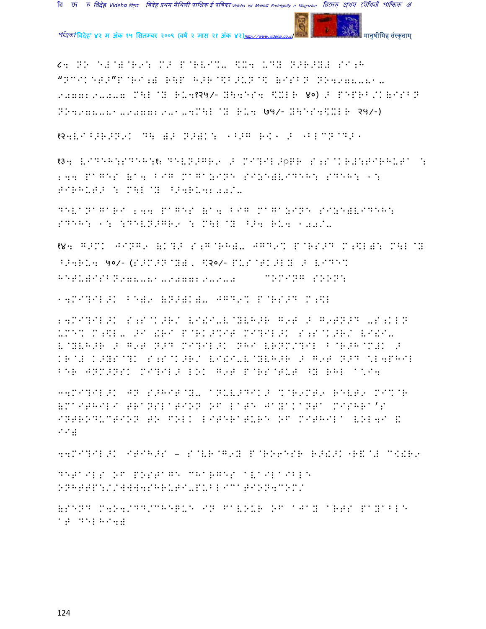८4 NO E#@)@R9: M> P@RVI%- \$X4 UDY N>R>Y# SI;H "NUM CORPORATION RESEASED IN THE HOUSE OF THE UNIVERSITY OF THE UNIVERSITY OF THE UNIVERSITY OF THE UNIVERSITY OF THE UNIVERSITY OF THE UNIVERSITY OF THE UNIVERSITY OF THE UNIVERSITY OF THE UNIVERSITY OF THE UNIVERSITY OF 907729-0-7 M\L@Y RU4१२५/- Y\4ES4 \$XLR ४०) > PEPRB/K(ISBN NO4978-81-907729-1-4M\L@Y RU4 ७५/- Y\ES4\$XLR २५/-)

१२4K DO (BLC) - प्रस्तावर प्रस्तावर परमण स्थापार प्राप्तावर प

१३4 VIDEH:SPERSEN: DEVICES: DEVELOPER: SOME SIGNE : SOME : TIRGEHERIGE : TIR 244 PAGES (A4 BIG MAGAZINE SIZE)VIDEH: SDEH: 1: TIRHUTA : MORE TIRA : MORE TIRA : MORE TIRA : MORE TIRA : MORE TIRA : MORE TIRA : MORE TIRA : MORE TIRA : MORE

DEVANAGARI 244 PAGES (A4 BIG MAGAZINE SIZE)VIDEH: SDEH: 1: :DEVN>GR9 : M\L@Y ^>4 RU4 100/-

१४4 G>MK JING9 (K?> S;G@RH)- JGD9% P@RS>D M;\$L): M\L@Y ^>4RU4 ५०/- (S>M>N@Y), \$२०/- PUS@TK>LY > VIDE% HETU)ISBN978-81-907729-9-0 COMING SOON:

14MI?IL>K BE)9 (N>)K)- JGD9% P@RS>D M;\$L

24MI?IL>K S;S@K>R/ VI!I-V@YVH>R G9T > G9TN>D -S;KLN UMES M; RI LORE BRACK MEDIANA MANARIAN S; SEM MURIN BARAN. V@YVH>R > G9T N>D MI?IL>K NHI VRNM/?IL B@R>H@M#K > KR MA KOVERN MEN SYSTEMATION OF THE SANDON OF THE SANDON OF THE SANDON OF THE SANDON OF THE SANDON OF THE SAND BER JNM>NSK MI?IL> LOK G9T P@RS@TUT ^Y RHL A\*I4

34MI?IL>K JN S>HIT@Y- ANUV>DIK> %@R9MT9 REVT9 MI%@R (MAITHILI TRANSLATION OF LATE JAYAKANTA MISHRA'S INTRODUCTION TO FOLK LITERATURE OF MITHILA VOL4I &  $25.11$ 

44MI?IL>K ITIH>S – S@VR@G9Y P@RO6ESR R>!>K"R&@# C[!R9

DETAILS OF POSTAGE CHARGES AVAILAIBLE ONHTTP://WWW4SHRUTI-PUBLICATION4COM/

(SEND M4O4/DD/CHEQUE IN FAVOUR OF AJAY ARTS PAYABLE AT DELHI4)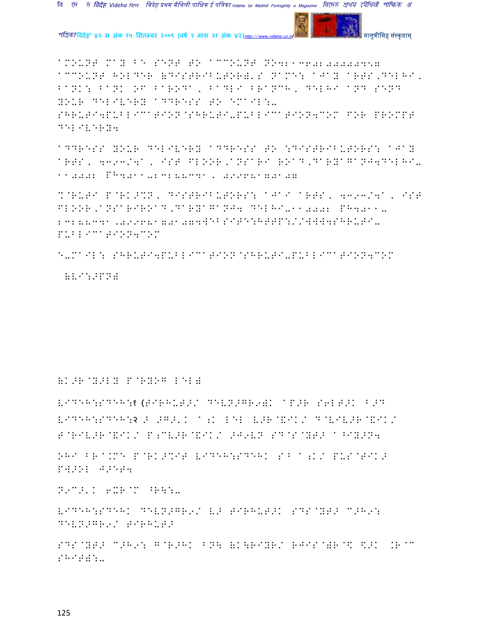$S$  SOS CONSTRUCTED BY CONTROLLED BY A REPORT OF A SUBSTITUTE OF  $S$  . ROWLING  $R$  . ROWLING  $R$ SHIT):-

KVINGSYTNG THEBURGS EP PHENDED YTP MEER TURNS DEVELOPED AND BEVOLKS

N9C>'K 6XR@M ^R\:-

OHI BR@.ME P@RK>%IT VIDEH:SDEHK S^ A;K/ PUS@TIK> PHONE SUPPLY

ESTER:STER:2 > A#A;I (10) PH: EAP HSIZ TORGADHINI T@RIV>R@&IK/ P;CV>R@&IK/ >J9VN SD@S@YT> A^IY>N4

(K>R@Y>LY P@RYOG LEL)

ESTERG:TER:0 (PSPECIO TELPARKED OFFIC S6LPIC BOY

E-MAIL: SHRUTI4PUBLICATION@SHRUTI-PUBLICATION4COM

(BEP) : PEPER

% MEDIES (PORTUGAL) PARIEES DIEDERS (MARTS) AJAI ARTS-MAMA (MARTS) FLOOR,ANSARIROAD,DARYAGANJ4 DELHI-110002 PH4011- 23483641,099681,09964174WEBSITE:HTTP://WWWASHRUPI-PO PUBLICATION COMPANY

ADDRESS YOUR DELIVERY ADDRESS TO :DISTRIBUTORS: AJAY ARTS, 4393/4A, IST FLOOR,ANSARI ROAD,DARYAGANJ4DELHI-110002 PH4011-2328841, 0996818010

AMOUNT MAY BE SENT MAY BE SENT TO ACCOUNT TO ACCOUNT A ACCOUNT HOLDER (DISTRIBUTOR)'S NAME: AJAY ARTS,DELHI, BANK: BANK OF BARODA, BADLI BRANCH, DELHI AND SEND YOUR DELIVERY ADDRESS TO EMAIL:- SHRUTI4PUBLICATION@SHRUTI-PUBLICATION4COM FOR PROMPT DELIVERY4

*পত্ৰিকা*'বিदेह' ४२ म अंक १५ सितम्बर २००९ (वर्ष २ मास २१ अंक ४२)http://www.videha.co.in<sup>/ Haman</sup> सम्बं<sup>द</sup>े । मानुषीमिह संस्कृताम्



िव <sup>रा</sup>प रु विदेह Videha <sub>विपद</sub> विदेह प्रथम मैथिली पाक्षिक ई पत्रिका <sub>Videha Ist Maithili Fortnightly e Magazine *विरमरु श*थंग रंगैथिली পोष्किक औ</sub>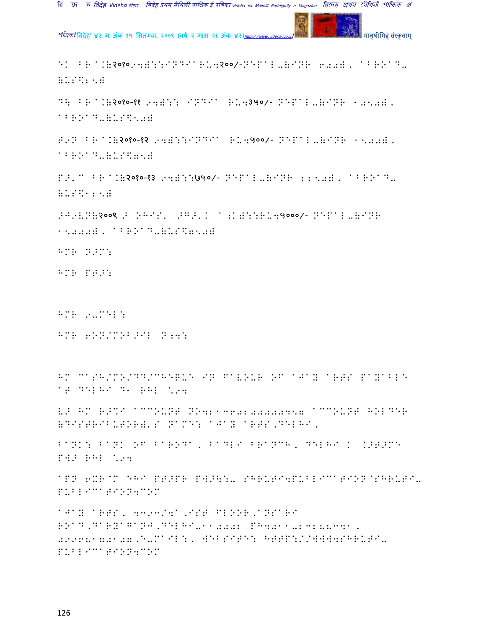$E(Y \in \mathbb{R}^n)$  : Indoes  $\mathbb{R}^n$  in Eq. (i.e., i.e.,  $\mathbb{R}^n$  ). About  $\mathbb{R}^n$  in Eq. (i.e., i.e., i.e., i.e., i.e., i.e., i.e., i.e., i.e., i.e., i.e., i.e., i.e., i.e., i.e., i.e., i.e., i.e., i.e., i.e., i.e.,  $H: T: T: T$ 

 $\begin{split} \mathbb{D}\mathbb{D}_1^1 \to \mathbb{D}^1: & \mathbb{D}_1^1 \mathbb{D}_2^2 \times \mathbb{D}_1^3 \mathbb{D}_2^3 \times \mathbb{D}_2^3 \times \mathbb{D}_2^3 \times \mathbb{D}_2^3 \times \mathbb{D}_2^3 \times \mathbb{D}_2^3 \times \mathbb{D}_2^3 \times \mathbb{D}_2^3 \times \mathbb{D}_2^3 \times \mathbb{D}_2^3 \times \mathbb{D}_2^3 \times \mathbb{D}_2^3 \times \mathbb{D}_2^3 \times \mathbb{D}_2^3 \times \mathbb{D}_$ ABROAD-(US\$50)

 $T_1$ ,  $T_2$   $T_3$   $T_4$   $T_5$   $T_6$   $T_6$   $T_7$   $T_7$   $T_7$   $T_7$   $T_7$   $T_8$   $T_9$   $T_9$   $T_9$   $T_9$   $T_9$   $T_9$   $T_9$   $T_9$   $T_9$   $T_9$   $T_9$   $T_9$   $T_9$   $T_9$   $T_9$   $T_9$   $T_9$   $T_9$   $T_9$   $T_9$   $T_9$   $T_9$   $T_9$   $T_9$ **ABROAD** 

POP, TO BRANDING PROVERTING AND THE POPINS CONTROL INTO A REPORT OF THE PARTIES.  $L(T, T, T, T, T, T)$ 

 $343.91.91.3008$ : $\frac{1}{2}$ ,  $\frac{1}{2}$ ,  $\frac{1}{2}$ ,  $\frac{1}{2}$ ,  $\frac{1}{2}$ ,  $\frac{1}{2}$ ,  $\frac{1}{2}$ ,  $\frac{1}{2}$ ,  $\frac{1}{2}$ ,  $\frac{1}{2}$ ,  $\frac{1}{2}$ ,  $\frac{1}{2}$ ,  $\frac{1}{2}$ ,  $\frac{1}{2}$ ,  $\frac{1}{2}$ ,  $\frac{1}{2}$ ,  $\frac{1}{2}$ ,  $\frac{1}{2}$ ,  $\frac{1}{$ 15000), ABROAD-(US\$750)

HMR N>M:

HMR PHILE

HMR 9-MEL:

 $\frac{1}{2}$  ,  $\frac{1}{2}$  ,  $\frac{1}{2}$  ,  $\frac{1}{2}$  ,  $\frac{1}{2}$  ,  $\frac{1}{2}$  ,  $\frac{1}{2}$  ,  $\frac{1}{2}$  ,  $\frac{1}{2}$  ,  $\frac{1}{2}$  ,  $\frac{1}{2}$  ,  $\frac{1}{2}$  ,  $\frac{1}{2}$  ,  $\frac{1}{2}$  ,  $\frac{1}{2}$  ,  $\frac{1}{2}$  ,  $\frac{1}{2}$  ,  $\frac{1}{2}$  ,  $\frac{1$ 

HM CASH/MO/DD/CHEQUE IN FAVOUR OF AJAY ARTS PAYABLE AT DIE DIE DIE DIE DIE VOLKE

 $\mathcal{L}$  , and the state of the state of the state  $\mathcal{L}$  and  $\mathcal{L}$  account the state of the state of the (DISTRIBUTOR)'S NAME: AJAY ARTS,DELHI,

BANK: BANK OF BARODA, BADLI BRANCH, DELHI K .>T>ME PHP RH TOH

APS GREAT AND PRING PRING INFORMATION CONSTRUCTION PUBLICATION4COM

AJAY ARTS, 4393/4A,IST FLOOR,ANSARI ROAD, DARYAGANJ, DELHI-110002 PH4011-23288341, DELHI-1100 09968170107,E-MAIL:, WEBSITE: HTTP://WWW4SHRUTI-PUBLICATION COMPANY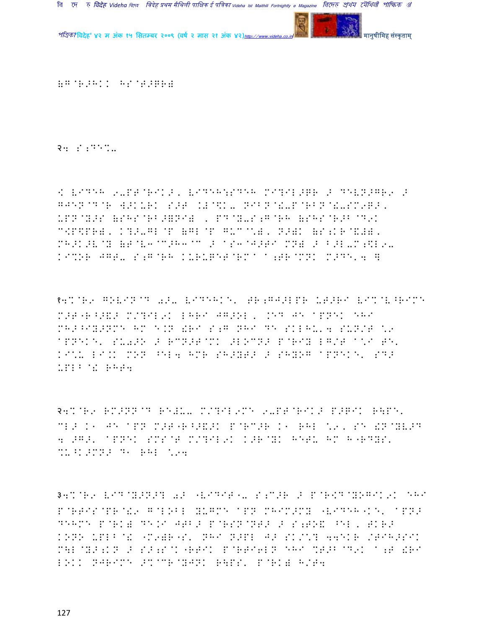*পত্ৰিকা*'বিदेह' ४२ म अंक १५ सितम्बर २००९ (वर्ष २ मास २१ अंक ४२)*http://www.videha.co.in*/ मान्योजिक संस्कृताम्

(G@R>HKK HS@T>QR)

 $24.533333...$ 

 $\mathcal{R}$  (1995) (2019) (2019) (2019) (2019) (2019) (2019) (2019) (2019) (2019) (2019) (2019) (2019) (2019) (20 GJEN@D@R W>KURK S>T .#@\$K- NIBN@!-P@RBN@!-SM9Q>, UPN@Y>S (SHS@RB>=NI) , PD@Y-S;G@RH (SHS@R>B@D9K CONSTRUCTION CONTROL CONTROL CONTROL CONTROL CONTROL CONTROL CONTROL CONTROL CONTROL CONTROL CONTROL CONTROL C<br>- Control Control Control Control Control Control Control Control Control Control Control Control Control Con MHOKO (TOVA (TELAS) ASSOCIATION OF THE CALABASE OF THE UNIT OF THE LOCAL DISTURBANCE KIMOR SHARI S;GARIBA KINGERA DE'A KIGA MATO MARA A; B

१4%@R9 GOVIN@D 0>- VIDEHKE' TR;GJ>LPR UT>RI VI%@V^RIME MAR REGIST MATER LEGAL AND MELLI IN A MONEY LAND MHO ERSENTA EN ELS SERVITS EN DER SKLHUT DE SKLHUL SUNFORTS APNEKE' SU0>O > RCN>T@MK >LOCN> P@RIY LG/T A\*I TE' KIYU LIRK MONDOZA HARIBI SHARBAR SHARBAR SHAYYOG SHYOG UPLB@! RHT4

२4%@R9 RM>NN@D RE#U- M/?IL9ME 9-PT@RIK> P>QIK R\PE' CLA CLA APSOSTER CLARA PARALL ESPECIAL CLASS PARTICULAR SERVICEUM 4 >G>' APNEK SMS@T M/?IL9K K>R@YK HETU HM H"RDYS' WOOD DIE STEER SE DIE STEER SE DIE STEER GESTELD IN DIE STEER GESTELD FOR DIE STEER GESTELD FOR DIE STEER GES

३4%@R9 VID@Y>N>? 0> "VIDIT"- S;C>R > P@R[D@YOGIK9K EHI P@RTIS@PR@!9 G@LOBL YUGME APN MHIM>MY "VIDEH"KE' APN> DEHME P@RK) DE.I JTB> P@RSN@NT> > S;TO& ^EL, TKR> KONO UPLA NI NIVABAL TAK TAPI AJ SK/KI AAN BALAS /TAHAT  $\mathcal{P}$ ); KN  $\mathcal{P}$ ; Some state that the state the state of the state of the state of the state of the state of LOKK NJRIME >%@CR@YJNK R\PS' P@RK) H/T4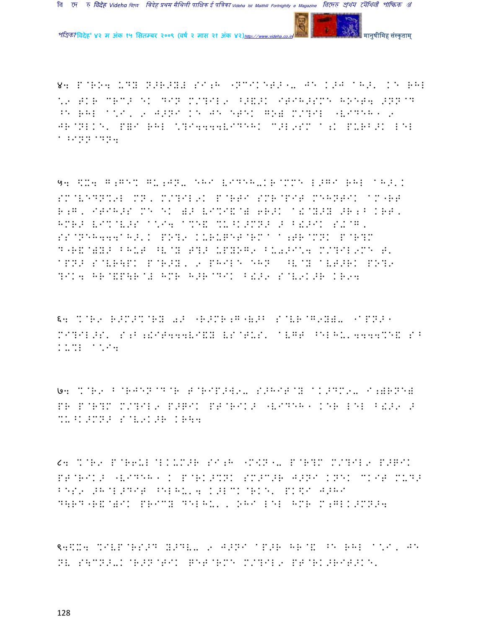४4 P@RO4 UDY N>R>Y# SI;H "NCIKET>"- JE K>J AH>' KE RHL \*9 TKR CREATED THE EXPERIMENT OF DESCRIPTION OF DESCRIPTION OF DESCRIPTION OF DESCRIPTION OF DESCRIPTIONS OF D<br>SAND RESIDENT OF DESCRIPTION OF DESCRIPTION OF DESCRIPTION OF DESCRIPTION OF DESCRIPTIONS OF DESCRIPTIONS OF D ^E RHL A\*I, 9 J>NI KE JE ETEK GO) M/?IL "VIDEH" 9 JAB 'PO NL STORY BA: NTVARALKTYPE TIERT 'N KLOOKFIK DIN A^INN@DN4

५4 \$X4 G;GE% GU;JN- EHI VIDEH-KR@MME L>GI RHL AH>'K SM@VEDN%9L MN, M/?IL9K P@RTI SMR@PIT MEHNTIK AM"RT R;G, ITIH>S ME EK )> VI%I&@) 6R>K A!@Y>Y >R;^ KRT, HMR> VI%@V>S A\*I4 A%E& %U^K>MN> > B!>IK S+@G, SS@NEH444AH>'K PO?9 KURUQET@RM@ A;TR@MNK P@R?M D"R&@)Y> BHUT ^V@Y T?> UPYOG9 BU0>I\*4 M/?IL9ME T' APN> S@VR\PK P@R>Y, 9 PHILE EHN ^V@Y AVT>RK PO?9 ?IK4 HR@&P\R@# HMR H>R@DIK B!>9 S@V9K>R KR94

 $\mathbf{s}_\mathrm{H}$  ,  $\mathbf{y}$  be a respectively in eq. ( ) by a set of the contraction of  $\mathbf{y}$  and  $\mathbf{y}$  -  $\mathbf{y}$ MICIAN SE: SI SICHAALCHE ARTAURI AVAGHA (PERSONAVIA CHE KUML ATAN

७4 %@R9 B@RJEN@D@R T@RIP>W9- S>HIT@Y AK>DM9- I;)RNE) PR PORT CONTROL PRESS PROPERTY ALSO ALSO AND PARTY KERK IN WOOD SOME SAMPLE SAMPLE

८4 %@R9 P@R6UL@LKUM>R SI;H "M[N"- P@R?M M/?IL9 P>QIK PT@RIK> "VIDEH" K P@RK>%NK SM>C>R J>NI KNEK CKIT MUD> BESP DA NORTH PELHULA KONSTRUCK BIRT ADAT DAG RADIO IN PRICY DELINA DELL'I, OHI LEL HOLI DELL'ISTO DELL'ISTO

SARDA (DYERISEZA) BAJEL A APPROVIDE PECHO IN EREOVACI, AN NV S\CN>-K@R>N@TIK QET@RME M/?IL9 PT@RK>RIT>KE'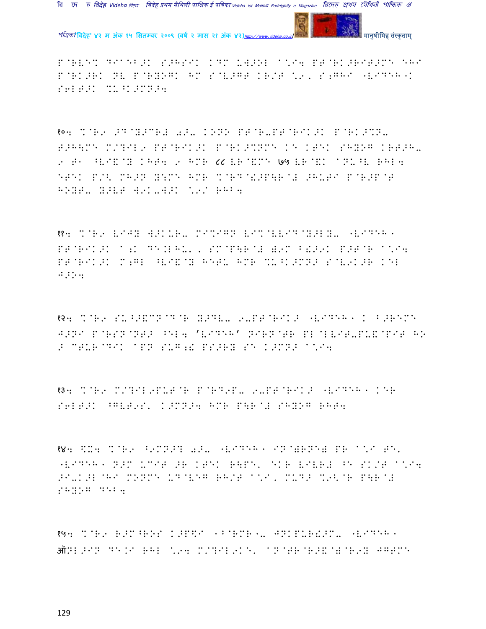P@RVE% DIAEB>K S>HSIK KDM UW>OL A\*I4 PT@RK>RIT>ME EHI P@RK>RK NV P@RYOGK HM S@V>GT KR/T \*9, S;GHI "VIDEH"K  $S: \mathbb{R} \times \mathbb{R} \times \mathbb{R} \times \mathbb{R} \times \mathbb{R} \times \mathbb{R} \times \mathbb{R} \times \mathbb{R}$ 

१०4 %@R9 >D@Y>CR# 0>- KONO PT@R-PT@RIK>K P@RK>%N-THA MORE MANY ILANG MARKA NA MARAKA NY KATENINA NY NANARAN' NY HARAHAN' NY HANAHAN' NY HANAHAN' NY HANAHAN' NY 9 T1 ^VI&@Y KHT4 9 HMR ८८ VR@&ME ७५ VR@&K ANU^V RHL4 ETEK P/< MH>N Y:ME HMR %@RD@!>P\R@# >HUTI P@R>P@T HOYTA YARA HALAMAY YAYAR

११4 %@R9 VIJY W>KUR- MI%IGN VI%@VVID@Y>LY- "VIDEH" PEMBRIKA: MA: PROBAG, SMOPHENE BRITANISK, PREMBRIKA PATEPISK MYSTER (REGULARIKANS WURKSHIND SOM SOMETIK  $\mathcal{A}$  ,  $\mathcal{B}$  ,  $\mathcal{B}$  ,  $\mathcal{B}$ 

१२4 %@R9 SU^>&CN@D@R Y>DV- 9-PT@RIK> "VIDEH" K B>REME J>NI P@RSN@NT> ^EL4 'VIDEH' NIRN@TR PL@LVIT-PU&@PIT HO > CTUR@DIK APN SUG;! PS>RY SE K>MN> A\*I4

१३4 %@R9 M/?IL9PUT@R P@RD9P- 9-PT@RIK> "VIDEH" KER S6LT>K ^GVT9S' K>MN>4 HMR P\R@# SHYOG RHT4

१४4 \$X4 %@R9 ^9MN>? 0>- "VIDEH" IN@)RNE) PR A\*I TE' "VIDEH" N>M UCIT >R KTEK R\PE' EKR VIVR# ^E SK/T A\*I4 >I-K>L@HI MONME UD@VEG RH/T A\*I, MUD> %9<@R P\R@# FEB10 SHIP

१५4 %@R9 R>M^ROS K>P\$I "^@RMR"- JNKPUR!>M- "VIDEH" **ऑ**NLAY DERIG AND THREADY CONDUCTS OF THE REPORT OF THE REAL AND TRANSPORT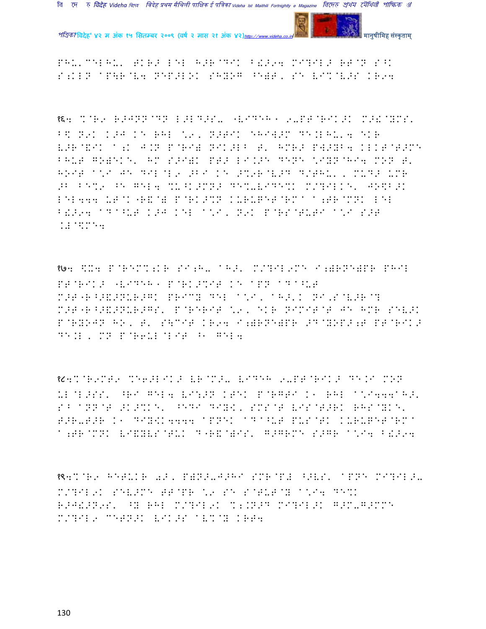PHU'CELHU' TKR> LEL H>R@DIK B!>94 MI?IL> RT@N S^K S;KLA D;KLA TA SHIRA SHOG SHOG SHIRA SHIRA SHIRA SHIRA SHIRA SHIRA SHIRA SHIRA SHI

१६4 %@R9 R>JNN@DN L>LD>S- "VIDEH" 9-PT@RIK>K M>!@YMS' B\$ N9K KORA KO RHE TURI NAMES TAAREN TA BALLA TER  $\mathbb{R}$  , the control of the second state of the three controls to the three controls  $\mathbb{R}^n$  to the three controls of the three controls of the three controls of the three controls of the three controls of the three c FAGE BREAT AL AT SIAGE TEEN ER DAY MARK NATHAN TRE EE. HOIT AT DIT AN INTERFERING ON THE DILANTIAL POSTAGE OF DILANTIAL USE OF DILANTIAL USE USE USE USE US >B BE%9 ^E GEL4 %U^K>MN> DE%-VIDE%K M/?ILKE' JO\$B>K LEL444 UT@K"R&@) P@RK>%N KURUQET@RM@ A;TR@MNK LEL BED A TO THE SAME AFTER THE STREET .#@\$ME4

१७4 \$X4 P@REM%;KR SI;H- AH>' M/?IL9ME I;)RNE)PR PHIL PATERIA VERTICA PORIJEDICA I PROTOKA M>T"R^>&>NUR>GK PRICY DEL A\*I, AH>'K NI,S@V>R@? M>T"R^>&>NUR>GS' P@RERIT \*9, EKR NIMIT@T JE HMR SEV>K P@RYOJN HO, TEST KR94 I; RNEPHPP 29@RPFFFFFFFFFF DE.L, MN P@R6UL@LIT ^1 GEL4

१८4%@R9MT9 %E6>LIK> VR@M>- VIDEH 9-PT@RIK> DE.I MON UL@L>SS' ^RI GEL4 VI:>N KTEK P@RGTI K1 RHL A\*I444AH>' SA ANN ANN AN SAN AIR AN DAOINE AN DAOINE AN DAOINE AN DAOINE ANN AN DAOINE AN AM AN DAOINE AN AM AN AM AN AIR<br>Tha an air an air an air an air an air an air an t-air an air an air an air an air an air air an air an air ai T>R-T>R K1 DIY[K4444 APNEK AD@^UT PUS@TK KURUQET@RM@ A;TR@MNK VI&YVS@TUK D"R&@)IS' G>GRME S>GR A\*I4 B!>94

 $384\%$  (P)- Hetukr Hills, Published and Milliam (Piblish of PPF  $\langle P \rangle$  and  $\langle P \rangle$ M/?IPP SEVIET TO A SEVER THAT THE SECRET SERVED ON THE SECTION OF SECTION AT  $\mathcal{R}$ R>J!>N9S' ^Y RHL M/?IL9K %;.N>D MI?IL>K G>M-G>MME M/R/IL9 CETTE CETTE CETTE CONSTRUCTION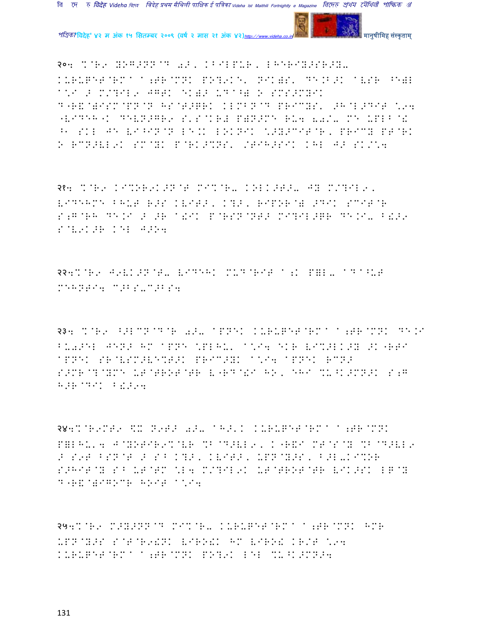२०4 % WORD 000 XOGS YOUR DEPLAR IN THE REPORT OF THE REPORT OF THE REPORT OF THE REPORT OF THE REPORT OF THE R KURU DE DI DI SERMANG KURUL DI SERMANG PORTUGAL DI SERMANG KURUL DI SERMANG KURUL DI SERMANG KE DI SERMANG KUR<br>S' DI DI DI DI SERMANG KURUL DI SERMANG KURUL DI SERMANG KURUL DI SERMANG KURUL DI SERMANG KURUL DI SERMANG KU A\*I > M/?IL9 JGTK EK)> UD@^) O SMS>MYIK D"R&@)ISM@PN@N HS@T>QRK KLMBN@D PRICYS' >H@L>DIT \*94 "VIDEH"K DEVNORMER SOM DE VIDEH" FØRDE RU4 80/- ME UPPLIGTER FOR ^1 SKL JE VI^IN@N LE.K LOKNIK \*>Y>CIT@R, PRICY PT@RK O RCHARLES SMOKE PORTHUM SHARREN THE ARTISTIC

२१4 % WORD KONSTANT MISS OF MIX WORD AND MISS OF THE REPORT OF THE MISS OF THE MIX MANUFACTURE OF MIX MANUFACT VIDEHME BHUT R>S KVIT>, K?>, RIPOR@) >DIK SCIT@R S:G@REA: PA DA CA CAB O BAD OF DEER OPER OP AN IPHE PA DADA A BIRA SOME SOME STATE STATES

२२4%@R9 J9VK>N@T- VIDEHK MUD@RIT A;K P=L- AD@^UT MEHNTI4 C>BS-C>BS4

२३4 %@R9 ^>LCN@D@R 0>- APNEK KURUQET@RM@ A;TR@MNK DE.I BU0>EL JEN> HM APNE \*PLHU' A\*I4 EKR VI%>LK>Y >K"RTI APNEK SR@VSM>VE%T>K PRIC>YK A\*I4 APNEK RCN> SOOR TROOPS ARE TRACKED AND TANKING TO AN ALLOWED STAR However, the state of the state  $\mathcal{L}_{\mathcal{D}}$  , the state of the state of the state of the state of the state of the state of the state of the state of the state of the state of the state of the state of the state of the

२४4%@R9MT9 \$X N9T> 0>- AH>'K KURUQET@RM@ A;TR@MNK P=LHU'4 J@YOTIR9%@VR %B@D>VL9, K"R&I MT@S@Y %B@D>VL9 > S9T BSN@T > S^ K?>, KVIT>, UPN@Y>S, B>L-KI%OR SO SHATE STATE OF THE VIOLENCE STATE OF THE THE SECOND SECOND FUTOR. D'ABOURDE HOIF ATA

२५4%@R9 M>Y>NN@D MI%@R- KURUQET@RM@ A;TR@MNK HMR UPN@Y>S S@T@R9!NK VIRO!K HM VIRO! KR/T \*94 KURUQET@RMA A;TR@MNK PO?9K LEL %UNDER PO?9K LEL %UNDER PO?9K LEL %UNDER PO?9K LEL %UNDER PO?9K LEL %UNDER PO?9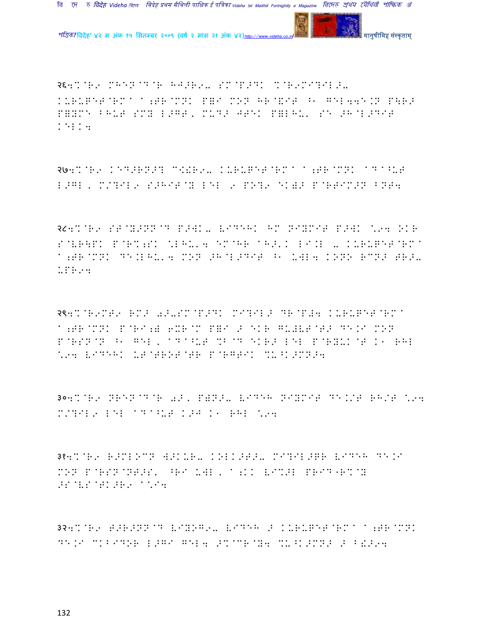२६4%@R9 MHEN@D@R HJ>R9- SM@P>DK %@R9MI?IL>- KURUQET@RMAK P=I MON HR@MNK P=I MON HR@MNK P=I MON HR@MNK P=I MON HR@&IT ^1 GEL44E.N P+I MON HR@&IT ^1 GEL44E. PHING PANE SMI LOWE, NUMO APGO PHIAN, SGO ORGINAL KELK4

२७4%@R9 KED>RN>? C[!R9- KURUQET@RM@ A;TR@MNK AD@^UT L>GL, M/?IL9 S>HIT@Y LEL 9 PO?9 EK)> P@RTIM>N BNT4

२८4%@R9 ST@Y>NN@D P>WK- VIDEHK HM NIYMIT P>WK \*94 OKR S@VR\PK P@R%;SK \*LHU'4 EM@HR AH>'K LI.L - KURUQET@RM@ A;TR@MOND = PACE POLICE ON DE. DIT PERSONAL CHANGE AND DISPOSITION OF PERSONAL  $U$ Pr $\mathcal{H}$ 

२९4%@R9MT9 RM> 0>-SM@P>DK MI?IL> DR@P#4 KURUQET@RM@ A;TR@MNK P@RI;) 6XR@M P=I > EKR GU#VT@T> DE.I MON P@RSN@N ^1 GEL, AD@^UT %B@D EKR> LEL P@RYUK@T K1 RHL \*94 VIDEHK UT@TROT@TR P@RGTIK %U^K>MN>4

३०4%@R9 NREN@D@R 0>, P)N>- VIDEH NIYMIT DE./T RH/T \*94 M/R/PILE PRODUCTION CONTINUES.

384% RPP ROMAN WAS READED FOR THE ROLL WORK WAS ARRESTED FOR THE DECISION OF  $\mathcal{M}$ MON PORSNE MON POSTAL PRID THE RESOURCE OF THE REPORT OF THE REPORT OF THE REPORT OF THE REPORT OF THE REPORT OF  $\mathcal{S}$  :  $\mathcal{S}$  and  $\mathcal{S}$  are  $\mathcal{S}$  and  $\mathcal{S}$  are  $\mathcal{S}$  and  $\mathcal{S}$  are  $\mathcal{S}$  and  $\mathcal{S}$  are  $\mathcal{S}$  and  $\mathcal{S}$  are  $\mathcal{S}$  are  $\mathcal{S}$  and  $\mathcal{S}$  are  $\mathcal{S}$  and  $\mathcal{S}$  are  $\mathcal{S}$  are  $\$ 

३२4%@R9 T>R>NN@D VIYOG9- VIDEH > KURUQET@RM@ A;TR@MNK DE. I CKBIDOR LIST GELANDER LA SERVICIA DE LA SERVICA DE LA GRANDA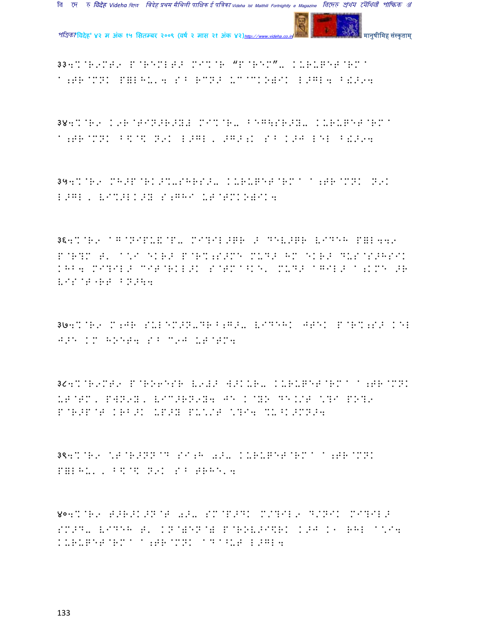३३4%@R9MT9 P@REMLT> MI%@R "P@REM"- KURUQET@RM@ A;TR@MNK P=LHU'4 S^ RCN> UC@CKO)IK L>GL4 B!>94

३४4%@R9 K9R@TIN>R>Y# MI%@R- BEG\SR>Y- KURUQET@RM@ A;TR@MNK B\$@\$ N9K L>GL, >G>;K S^ K>J LEL B!>94

३५4%@R9 MH>P@RK>%-SHRS>- KURUQET@RM@ A;TR@MNK N9K LOGIC, EVISITOR VIAGGAN IN STRING

३६4%@R9 AG@NIPU&@P- MI?IL>QR > DEV>QR VIDEH P=L449 P@R?M T' A\*I EKR> P@R%;S>ME MUD> HM EKR> DUS@S>HSIK KHB4 MI?IRIB A; MI?BYB SE BAC (BYB SATHOLY AGILY AGILY AGILY AGILY) AGI IST BAR BOOK

३७4%@R9 M;JR SULEM>N-DR^;G>- VIDEHK JTEK P@R%;S> KEL HOET RESHART TEACHETH

३८4%@R9MT9 P@RO6ESR V9#> W>KUR- KURUQET@RM@ A;TR@MNK US TAC , PAGGA , EKROPAGGA AN , TOO DE RNICH (THE POP PO PORPOR IN HOURS PUNIS NOW TO KEPPER

३९4%@R9 \*T@R>NN@D SI;H 0>- KURUQET@RM@ A;TR@MNK P=LHU', B\$@\$ N9K S^ TRHE'4

४०4%@R9 T>R>K>N@T 0>- SM@P>DK M/?IL9 D/NIK MI?IL> SMOR DO KARAH TELI KORABAN TE KORAK KARA KI KARA KATI KATA KA KURUPSA SKUTT A;TR MORE A SKUTT LA 1991 A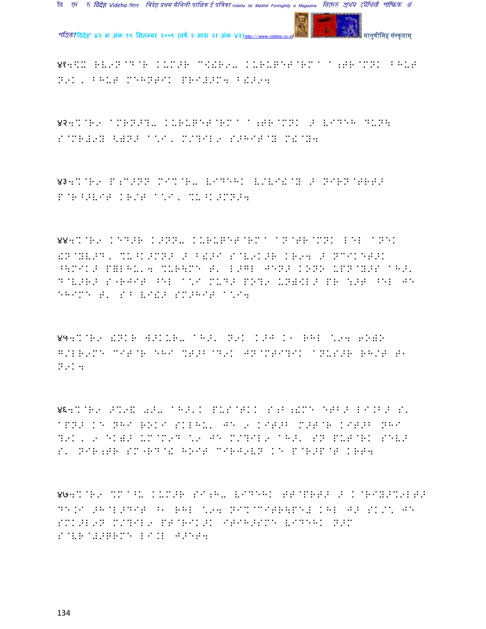४१4\$X RV9N@D@R KUM>R C[!R9- KURUQET@RM@ A;TR@MNK BHUT N9K, BHUT MEHNTIK PRI#>M4 B!>94

४२4%@R9 AMRN>?- KURUQET@RM@ A;TR@MNK > VIDEH DUN\ SOMR#9Y A#I, MONTH, MONTH, MONTH, MONTH, MONTH, MONTH, MONTH, MONTH, MONTH, MONTH, MONTH, MONTH, MONTH, MONTH,

४३4%@R9 P;C>NN MI%@R- VIDEHK V/VI!@Y > NIRN@TRT> PORTHER PORTH AND MONEY WITH A

४४4%@R9 KED>R K>NN- KURUQET@RM@ AN@TR@MNK LEL ANEK ! NOTE: THE COMPANY OF THE COMPANY OF THE COMPANY OF THE COMPANY OF THE COMPANY OF THE COMPANY OF THE COMPANY O  $\mathcal{F}$ HOVA PELHU, 4 %URHOY G. (1991) AYRA CODD LEDGER (1991) DORVER STARTE ONE CONTINUES PORT INSERT PRODUCED ON THE EHIME T' S' SAND STIPPE TORE

४५4%@R9 !NKR W>KUR- AH>' N9K K>J K1 RHL \*94 6O)O G/LR9ME CIT@R EHI %T>B@D9K JN@MTI?IK ANUS>R RH/T T1  $3.414$ 

४६4%@R9 >%9& 0>- AH>'K PUS@TKK S;B;!ME ETB> LI.B> S' APN> KE NHI ROKI SKLHU' JE 9 KIT>B M>T@R KIT>B NHI ?9K, 9 EK)> UM@M9D \*9 JE M/?IL9 AH>' SN PUT@RK SEV> S', 'S' TR'TR SM'RD FOIT CIRC SOME THAT THE POINT CIRCUIT CIRCUIT CIRCUIT CIRCUIT CIRCUIT CIRCUIT CIRCUIT CIRC

४७4%@R9 %M@^U KUM>R SI;H- VIDEHK TT@PRT> > K@RIY>%9LT> DE. I POLITIKE I JERUSAL DI KORA DI STOLIA DI PRETI MENJEDI SE SKIL JE SKI JE SKIM JE SKIM JE SKOL JE SKOL JE SMK>L9N M/?IL9 PT@RIK>K ITIH>SME VIDEHK N>M SOME LITTLE LITTLE LITTLE LITTLE LITTLE LITTLE LITTLE LITTLE LITTLE LITTLE LITTLE LITTLE LITTLE LITTLE LITTLE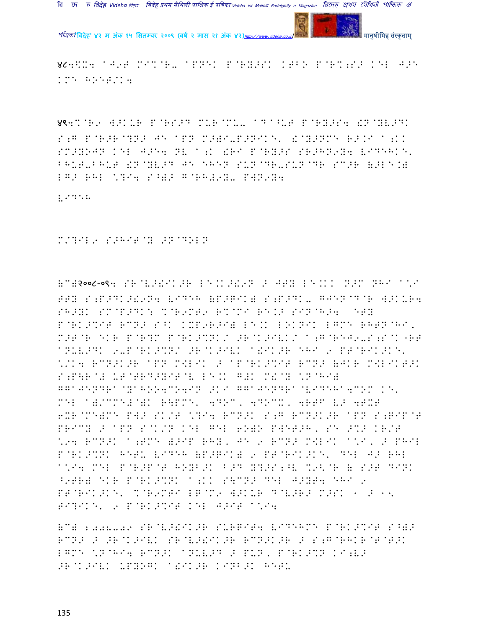

४८4\$X4 AJ9T MI%@R- APNEK P@RY>SK KTBO P@R%;S> KEL J>E KME HOET/K4

४९4%@R9 W>KUR P@RS>D MUR@MU- AD@^UT P@RY>S4 !N@YV>DK S;G P@R>R@?N> JE APN M>)I-P>NIKE' !@Y>NME R>.I A;KK SMOVER KEL HOV A; K IN STRING SROW KEL JOHN SE SROW SORIES SROW SERVICE SERVICE IN A BHUT-BUT-BUT-BENDRES IN SUNDER SUNDER SUNDER SUNDER SUNDAD IMP RHL THR FRAM MORARIN FERRIN

VIDEH

M/?IL9 S>HIT@Y >N@DOLN

 $\mathbb{R}^n$  HRppoc-ord: STR (ILFERT) IRE. ETH IN PERPORT AT A HI AT  $\mathbb{R}^n$  ITY IN THIS INTO  $\mathbb{R}^n$ THAN IN SEVERAL AND PROVINCING SINGLE (POINT) SINGLE (PHONOR WAS UPS) SHOW WHO SH>YK SM@P>DK: %@R9MT9 R%@MI RE.> SIN@H>4 ETY P@RK>%IT RCN> S^K KXP9R>I) LE.K LOKNIK LGME RHTN@HI, M>T@R EKR P@R?M P@RK>%NK/ >R@K>IVK/ A;G@REJ9-S;S@K"RT ANUVA PROVINSI PERSENTAH AIR PERSENTAHAN PERSENTAH PERSENTAH PERSENTAH PERSENTAHAN PERSENTAHAN PERSENTAHAN PER \*/K4 RCN>K>R APN M[LIK > AP@RK>%IT RCN> (JKR M[LIKT>K S;P\R@# UT@TRD>YIT@V LE.K G#K M!@Y \*N@HI) GGAALENDRAGHENDRAG DER GEHANDEN SEIN GETENDRAG MAEL A)/BIMMA AND CORPORATION 4DOCX, 4DOCX, 4POCX, 4PICA 6XR@ME)ME PW> SK/T \*?I4 RCN>K S;G RCN>K>R APN S;QIP@T PRICY > APN S@K/N KEL GEL 6O)O PWET>H, SE >%> KR/T \*94 RCN>K A;TME )>IP RHY, JE 9 RCN> M[LIK A\*I, > PHIL P@RK>%NK HETU VIDEH (P>QIK) 9 PT@RIK>KE' DEL J> RHL A\*I4 MEL P@R>P@T HOYB>K B>D Y?>S;^V %9<@R ( S>T DINK ^9TR) EKR P@RK>%NK A;KK S\CN> DEL J>YT4 EHI 9 PT@RIK>KE' %@R9MTI LQ@M9 W>KUR D@V>R> M>SK 1 > 15 TI?IKE' 9 P@RK>%IT KEL J>IT A\*I4

(G) 2008-09 SR&VERS SR@VOR SURPARE EATHER POSTS SURVEY PARK RCOR - ROKAR SROWSKI - REPORTED HE SHOP SHOW HE SHOW ROKE SHOW THAT IN THE ST LAGME \*NOW PUNCY AND AN UNIVERSITY OF PUNCY >R@K>IVK UPYOGK A!IK>R KINB>K HETU